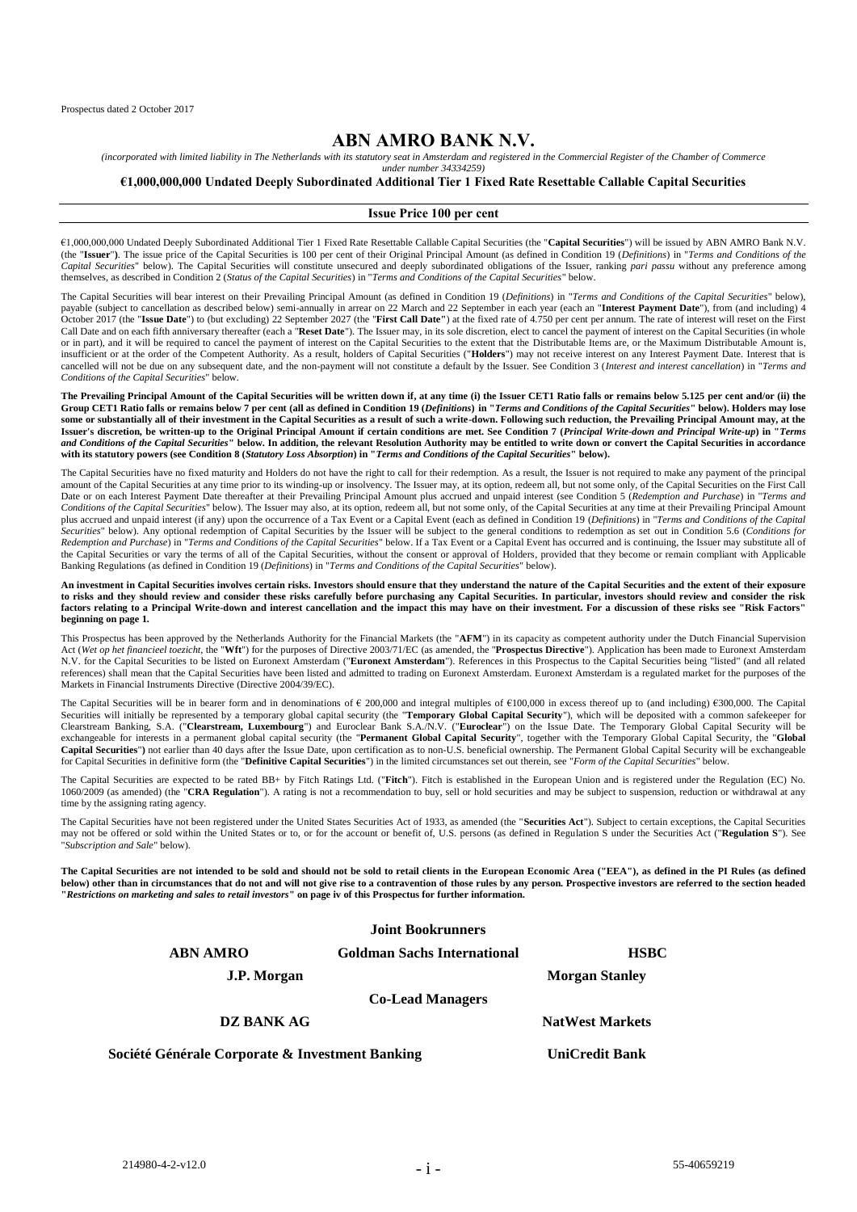# **ABN AMRO BANK N.V.**

*(incorporated with limited liability in The Netherlands with its statutory seat in Amsterdam and registered in the Commercial Register of the Chamber of Commerce under number 34334259)*

#### **€1,000,000,000 Undated Deeply Subordinated Additional Tier 1 Fixed Rate Resettable Callable Capital Securities**

#### **Issue Price 100 per cent**

€1,000,000,000 Undated Deeply Subordinated Additional Tier 1 Fixed Rate Resettable Callable Capital Securities (the "**Capital Securities**") will be issued by ABN AMRO Bank N.V. (the "**Issuer**"**)**. The issue price of the Capital Securities is 100 per cent of their Original Principal Amount (as defined in Condition 19 (*Definitions*) in "*Terms and Conditions of the Capital Securities*" below). The Capital Securities will constitute unsecured and deeply subordinated obligations of the Issuer, ranking *pari passu* without any preference among themselves, as described in Condition 2 (*Status of the Capital Securities*) in "*Terms and Conditions of the Capital Securities*" below.

The Capital Securities will bear interest on their Prevailing Principal Amount (as defined in Condition 19 (*Definitions*) in "*Terms and Conditions of the Capital Securities*" below), payable (subject to cancellation as described below) semi-annually in arrear on 22 March and 22 September in each year (each an "**Interest Payment Date**"), from (and including) 4 October 2017 (the "**Issue Date**") to (but excluding) 22 September 2027 (the "**First Call Date"**) at the fixed rate of 4.750 per cent per annum. The rate of interest will reset on the First Call Date and on each fifth anniversary thereafter (each a "Reset Date"). The Issuer may, in its sole discretion, elect to cancel the payment of interest on the Capital Securities (in whole or in part), and it will be required to cancel the payment of interest on the Capital Securities to the extent that the Distributable Items are, or the Maximum Distributable Amount is, insufficient or at the order of the Competent Authority. As a result, holders of Capital Securities ("**Holders**") may not receive interest on any Interest Payment Date. Interest that is cancelled will not be due on any subsequent date, and the non-payment will not constitute a default by the Issuer. See Condition 3 (*Interest and interest cancellation*) in "*Terms and Conditions of the Capital Securities*" below*.*

**The Prevailing Principal Amount of the Capital Securities will be written down if, at any time (i) the Issuer CET1 Ratio falls or remains below 5.125 per cent and/or (ii) the Group CET1 Ratio falls or remains below 7 per cent (all as defined in Condition 19 (***Definitions***) in "***Terms and Conditions of the Capital Securities***" below). Holders may lose some or substantially all of their investment in the Capital Securities as a result of such a write-down. Following such reduction, the Prevailing Principal Amount may, at the Issuer's discretion, be written-up to the Original Principal Amount if certain conditions are met. See Condition 7 (***Principal Write-down and Principal Write-up***) in "***Terms and Conditions of the Capital Securities'' below. In addition, the relevant Resolution Authority may be entitled to write down or convert the Capital Securities in accordance<br>with its statutory powers (see Condition 8 (St* 

The Capital Securities have no fixed maturity and Holders do not have the right to call for their redemption. As a result, the Issuer is not required to make any payment of the principal amount of the Capital Securities at any time prior to its winding-up or insolvency. The Issuer may, at its option, redeem all, but not some only, of the Capital Securities on the First Call Date or on each Interest Payment Date thereafter at their Prevailing Principal Amount plus accrued and unpaid interest (see Condition 5 (*Redemption and Purchase*) in "*Terms and Conditions of the Capital Securities*" below). The Issuer may also, at its option, redeem all, but not some only, of the Capital Securities at any time at their Prevailing Principal Amount plus accrued and unpaid interest (if any) upon the occurrence of a Tax Event or a Capital Event (each as defined in Condition 19 (*Definitions*) in "*Terms and Conditions of the Capital Securities*" below). Any optional redemption of Capital Securities by the Issuer will be subject to the general conditions to redemption as set out in Condition 5.6 (*Conditions for Redemption and Purchase*) in "*Terms and Conditions of the Capital Securities*" below. If a Tax Event or a Capital Event has occurred and is continuing, the Issuer may substitute all of the Capital Securities or vary the terms of all of the Capital Securities, without the consent or approval of Holders, provided that they become or remain compliant with Applicable Banking Regulations (as defined in Condition 19 (*Definitions*) in "*Terms and Conditions of the Capital Securities*" below).

**An investment in Capital Securities involves certain risks. Investors should ensure that they understand the nature of the Capital Securities and the extent of their exposure to risks and they should review and consider these risks carefully before purchasing any Capital Securities. In particular, investors should review and consider the risk factors relating to a Principal Write-down and interest cancellation and the impact this may have on their investment. For a discussion of these risks see "Risk Factors" beginning on page 1.**

This Prospectus has been approved by the Netherlands Authority for the Financial Markets (the "AFM") in its capacity as competent authority under the Dutch Financial Supervision Act (*Wet op het financieel toezicht*, the "**Wft**") for the purposes of Directive 2003/71/EC (as amended, the "**Prospectus Directive**"). Application has been made to Euronext Amsterdam N.V. for the Capital Securities to be listed on Euronext Amsterdam ("**Euronext Amsterdam**"). References in this Prospectus to the Capital Securities being "listed" (and all related references) shall mean that the Capital Securities have been listed and admitted to trading on Euronext Amsterdam. Euronext Amsterdam is a regulated market for the purposes of the<br>Markets in Financial Instruments Directive

The Capital Securities will be in bearer form and in denominations of € 200,000 and integral multiples of €100,000 in excess thereof up to (and including) €300,000. The Capital Securities will initially be represented by a temporary global capital security (the "**Temporary Global Capital Security**"), which will be deposited with a common safekeeper for Clearstream Banking, S.A. ("**Clearstream, Luxembourg**") and Euroclear Bank S.A./N.V. ("**Euroclear**") on the Issue Date. The Temporary Global Capital Security will be exchangeable for interests in a permanent global capital security (the "**Permanent Global Capital Security**", together with the Temporary Global Capital Security, the "Global Capital Security, the "Global" Capital Securities") not earlier than 40 days after the Issue Date, upon certification as to non-U.S. beneficial ownership. The Permanent Global Capital Security will be exchangeable<br>for Capital Securities in definitive fo

The Capital Securities are expected to be rated BB+ by Fitch Ratings Ltd. ("**Fitch**"). Fitch is established in the European Union and is registered under the Regulation (EC) No. 1060/2009 (as amended) (the "CRA Regulation"). A rating is not a recommendation to buy, sell or hold securities and may be subject to suspension, reduction or withdrawal at any time by the assigning rating agency.

The Capital Securities have not been registered under the United States Securities Act of 1933, as amended (the "**Securities Act**"). Subject to certain exceptions, the Capital Securities may not be offered or sold within the United States or to, or for the account or benefit of, U.S. persons (as defined in Regulation S under the Securities Act ("**Regulation S**"). See "*Subscription and Sale*" below).

**The Capital Securities are not intended to be sold and should not be sold to retail clients in the European Economic Area ("EEA"), as defined in the PI Rules (as defined below) other than in circumstances that do not and will not give rise to a contravention of those rules by any person. Prospective investors are referred to the section headed "***Restrictions on marketing and sales to retail investors***" on page iv of this Prospectus for further information.**

#### **Joint Bookrunners**

**ABN AMRO Goldman Sachs International HSBC**

**J.P. Morgan Morgan Stanley** 

**Co-Lead Managers**

**DZ BANK AG NatWest Markets** 

**Société Générale Corporate & Investment Banking UniCredit Bank**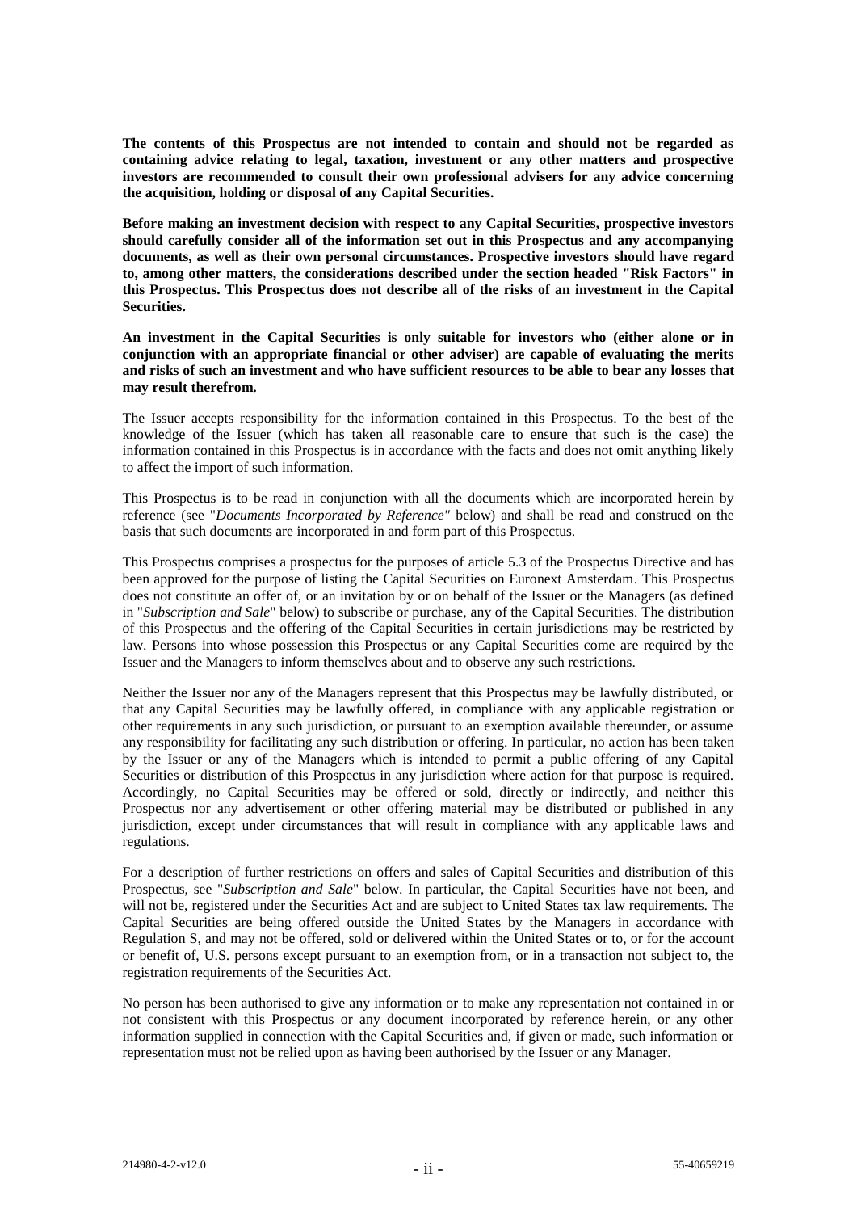**The contents of this Prospectus are not intended to contain and should not be regarded as containing advice relating to legal, taxation, investment or any other matters and prospective investors are recommended to consult their own professional advisers for any advice concerning the acquisition, holding or disposal of any Capital Securities.**

**Before making an investment decision with respect to any Capital Securities, prospective investors should carefully consider all of the information set out in this Prospectus and any accompanying documents, as well as their own personal circumstances. Prospective investors should have regard to, among other matters, the considerations described under the section headed "Risk Factors" in this Prospectus. This Prospectus does not describe all of the risks of an investment in the Capital Securities.**

**An investment in the Capital Securities is only suitable for investors who (either alone or in conjunction with an appropriate financial or other adviser) are capable of evaluating the merits and risks of such an investment and who have sufficient resources to be able to bear any losses that may result therefrom.**

The Issuer accepts responsibility for the information contained in this Prospectus. To the best of the knowledge of the Issuer (which has taken all reasonable care to ensure that such is the case) the information contained in this Prospectus is in accordance with the facts and does not omit anything likely to affect the import of such information.

This Prospectus is to be read in conjunction with all the documents which are incorporated herein by reference (see "*Documents Incorporated by Reference"* below) and shall be read and construed on the basis that such documents are incorporated in and form part of this Prospectus.

This Prospectus comprises a prospectus for the purposes of article 5.3 of the Prospectus Directive and has been approved for the purpose of listing the Capital Securities on Euronext Amsterdam. This Prospectus does not constitute an offer of, or an invitation by or on behalf of the Issuer or the Managers (as defined in "*Subscription and Sale*" below) to subscribe or purchase, any of the Capital Securities. The distribution of this Prospectus and the offering of the Capital Securities in certain jurisdictions may be restricted by law. Persons into whose possession this Prospectus or any Capital Securities come are required by the Issuer and the Managers to inform themselves about and to observe any such restrictions.

Neither the Issuer nor any of the Managers represent that this Prospectus may be lawfully distributed, or that any Capital Securities may be lawfully offered, in compliance with any applicable registration or other requirements in any such jurisdiction, or pursuant to an exemption available thereunder, or assume any responsibility for facilitating any such distribution or offering. In particular, no action has been taken by the Issuer or any of the Managers which is intended to permit a public offering of any Capital Securities or distribution of this Prospectus in any jurisdiction where action for that purpose is required. Accordingly, no Capital Securities may be offered or sold, directly or indirectly, and neither this Prospectus nor any advertisement or other offering material may be distributed or published in any jurisdiction, except under circumstances that will result in compliance with any applicable laws and regulations.

For a description of further restrictions on offers and sales of Capital Securities and distribution of this Prospectus, see "*Subscription and Sale*" below. In particular, the Capital Securities have not been, and will not be, registered under the Securities Act and are subject to United States tax law requirements. The Capital Securities are being offered outside the United States by the Managers in accordance with Regulation S, and may not be offered, sold or delivered within the United States or to, or for the account or benefit of, U.S. persons except pursuant to an exemption from, or in a transaction not subject to, the registration requirements of the Securities Act.

No person has been authorised to give any information or to make any representation not contained in or not consistent with this Prospectus or any document incorporated by reference herein, or any other information supplied in connection with the Capital Securities and, if given or made, such information or representation must not be relied upon as having been authorised by the Issuer or any Manager.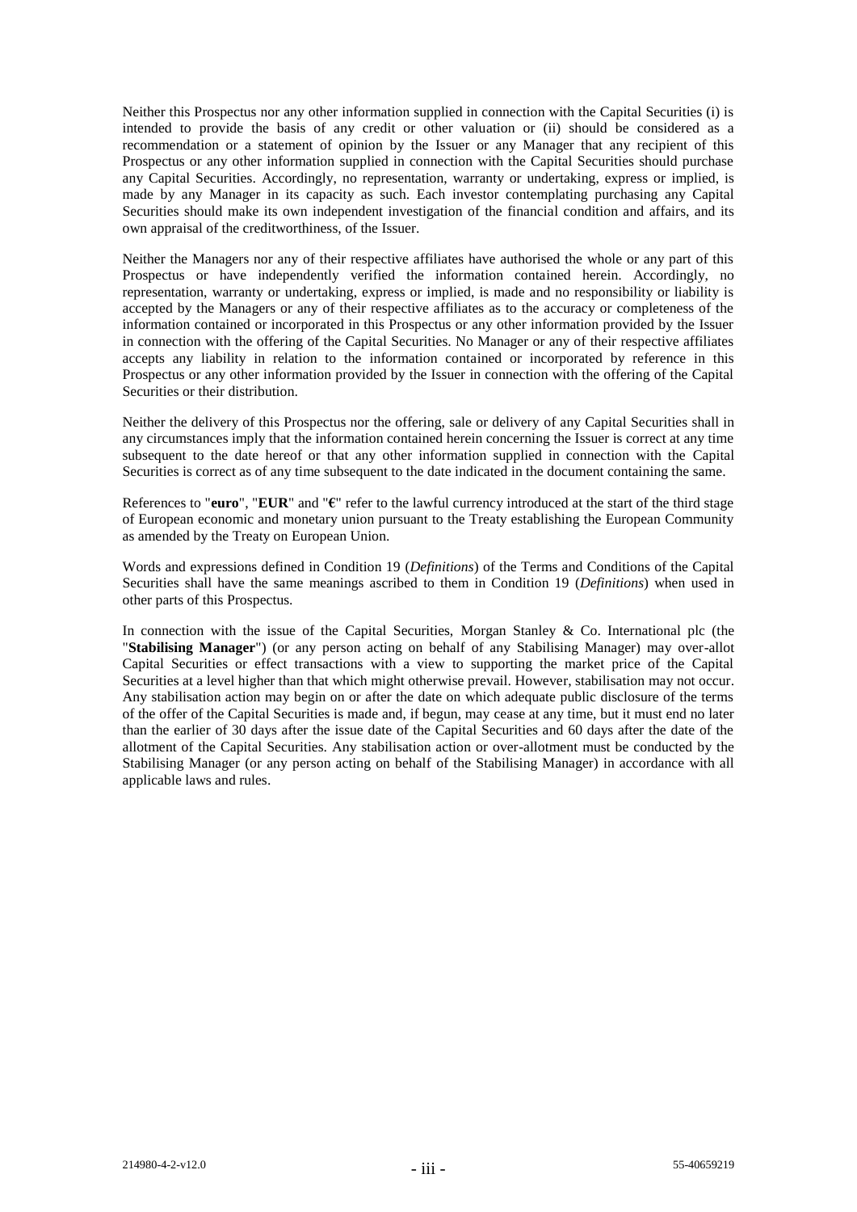Neither this Prospectus nor any other information supplied in connection with the Capital Securities (i) is intended to provide the basis of any credit or other valuation or (ii) should be considered as a recommendation or a statement of opinion by the Issuer or any Manager that any recipient of this Prospectus or any other information supplied in connection with the Capital Securities should purchase any Capital Securities. Accordingly, no representation, warranty or undertaking, express or implied, is made by any Manager in its capacity as such. Each investor contemplating purchasing any Capital Securities should make its own independent investigation of the financial condition and affairs, and its own appraisal of the creditworthiness, of the Issuer.

Neither the Managers nor any of their respective affiliates have authorised the whole or any part of this Prospectus or have independently verified the information contained herein. Accordingly, no representation, warranty or undertaking, express or implied, is made and no responsibility or liability is accepted by the Managers or any of their respective affiliates as to the accuracy or completeness of the information contained or incorporated in this Prospectus or any other information provided by the Issuer in connection with the offering of the Capital Securities. No Manager or any of their respective affiliates accepts any liability in relation to the information contained or incorporated by reference in this Prospectus or any other information provided by the Issuer in connection with the offering of the Capital Securities or their distribution.

Neither the delivery of this Prospectus nor the offering, sale or delivery of any Capital Securities shall in any circumstances imply that the information contained herein concerning the Issuer is correct at any time subsequent to the date hereof or that any other information supplied in connection with the Capital Securities is correct as of any time subsequent to the date indicated in the document containing the same.

References to "**euro**", "**EUR**" and "**€**" refer to the lawful currency introduced at the start of the third stage of European economic and monetary union pursuant to the Treaty establishing the European Community as amended by the Treaty on European Union.

Words and expressions defined in Condition 19 (*Definitions*) of the Terms and Conditions of the Capital Securities shall have the same meanings ascribed to them in Condition 19 (*Definitions*) when used in other parts of this Prospectus.

In connection with the issue of the Capital Securities, Morgan Stanley & Co. International plc (the "**Stabilising Manager**") (or any person acting on behalf of any Stabilising Manager) may over-allot Capital Securities or effect transactions with a view to supporting the market price of the Capital Securities at a level higher than that which might otherwise prevail. However, stabilisation may not occur. Any stabilisation action may begin on or after the date on which adequate public disclosure of the terms of the offer of the Capital Securities is made and, if begun, may cease at any time, but it must end no later than the earlier of 30 days after the issue date of the Capital Securities and 60 days after the date of the allotment of the Capital Securities. Any stabilisation action or over-allotment must be conducted by the Stabilising Manager (or any person acting on behalf of the Stabilising Manager) in accordance with all applicable laws and rules.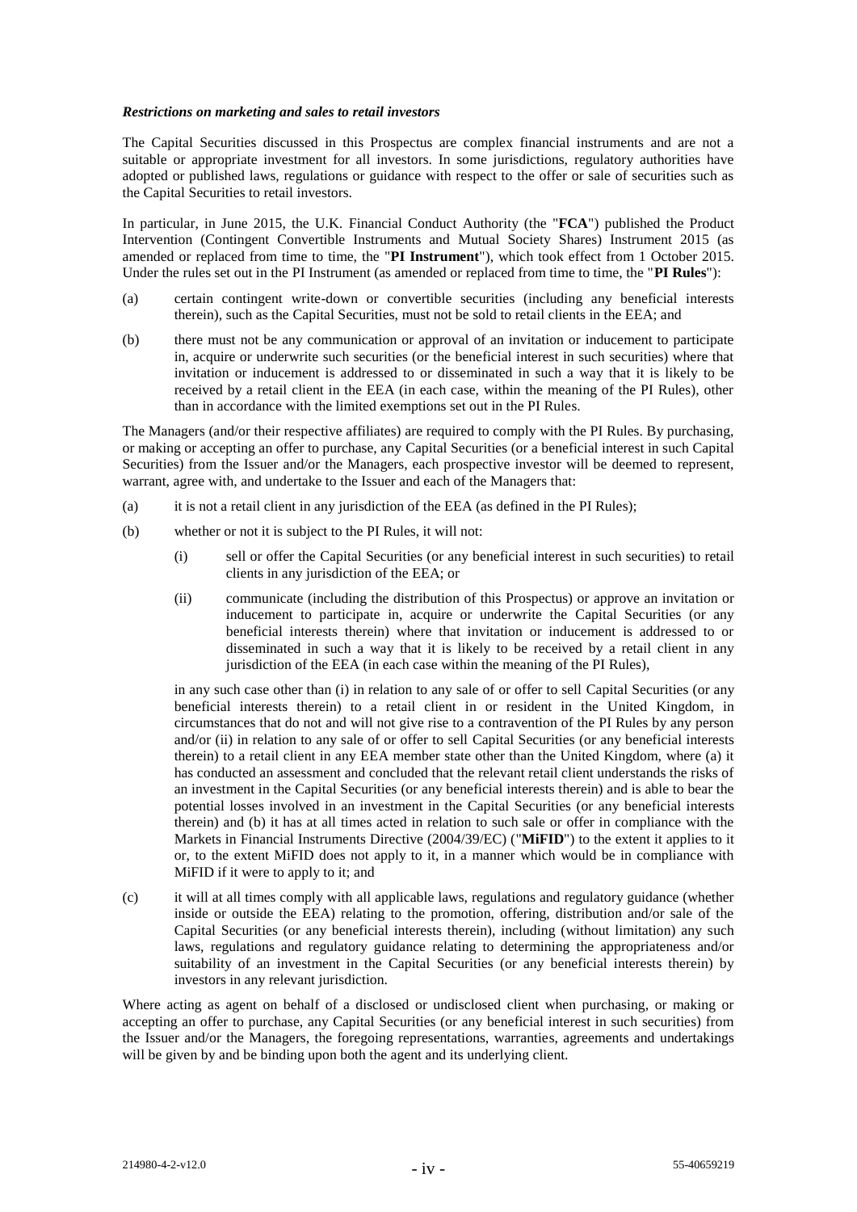#### *Restrictions on marketing and sales to retail investors*

The Capital Securities discussed in this Prospectus are complex financial instruments and are not a suitable or appropriate investment for all investors. In some jurisdictions, regulatory authorities have adopted or published laws, regulations or guidance with respect to the offer or sale of securities such as the Capital Securities to retail investors.

In particular, in June 2015, the U.K. Financial Conduct Authority (the "**FCA**") published the Product Intervention (Contingent Convertible Instruments and Mutual Society Shares) Instrument 2015 (as amended or replaced from time to time, the "**PI Instrument**"), which took effect from 1 October 2015. Under the rules set out in the PI Instrument (as amended or replaced from time to time, the "**PI Rules**"):

- (a) certain contingent write-down or convertible securities (including any beneficial interests therein), such as the Capital Securities, must not be sold to retail clients in the EEA; and
- (b) there must not be any communication or approval of an invitation or inducement to participate in, acquire or underwrite such securities (or the beneficial interest in such securities) where that invitation or inducement is addressed to or disseminated in such a way that it is likely to be received by a retail client in the EEA (in each case, within the meaning of the PI Rules), other than in accordance with the limited exemptions set out in the PI Rules.

The Managers (and/or their respective affiliates) are required to comply with the PI Rules. By purchasing, or making or accepting an offer to purchase, any Capital Securities (or a beneficial interest in such Capital Securities) from the Issuer and/or the Managers, each prospective investor will be deemed to represent, warrant, agree with, and undertake to the Issuer and each of the Managers that:

- (a) it is not a retail client in any jurisdiction of the EEA (as defined in the PI Rules);
- (b) whether or not it is subject to the PI Rules, it will not:
	- (i) sell or offer the Capital Securities (or any beneficial interest in such securities) to retail clients in any jurisdiction of the EEA; or
	- (ii) communicate (including the distribution of this Prospectus) or approve an invitation or inducement to participate in, acquire or underwrite the Capital Securities (or any beneficial interests therein) where that invitation or inducement is addressed to or disseminated in such a way that it is likely to be received by a retail client in any jurisdiction of the EEA (in each case within the meaning of the PI Rules),

in any such case other than (i) in relation to any sale of or offer to sell Capital Securities (or any beneficial interests therein) to a retail client in or resident in the United Kingdom, in circumstances that do not and will not give rise to a contravention of the PI Rules by any person and/or (ii) in relation to any sale of or offer to sell Capital Securities (or any beneficial interests therein) to a retail client in any EEA member state other than the United Kingdom, where (a) it has conducted an assessment and concluded that the relevant retail client understands the risks of an investment in the Capital Securities (or any beneficial interests therein) and is able to bear the potential losses involved in an investment in the Capital Securities (or any beneficial interests therein) and (b) it has at all times acted in relation to such sale or offer in compliance with the Markets in Financial Instruments Directive (2004/39/EC) ("**MiFID**") to the extent it applies to it or, to the extent MiFID does not apply to it, in a manner which would be in compliance with MiFID if it were to apply to it; and

(c) it will at all times comply with all applicable laws, regulations and regulatory guidance (whether inside or outside the EEA) relating to the promotion, offering, distribution and/or sale of the Capital Securities (or any beneficial interests therein), including (without limitation) any such laws, regulations and regulatory guidance relating to determining the appropriateness and/or suitability of an investment in the Capital Securities (or any beneficial interests therein) by investors in any relevant jurisdiction.

Where acting as agent on behalf of a disclosed or undisclosed client when purchasing, or making or accepting an offer to purchase, any Capital Securities (or any beneficial interest in such securities) from the Issuer and/or the Managers, the foregoing representations, warranties, agreements and undertakings will be given by and be binding upon both the agent and its underlying client.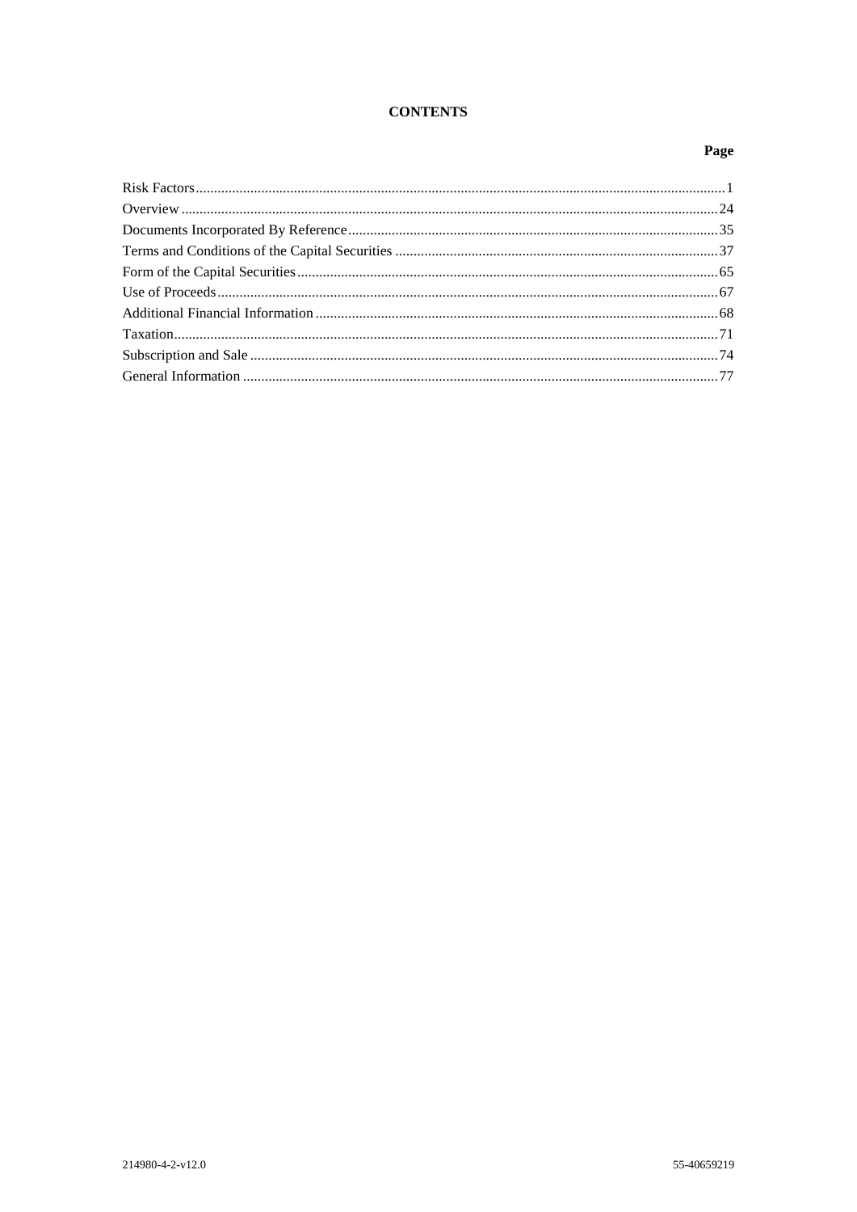# **CONTENTS**

# Page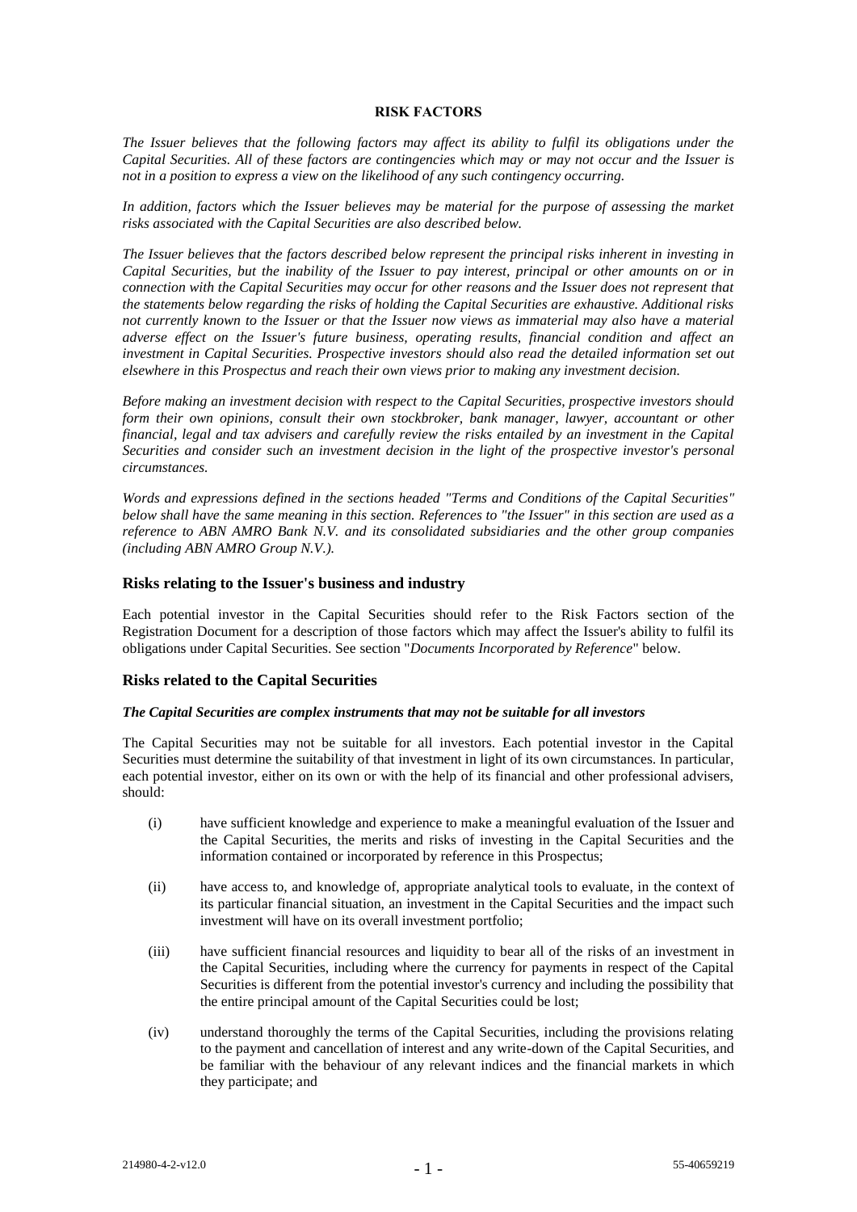#### **RISK FACTORS**

*The Issuer believes that the following factors may affect its ability to fulfil its obligations under the Capital Securities. All of these factors are contingencies which may or may not occur and the Issuer is not in a position to express a view on the likelihood of any such contingency occurring.*

*In addition, factors which the Issuer believes may be material for the purpose of assessing the market risks associated with the Capital Securities are also described below.*

*The Issuer believes that the factors described below represent the principal risks inherent in investing in Capital Securities, but the inability of the Issuer to pay interest, principal or other amounts on or in connection with the Capital Securities may occur for other reasons and the Issuer does not represent that the statements below regarding the risks of holding the Capital Securities are exhaustive. Additional risks not currently known to the Issuer or that the Issuer now views as immaterial may also have a material adverse effect on the Issuer's future business, operating results, financial condition and affect an investment in Capital Securities. Prospective investors should also read the detailed information set out elsewhere in this Prospectus and reach their own views prior to making any investment decision.*

*Before making an investment decision with respect to the Capital Securities, prospective investors should form their own opinions, consult their own stockbroker, bank manager, lawyer, accountant or other financial, legal and tax advisers and carefully review the risks entailed by an investment in the Capital Securities and consider such an investment decision in the light of the prospective investor's personal circumstances.*

*Words and expressions defined in the sections headed "Terms and Conditions of the Capital Securities" below shall have the same meaning in this section. References to "the Issuer" in this section are used as a reference to ABN AMRO Bank N.V. and its consolidated subsidiaries and the other group companies (including ABN AMRO Group N.V.).*

### **Risks relating to the Issuer's business and industry**

Each potential investor in the Capital Securities should refer to the Risk Factors section of the Registration Document for a description of those factors which may affect the Issuer's ability to fulfil its obligations under Capital Securities. See section "*Documents Incorporated by Reference*" below.

### **Risks related to the Capital Securities**

# *The Capital Securities are complex instruments that may not be suitable for all investors*

The Capital Securities may not be suitable for all investors. Each potential investor in the Capital Securities must determine the suitability of that investment in light of its own circumstances. In particular, each potential investor, either on its own or with the help of its financial and other professional advisers, should:

- (i) have sufficient knowledge and experience to make a meaningful evaluation of the Issuer and the Capital Securities, the merits and risks of investing in the Capital Securities and the information contained or incorporated by reference in this Prospectus;
- (ii) have access to, and knowledge of, appropriate analytical tools to evaluate, in the context of its particular financial situation, an investment in the Capital Securities and the impact such investment will have on its overall investment portfolio;
- (iii) have sufficient financial resources and liquidity to bear all of the risks of an investment in the Capital Securities, including where the currency for payments in respect of the Capital Securities is different from the potential investor's currency and including the possibility that the entire principal amount of the Capital Securities could be lost;
- (iv) understand thoroughly the terms of the Capital Securities, including the provisions relating to the payment and cancellation of interest and any write-down of the Capital Securities, and be familiar with the behaviour of any relevant indices and the financial markets in which they participate; and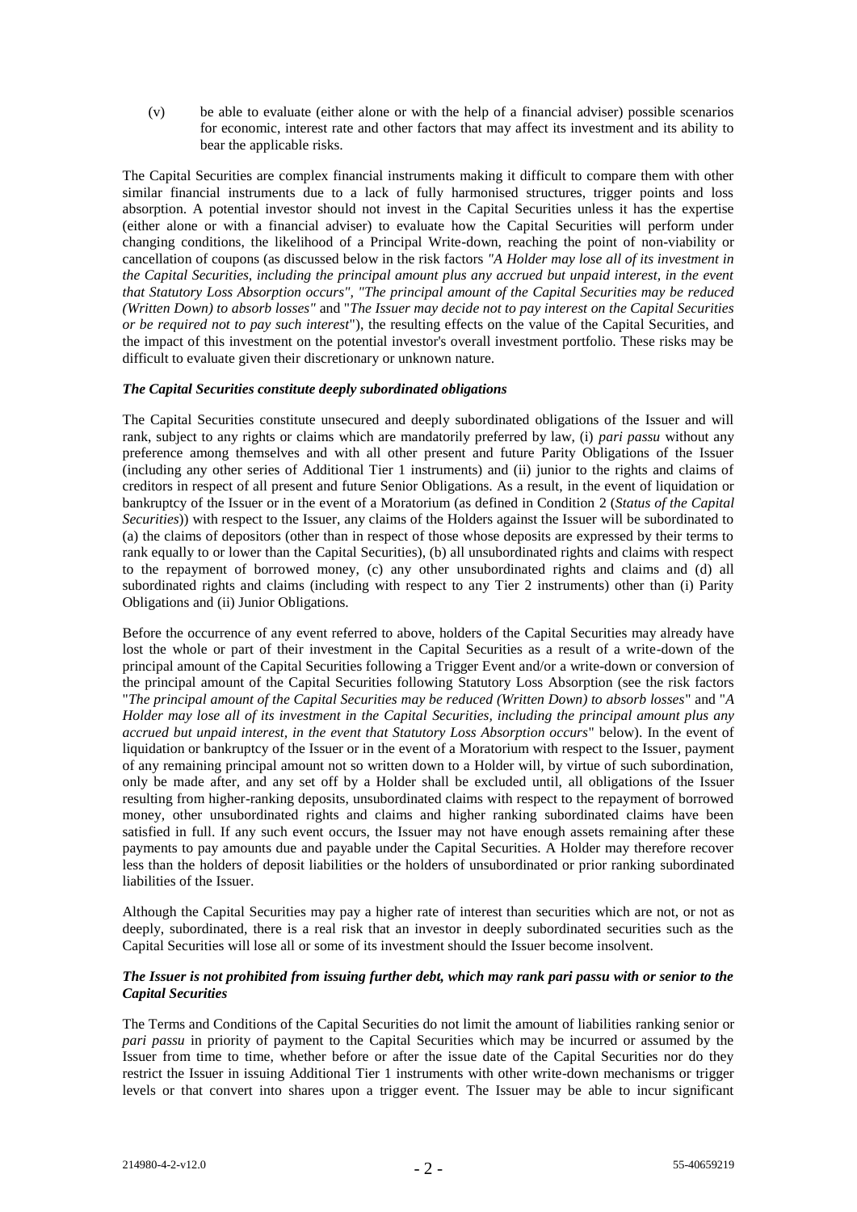(v) be able to evaluate (either alone or with the help of a financial adviser) possible scenarios for economic, interest rate and other factors that may affect its investment and its ability to bear the applicable risks.

The Capital Securities are complex financial instruments making it difficult to compare them with other similar financial instruments due to a lack of fully harmonised structures, trigger points and loss absorption. A potential investor should not invest in the Capital Securities unless it has the expertise (either alone or with a financial adviser) to evaluate how the Capital Securities will perform under changing conditions, the likelihood of a Principal Write-down, reaching the point of non-viability or cancellation of coupons (as discussed below in the risk factors *"A Holder may lose all of its investment in the Capital Securities, including the principal amount plus any accrued but unpaid interest, in the event that Statutory Loss Absorption occurs", "The principal amount of the Capital Securities may be reduced (Written Down) to absorb losses"* and "*The Issuer may decide not to pay interest on the Capital Securities or be required not to pay such interest*"), the resulting effects on the value of the Capital Securities, and the impact of this investment on the potential investor's overall investment portfolio. These risks may be difficult to evaluate given their discretionary or unknown nature.

### *The Capital Securities constitute deeply subordinated obligations*

The Capital Securities constitute unsecured and deeply subordinated obligations of the Issuer and will rank, subject to any rights or claims which are mandatorily preferred by law, (i) *pari passu* without any preference among themselves and with all other present and future Parity Obligations of the Issuer (including any other series of Additional Tier 1 instruments) and (ii) junior to the rights and claims of creditors in respect of all present and future Senior Obligations. As a result, in the event of liquidation or bankruptcy of the Issuer or in the event of a Moratorium (as defined in Condition 2 (*Status of the Capital Securities*)) with respect to the Issuer, any claims of the Holders against the Issuer will be subordinated to (a) the claims of depositors (other than in respect of those whose deposits are expressed by their terms to rank equally to or lower than the Capital Securities), (b) all unsubordinated rights and claims with respect to the repayment of borrowed money, (c) any other unsubordinated rights and claims and (d) all subordinated rights and claims (including with respect to any Tier 2 instruments) other than (i) Parity Obligations and (ii) Junior Obligations.

Before the occurrence of any event referred to above, holders of the Capital Securities may already have lost the whole or part of their investment in the Capital Securities as a result of a write-down of the principal amount of the Capital Securities following a Trigger Event and/or a write-down or conversion of the principal amount of the Capital Securities following Statutory Loss Absorption (see the risk factors "*The principal amount of the Capital Securities may be reduced (Written Down) to absorb losses*" and "*A Holder may lose all of its investment in the Capital Securities, including the principal amount plus any accrued but unpaid interest, in the event that Statutory Loss Absorption occurs*" below). In the event of liquidation or bankruptcy of the Issuer or in the event of a Moratorium with respect to the Issuer, payment of any remaining principal amount not so written down to a Holder will, by virtue of such subordination, only be made after, and any set off by a Holder shall be excluded until, all obligations of the Issuer resulting from higher-ranking deposits, unsubordinated claims with respect to the repayment of borrowed money, other unsubordinated rights and claims and higher ranking subordinated claims have been satisfied in full. If any such event occurs, the Issuer may not have enough assets remaining after these payments to pay amounts due and payable under the Capital Securities. A Holder may therefore recover less than the holders of deposit liabilities or the holders of unsubordinated or prior ranking subordinated liabilities of the Issuer.

Although the Capital Securities may pay a higher rate of interest than securities which are not, or not as deeply, subordinated, there is a real risk that an investor in deeply subordinated securities such as the Capital Securities will lose all or some of its investment should the Issuer become insolvent.

### *The Issuer is not prohibited from issuing further debt, which may rank pari passu with or senior to the Capital Securities*

The Terms and Conditions of the Capital Securities do not limit the amount of liabilities ranking senior or *pari passu* in priority of payment to the Capital Securities which may be incurred or assumed by the Issuer from time to time, whether before or after the issue date of the Capital Securities nor do they restrict the Issuer in issuing Additional Tier 1 instruments with other write-down mechanisms or trigger levels or that convert into shares upon a trigger event. The Issuer may be able to incur significant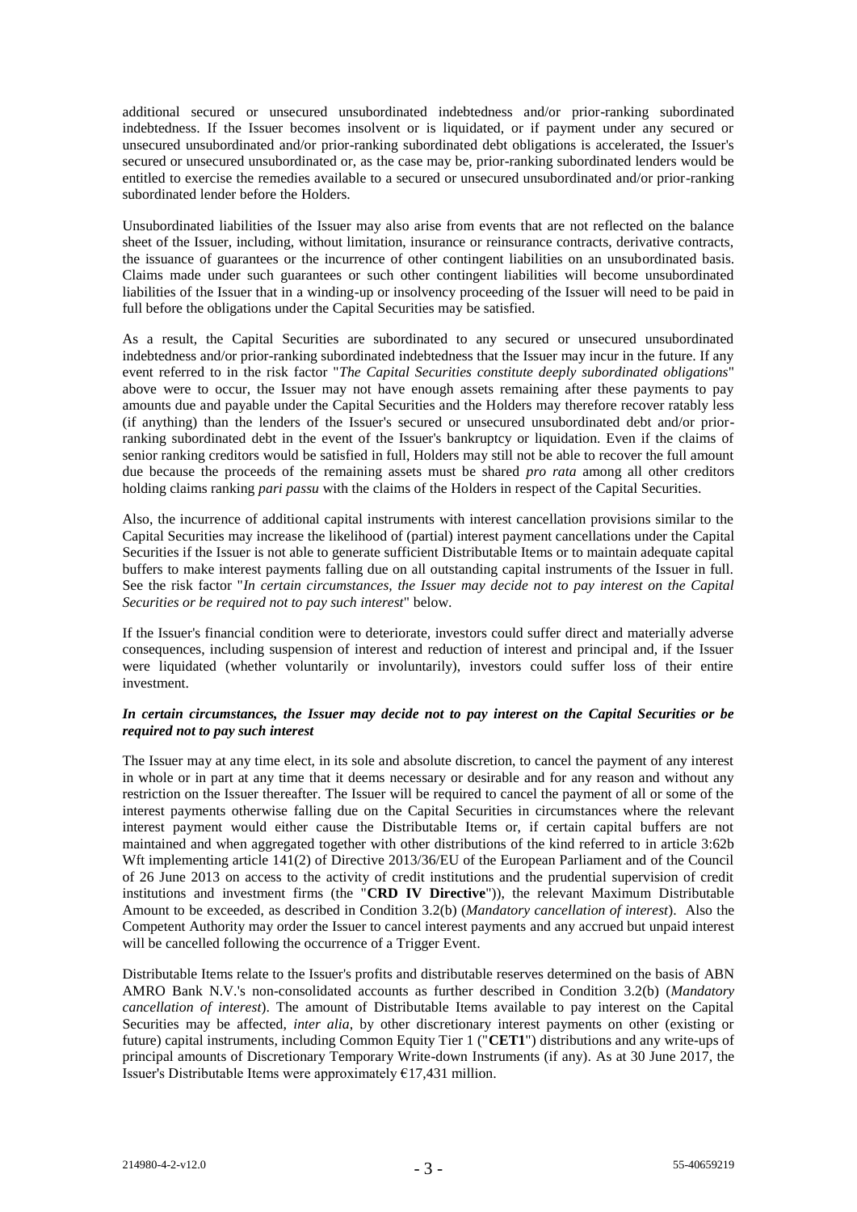additional secured or unsecured unsubordinated indebtedness and/or prior-ranking subordinated indebtedness. If the Issuer becomes insolvent or is liquidated, or if payment under any secured or unsecured unsubordinated and/or prior-ranking subordinated debt obligations is accelerated, the Issuer's secured or unsecured unsubordinated or, as the case may be, prior-ranking subordinated lenders would be entitled to exercise the remedies available to a secured or unsecured unsubordinated and/or prior-ranking subordinated lender before the Holders.

Unsubordinated liabilities of the Issuer may also arise from events that are not reflected on the balance sheet of the Issuer, including, without limitation, insurance or reinsurance contracts, derivative contracts, the issuance of guarantees or the incurrence of other contingent liabilities on an unsubordinated basis. Claims made under such guarantees or such other contingent liabilities will become unsubordinated liabilities of the Issuer that in a winding-up or insolvency proceeding of the Issuer will need to be paid in full before the obligations under the Capital Securities may be satisfied.

As a result, the Capital Securities are subordinated to any secured or unsecured unsubordinated indebtedness and/or prior-ranking subordinated indebtedness that the Issuer may incur in the future. If any event referred to in the risk factor "*The Capital Securities constitute deeply subordinated obligations*" above were to occur, the Issuer may not have enough assets remaining after these payments to pay amounts due and payable under the Capital Securities and the Holders may therefore recover ratably less (if anything) than the lenders of the Issuer's secured or unsecured unsubordinated debt and/or priorranking subordinated debt in the event of the Issuer's bankruptcy or liquidation. Even if the claims of senior ranking creditors would be satisfied in full, Holders may still not be able to recover the full amount due because the proceeds of the remaining assets must be shared *pro rata* among all other creditors holding claims ranking *pari passu* with the claims of the Holders in respect of the Capital Securities.

Also, the incurrence of additional capital instruments with interest cancellation provisions similar to the Capital Securities may increase the likelihood of (partial) interest payment cancellations under the Capital Securities if the Issuer is not able to generate sufficient Distributable Items or to maintain adequate capital buffers to make interest payments falling due on all outstanding capital instruments of the Issuer in full. See the risk factor "*In certain circumstances, the Issuer may decide not to pay interest on the Capital Securities or be required not to pay such interest*" below.

If the Issuer's financial condition were to deteriorate, investors could suffer direct and materially adverse consequences, including suspension of interest and reduction of interest and principal and, if the Issuer were liquidated (whether voluntarily or involuntarily), investors could suffer loss of their entire investment.

### *In certain circumstances, the Issuer may decide not to pay interest on the Capital Securities or be required not to pay such interest*

The Issuer may at any time elect, in its sole and absolute discretion, to cancel the payment of any interest in whole or in part at any time that it deems necessary or desirable and for any reason and without any restriction on the Issuer thereafter. The Issuer will be required to cancel the payment of all or some of the interest payments otherwise falling due on the Capital Securities in circumstances where the relevant interest payment would either cause the Distributable Items or, if certain capital buffers are not maintained and when aggregated together with other distributions of the kind referred to in article 3:62b Wft implementing article 141(2) of Directive 2013/36/EU of the European Parliament and of the Council of 26 June 2013 on access to the activity of credit institutions and the prudential supervision of credit institutions and investment firms (the "**CRD IV Directive**")), the relevant Maximum Distributable Amount to be exceeded, as described in Condition 3.2(b) (*Mandatory cancellation of interest*). Also the Competent Authority may order the Issuer to cancel interest payments and any accrued but unpaid interest will be cancelled following the occurrence of a Trigger Event.

Distributable Items relate to the Issuer's profits and distributable reserves determined on the basis of ABN AMRO Bank N.V.'s non-consolidated accounts as further described in Condition 3.2(b) (*Mandatory cancellation of interest*). The amount of Distributable Items available to pay interest on the Capital Securities may be affected, *inter alia*, by other discretionary interest payments on other (existing or future) capital instruments, including Common Equity Tier 1 ("**CET1**") distributions and any write-ups of principal amounts of Discretionary Temporary Write-down Instruments (if any). As at 30 June 2017, the Issuer's Distributable Items were approximately €17,431 million.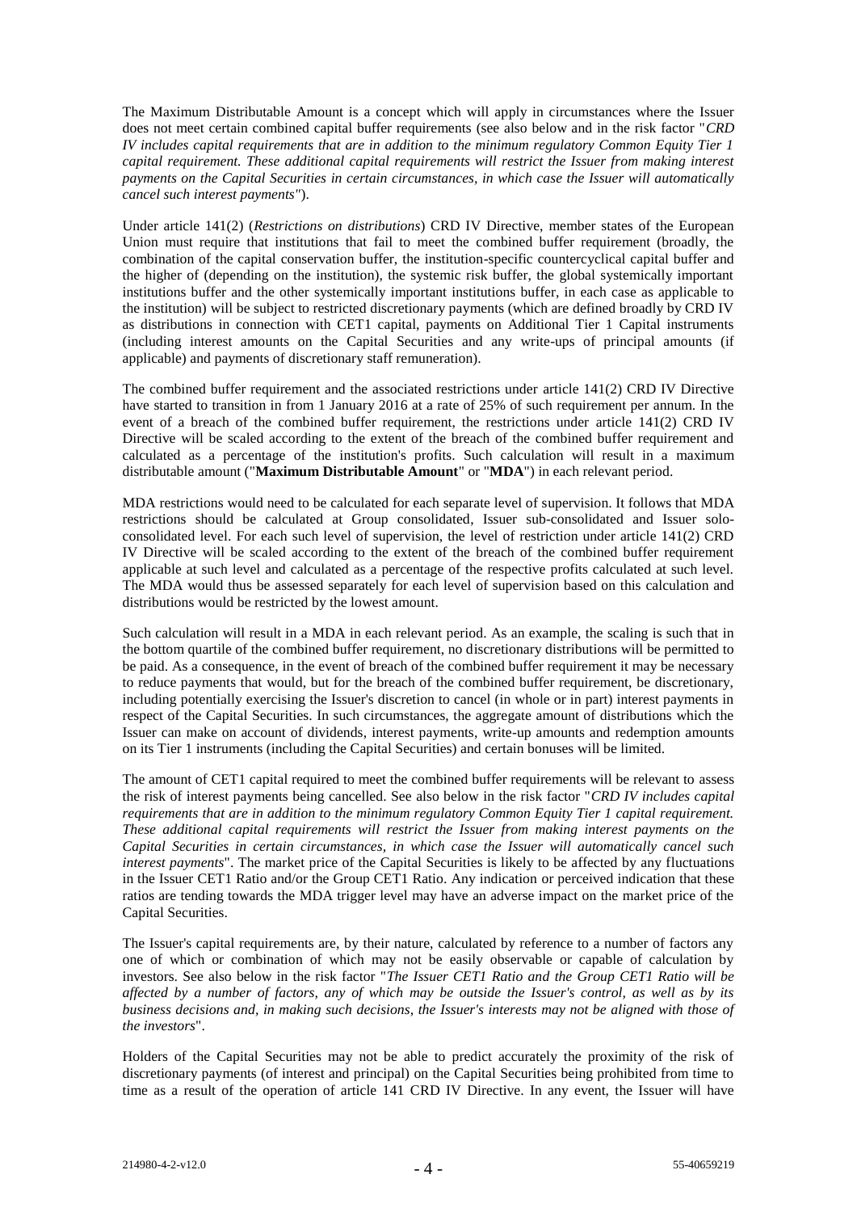The Maximum Distributable Amount is a concept which will apply in circumstances where the Issuer does not meet certain combined capital buffer requirements (see also below and in the risk factor "*CRD IV includes capital requirements that are in addition to the minimum regulatory Common Equity Tier 1 capital requirement. These additional capital requirements will restrict the Issuer from making interest payments on the Capital Securities in certain circumstances, in which case the Issuer will automatically cancel such interest payments"*).

Under article 141(2) (*Restrictions on distributions*) CRD IV Directive, member states of the European Union must require that institutions that fail to meet the combined buffer requirement (broadly, the combination of the capital conservation buffer, the institution-specific countercyclical capital buffer and the higher of (depending on the institution), the systemic risk buffer, the global systemically important institutions buffer and the other systemically important institutions buffer, in each case as applicable to the institution) will be subject to restricted discretionary payments (which are defined broadly by CRD IV as distributions in connection with CET1 capital, payments on Additional Tier 1 Capital instruments (including interest amounts on the Capital Securities and any write-ups of principal amounts (if applicable) and payments of discretionary staff remuneration).

The combined buffer requirement and the associated restrictions under article 141(2) CRD IV Directive have started to transition in from 1 January 2016 at a rate of 25% of such requirement per annum. In the event of a breach of the combined buffer requirement, the restrictions under article 141(2) CRD IV Directive will be scaled according to the extent of the breach of the combined buffer requirement and calculated as a percentage of the institution's profits. Such calculation will result in a maximum distributable amount ("**Maximum Distributable Amount**" or "**MDA**") in each relevant period.

MDA restrictions would need to be calculated for each separate level of supervision. It follows that MDA restrictions should be calculated at Group consolidated, Issuer sub-consolidated and Issuer soloconsolidated level. For each such level of supervision, the level of restriction under article 141(2) CRD IV Directive will be scaled according to the extent of the breach of the combined buffer requirement applicable at such level and calculated as a percentage of the respective profits calculated at such level. The MDA would thus be assessed separately for each level of supervision based on this calculation and distributions would be restricted by the lowest amount.

Such calculation will result in a MDA in each relevant period. As an example, the scaling is such that in the bottom quartile of the combined buffer requirement, no discretionary distributions will be permitted to be paid. As a consequence, in the event of breach of the combined buffer requirement it may be necessary to reduce payments that would, but for the breach of the combined buffer requirement, be discretionary, including potentially exercising the Issuer's discretion to cancel (in whole or in part) interest payments in respect of the Capital Securities. In such circumstances, the aggregate amount of distributions which the Issuer can make on account of dividends, interest payments, write-up amounts and redemption amounts on its Tier 1 instruments (including the Capital Securities) and certain bonuses will be limited.

The amount of CET1 capital required to meet the combined buffer requirements will be relevant to assess the risk of interest payments being cancelled. See also below in the risk factor "*CRD IV includes capital requirements that are in addition to the minimum regulatory Common Equity Tier 1 capital requirement. These additional capital requirements will restrict the Issuer from making interest payments on the Capital Securities in certain circumstances, in which case the Issuer will automatically cancel such interest payments*". The market price of the Capital Securities is likely to be affected by any fluctuations in the Issuer CET1 Ratio and/or the Group CET1 Ratio. Any indication or perceived indication that these ratios are tending towards the MDA trigger level may have an adverse impact on the market price of the Capital Securities.

The Issuer's capital requirements are, by their nature, calculated by reference to a number of factors any one of which or combination of which may not be easily observable or capable of calculation by investors. See also below in the risk factor "*The Issuer CET1 Ratio and the Group CET1 Ratio will be affected by a number of factors, any of which may be outside the Issuer's control, as well as by its business decisions and, in making such decisions, the Issuer's interests may not be aligned with those of the investors*".

Holders of the Capital Securities may not be able to predict accurately the proximity of the risk of discretionary payments (of interest and principal) on the Capital Securities being prohibited from time to time as a result of the operation of article 141 CRD IV Directive. In any event, the Issuer will have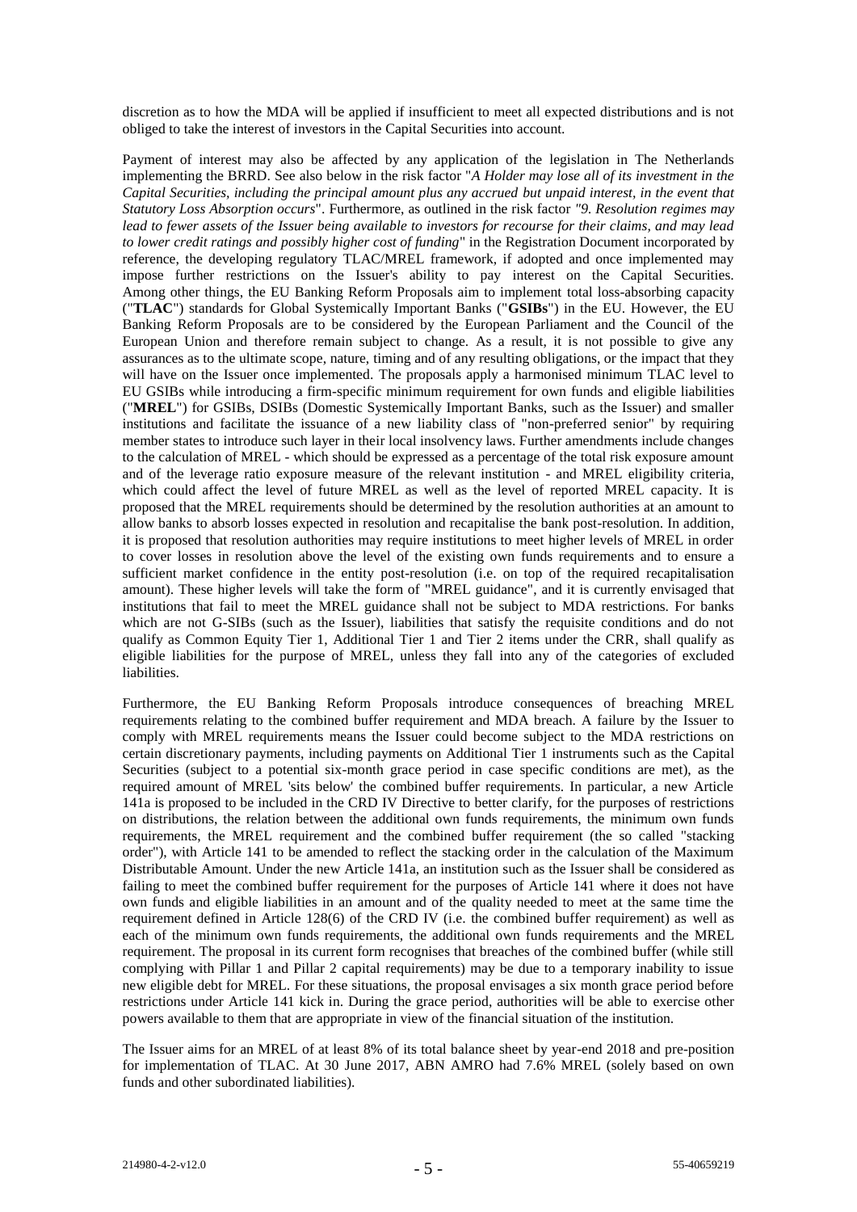discretion as to how the MDA will be applied if insufficient to meet all expected distributions and is not obliged to take the interest of investors in the Capital Securities into account.

Payment of interest may also be affected by any application of the legislation in The Netherlands implementing the BRRD. See also below in the risk factor "*A Holder may lose all of its investment in the Capital Securities, including the principal amount plus any accrued but unpaid interest, in the event that Statutory Loss Absorption occurs*". Furthermore, as outlined in the risk factor *"9. Resolution regimes may lead to fewer assets of the Issuer being available to investors for recourse for their claims, and may lead to lower credit ratings and possibly higher cost of funding*" in the Registration Document incorporated by reference, the developing regulatory TLAC/MREL framework, if adopted and once implemented may impose further restrictions on the Issuer's ability to pay interest on the Capital Securities. Among other things, the EU Banking Reform Proposals aim to implement total loss-absorbing capacity ("**TLAC**") standards for Global Systemically Important Banks ("**GSIBs**") in the EU. However, the EU Banking Reform Proposals are to be considered by the European Parliament and the Council of the European Union and therefore remain subject to change. As a result, it is not possible to give any assurances as to the ultimate scope, nature, timing and of any resulting obligations, or the impact that they will have on the Issuer once implemented. The proposals apply a harmonised minimum TLAC level to EU GSIBs while introducing a firm-specific minimum requirement for own funds and eligible liabilities ("**MREL**") for GSIBs, DSIBs (Domestic Systemically Important Banks, such as the Issuer) and smaller institutions and facilitate the issuance of a new liability class of "non-preferred senior" by requiring member states to introduce such layer in their local insolvency laws. Further amendments include changes to the calculation of MREL - which should be expressed as a percentage of the total risk exposure amount and of the leverage ratio exposure measure of the relevant institution - and MREL eligibility criteria, which could affect the level of future MREL as well as the level of reported MREL capacity. It is proposed that the MREL requirements should be determined by the resolution authorities at an amount to allow banks to absorb losses expected in resolution and recapitalise the bank post-resolution. In addition, it is proposed that resolution authorities may require institutions to meet higher levels of MREL in order to cover losses in resolution above the level of the existing own funds requirements and to ensure a sufficient market confidence in the entity post-resolution (i.e. on top of the required recapitalisation amount). These higher levels will take the form of "MREL guidance", and it is currently envisaged that institutions that fail to meet the MREL guidance shall not be subject to MDA restrictions. For banks which are not G-SIBs (such as the Issuer), liabilities that satisfy the requisite conditions and do not qualify as Common Equity Tier 1, Additional Tier 1 and Tier 2 items under the CRR, shall qualify as eligible liabilities for the purpose of MREL, unless they fall into any of the categories of excluded liabilities.

Furthermore, the EU Banking Reform Proposals introduce consequences of breaching MREL requirements relating to the combined buffer requirement and MDA breach. A failure by the Issuer to comply with MREL requirements means the Issuer could become subject to the MDA restrictions on certain discretionary payments, including payments on Additional Tier 1 instruments such as the Capital Securities (subject to a potential six-month grace period in case specific conditions are met), as the required amount of MREL 'sits below' the combined buffer requirements. In particular, a new Article 141a is proposed to be included in the CRD IV Directive to better clarify, for the purposes of restrictions on distributions, the relation between the additional own funds requirements, the minimum own funds requirements, the MREL requirement and the combined buffer requirement (the so called "stacking order"), with Article 141 to be amended to reflect the stacking order in the calculation of the Maximum Distributable Amount. Under the new Article 141a, an institution such as the Issuer shall be considered as failing to meet the combined buffer requirement for the purposes of Article 141 where it does not have own funds and eligible liabilities in an amount and of the quality needed to meet at the same time the requirement defined in Article 128(6) of the CRD IV (i.e. the combined buffer requirement) as well as each of the minimum own funds requirements, the additional own funds requirements and the MREL requirement. The proposal in its current form recognises that breaches of the combined buffer (while still complying with Pillar 1 and Pillar 2 capital requirements) may be due to a temporary inability to issue new eligible debt for MREL. For these situations, the proposal envisages a six month grace period before restrictions under Article 141 kick in. During the grace period, authorities will be able to exercise other powers available to them that are appropriate in view of the financial situation of the institution.

The Issuer aims for an MREL of at least 8% of its total balance sheet by year-end 2018 and pre-position for implementation of TLAC. At 30 June 2017, ABN AMRO had 7.6% MREL (solely based on own funds and other subordinated liabilities).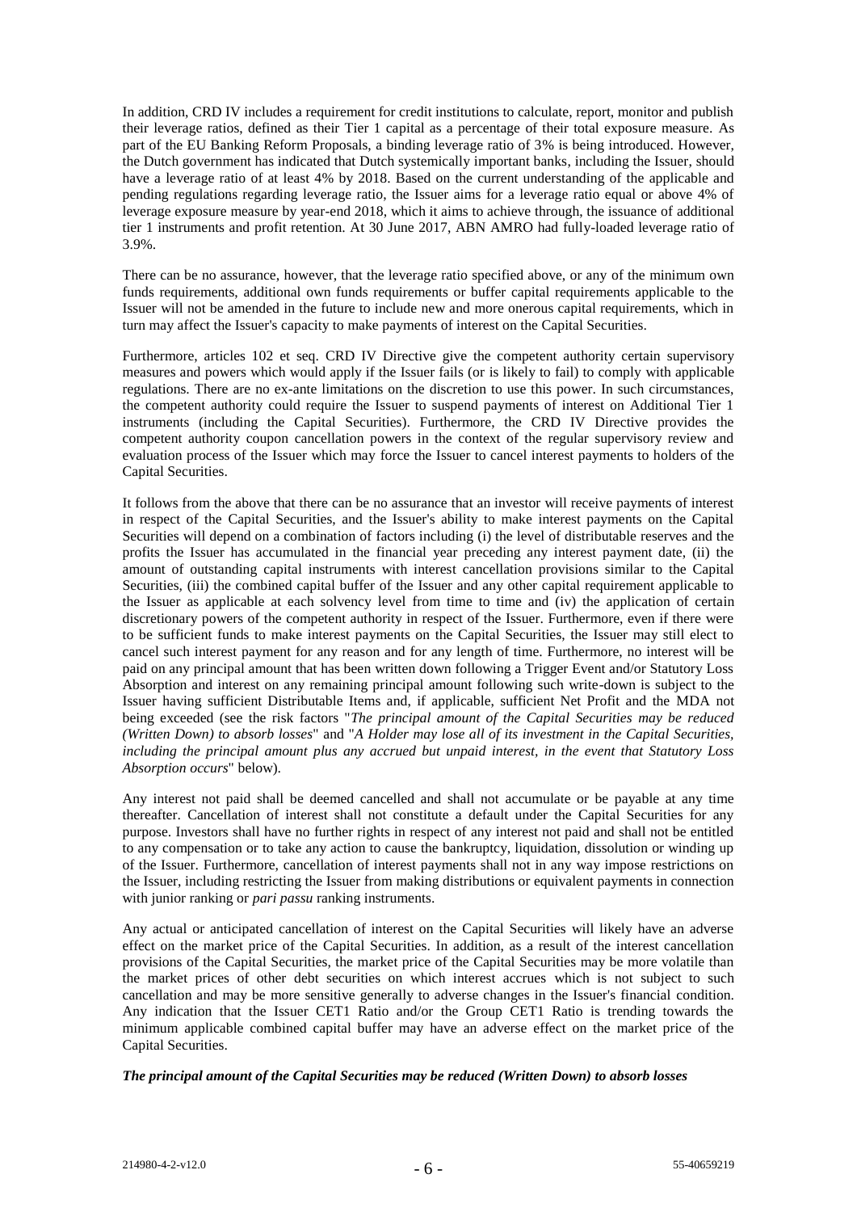In addition, CRD IV includes a requirement for credit institutions to calculate, report, monitor and publish their leverage ratios, defined as their Tier 1 capital as a percentage of their total exposure measure. As part of the EU Banking Reform Proposals, a binding leverage ratio of 3% is being introduced. However, the Dutch government has indicated that Dutch systemically important banks, including the Issuer, should have a leverage ratio of at least 4% by 2018. Based on the current understanding of the applicable and pending regulations regarding leverage ratio, the Issuer aims for a leverage ratio equal or above 4% of leverage exposure measure by year-end 2018, which it aims to achieve through, the issuance of additional tier 1 instruments and profit retention. At 30 June 2017, ABN AMRO had fully-loaded leverage ratio of 3.9%.

There can be no assurance, however, that the leverage ratio specified above, or any of the minimum own funds requirements, additional own funds requirements or buffer capital requirements applicable to the Issuer will not be amended in the future to include new and more onerous capital requirements, which in turn may affect the Issuer's capacity to make payments of interest on the Capital Securities.

Furthermore, articles 102 et seq. CRD IV Directive give the competent authority certain supervisory measures and powers which would apply if the Issuer fails (or is likely to fail) to comply with applicable regulations. There are no ex-ante limitations on the discretion to use this power. In such circumstances, the competent authority could require the Issuer to suspend payments of interest on Additional Tier 1 instruments (including the Capital Securities). Furthermore, the CRD IV Directive provides the competent authority coupon cancellation powers in the context of the regular supervisory review and evaluation process of the Issuer which may force the Issuer to cancel interest payments to holders of the Capital Securities.

It follows from the above that there can be no assurance that an investor will receive payments of interest in respect of the Capital Securities, and the Issuer's ability to make interest payments on the Capital Securities will depend on a combination of factors including (i) the level of distributable reserves and the profits the Issuer has accumulated in the financial year preceding any interest payment date, (ii) the amount of outstanding capital instruments with interest cancellation provisions similar to the Capital Securities, (iii) the combined capital buffer of the Issuer and any other capital requirement applicable to the Issuer as applicable at each solvency level from time to time and (iv) the application of certain discretionary powers of the competent authority in respect of the Issuer. Furthermore, even if there were to be sufficient funds to make interest payments on the Capital Securities, the Issuer may still elect to cancel such interest payment for any reason and for any length of time. Furthermore, no interest will be paid on any principal amount that has been written down following a Trigger Event and/or Statutory Loss Absorption and interest on any remaining principal amount following such write-down is subject to the Issuer having sufficient Distributable Items and, if applicable, sufficient Net Profit and the MDA not being exceeded (see the risk factors "*The principal amount of the Capital Securities may be reduced (Written Down) to absorb losses*" and "*A Holder may lose all of its investment in the Capital Securities, including the principal amount plus any accrued but unpaid interest, in the event that Statutory Loss Absorption occurs*" below).

Any interest not paid shall be deemed cancelled and shall not accumulate or be payable at any time thereafter. Cancellation of interest shall not constitute a default under the Capital Securities for any purpose. Investors shall have no further rights in respect of any interest not paid and shall not be entitled to any compensation or to take any action to cause the bankruptcy, liquidation, dissolution or winding up of the Issuer. Furthermore, cancellation of interest payments shall not in any way impose restrictions on the Issuer, including restricting the Issuer from making distributions or equivalent payments in connection with junior ranking or *pari passu* ranking instruments.

Any actual or anticipated cancellation of interest on the Capital Securities will likely have an adverse effect on the market price of the Capital Securities. In addition, as a result of the interest cancellation provisions of the Capital Securities, the market price of the Capital Securities may be more volatile than the market prices of other debt securities on which interest accrues which is not subject to such cancellation and may be more sensitive generally to adverse changes in the Issuer's financial condition. Any indication that the Issuer CET1 Ratio and/or the Group CET1 Ratio is trending towards the minimum applicable combined capital buffer may have an adverse effect on the market price of the Capital Securities.

### *The principal amount of the Capital Securities may be reduced (Written Down) to absorb losses*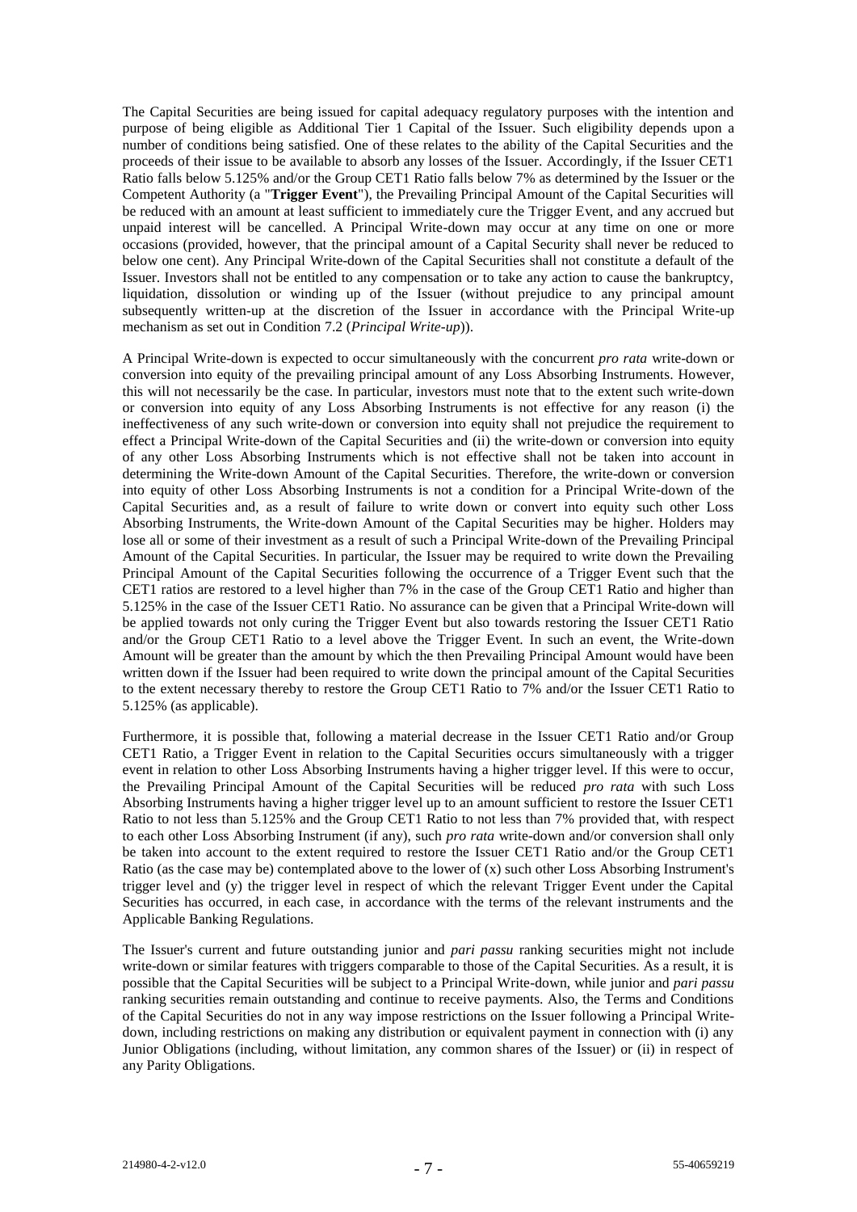The Capital Securities are being issued for capital adequacy regulatory purposes with the intention and purpose of being eligible as Additional Tier 1 Capital of the Issuer. Such eligibility depends upon a number of conditions being satisfied. One of these relates to the ability of the Capital Securities and the proceeds of their issue to be available to absorb any losses of the Issuer. Accordingly, if the Issuer CET1 Ratio falls below 5.125% and/or the Group CET1 Ratio falls below 7% as determined by the Issuer or the Competent Authority (a "**Trigger Event**"), the Prevailing Principal Amount of the Capital Securities will be reduced with an amount at least sufficient to immediately cure the Trigger Event, and any accrued but unpaid interest will be cancelled. A Principal Write-down may occur at any time on one or more occasions (provided, however, that the principal amount of a Capital Security shall never be reduced to below one cent). Any Principal Write-down of the Capital Securities shall not constitute a default of the Issuer. Investors shall not be entitled to any compensation or to take any action to cause the bankruptcy, liquidation, dissolution or winding up of the Issuer (without prejudice to any principal amount subsequently written-up at the discretion of the Issuer in accordance with the Principal Write-up mechanism as set out in Condition 7.2 (*Principal Write-up*)).

A Principal Write-down is expected to occur simultaneously with the concurrent *pro rata* write-down or conversion into equity of the prevailing principal amount of any Loss Absorbing Instruments. However, this will not necessarily be the case. In particular, investors must note that to the extent such write-down or conversion into equity of any Loss Absorbing Instruments is not effective for any reason (i) the ineffectiveness of any such write-down or conversion into equity shall not prejudice the requirement to effect a Principal Write-down of the Capital Securities and (ii) the write-down or conversion into equity of any other Loss Absorbing Instruments which is not effective shall not be taken into account in determining the Write-down Amount of the Capital Securities. Therefore, the write-down or conversion into equity of other Loss Absorbing Instruments is not a condition for a Principal Write-down of the Capital Securities and, as a result of failure to write down or convert into equity such other Loss Absorbing Instruments, the Write-down Amount of the Capital Securities may be higher. Holders may lose all or some of their investment as a result of such a Principal Write-down of the Prevailing Principal Amount of the Capital Securities. In particular, the Issuer may be required to write down the Prevailing Principal Amount of the Capital Securities following the occurrence of a Trigger Event such that the CET1 ratios are restored to a level higher than 7% in the case of the Group CET1 Ratio and higher than 5.125% in the case of the Issuer CET1 Ratio. No assurance can be given that a Principal Write-down will be applied towards not only curing the Trigger Event but also towards restoring the Issuer CET1 Ratio and/or the Group CET1 Ratio to a level above the Trigger Event. In such an event, the Write-down Amount will be greater than the amount by which the then Prevailing Principal Amount would have been written down if the Issuer had been required to write down the principal amount of the Capital Securities to the extent necessary thereby to restore the Group CET1 Ratio to  $7\%$  and/or the Issuer CET1 Ratio to 5.125% (as applicable).

Furthermore, it is possible that, following a material decrease in the Issuer CET1 Ratio and/or Group CET1 Ratio, a Trigger Event in relation to the Capital Securities occurs simultaneously with a trigger event in relation to other Loss Absorbing Instruments having a higher trigger level. If this were to occur, the Prevailing Principal Amount of the Capital Securities will be reduced *pro rata* with such Loss Absorbing Instruments having a higher trigger level up to an amount sufficient to restore the Issuer CET1 Ratio to not less than 5.125% and the Group CET1 Ratio to not less than 7% provided that, with respect to each other Loss Absorbing Instrument (if any), such *pro rata* write-down and/or conversion shall only be taken into account to the extent required to restore the Issuer CET1 Ratio and/or the Group CET1 Ratio (as the case may be) contemplated above to the lower of (x) such other Loss Absorbing Instrument's trigger level and (y) the trigger level in respect of which the relevant Trigger Event under the Capital Securities has occurred, in each case, in accordance with the terms of the relevant instruments and the Applicable Banking Regulations.

The Issuer's current and future outstanding junior and *pari passu* ranking securities might not include write-down or similar features with triggers comparable to those of the Capital Securities. As a result, it is possible that the Capital Securities will be subject to a Principal Write-down, while junior and *pari passu* ranking securities remain outstanding and continue to receive payments. Also, the Terms and Conditions of the Capital Securities do not in any way impose restrictions on the Issuer following a Principal Writedown, including restrictions on making any distribution or equivalent payment in connection with (i) any Junior Obligations (including, without limitation, any common shares of the Issuer) or (ii) in respect of any Parity Obligations.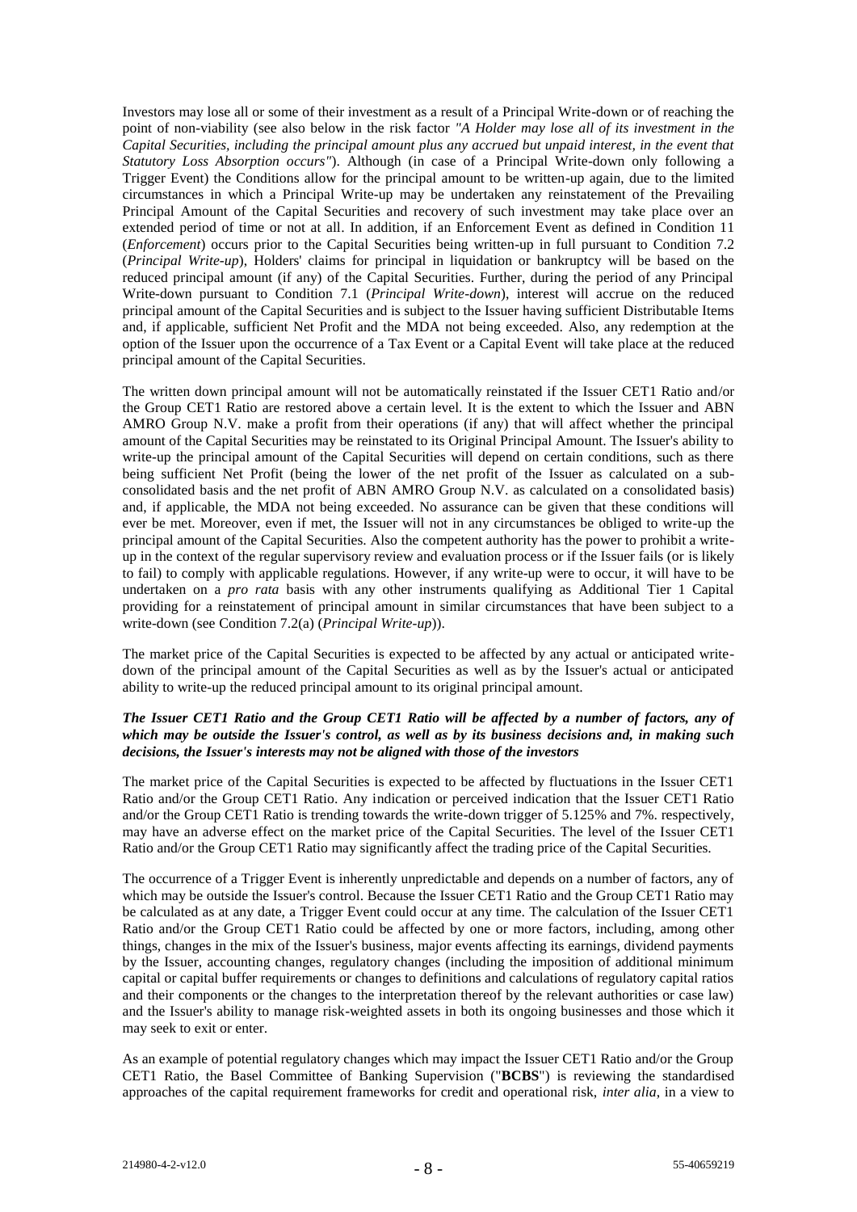Investors may lose all or some of their investment as a result of a Principal Write-down or of reaching the point of non-viability (see also below in the risk factor *"A Holder may lose all of its investment in the Capital Securities, including the principal amount plus any accrued but unpaid interest, in the event that Statutory Loss Absorption occurs"*). Although (in case of a Principal Write-down only following a Trigger Event) the Conditions allow for the principal amount to be written-up again, due to the limited circumstances in which a Principal Write-up may be undertaken any reinstatement of the Prevailing Principal Amount of the Capital Securities and recovery of such investment may take place over an extended period of time or not at all. In addition, if an Enforcement Event as defined in Condition 11 (*Enforcement*) occurs prior to the Capital Securities being written-up in full pursuant to Condition 7.2 (*Principal Write-up*), Holders' claims for principal in liquidation or bankruptcy will be based on the reduced principal amount (if any) of the Capital Securities. Further, during the period of any Principal Write-down pursuant to Condition 7.1 (*Principal Write-down*), interest will accrue on the reduced principal amount of the Capital Securities and is subject to the Issuer having sufficient Distributable Items and, if applicable, sufficient Net Profit and the MDA not being exceeded. Also, any redemption at the option of the Issuer upon the occurrence of a Tax Event or a Capital Event will take place at the reduced principal amount of the Capital Securities.

The written down principal amount will not be automatically reinstated if the Issuer CET1 Ratio and/or the Group CET1 Ratio are restored above a certain level. It is the extent to which the Issuer and ABN AMRO Group N.V. make a profit from their operations (if any) that will affect whether the principal amount of the Capital Securities may be reinstated to its Original Principal Amount. The Issuer's ability to write-up the principal amount of the Capital Securities will depend on certain conditions, such as there being sufficient Net Profit (being the lower of the net profit of the Issuer as calculated on a subconsolidated basis and the net profit of ABN AMRO Group N.V. as calculated on a consolidated basis) and, if applicable, the MDA not being exceeded. No assurance can be given that these conditions will ever be met. Moreover, even if met, the Issuer will not in any circumstances be obliged to write-up the principal amount of the Capital Securities. Also the competent authority has the power to prohibit a writeup in the context of the regular supervisory review and evaluation process or if the Issuer fails (or is likely to fail) to comply with applicable regulations. However, if any write-up were to occur, it will have to be undertaken on a *pro rata* basis with any other instruments qualifying as Additional Tier 1 Capital providing for a reinstatement of principal amount in similar circumstances that have been subject to a write-down (see Condition 7.2(a) (*Principal Write-up*)).

The market price of the Capital Securities is expected to be affected by any actual or anticipated writedown of the principal amount of the Capital Securities as well as by the Issuer's actual or anticipated ability to write-up the reduced principal amount to its original principal amount.

## *The Issuer CET1 Ratio and the Group CET1 Ratio will be affected by a number of factors, any of which may be outside the Issuer's control, as well as by its business decisions and, in making such decisions, the Issuer's interests may not be aligned with those of the investors*

The market price of the Capital Securities is expected to be affected by fluctuations in the Issuer CET1 Ratio and/or the Group CET1 Ratio. Any indication or perceived indication that the Issuer CET1 Ratio and/or the Group CET1 Ratio is trending towards the write-down trigger of 5.125% and 7%. respectively, may have an adverse effect on the market price of the Capital Securities. The level of the Issuer CET1 Ratio and/or the Group CET1 Ratio may significantly affect the trading price of the Capital Securities.

The occurrence of a Trigger Event is inherently unpredictable and depends on a number of factors, any of which may be outside the Issuer's control. Because the Issuer CET1 Ratio and the Group CET1 Ratio may be calculated as at any date, a Trigger Event could occur at any time. The calculation of the Issuer CET1 Ratio and/or the Group CET1 Ratio could be affected by one or more factors, including, among other things, changes in the mix of the Issuer's business, major events affecting its earnings, dividend payments by the Issuer, accounting changes, regulatory changes (including the imposition of additional minimum capital or capital buffer requirements or changes to definitions and calculations of regulatory capital ratios and their components or the changes to the interpretation thereof by the relevant authorities or case law) and the Issuer's ability to manage risk-weighted assets in both its ongoing businesses and those which it may seek to exit or enter.

As an example of potential regulatory changes which may impact the Issuer CET1 Ratio and/or the Group CET1 Ratio, the Basel Committee of Banking Supervision ("**BCBS**") is reviewing the standardised approaches of the capital requirement frameworks for credit and operational risk, *inter alia*, in a view to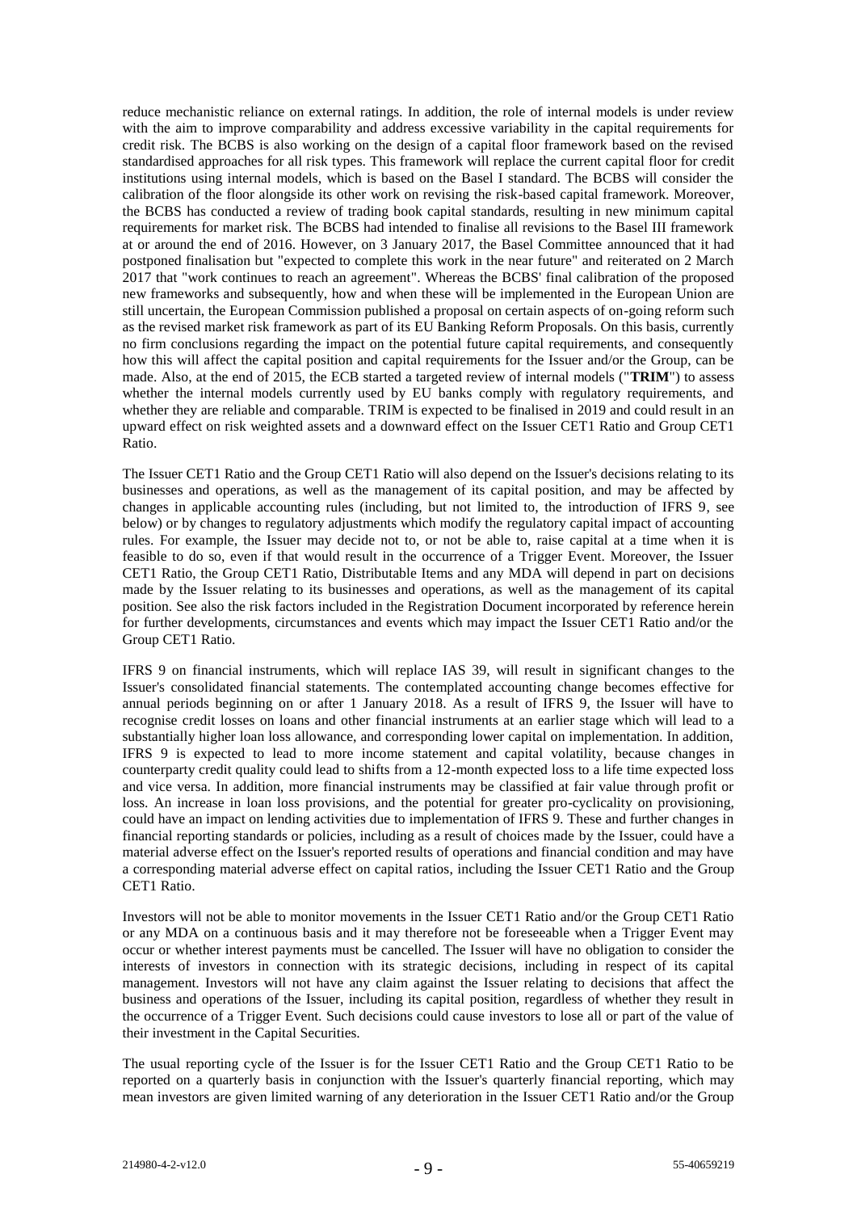reduce mechanistic reliance on external ratings. In addition, the role of internal models is under review with the aim to improve comparability and address excessive variability in the capital requirements for credit risk. The BCBS is also working on the design of a capital floor framework based on the revised standardised approaches for all risk types. This framework will replace the current capital floor for credit institutions using internal models, which is based on the Basel I standard. The BCBS will consider the calibration of the floor alongside its other work on revising the risk-based capital framework. Moreover, the BCBS has conducted a review of trading book capital standards, resulting in new minimum capital requirements for market risk. The BCBS had intended to finalise all revisions to the Basel III framework at or around the end of 2016. However, on 3 January 2017, the Basel Committee announced that it had postponed finalisation but "expected to complete this work in the near future" and reiterated on 2 March 2017 that "work continues to reach an agreement". Whereas the BCBS' final calibration of the proposed new frameworks and subsequently, how and when these will be implemented in the European Union are still uncertain, the European Commission published a proposal on certain aspects of on-going reform such as the revised market risk framework as part of its EU Banking Reform Proposals. On this basis, currently no firm conclusions regarding the impact on the potential future capital requirements, and consequently how this will affect the capital position and capital requirements for the Issuer and/or the Group, can be made. Also, at the end of 2015, the ECB started a targeted review of internal models ("**TRIM**") to assess whether the internal models currently used by EU banks comply with regulatory requirements, and whether they are reliable and comparable. TRIM is expected to be finalised in 2019 and could result in an upward effect on risk weighted assets and a downward effect on the Issuer CET1 Ratio and Group CET1 Ratio.

The Issuer CET1 Ratio and the Group CET1 Ratio will also depend on the Issuer's decisions relating to its businesses and operations, as well as the management of its capital position, and may be affected by changes in applicable accounting rules (including, but not limited to, the introduction of IFRS 9, see below) or by changes to regulatory adjustments which modify the regulatory capital impact of accounting rules. For example, the Issuer may decide not to, or not be able to, raise capital at a time when it is feasible to do so, even if that would result in the occurrence of a Trigger Event. Moreover, the Issuer CET1 Ratio, the Group CET1 Ratio, Distributable Items and any MDA will depend in part on decisions made by the Issuer relating to its businesses and operations, as well as the management of its capital position. See also the risk factors included in the Registration Document incorporated by reference herein for further developments, circumstances and events which may impact the Issuer CET1 Ratio and/or the Group CET1 Ratio.

IFRS 9 on financial instruments, which will replace IAS 39, will result in significant changes to the Issuer's consolidated financial statements. The contemplated accounting change becomes effective for annual periods beginning on or after 1 January 2018. As a result of IFRS 9, the Issuer will have to recognise credit losses on loans and other financial instruments at an earlier stage which will lead to a substantially higher loan loss allowance, and corresponding lower capital on implementation. In addition, IFRS 9 is expected to lead to more income statement and capital volatility, because changes in counterparty credit quality could lead to shifts from a 12-month expected loss to a life time expected loss and vice versa. In addition, more financial instruments may be classified at fair value through profit or loss. An increase in loan loss provisions, and the potential for greater pro-cyclicality on provisioning, could have an impact on lending activities due to implementation of IFRS 9. These and further changes in financial reporting standards or policies, including as a result of choices made by the Issuer, could have a material adverse effect on the Issuer's reported results of operations and financial condition and may have a corresponding material adverse effect on capital ratios, including the Issuer CET1 Ratio and the Group CET1 Ratio.

Investors will not be able to monitor movements in the Issuer CET1 Ratio and/or the Group CET1 Ratio or any MDA on a continuous basis and it may therefore not be foreseeable when a Trigger Event may occur or whether interest payments must be cancelled. The Issuer will have no obligation to consider the interests of investors in connection with its strategic decisions, including in respect of its capital management. Investors will not have any claim against the Issuer relating to decisions that affect the business and operations of the Issuer, including its capital position, regardless of whether they result in the occurrence of a Trigger Event. Such decisions could cause investors to lose all or part of the value of their investment in the Capital Securities.

The usual reporting cycle of the Issuer is for the Issuer CET1 Ratio and the Group CET1 Ratio to be reported on a quarterly basis in conjunction with the Issuer's quarterly financial reporting, which may mean investors are given limited warning of any deterioration in the Issuer CET1 Ratio and/or the Group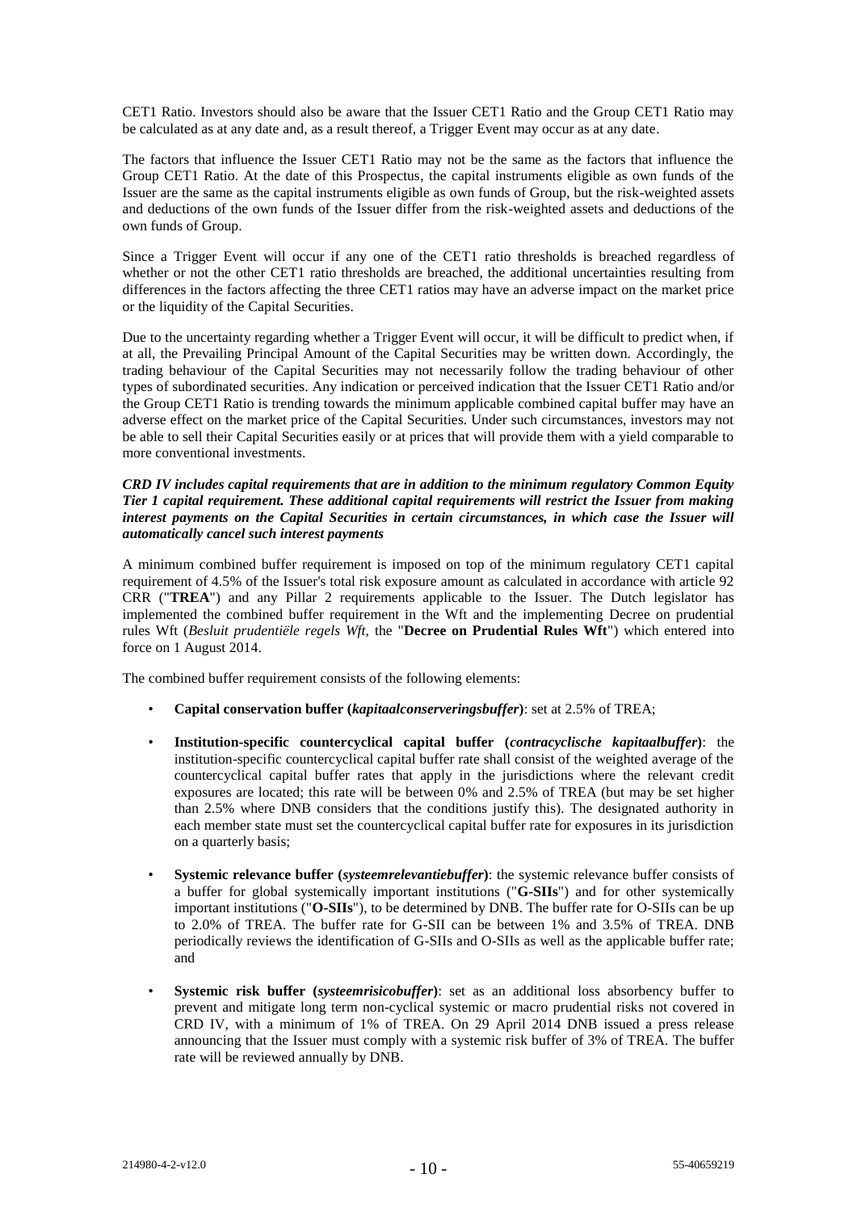CET1 Ratio. Investors should also be aware that the Issuer CET1 Ratio and the Group CET1 Ratio may be calculated as at any date and, as a result thereof, a Trigger Event may occur as at any date.

The factors that influence the Issuer CET1 Ratio may not be the same as the factors that influence the Group CET1 Ratio. At the date of this Prospectus, the capital instruments eligible as own funds of the Issuer are the same as the capital instruments eligible as own funds of Group, but the risk-weighted assets and deductions of the own funds of the Issuer differ from the risk-weighted assets and deductions of the own funds of Group.

Since a Trigger Event will occur if any one of the CET1 ratio thresholds is breached regardless of whether or not the other CET1 ratio thresholds are breached, the additional uncertainties resulting from differences in the factors affecting the three CET1 ratios may have an adverse impact on the market price or the liquidity of the Capital Securities.

Due to the uncertainty regarding whether a Trigger Event will occur, it will be difficult to predict when, if at all, the Prevailing Principal Amount of the Capital Securities may be written down. Accordingly, the trading behaviour of the Capital Securities may not necessarily follow the trading behaviour of other types of subordinated securities. Any indication or perceived indication that the Issuer CET1 Ratio and/or the Group CET1 Ratio is trending towards the minimum applicable combined capital buffer may have an adverse effect on the market price of the Capital Securities. Under such circumstances, investors may not be able to sell their Capital Securities easily or at prices that will provide them with a yield comparable to more conventional investments.

#### *CRD IV includes capital requirements that are in addition to the minimum regulatory Common Equity Tier 1 capital requirement. These additional capital requirements will restrict the Issuer from making interest payments on the Capital Securities in certain circumstances, in which case the Issuer will automatically cancel such interest payments*

A minimum combined buffer requirement is imposed on top of the minimum regulatory CET1 capital requirement of 4.5% of the Issuer's total risk exposure amount as calculated in accordance with article 92 CRR ("**TREA**") and any Pillar 2 requirements applicable to the Issuer. The Dutch legislator has implemented the combined buffer requirement in the Wft and the implementing Decree on prudential rules Wft (*Besluit prudentiële regels Wft*, the "**Decree on Prudential Rules Wft**") which entered into force on 1 August 2014.

The combined buffer requirement consists of the following elements:

- **Capital conservation buffer (***kapitaalconserveringsbuffer***)**: set at 2.5% of TREA;
- **Institution-specific countercyclical capital buffer (***contracyclische kapitaalbuffer***)**: the institution-specific countercyclical capital buffer rate shall consist of the weighted average of the countercyclical capital buffer rates that apply in the jurisdictions where the relevant credit exposures are located; this rate will be between 0% and 2.5% of TREA (but may be set higher than 2.5% where DNB considers that the conditions justify this). The designated authority in each member state must set the countercyclical capital buffer rate for exposures in its jurisdiction on a quarterly basis;
- **Systemic relevance buffer (***systeemrelevantiebuffer***)**: the systemic relevance buffer consists of a buffer for global systemically important institutions ("**G-SIIs**") and for other systemically important institutions ("**O-SIIs**"), to be determined by DNB. The buffer rate for O-SIIs can be up to 2.0% of TREA. The buffer rate for G-SII can be between 1% and 3.5% of TREA. DNB periodically reviews the identification of G-SIIs and O-SIIs as well as the applicable buffer rate; and
- **Systemic risk buffer (***systeemrisicobuffer***)**: set as an additional loss absorbency buffer to prevent and mitigate long term non-cyclical systemic or macro prudential risks not covered in CRD IV, with a minimum of 1% of TREA. On 29 April 2014 DNB issued a press release announcing that the Issuer must comply with a systemic risk buffer of 3% of TREA. The buffer rate will be reviewed annually by DNB.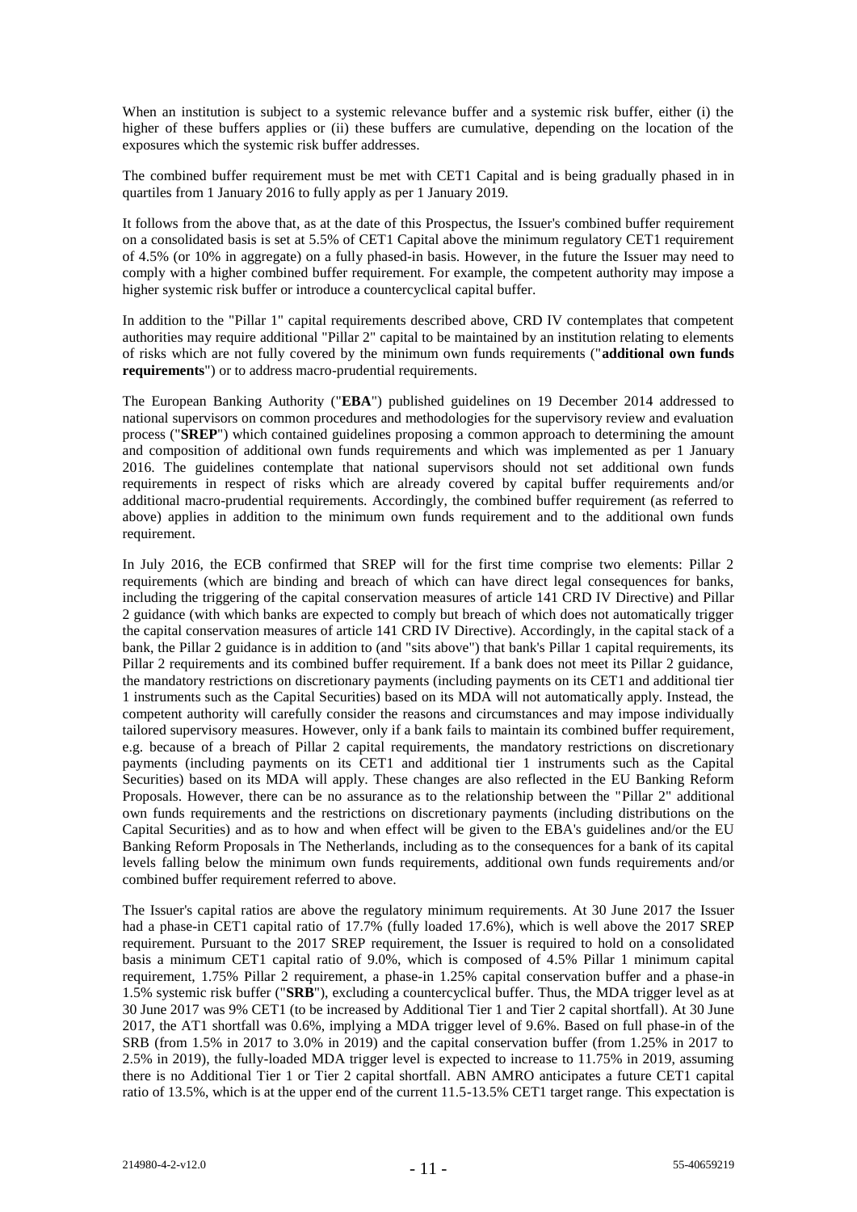When an institution is subject to a systemic relevance buffer and a systemic risk buffer, either (i) the higher of these buffers applies or (ii) these buffers are cumulative, depending on the location of the exposures which the systemic risk buffer addresses.

The combined buffer requirement must be met with CET1 Capital and is being gradually phased in in quartiles from 1 January 2016 to fully apply as per 1 January 2019.

It follows from the above that, as at the date of this Prospectus, the Issuer's combined buffer requirement on a consolidated basis is set at 5.5% of CET1 Capital above the minimum regulatory CET1 requirement of 4.5% (or 10% in aggregate) on a fully phased-in basis. However, in the future the Issuer may need to comply with a higher combined buffer requirement. For example, the competent authority may impose a higher systemic risk buffer or introduce a countercyclical capital buffer.

In addition to the "Pillar 1" capital requirements described above, CRD IV contemplates that competent authorities may require additional "Pillar 2" capital to be maintained by an institution relating to elements of risks which are not fully covered by the minimum own funds requirements ("**additional own funds requirements**") or to address macro-prudential requirements.

The European Banking Authority ("**EBA**") published guidelines on 19 December 2014 addressed to national supervisors on common procedures and methodologies for the supervisory review and evaluation process ("**SREP**") which contained guidelines proposing a common approach to determining the amount and composition of additional own funds requirements and which was implemented as per 1 January 2016. The guidelines contemplate that national supervisors should not set additional own funds requirements in respect of risks which are already covered by capital buffer requirements and/or additional macro-prudential requirements. Accordingly, the combined buffer requirement (as referred to above) applies in addition to the minimum own funds requirement and to the additional own funds requirement.

In July 2016, the ECB confirmed that SREP will for the first time comprise two elements: Pillar 2 requirements (which are binding and breach of which can have direct legal consequences for banks, including the triggering of the capital conservation measures of article 141 CRD IV Directive) and Pillar 2 guidance (with which banks are expected to comply but breach of which does not automatically trigger the capital conservation measures of article 141 CRD IV Directive). Accordingly, in the capital stack of a bank, the Pillar 2 guidance is in addition to (and "sits above") that bank's Pillar 1 capital requirements, its Pillar 2 requirements and its combined buffer requirement. If a bank does not meet its Pillar 2 guidance, the mandatory restrictions on discretionary payments (including payments on its CET1 and additional tier 1 instruments such as the Capital Securities) based on its MDA will not automatically apply. Instead, the competent authority will carefully consider the reasons and circumstances and may impose individually tailored supervisory measures. However, only if a bank fails to maintain its combined buffer requirement, e.g. because of a breach of Pillar 2 capital requirements, the mandatory restrictions on discretionary payments (including payments on its CET1 and additional tier 1 instruments such as the Capital Securities) based on its MDA will apply. These changes are also reflected in the EU Banking Reform Proposals. However, there can be no assurance as to the relationship between the "Pillar 2" additional own funds requirements and the restrictions on discretionary payments (including distributions on the Capital Securities) and as to how and when effect will be given to the EBA's guidelines and/or the EU Banking Reform Proposals in The Netherlands, including as to the consequences for a bank of its capital levels falling below the minimum own funds requirements, additional own funds requirements and/or combined buffer requirement referred to above.

The Issuer's capital ratios are above the regulatory minimum requirements. At 30 June 2017 the Issuer had a phase-in CET1 capital ratio of 17.7% (fully loaded 17.6%), which is well above the 2017 SREP requirement. Pursuant to the 2017 SREP requirement, the Issuer is required to hold on a consolidated basis a minimum CET1 capital ratio of 9.0%, which is composed of 4.5% Pillar 1 minimum capital requirement, 1.75% Pillar 2 requirement, a phase-in 1.25% capital conservation buffer and a phase-in 1.5% systemic risk buffer ("**SRB**"), excluding a countercyclical buffer. Thus, the MDA trigger level as at 30 June 2017 was 9% CET1 (to be increased by Additional Tier 1 and Tier 2 capital shortfall). At 30 June 2017, the AT1 shortfall was 0.6%, implying a MDA trigger level of 9.6%. Based on full phase-in of the SRB (from 1.5% in 2017 to 3.0% in 2019) and the capital conservation buffer (from 1.25% in 2017 to 2.5% in 2019), the fully-loaded MDA trigger level is expected to increase to 11.75% in 2019, assuming there is no Additional Tier 1 or Tier 2 capital shortfall. ABN AMRO anticipates a future CET1 capital ratio of 13.5%, which is at the upper end of the current 11.5-13.5% CET1 target range. This expectation is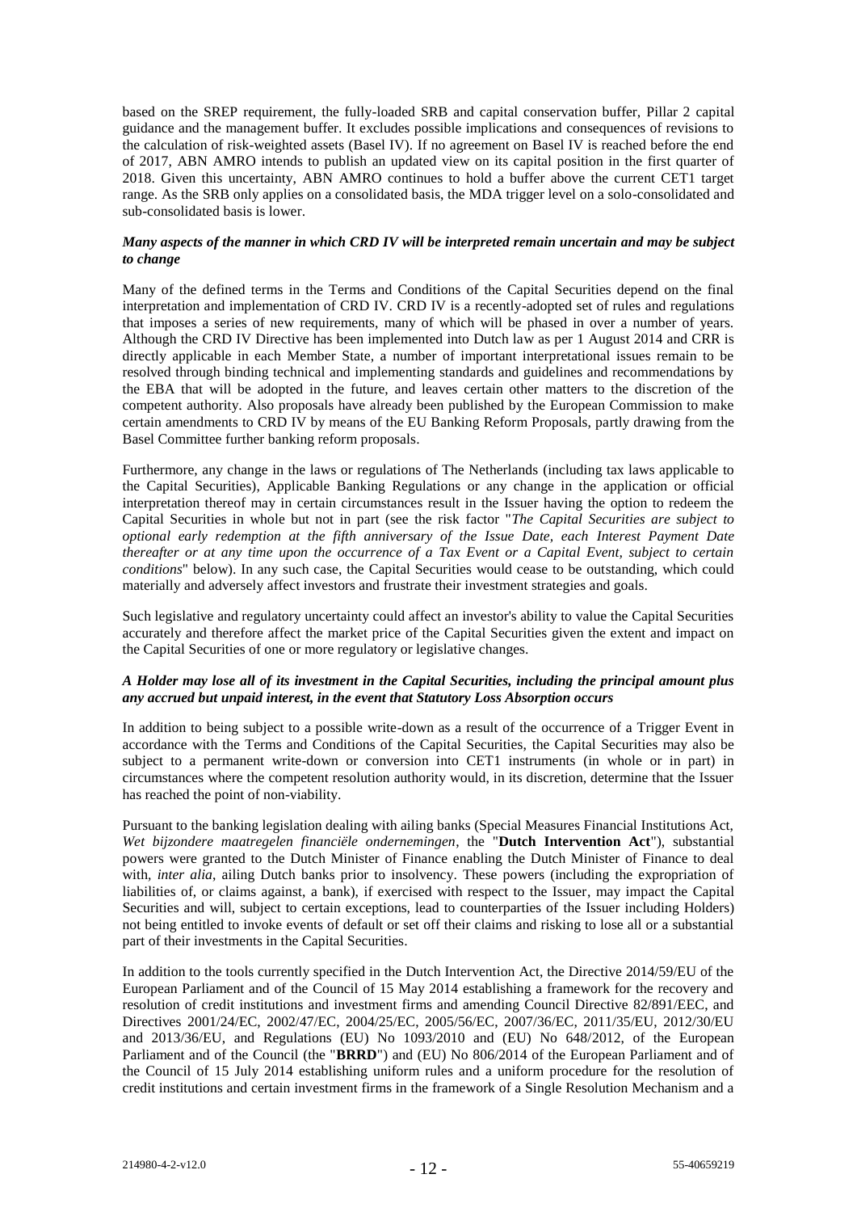based on the SREP requirement, the fully-loaded SRB and capital conservation buffer, Pillar 2 capital guidance and the management buffer. It excludes possible implications and consequences of revisions to the calculation of risk-weighted assets (Basel IV). If no agreement on Basel IV is reached before the end of 2017, ABN AMRO intends to publish an updated view on its capital position in the first quarter of 2018. Given this uncertainty, ABN AMRO continues to hold a buffer above the current CET1 target range. As the SRB only applies on a consolidated basis, the MDA trigger level on a solo-consolidated and sub-consolidated basis is lower.

### *Many aspects of the manner in which CRD IV will be interpreted remain uncertain and may be subject to change*

Many of the defined terms in the Terms and Conditions of the Capital Securities depend on the final interpretation and implementation of CRD IV. CRD IV is a recently-adopted set of rules and regulations that imposes a series of new requirements, many of which will be phased in over a number of years. Although the CRD IV Directive has been implemented into Dutch law as per 1 August 2014 and CRR is directly applicable in each Member State, a number of important interpretational issues remain to be resolved through binding technical and implementing standards and guidelines and recommendations by the EBA that will be adopted in the future, and leaves certain other matters to the discretion of the competent authority. Also proposals have already been published by the European Commission to make certain amendments to CRD IV by means of the EU Banking Reform Proposals, partly drawing from the Basel Committee further banking reform proposals.

Furthermore, any change in the laws or regulations of The Netherlands (including tax laws applicable to the Capital Securities), Applicable Banking Regulations or any change in the application or official interpretation thereof may in certain circumstances result in the Issuer having the option to redeem the Capital Securities in whole but not in part (see the risk factor "*The Capital Securities are subject to optional early redemption at the fifth anniversary of the Issue Date, each Interest Payment Date thereafter or at any time upon the occurrence of a Tax Event or a Capital Event, subject to certain conditions*" below). In any such case, the Capital Securities would cease to be outstanding, which could materially and adversely affect investors and frustrate their investment strategies and goals.

Such legislative and regulatory uncertainty could affect an investor's ability to value the Capital Securities accurately and therefore affect the market price of the Capital Securities given the extent and impact on the Capital Securities of one or more regulatory or legislative changes.

## *A Holder may lose all of its investment in the Capital Securities, including the principal amount plus any accrued but unpaid interest, in the event that Statutory Loss Absorption occurs*

In addition to being subject to a possible write-down as a result of the occurrence of a Trigger Event in accordance with the Terms and Conditions of the Capital Securities, the Capital Securities may also be subject to a permanent write-down or conversion into CET1 instruments (in whole or in part) in circumstances where the competent resolution authority would, in its discretion, determine that the Issuer has reached the point of non-viability.

Pursuant to the banking legislation dealing with ailing banks (Special Measures Financial Institutions Act, *Wet bijzondere maatregelen financiële ondernemingen*, the "**Dutch Intervention Act**"), substantial powers were granted to the Dutch Minister of Finance enabling the Dutch Minister of Finance to deal with, *inter alia*, ailing Dutch banks prior to insolvency. These powers (including the expropriation of liabilities of, or claims against, a bank), if exercised with respect to the Issuer, may impact the Capital Securities and will, subject to certain exceptions, lead to counterparties of the Issuer including Holders) not being entitled to invoke events of default or set off their claims and risking to lose all or a substantial part of their investments in the Capital Securities.

In addition to the tools currently specified in the Dutch Intervention Act, the Directive 2014/59/EU of the European Parliament and of the Council of 15 May 2014 establishing a framework for the recovery and resolution of credit institutions and investment firms and amending Council Directive 82/891/EEC, and Directives 2001/24/EC, 2002/47/EC, 2004/25/EC, 2005/56/EC, 2007/36/EC, 2011/35/EU, 2012/30/EU and 2013/36/EU, and Regulations (EU) No 1093/2010 and (EU) No 648/2012, of the European Parliament and of the Council (the "**BRRD**") and (EU) No 806/2014 of the European Parliament and of the Council of 15 July 2014 establishing uniform rules and a uniform procedure for the resolution of credit institutions and certain investment firms in the framework of a Single Resolution Mechanism and a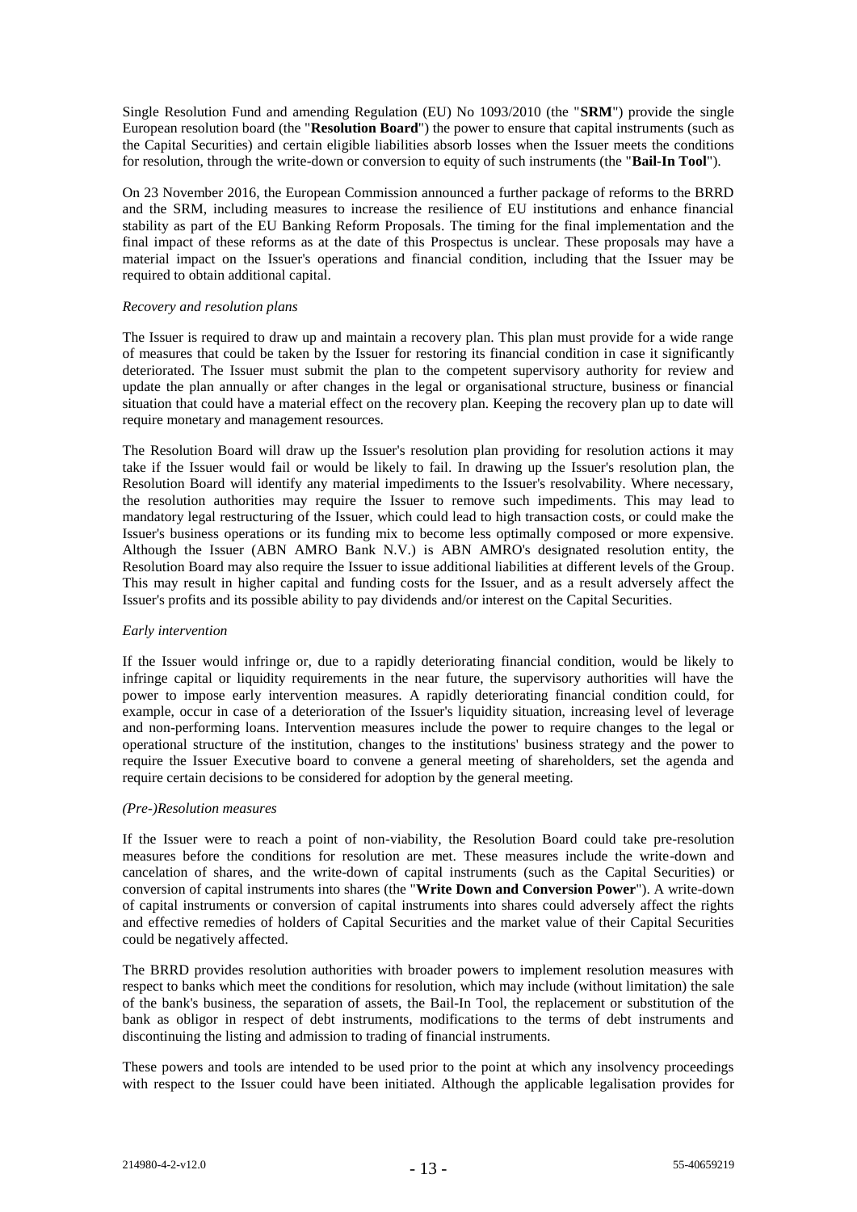Single Resolution Fund and amending Regulation (EU) No 1093/2010 (the "**SRM**") provide the single European resolution board (the "**Resolution Board**") the power to ensure that capital instruments (such as the Capital Securities) and certain eligible liabilities absorb losses when the Issuer meets the conditions for resolution, through the write-down or conversion to equity of such instruments (the "**Bail-In Tool**").

On 23 November 2016, the European Commission announced a further package of reforms to the BRRD and the SRM, including measures to increase the resilience of EU institutions and enhance financial stability as part of the EU Banking Reform Proposals. The timing for the final implementation and the final impact of these reforms as at the date of this Prospectus is unclear. These proposals may have a material impact on the Issuer's operations and financial condition, including that the Issuer may be required to obtain additional capital.

#### *Recovery and resolution plans*

The Issuer is required to draw up and maintain a recovery plan. This plan must provide for a wide range of measures that could be taken by the Issuer for restoring its financial condition in case it significantly deteriorated. The Issuer must submit the plan to the competent supervisory authority for review and update the plan annually or after changes in the legal or organisational structure, business or financial situation that could have a material effect on the recovery plan. Keeping the recovery plan up to date will require monetary and management resources.

The Resolution Board will draw up the Issuer's resolution plan providing for resolution actions it may take if the Issuer would fail or would be likely to fail. In drawing up the Issuer's resolution plan, the Resolution Board will identify any material impediments to the Issuer's resolvability. Where necessary, the resolution authorities may require the Issuer to remove such impediments. This may lead to mandatory legal restructuring of the Issuer, which could lead to high transaction costs, or could make the Issuer's business operations or its funding mix to become less optimally composed or more expensive. Although the Issuer (ABN AMRO Bank N.V.) is ABN AMRO's designated resolution entity, the Resolution Board may also require the Issuer to issue additional liabilities at different levels of the Group. This may result in higher capital and funding costs for the Issuer, and as a result adversely affect the Issuer's profits and its possible ability to pay dividends and/or interest on the Capital Securities.

### *Early intervention*

If the Issuer would infringe or, due to a rapidly deteriorating financial condition, would be likely to infringe capital or liquidity requirements in the near future, the supervisory authorities will have the power to impose early intervention measures. A rapidly deteriorating financial condition could, for example, occur in case of a deterioration of the Issuer's liquidity situation, increasing level of leverage and non-performing loans. Intervention measures include the power to require changes to the legal or operational structure of the institution, changes to the institutions' business strategy and the power to require the Issuer Executive board to convene a general meeting of shareholders, set the agenda and require certain decisions to be considered for adoption by the general meeting.

# *(Pre-)Resolution measures*

If the Issuer were to reach a point of non-viability, the Resolution Board could take pre-resolution measures before the conditions for resolution are met. These measures include the write-down and cancelation of shares, and the write-down of capital instruments (such as the Capital Securities) or conversion of capital instruments into shares (the "**Write Down and Conversion Power**"). A write-down of capital instruments or conversion of capital instruments into shares could adversely affect the rights and effective remedies of holders of Capital Securities and the market value of their Capital Securities could be negatively affected.

The BRRD provides resolution authorities with broader powers to implement resolution measures with respect to banks which meet the conditions for resolution, which may include (without limitation) the sale of the bank's business, the separation of assets, the Bail-In Tool, the replacement or substitution of the bank as obligor in respect of debt instruments, modifications to the terms of debt instruments and discontinuing the listing and admission to trading of financial instruments.

These powers and tools are intended to be used prior to the point at which any insolvency proceedings with respect to the Issuer could have been initiated. Although the applicable legalisation provides for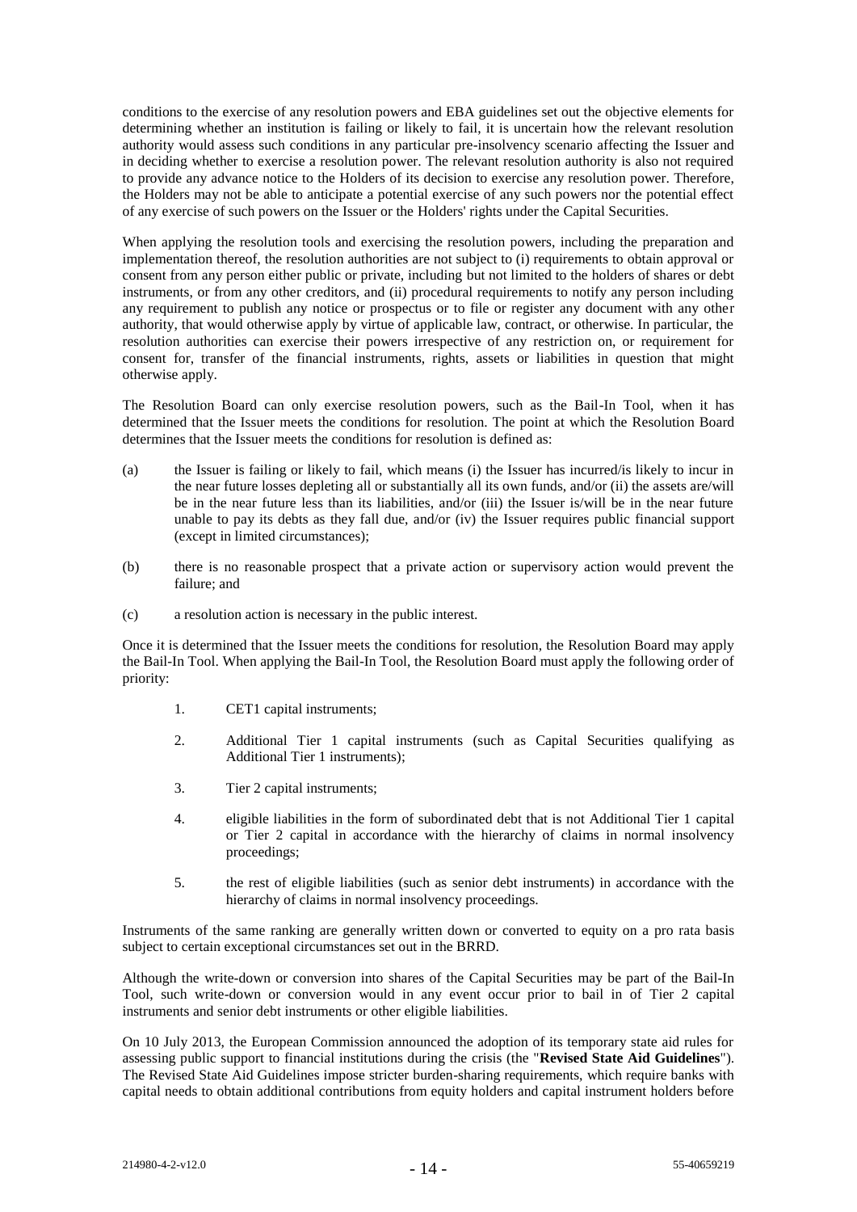conditions to the exercise of any resolution powers and EBA guidelines set out the objective elements for determining whether an institution is failing or likely to fail, it is uncertain how the relevant resolution authority would assess such conditions in any particular pre-insolvency scenario affecting the Issuer and in deciding whether to exercise a resolution power. The relevant resolution authority is also not required to provide any advance notice to the Holders of its decision to exercise any resolution power. Therefore, the Holders may not be able to anticipate a potential exercise of any such powers nor the potential effect of any exercise of such powers on the Issuer or the Holders' rights under the Capital Securities.

When applying the resolution tools and exercising the resolution powers, including the preparation and implementation thereof, the resolution authorities are not subject to (i) requirements to obtain approval or consent from any person either public or private, including but not limited to the holders of shares or debt instruments, or from any other creditors, and (ii) procedural requirements to notify any person including any requirement to publish any notice or prospectus or to file or register any document with any other authority, that would otherwise apply by virtue of applicable law, contract, or otherwise. In particular, the resolution authorities can exercise their powers irrespective of any restriction on, or requirement for consent for, transfer of the financial instruments, rights, assets or liabilities in question that might otherwise apply.

The Resolution Board can only exercise resolution powers, such as the Bail-In Tool, when it has determined that the Issuer meets the conditions for resolution. The point at which the Resolution Board determines that the Issuer meets the conditions for resolution is defined as:

- (a) the Issuer is failing or likely to fail, which means (i) the Issuer has incurred/is likely to incur in the near future losses depleting all or substantially all its own funds, and/or (ii) the assets are/will be in the near future less than its liabilities, and/or (iii) the Issuer is/will be in the near future unable to pay its debts as they fall due, and/or (iv) the Issuer requires public financial support (except in limited circumstances);
- (b) there is no reasonable prospect that a private action or supervisory action would prevent the failure; and
- (c) a resolution action is necessary in the public interest.

Once it is determined that the Issuer meets the conditions for resolution, the Resolution Board may apply the Bail-In Tool. When applying the Bail-In Tool, the Resolution Board must apply the following order of priority:

- 1. CET1 capital instruments;
- 2. Additional Tier 1 capital instruments (such as Capital Securities qualifying as Additional Tier 1 instruments);
- 3. Tier 2 capital instruments;
- 4. eligible liabilities in the form of subordinated debt that is not Additional Tier 1 capital or Tier 2 capital in accordance with the hierarchy of claims in normal insolvency proceedings;
- 5. the rest of eligible liabilities (such as senior debt instruments) in accordance with the hierarchy of claims in normal insolvency proceedings.

Instruments of the same ranking are generally written down or converted to equity on a pro rata basis subject to certain exceptional circumstances set out in the BRRD.

Although the write-down or conversion into shares of the Capital Securities may be part of the Bail-In Tool, such write-down or conversion would in any event occur prior to bail in of Tier 2 capital instruments and senior debt instruments or other eligible liabilities.

On 10 July 2013, the European Commission announced the adoption of its temporary state aid rules for assessing public support to financial institutions during the crisis (the "**Revised State Aid Guidelines**"). The Revised State Aid Guidelines impose stricter burden-sharing requirements, which require banks with capital needs to obtain additional contributions from equity holders and capital instrument holders before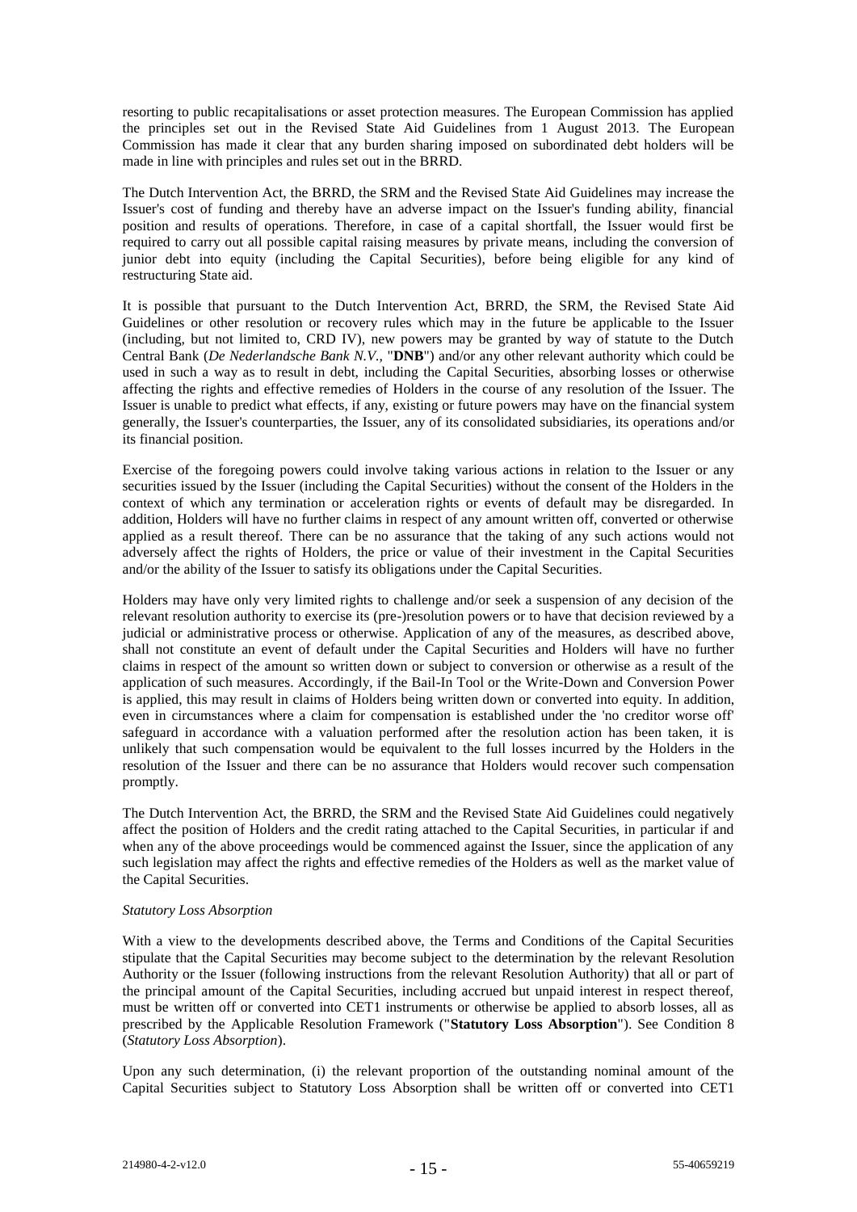resorting to public recapitalisations or asset protection measures. The European Commission has applied the principles set out in the Revised State Aid Guidelines from 1 August 2013. The European Commission has made it clear that any burden sharing imposed on subordinated debt holders will be made in line with principles and rules set out in the BRRD.

The Dutch Intervention Act, the BRRD, the SRM and the Revised State Aid Guidelines may increase the Issuer's cost of funding and thereby have an adverse impact on the Issuer's funding ability, financial position and results of operations. Therefore, in case of a capital shortfall, the Issuer would first be required to carry out all possible capital raising measures by private means, including the conversion of junior debt into equity (including the Capital Securities), before being eligible for any kind of restructuring State aid.

It is possible that pursuant to the Dutch Intervention Act, BRRD, the SRM, the Revised State Aid Guidelines or other resolution or recovery rules which may in the future be applicable to the Issuer (including, but not limited to, CRD IV), new powers may be granted by way of statute to the Dutch Central Bank (*De Nederlandsche Bank N.V.,* "**DNB**") and/or any other relevant authority which could be used in such a way as to result in debt, including the Capital Securities, absorbing losses or otherwise affecting the rights and effective remedies of Holders in the course of any resolution of the Issuer. The Issuer is unable to predict what effects, if any, existing or future powers may have on the financial system generally, the Issuer's counterparties, the Issuer, any of its consolidated subsidiaries, its operations and/or its financial position.

Exercise of the foregoing powers could involve taking various actions in relation to the Issuer or any securities issued by the Issuer (including the Capital Securities) without the consent of the Holders in the context of which any termination or acceleration rights or events of default may be disregarded. In addition, Holders will have no further claims in respect of any amount written off, converted or otherwise applied as a result thereof. There can be no assurance that the taking of any such actions would not adversely affect the rights of Holders, the price or value of their investment in the Capital Securities and/or the ability of the Issuer to satisfy its obligations under the Capital Securities.

Holders may have only very limited rights to challenge and/or seek a suspension of any decision of the relevant resolution authority to exercise its (pre-)resolution powers or to have that decision reviewed by a judicial or administrative process or otherwise. Application of any of the measures, as described above, shall not constitute an event of default under the Capital Securities and Holders will have no further claims in respect of the amount so written down or subject to conversion or otherwise as a result of the application of such measures. Accordingly, if the Bail-In Tool or the Write-Down and Conversion Power is applied, this may result in claims of Holders being written down or converted into equity. In addition, even in circumstances where a claim for compensation is established under the 'no creditor worse off' safeguard in accordance with a valuation performed after the resolution action has been taken, it is unlikely that such compensation would be equivalent to the full losses incurred by the Holders in the resolution of the Issuer and there can be no assurance that Holders would recover such compensation promptly.

The Dutch Intervention Act, the BRRD, the SRM and the Revised State Aid Guidelines could negatively affect the position of Holders and the credit rating attached to the Capital Securities, in particular if and when any of the above proceedings would be commenced against the Issuer, since the application of any such legislation may affect the rights and effective remedies of the Holders as well as the market value of the Capital Securities.

## *Statutory Loss Absorption*

With a view to the developments described above, the Terms and Conditions of the Capital Securities stipulate that the Capital Securities may become subject to the determination by the relevant Resolution Authority or the Issuer (following instructions from the relevant Resolution Authority) that all or part of the principal amount of the Capital Securities, including accrued but unpaid interest in respect thereof, must be written off or converted into CET1 instruments or otherwise be applied to absorb losses, all as prescribed by the Applicable Resolution Framework ("**Statutory Loss Absorption**"). See Condition 8 (*Statutory Loss Absorption*).

Upon any such determination, (i) the relevant proportion of the outstanding nominal amount of the Capital Securities subject to Statutory Loss Absorption shall be written off or converted into CET1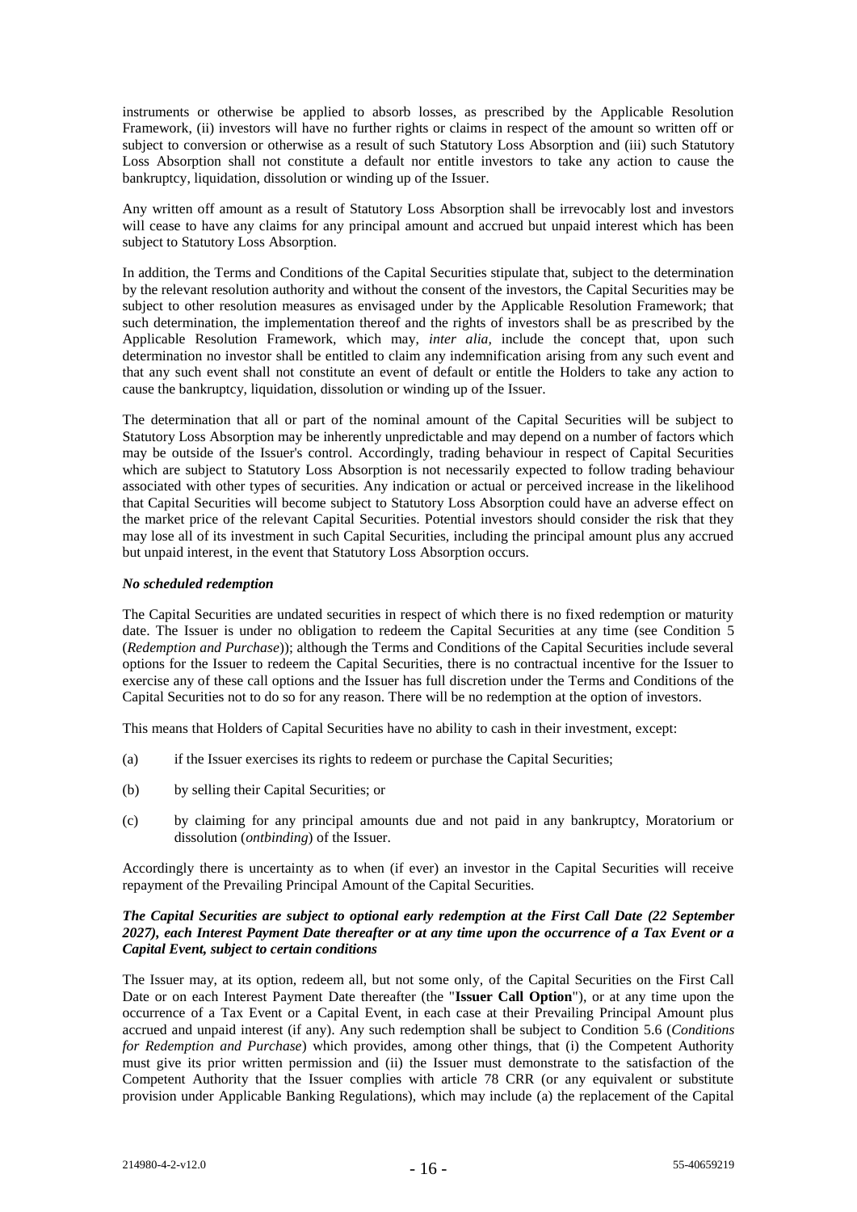instruments or otherwise be applied to absorb losses, as prescribed by the Applicable Resolution Framework, (ii) investors will have no further rights or claims in respect of the amount so written off or subject to conversion or otherwise as a result of such Statutory Loss Absorption and (iii) such Statutory Loss Absorption shall not constitute a default nor entitle investors to take any action to cause the bankruptcy, liquidation, dissolution or winding up of the Issuer.

Any written off amount as a result of Statutory Loss Absorption shall be irrevocably lost and investors will cease to have any claims for any principal amount and accrued but unpaid interest which has been subject to Statutory Loss Absorption.

In addition, the Terms and Conditions of the Capital Securities stipulate that, subject to the determination by the relevant resolution authority and without the consent of the investors, the Capital Securities may be subject to other resolution measures as envisaged under by the Applicable Resolution Framework; that such determination, the implementation thereof and the rights of investors shall be as prescribed by the Applicable Resolution Framework, which may, *inter alia,* include the concept that, upon such determination no investor shall be entitled to claim any indemnification arising from any such event and that any such event shall not constitute an event of default or entitle the Holders to take any action to cause the bankruptcy, liquidation, dissolution or winding up of the Issuer.

The determination that all or part of the nominal amount of the Capital Securities will be subject to Statutory Loss Absorption may be inherently unpredictable and may depend on a number of factors which may be outside of the Issuer's control. Accordingly, trading behaviour in respect of Capital Securities which are subject to Statutory Loss Absorption is not necessarily expected to follow trading behaviour associated with other types of securities. Any indication or actual or perceived increase in the likelihood that Capital Securities will become subject to Statutory Loss Absorption could have an adverse effect on the market price of the relevant Capital Securities. Potential investors should consider the risk that they may lose all of its investment in such Capital Securities, including the principal amount plus any accrued but unpaid interest, in the event that Statutory Loss Absorption occurs.

### *No scheduled redemption*

The Capital Securities are undated securities in respect of which there is no fixed redemption or maturity date. The Issuer is under no obligation to redeem the Capital Securities at any time (see Condition 5 (*Redemption and Purchase*)); although the Terms and Conditions of the Capital Securities include several options for the Issuer to redeem the Capital Securities, there is no contractual incentive for the Issuer to exercise any of these call options and the Issuer has full discretion under the Terms and Conditions of the Capital Securities not to do so for any reason. There will be no redemption at the option of investors.

This means that Holders of Capital Securities have no ability to cash in their investment, except:

- (a) if the Issuer exercises its rights to redeem or purchase the Capital Securities;
- (b) by selling their Capital Securities; or
- (c) by claiming for any principal amounts due and not paid in any bankruptcy, Moratorium or dissolution (*ontbinding*) of the Issuer.

Accordingly there is uncertainty as to when (if ever) an investor in the Capital Securities will receive repayment of the Prevailing Principal Amount of the Capital Securities.

## *The Capital Securities are subject to optional early redemption at the First Call Date (22 September 2027), each Interest Payment Date thereafter or at any time upon the occurrence of a Tax Event or a Capital Event, subject to certain conditions*

The Issuer may, at its option, redeem all, but not some only, of the Capital Securities on the First Call Date or on each Interest Payment Date thereafter (the "**Issuer Call Option**"), or at any time upon the occurrence of a Tax Event or a Capital Event, in each case at their Prevailing Principal Amount plus accrued and unpaid interest (if any). Any such redemption shall be subject to Condition 5.6 (*Conditions for Redemption and Purchase*) which provides, among other things, that (i) the Competent Authority must give its prior written permission and (ii) the Issuer must demonstrate to the satisfaction of the Competent Authority that the Issuer complies with article 78 CRR (or any equivalent or substitute provision under Applicable Banking Regulations), which may include (a) the replacement of the Capital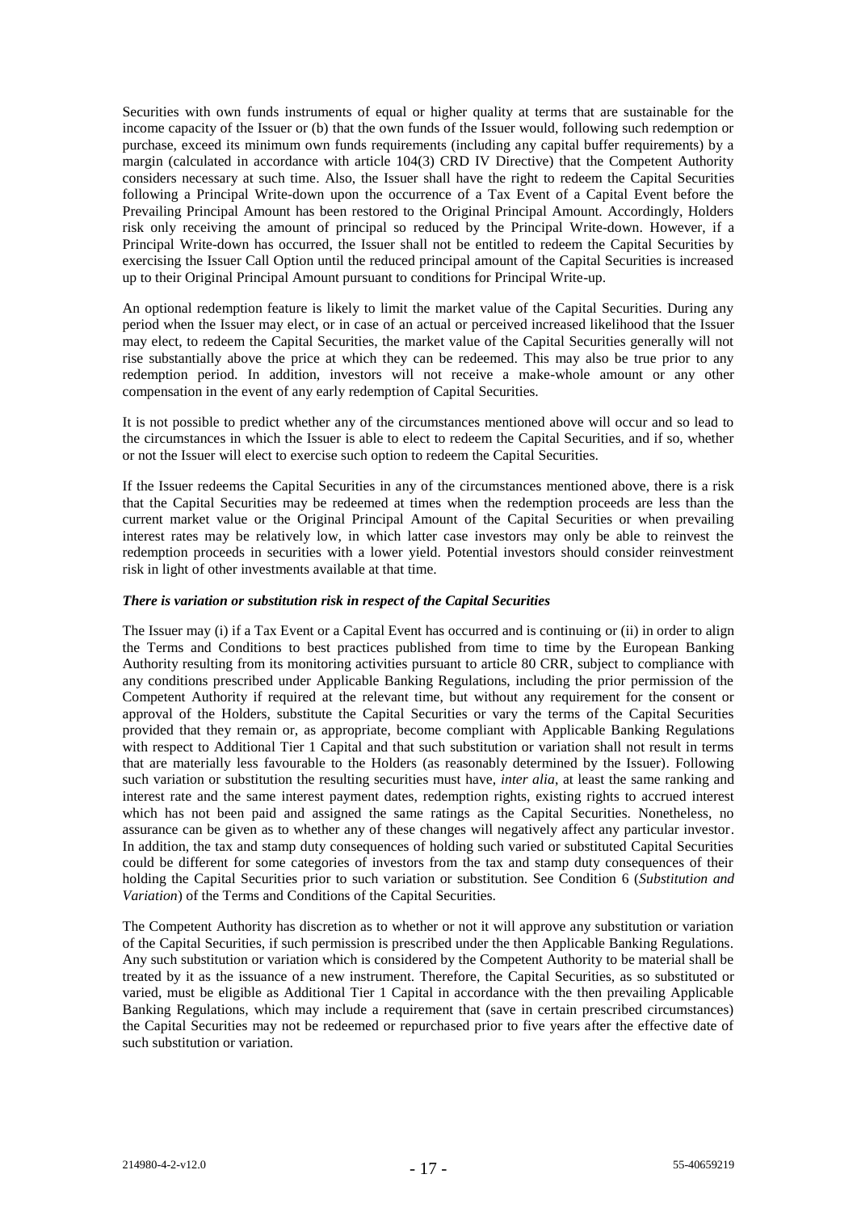Securities with own funds instruments of equal or higher quality at terms that are sustainable for the income capacity of the Issuer or (b) that the own funds of the Issuer would, following such redemption or purchase, exceed its minimum own funds requirements (including any capital buffer requirements) by a margin (calculated in accordance with article 104(3) CRD IV Directive) that the Competent Authority considers necessary at such time. Also, the Issuer shall have the right to redeem the Capital Securities following a Principal Write-down upon the occurrence of a Tax Event of a Capital Event before the Prevailing Principal Amount has been restored to the Original Principal Amount. Accordingly, Holders risk only receiving the amount of principal so reduced by the Principal Write-down. However, if a Principal Write-down has occurred, the Issuer shall not be entitled to redeem the Capital Securities by exercising the Issuer Call Option until the reduced principal amount of the Capital Securities is increased up to their Original Principal Amount pursuant to conditions for Principal Write-up.

An optional redemption feature is likely to limit the market value of the Capital Securities. During any period when the Issuer may elect, or in case of an actual or perceived increased likelihood that the Issuer may elect, to redeem the Capital Securities, the market value of the Capital Securities generally will not rise substantially above the price at which they can be redeemed. This may also be true prior to any redemption period. In addition, investors will not receive a make-whole amount or any other compensation in the event of any early redemption of Capital Securities.

It is not possible to predict whether any of the circumstances mentioned above will occur and so lead to the circumstances in which the Issuer is able to elect to redeem the Capital Securities, and if so, whether or not the Issuer will elect to exercise such option to redeem the Capital Securities.

If the Issuer redeems the Capital Securities in any of the circumstances mentioned above, there is a risk that the Capital Securities may be redeemed at times when the redemption proceeds are less than the current market value or the Original Principal Amount of the Capital Securities or when prevailing interest rates may be relatively low, in which latter case investors may only be able to reinvest the redemption proceeds in securities with a lower yield. Potential investors should consider reinvestment risk in light of other investments available at that time.

#### *There is variation or substitution risk in respect of the Capital Securities*

The Issuer may (i) if a Tax Event or a Capital Event has occurred and is continuing or (ii) in order to align the Terms and Conditions to best practices published from time to time by the European Banking Authority resulting from its monitoring activities pursuant to article 80 CRR, subject to compliance with any conditions prescribed under Applicable Banking Regulations, including the prior permission of the Competent Authority if required at the relevant time, but without any requirement for the consent or approval of the Holders, substitute the Capital Securities or vary the terms of the Capital Securities provided that they remain or, as appropriate, become compliant with Applicable Banking Regulations with respect to Additional Tier 1 Capital and that such substitution or variation shall not result in terms that are materially less favourable to the Holders (as reasonably determined by the Issuer). Following such variation or substitution the resulting securities must have, *inter alia*, at least the same ranking and interest rate and the same interest payment dates, redemption rights, existing rights to accrued interest which has not been paid and assigned the same ratings as the Capital Securities. Nonetheless, no assurance can be given as to whether any of these changes will negatively affect any particular investor. In addition, the tax and stamp duty consequences of holding such varied or substituted Capital Securities could be different for some categories of investors from the tax and stamp duty consequences of their holding the Capital Securities prior to such variation or substitution. See Condition 6 (*Substitution and Variation*) of the Terms and Conditions of the Capital Securities.

The Competent Authority has discretion as to whether or not it will approve any substitution or variation of the Capital Securities, if such permission is prescribed under the then Applicable Banking Regulations. Any such substitution or variation which is considered by the Competent Authority to be material shall be treated by it as the issuance of a new instrument. Therefore, the Capital Securities, as so substituted or varied, must be eligible as Additional Tier 1 Capital in accordance with the then prevailing Applicable Banking Regulations, which may include a requirement that (save in certain prescribed circumstances) the Capital Securities may not be redeemed or repurchased prior to five years after the effective date of such substitution or variation.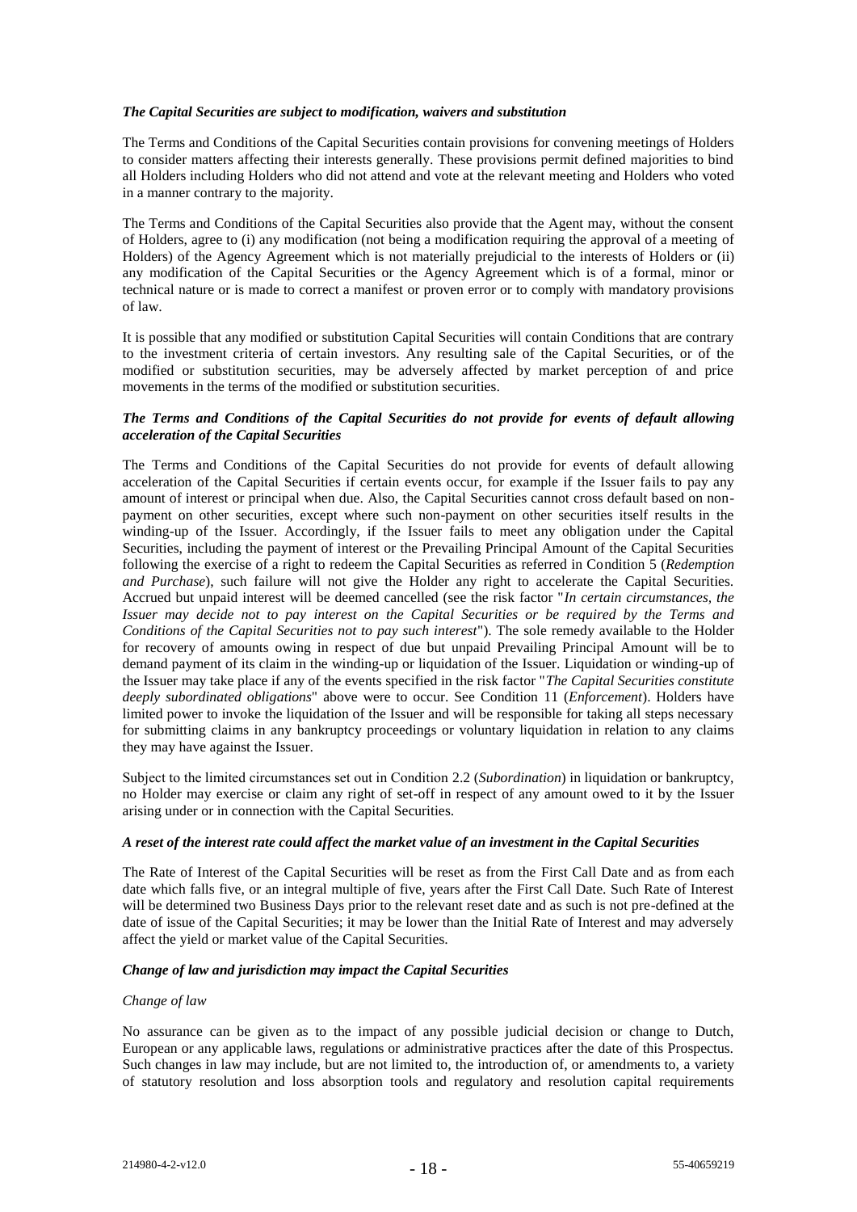#### *The Capital Securities are subject to modification, waivers and substitution*

The Terms and Conditions of the Capital Securities contain provisions for convening meetings of Holders to consider matters affecting their interests generally. These provisions permit defined majorities to bind all Holders including Holders who did not attend and vote at the relevant meeting and Holders who voted in a manner contrary to the majority.

The Terms and Conditions of the Capital Securities also provide that the Agent may, without the consent of Holders, agree to (i) any modification (not being a modification requiring the approval of a meeting of Holders) of the Agency Agreement which is not materially prejudicial to the interests of Holders or (ii) any modification of the Capital Securities or the Agency Agreement which is of a formal, minor or technical nature or is made to correct a manifest or proven error or to comply with mandatory provisions of law.

It is possible that any modified or substitution Capital Securities will contain Conditions that are contrary to the investment criteria of certain investors. Any resulting sale of the Capital Securities, or of the modified or substitution securities, may be adversely affected by market perception of and price movements in the terms of the modified or substitution securities*.*

#### *The Terms and Conditions of the Capital Securities do not provide for events of default allowing acceleration of the Capital Securities*

The Terms and Conditions of the Capital Securities do not provide for events of default allowing acceleration of the Capital Securities if certain events occur, for example if the Issuer fails to pay any amount of interest or principal when due. Also, the Capital Securities cannot cross default based on nonpayment on other securities, except where such non-payment on other securities itself results in the winding-up of the Issuer. Accordingly, if the Issuer fails to meet any obligation under the Capital Securities, including the payment of interest or the Prevailing Principal Amount of the Capital Securities following the exercise of a right to redeem the Capital Securities as referred in Condition 5 (*Redemption and Purchase*), such failure will not give the Holder any right to accelerate the Capital Securities. Accrued but unpaid interest will be deemed cancelled (see the risk factor "*In certain circumstances, the Issuer may decide not to pay interest on the Capital Securities or be required by the Terms and Conditions of the Capital Securities not to pay such interest*"). The sole remedy available to the Holder for recovery of amounts owing in respect of due but unpaid Prevailing Principal Amount will be to demand payment of its claim in the winding-up or liquidation of the Issuer. Liquidation or winding-up of the Issuer may take place if any of the events specified in the risk factor "*The Capital Securities constitute deeply subordinated obligations*" above were to occur. See Condition 11 (*Enforcement*). Holders have limited power to invoke the liquidation of the Issuer and will be responsible for taking all steps necessary for submitting claims in any bankruptcy proceedings or voluntary liquidation in relation to any claims they may have against the Issuer.

Subject to the limited circumstances set out in Condition 2.2 (*Subordination*) in liquidation or bankruptcy, no Holder may exercise or claim any right of set-off in respect of any amount owed to it by the Issuer arising under or in connection with the Capital Securities.

#### *A reset of the interest rate could affect the market value of an investment in the Capital Securities*

The Rate of Interest of the Capital Securities will be reset as from the First Call Date and as from each date which falls five, or an integral multiple of five, years after the First Call Date. Such Rate of Interest will be determined two Business Days prior to the relevant reset date and as such is not pre-defined at the date of issue of the Capital Securities; it may be lower than the Initial Rate of Interest and may adversely affect the yield or market value of the Capital Securities.

## *Change of law and jurisdiction may impact the Capital Securities*

#### *Change of law*

No assurance can be given as to the impact of any possible judicial decision or change to Dutch, European or any applicable laws, regulations or administrative practices after the date of this Prospectus. Such changes in law may include, but are not limited to, the introduction of, or amendments to, a variety of statutory resolution and loss absorption tools and regulatory and resolution capital requirements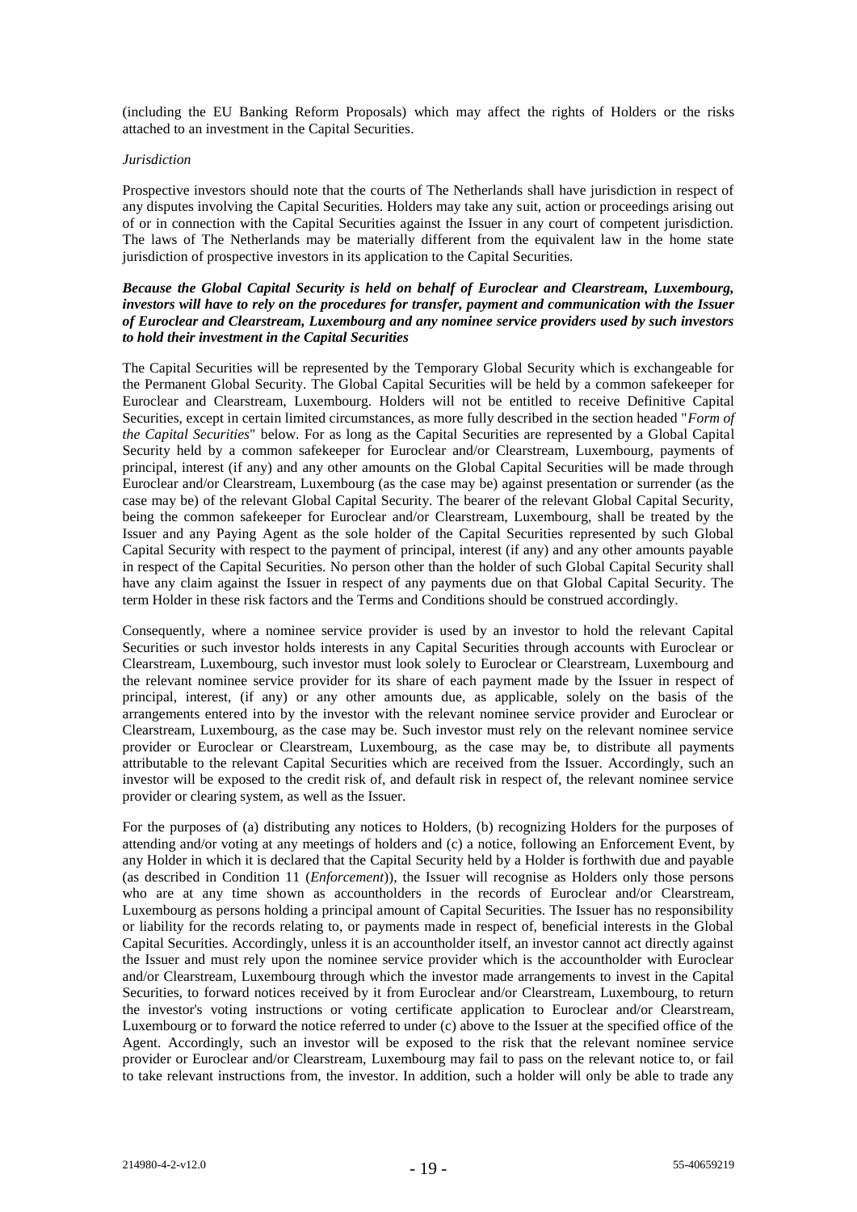(including the EU Banking Reform Proposals) which may affect the rights of Holders or the risks attached to an investment in the Capital Securities.

#### *Jurisdiction*

Prospective investors should note that the courts of The Netherlands shall have jurisdiction in respect of any disputes involving the Capital Securities. Holders may take any suit, action or proceedings arising out of or in connection with the Capital Securities against the Issuer in any court of competent jurisdiction. The laws of The Netherlands may be materially different from the equivalent law in the home state jurisdiction of prospective investors in its application to the Capital Securities.

#### *Because the Global Capital Security is held on behalf of Euroclear and Clearstream, Luxembourg, investors will have to rely on the procedures for transfer, payment and communication with the Issuer of Euroclear and Clearstream, Luxembourg and any nominee service providers used by such investors to hold their investment in the Capital Securities*

The Capital Securities will be represented by the Temporary Global Security which is exchangeable for the Permanent Global Security. The Global Capital Securities will be held by a common safekeeper for Euroclear and Clearstream, Luxembourg. Holders will not be entitled to receive Definitive Capital Securities, except in certain limited circumstances, as more fully described in the section headed "*Form of the Capital Securities*" below. For as long as the Capital Securities are represented by a Global Capital Security held by a common safekeeper for Euroclear and/or Clearstream, Luxembourg, payments of principal, interest (if any) and any other amounts on the Global Capital Securities will be made through Euroclear and/or Clearstream, Luxembourg (as the case may be) against presentation or surrender (as the case may be) of the relevant Global Capital Security. The bearer of the relevant Global Capital Security, being the common safekeeper for Euroclear and/or Clearstream, Luxembourg, shall be treated by the Issuer and any Paying Agent as the sole holder of the Capital Securities represented by such Global Capital Security with respect to the payment of principal, interest (if any) and any other amounts payable in respect of the Capital Securities. No person other than the holder of such Global Capital Security shall have any claim against the Issuer in respect of any payments due on that Global Capital Security. The term Holder in these risk factors and the Terms and Conditions should be construed accordingly.

Consequently, where a nominee service provider is used by an investor to hold the relevant Capital Securities or such investor holds interests in any Capital Securities through accounts with Euroclear or Clearstream, Luxembourg, such investor must look solely to Euroclear or Clearstream, Luxembourg and the relevant nominee service provider for its share of each payment made by the Issuer in respect of principal, interest, (if any) or any other amounts due, as applicable, solely on the basis of the arrangements entered into by the investor with the relevant nominee service provider and Euroclear or Clearstream, Luxembourg, as the case may be. Such investor must rely on the relevant nominee service provider or Euroclear or Clearstream, Luxembourg, as the case may be, to distribute all payments attributable to the relevant Capital Securities which are received from the Issuer. Accordingly, such an investor will be exposed to the credit risk of, and default risk in respect of, the relevant nominee service provider or clearing system, as well as the Issuer.

For the purposes of (a) distributing any notices to Holders, (b) recognizing Holders for the purposes of attending and/or voting at any meetings of holders and (c) a notice, following an Enforcement Event, by any Holder in which it is declared that the Capital Security held by a Holder is forthwith due and payable (as described in Condition 11 (*Enforcement*)), the Issuer will recognise as Holders only those persons who are at any time shown as accountholders in the records of Euroclear and/or Clearstream, Luxembourg as persons holding a principal amount of Capital Securities. The Issuer has no responsibility or liability for the records relating to, or payments made in respect of, beneficial interests in the Global Capital Securities. Accordingly, unless it is an accountholder itself, an investor cannot act directly against the Issuer and must rely upon the nominee service provider which is the accountholder with Euroclear and/or Clearstream, Luxembourg through which the investor made arrangements to invest in the Capital Securities, to forward notices received by it from Euroclear and/or Clearstream, Luxembourg, to return the investor's voting instructions or voting certificate application to Euroclear and/or Clearstream, Luxembourg or to forward the notice referred to under (c) above to the Issuer at the specified office of the Agent. Accordingly, such an investor will be exposed to the risk that the relevant nominee service provider or Euroclear and/or Clearstream, Luxembourg may fail to pass on the relevant notice to, or fail to take relevant instructions from, the investor. In addition, such a holder will only be able to trade any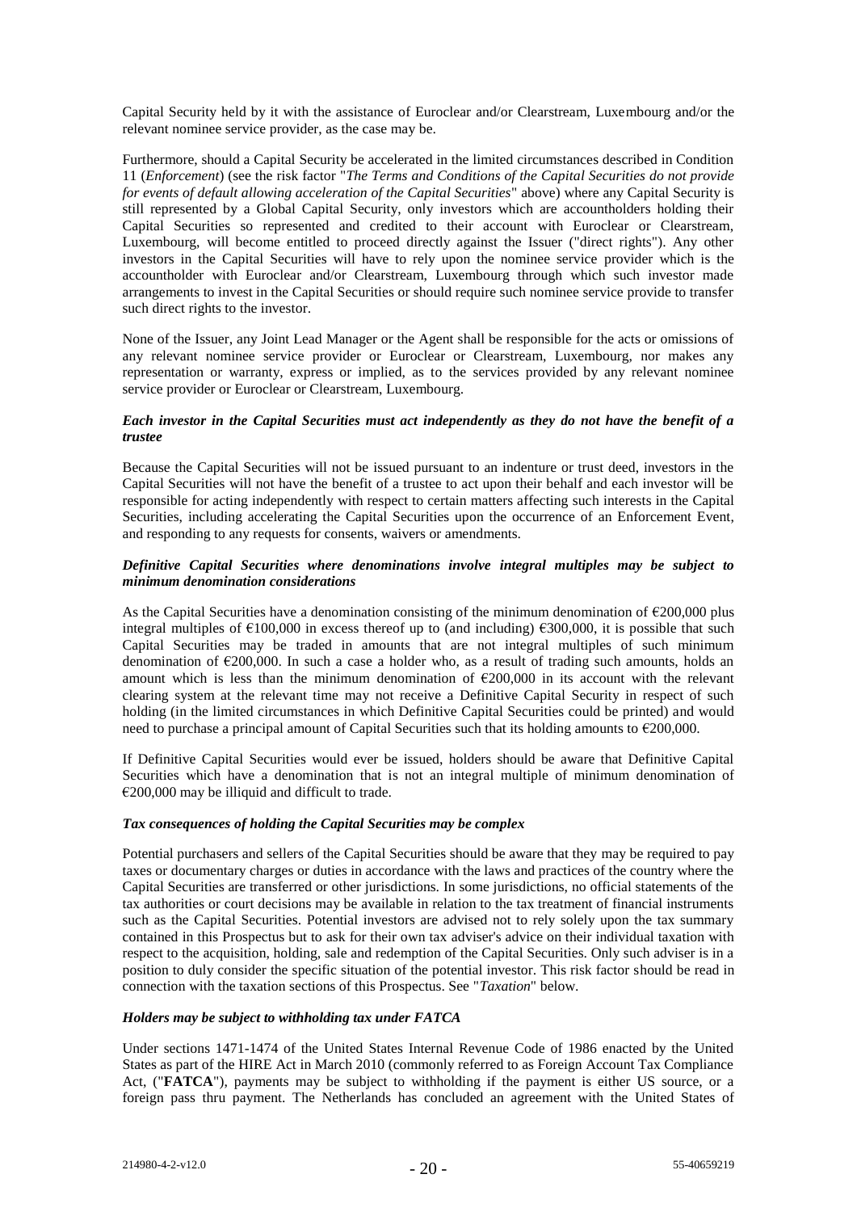Capital Security held by it with the assistance of Euroclear and/or Clearstream, Luxembourg and/or the relevant nominee service provider, as the case may be.

Furthermore, should a Capital Security be accelerated in the limited circumstances described in Condition 11 (*Enforcement*) (see the risk factor "*The Terms and Conditions of the Capital Securities do not provide for events of default allowing acceleration of the Capital Securities*" above) where any Capital Security is still represented by a Global Capital Security, only investors which are accountholders holding their Capital Securities so represented and credited to their account with Euroclear or Clearstream, Luxembourg, will become entitled to proceed directly against the Issuer ("direct rights"). Any other investors in the Capital Securities will have to rely upon the nominee service provider which is the accountholder with Euroclear and/or Clearstream, Luxembourg through which such investor made arrangements to invest in the Capital Securities or should require such nominee service provide to transfer such direct rights to the investor.

None of the Issuer, any Joint Lead Manager or the Agent shall be responsible for the acts or omissions of any relevant nominee service provider or Euroclear or Clearstream, Luxembourg, nor makes any representation or warranty, express or implied, as to the services provided by any relevant nominee service provider or Euroclear or Clearstream, Luxembourg.

#### *Each investor in the Capital Securities must act independently as they do not have the benefit of a trustee*

Because the Capital Securities will not be issued pursuant to an indenture or trust deed, investors in the Capital Securities will not have the benefit of a trustee to act upon their behalf and each investor will be responsible for acting independently with respect to certain matters affecting such interests in the Capital Securities, including accelerating the Capital Securities upon the occurrence of an Enforcement Event, and responding to any requests for consents, waivers or amendments.

#### *Definitive Capital Securities where denominations involve integral multiples may be subject to minimum denomination considerations*

As the Capital Securities have a denomination consisting of the minimum denomination of €200,000 plus integral multiples of  $\epsilon$ 100,000 in excess thereof up to (and including)  $\epsilon$ 300,000, it is possible that such Capital Securities may be traded in amounts that are not integral multiples of such minimum denomination of €200,000. In such a case a holder who, as a result of trading such amounts, holds an amount which is less than the minimum denomination of  $\epsilon$ 200,000 in its account with the relevant clearing system at the relevant time may not receive a Definitive Capital Security in respect of such holding (in the limited circumstances in which Definitive Capital Securities could be printed) and would need to purchase a principal amount of Capital Securities such that its holding amounts to €200,000.

If Definitive Capital Securities would ever be issued, holders should be aware that Definitive Capital Securities which have a denomination that is not an integral multiple of minimum denomination of  $€200,000$  may be illiquid and difficult to trade.

### *Tax consequences of holding the Capital Securities may be complex*

Potential purchasers and sellers of the Capital Securities should be aware that they may be required to pay taxes or documentary charges or duties in accordance with the laws and practices of the country where the Capital Securities are transferred or other jurisdictions. In some jurisdictions, no official statements of the tax authorities or court decisions may be available in relation to the tax treatment of financial instruments such as the Capital Securities. Potential investors are advised not to rely solely upon the tax summary contained in this Prospectus but to ask for their own tax adviser's advice on their individual taxation with respect to the acquisition, holding, sale and redemption of the Capital Securities. Only such adviser is in a position to duly consider the specific situation of the potential investor. This risk factor should be read in connection with the taxation sections of this Prospectus. See "*Taxation*" below.

### *Holders may be subject to withholding tax under FATCA*

Under sections 1471-1474 of the United States Internal Revenue Code of 1986 enacted by the United States as part of the HIRE Act in March 2010 (commonly referred to as Foreign Account Tax Compliance Act, ("FATCA"), payments may be subject to withholding if the payment is either US source, or a foreign pass thru payment. The Netherlands has concluded an agreement with the United States of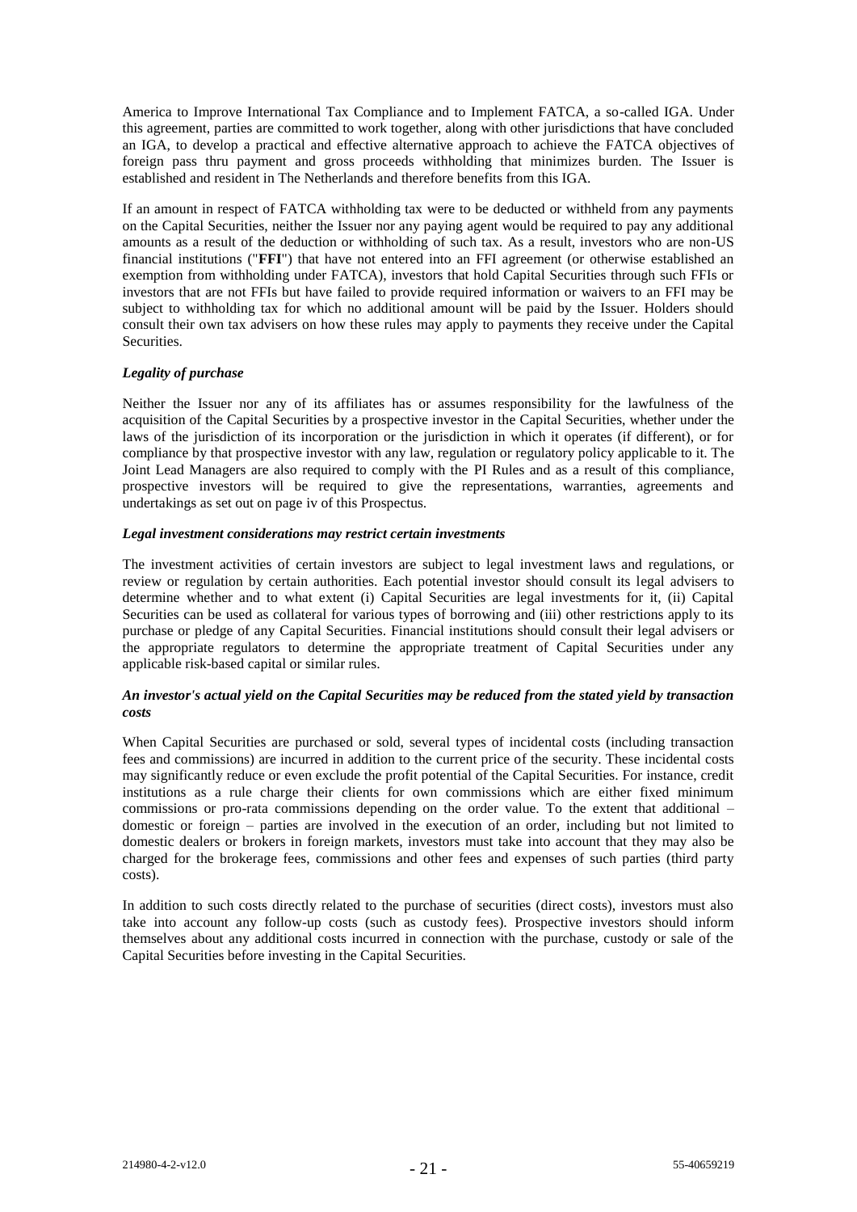America to Improve International Tax Compliance and to Implement FATCA, a so-called IGA. Under this agreement, parties are committed to work together, along with other jurisdictions that have concluded an IGA, to develop a practical and effective alternative approach to achieve the FATCA objectives of foreign pass thru payment and gross proceeds withholding that minimizes burden. The Issuer is established and resident in The Netherlands and therefore benefits from this IGA.

If an amount in respect of FATCA withholding tax were to be deducted or withheld from any payments on the Capital Securities, neither the Issuer nor any paying agent would be required to pay any additional amounts as a result of the deduction or withholding of such tax. As a result, investors who are non-US financial institutions ("**FFI**") that have not entered into an FFI agreement (or otherwise established an exemption from withholding under FATCA), investors that hold Capital Securities through such FFIs or investors that are not FFIs but have failed to provide required information or waivers to an FFI may be subject to withholding tax for which no additional amount will be paid by the Issuer. Holders should consult their own tax advisers on how these rules may apply to payments they receive under the Capital **Securities** 

### *Legality of purchase*

Neither the Issuer nor any of its affiliates has or assumes responsibility for the lawfulness of the acquisition of the Capital Securities by a prospective investor in the Capital Securities, whether under the laws of the jurisdiction of its incorporation or the jurisdiction in which it operates (if different), or for compliance by that prospective investor with any law, regulation or regulatory policy applicable to it. The Joint Lead Managers are also required to comply with the PI Rules and as a result of this compliance, prospective investors will be required to give the representations, warranties, agreements and undertakings as set out on page iv of this Prospectus.

### *Legal investment considerations may restrict certain investments*

The investment activities of certain investors are subject to legal investment laws and regulations, or review or regulation by certain authorities. Each potential investor should consult its legal advisers to determine whether and to what extent (i) Capital Securities are legal investments for it, (ii) Capital Securities can be used as collateral for various types of borrowing and (iii) other restrictions apply to its purchase or pledge of any Capital Securities. Financial institutions should consult their legal advisers or the appropriate regulators to determine the appropriate treatment of Capital Securities under any applicable risk-based capital or similar rules.

### *An investor's actual yield on the Capital Securities may be reduced from the stated yield by transaction costs*

When Capital Securities are purchased or sold, several types of incidental costs (including transaction fees and commissions) are incurred in addition to the current price of the security. These incidental costs may significantly reduce or even exclude the profit potential of the Capital Securities. For instance, credit institutions as a rule charge their clients for own commissions which are either fixed minimum commissions or pro-rata commissions depending on the order value. To the extent that additional – domestic or foreign – parties are involved in the execution of an order, including but not limited to domestic dealers or brokers in foreign markets, investors must take into account that they may also be charged for the brokerage fees, commissions and other fees and expenses of such parties (third party costs).

In addition to such costs directly related to the purchase of securities (direct costs), investors must also take into account any follow-up costs (such as custody fees). Prospective investors should inform themselves about any additional costs incurred in connection with the purchase, custody or sale of the Capital Securities before investing in the Capital Securities.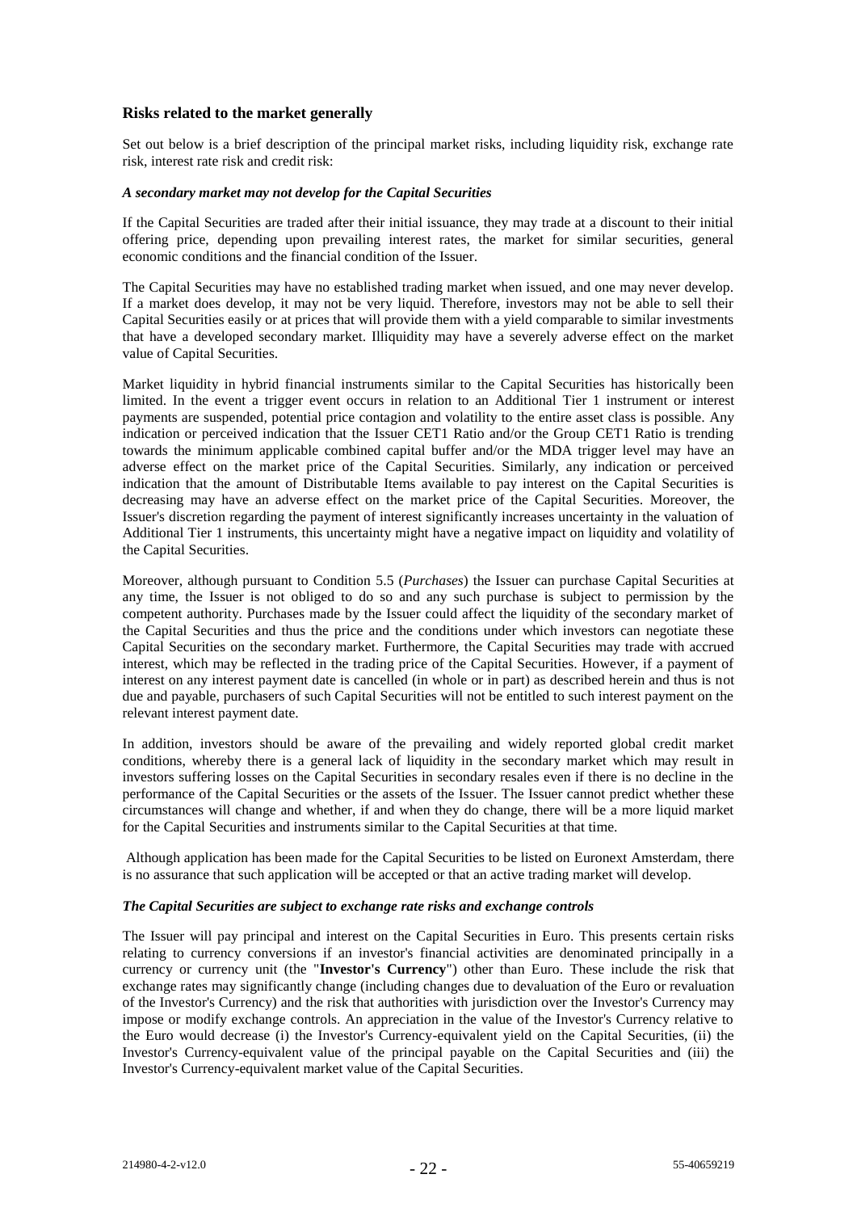# **Risks related to the market generally**

Set out below is a brief description of the principal market risks, including liquidity risk, exchange rate risk, interest rate risk and credit risk:

#### *A secondary market may not develop for the Capital Securities*

If the Capital Securities are traded after their initial issuance, they may trade at a discount to their initial offering price, depending upon prevailing interest rates, the market for similar securities, general economic conditions and the financial condition of the Issuer.

The Capital Securities may have no established trading market when issued, and one may never develop. If a market does develop, it may not be very liquid. Therefore, investors may not be able to sell their Capital Securities easily or at prices that will provide them with a yield comparable to similar investments that have a developed secondary market. Illiquidity may have a severely adverse effect on the market value of Capital Securities.

Market liquidity in hybrid financial instruments similar to the Capital Securities has historically been limited. In the event a trigger event occurs in relation to an Additional Tier 1 instrument or interest payments are suspended, potential price contagion and volatility to the entire asset class is possible. Any indication or perceived indication that the Issuer CET1 Ratio and/or the Group CET1 Ratio is trending towards the minimum applicable combined capital buffer and/or the MDA trigger level may have an adverse effect on the market price of the Capital Securities. Similarly, any indication or perceived indication that the amount of Distributable Items available to pay interest on the Capital Securities is decreasing may have an adverse effect on the market price of the Capital Securities. Moreover, the Issuer's discretion regarding the payment of interest significantly increases uncertainty in the valuation of Additional Tier 1 instruments, this uncertainty might have a negative impact on liquidity and volatility of the Capital Securities.

Moreover, although pursuant to Condition 5.5 (*Purchases*) the Issuer can purchase Capital Securities at any time, the Issuer is not obliged to do so and any such purchase is subject to permission by the competent authority. Purchases made by the Issuer could affect the liquidity of the secondary market of the Capital Securities and thus the price and the conditions under which investors can negotiate these Capital Securities on the secondary market. Furthermore, the Capital Securities may trade with accrued interest, which may be reflected in the trading price of the Capital Securities. However, if a payment of interest on any interest payment date is cancelled (in whole or in part) as described herein and thus is not due and payable, purchasers of such Capital Securities will not be entitled to such interest payment on the relevant interest payment date.

In addition, investors should be aware of the prevailing and widely reported global credit market conditions, whereby there is a general lack of liquidity in the secondary market which may result in investors suffering losses on the Capital Securities in secondary resales even if there is no decline in the performance of the Capital Securities or the assets of the Issuer. The Issuer cannot predict whether these circumstances will change and whether, if and when they do change, there will be a more liquid market for the Capital Securities and instruments similar to the Capital Securities at that time.

Although application has been made for the Capital Securities to be listed on Euronext Amsterdam, there is no assurance that such application will be accepted or that an active trading market will develop.

#### *The Capital Securities are subject to exchange rate risks and exchange controls*

The Issuer will pay principal and interest on the Capital Securities in Euro. This presents certain risks relating to currency conversions if an investor's financial activities are denominated principally in a currency or currency unit (the "**Investor's Currency**") other than Euro. These include the risk that exchange rates may significantly change (including changes due to devaluation of the Euro or revaluation of the Investor's Currency) and the risk that authorities with jurisdiction over the Investor's Currency may impose or modify exchange controls. An appreciation in the value of the Investor's Currency relative to the Euro would decrease (i) the Investor's Currency-equivalent yield on the Capital Securities, (ii) the Investor's Currency-equivalent value of the principal payable on the Capital Securities and (iii) the Investor's Currency-equivalent market value of the Capital Securities.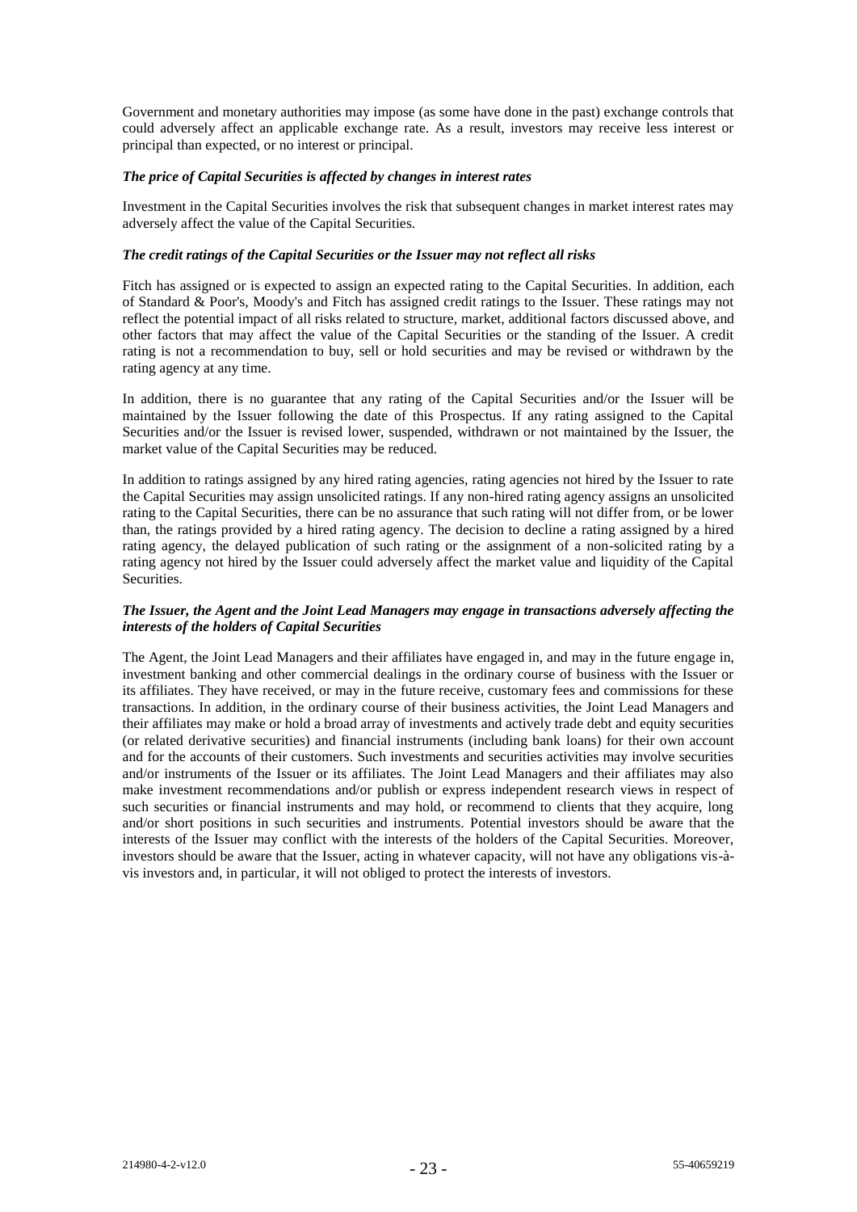Government and monetary authorities may impose (as some have done in the past) exchange controls that could adversely affect an applicable exchange rate. As a result, investors may receive less interest or principal than expected, or no interest or principal.

#### *The price of Capital Securities is affected by changes in interest rates*

Investment in the Capital Securities involves the risk that subsequent changes in market interest rates may adversely affect the value of the Capital Securities.

#### *The credit ratings of the Capital Securities or the Issuer may not reflect all risks*

Fitch has assigned or is expected to assign an expected rating to the Capital Securities. In addition, each of Standard & Poor's, Moody's and Fitch has assigned credit ratings to the Issuer. These ratings may not reflect the potential impact of all risks related to structure, market, additional factors discussed above, and other factors that may affect the value of the Capital Securities or the standing of the Issuer. A credit rating is not a recommendation to buy, sell or hold securities and may be revised or withdrawn by the rating agency at any time.

In addition, there is no guarantee that any rating of the Capital Securities and/or the Issuer will be maintained by the Issuer following the date of this Prospectus. If any rating assigned to the Capital Securities and/or the Issuer is revised lower, suspended, withdrawn or not maintained by the Issuer, the market value of the Capital Securities may be reduced.

In addition to ratings assigned by any hired rating agencies, rating agencies not hired by the Issuer to rate the Capital Securities may assign unsolicited ratings. If any non-hired rating agency assigns an unsolicited rating to the Capital Securities, there can be no assurance that such rating will not differ from, or be lower than, the ratings provided by a hired rating agency. The decision to decline a rating assigned by a hired rating agency, the delayed publication of such rating or the assignment of a non-solicited rating by a rating agency not hired by the Issuer could adversely affect the market value and liquidity of the Capital **Securities** 

#### *The Issuer, the Agent and the Joint Lead Managers may engage in transactions adversely affecting the interests of the holders of Capital Securities*

The Agent, the Joint Lead Managers and their affiliates have engaged in, and may in the future engage in, investment banking and other commercial dealings in the ordinary course of business with the Issuer or its affiliates. They have received, or may in the future receive, customary fees and commissions for these transactions. In addition, in the ordinary course of their business activities, the Joint Lead Managers and their affiliates may make or hold a broad array of investments and actively trade debt and equity securities (or related derivative securities) and financial instruments (including bank loans) for their own account and for the accounts of their customers. Such investments and securities activities may involve securities and/or instruments of the Issuer or its affiliates. The Joint Lead Managers and their affiliates may also make investment recommendations and/or publish or express independent research views in respect of such securities or financial instruments and may hold, or recommend to clients that they acquire, long and/or short positions in such securities and instruments. Potential investors should be aware that the interests of the Issuer may conflict with the interests of the holders of the Capital Securities. Moreover, investors should be aware that the Issuer, acting in whatever capacity, will not have any obligations vis-àvis investors and, in particular, it will not obliged to protect the interests of investors.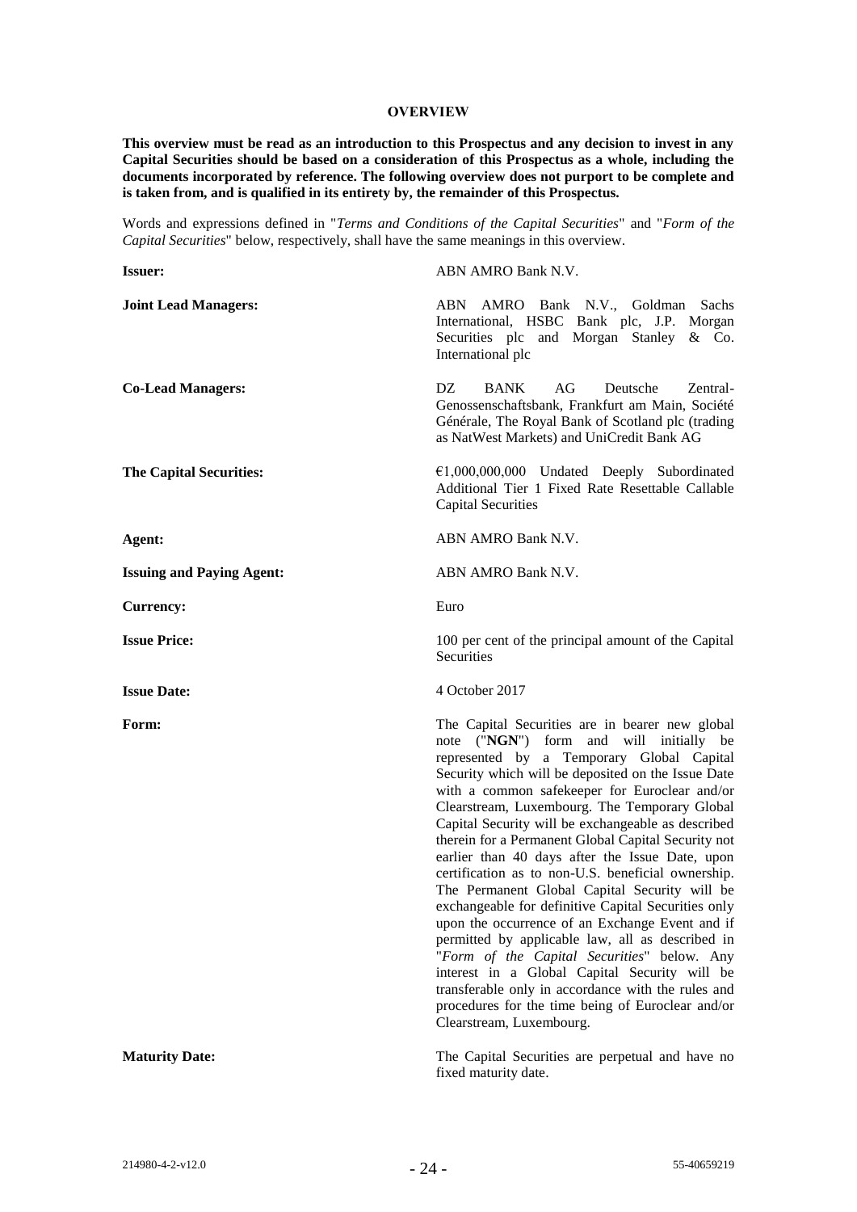#### **OVERVIEW**

**This overview must be read as an introduction to this Prospectus and any decision to invest in any Capital Securities should be based on a consideration of this Prospectus as a whole, including the documents incorporated by reference. The following overview does not purport to be complete and is taken from, and is qualified in its entirety by, the remainder of this Prospectus.** 

Words and expressions defined in "*Terms and Conditions of the Capital Securities*" and "*Form of the Capital Securities*" below, respectively, shall have the same meanings in this overview.

| <b>Issuer:</b>                   | ABN AMRO Bank N.V.                                                                                                                                                                                                                                                                                                                                                                                                                                                                                                                                                                                                                                                                                                                                                                                                                                                                                                                                                          |
|----------------------------------|-----------------------------------------------------------------------------------------------------------------------------------------------------------------------------------------------------------------------------------------------------------------------------------------------------------------------------------------------------------------------------------------------------------------------------------------------------------------------------------------------------------------------------------------------------------------------------------------------------------------------------------------------------------------------------------------------------------------------------------------------------------------------------------------------------------------------------------------------------------------------------------------------------------------------------------------------------------------------------|
| <b>Joint Lead Managers:</b>      | AMRO Bank N.V., Goldman Sachs<br>ABN<br>International, HSBC Bank plc, J.P. Morgan<br>Securities plc and Morgan Stanley & Co.<br>International plc                                                                                                                                                                                                                                                                                                                                                                                                                                                                                                                                                                                                                                                                                                                                                                                                                           |
| <b>Co-Lead Managers:</b>         | DZ.<br>AG<br><b>BANK</b><br>Deutsche<br>Zentral-<br>Genossenschaftsbank, Frankfurt am Main, Société<br>Générale, The Royal Bank of Scotland plc (trading<br>as NatWest Markets) and UniCredit Bank AG                                                                                                                                                                                                                                                                                                                                                                                                                                                                                                                                                                                                                                                                                                                                                                       |
| <b>The Capital Securities:</b>   | $E1,000,000,000$ Undated Deeply Subordinated<br>Additional Tier 1 Fixed Rate Resettable Callable<br><b>Capital Securities</b>                                                                                                                                                                                                                                                                                                                                                                                                                                                                                                                                                                                                                                                                                                                                                                                                                                               |
| Agent:                           | ABN AMRO Bank N.V.                                                                                                                                                                                                                                                                                                                                                                                                                                                                                                                                                                                                                                                                                                                                                                                                                                                                                                                                                          |
| <b>Issuing and Paying Agent:</b> | ABN AMRO Bank N.V.                                                                                                                                                                                                                                                                                                                                                                                                                                                                                                                                                                                                                                                                                                                                                                                                                                                                                                                                                          |
| <b>Currency:</b>                 | Euro                                                                                                                                                                                                                                                                                                                                                                                                                                                                                                                                                                                                                                                                                                                                                                                                                                                                                                                                                                        |
| <b>Issue Price:</b>              | 100 per cent of the principal amount of the Capital<br>Securities                                                                                                                                                                                                                                                                                                                                                                                                                                                                                                                                                                                                                                                                                                                                                                                                                                                                                                           |
| <b>Issue Date:</b>               | 4 October 2017                                                                                                                                                                                                                                                                                                                                                                                                                                                                                                                                                                                                                                                                                                                                                                                                                                                                                                                                                              |
|                                  |                                                                                                                                                                                                                                                                                                                                                                                                                                                                                                                                                                                                                                                                                                                                                                                                                                                                                                                                                                             |
| Form:                            | The Capital Securities are in bearer new global<br>note ("NGN") form and will initially be<br>represented by a Temporary Global Capital<br>Security which will be deposited on the Issue Date<br>with a common safekeeper for Euroclear and/or<br>Clearstream, Luxembourg. The Temporary Global<br>Capital Security will be exchangeable as described<br>therein for a Permanent Global Capital Security not<br>earlier than 40 days after the Issue Date, upon<br>certification as to non-U.S. beneficial ownership.<br>The Permanent Global Capital Security will be<br>exchangeable for definitive Capital Securities only<br>upon the occurrence of an Exchange Event and if<br>permitted by applicable law, all as described in<br>"Form of the Capital Securities" below. Any<br>interest in a Global Capital Security will be<br>transferable only in accordance with the rules and<br>procedures for the time being of Euroclear and/or<br>Clearstream, Luxembourg. |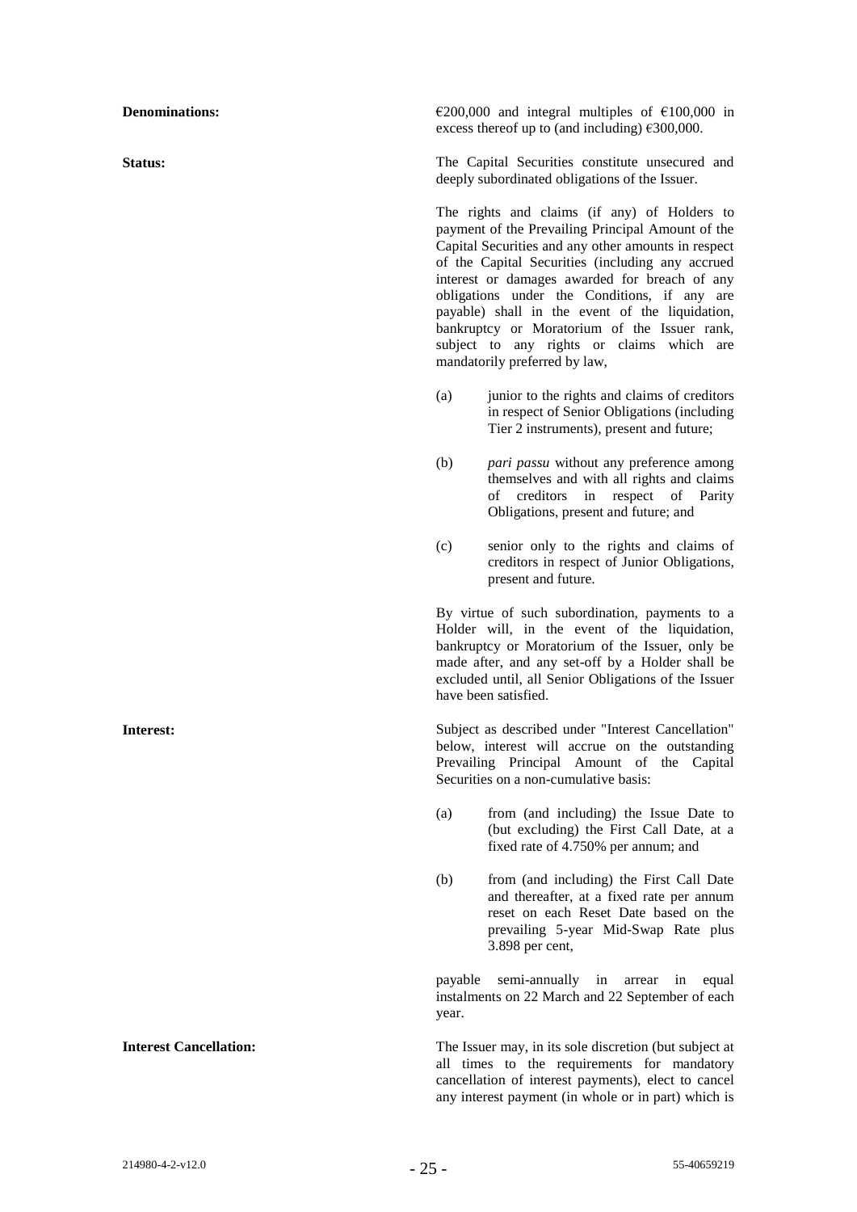**Denominations:** €200,000 and integral multiples of €100,000 in excess thereof up to (and including)  $\epsilon$ 300,000.

**Status:** The Capital Securities constitute unsecured and deeply subordinated obligations of the Issuer.

> The rights and claims (if any) of Holders to payment of the Prevailing Principal Amount of the Capital Securities and any other amounts in respect of the Capital Securities (including any accrued interest or damages awarded for breach of any obligations under the Conditions, if any are payable) shall in the event of the liquidation, bankruptcy or Moratorium of the Issuer rank, subject to any rights or claims which are mandatorily preferred by law,

- (a) junior to the rights and claims of creditors in respect of Senior Obligations (including Tier 2 instruments), present and future;
- (b) *pari passu* without any preference among themselves and with all rights and claims of creditors in respect of Parity Obligations, present and future; and
- (c) senior only to the rights and claims of creditors in respect of Junior Obligations, present and future.

By virtue of such subordination, payments to a Holder will, in the event of the liquidation, bankruptcy or Moratorium of the Issuer, only be made after, and any set-off by a Holder shall be excluded until, all Senior Obligations of the Issuer have been satisfied.

**Interest:** Subject as described under "Interest Cancellation" below, interest will accrue on the outstanding Prevailing Principal Amount of the Capital Securities on a non-cumulative basis:

> (a) from (and including) the Issue Date to (but excluding) the First Call Date, at a fixed rate of 4.750% per annum; and

> (b) from (and including) the First Call Date and thereafter, at a fixed rate per annum reset on each Reset Date based on the prevailing 5-year Mid-Swap Rate plus 3.898 per cent,

> payable semi-annually in arrear in equal instalments on 22 March and 22 September of each year.

**Interest Cancellation:** The Issuer may, in its sole discretion (but subject at all times to the requirements for mandatory cancellation of interest payments), elect to cancel any interest payment (in whole or in part) which is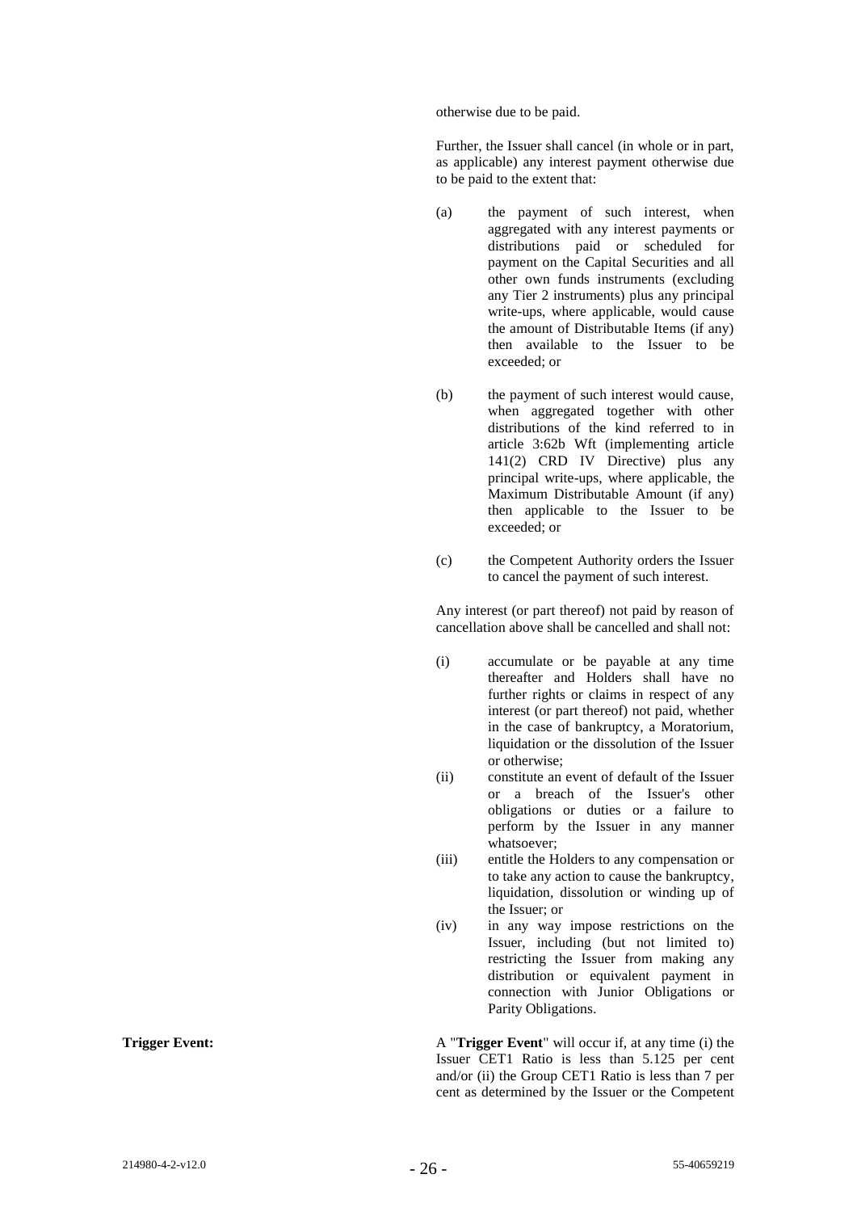otherwise due to be paid.

Further, the Issuer shall cancel (in whole or in part, as applicable) any interest payment otherwise due to be paid to the extent that:

- (a) the payment of such interest, when aggregated with any interest payments or distributions paid or scheduled for payment on the Capital Securities and all other own funds instruments (excluding any Tier 2 instruments) plus any principal write-ups, where applicable, would cause the amount of Distributable Items (if any) then available to the Issuer to be exceeded; or
- (b) the payment of such interest would cause, when aggregated together with other distributions of the kind referred to in article 3:62b Wft (implementing article 141(2) CRD IV Directive) plus any principal write-ups, where applicable, the Maximum Distributable Amount (if any) then applicable to the Issuer to be exceeded; or
- (c) the Competent Authority orders the Issuer to cancel the payment of such interest.

Any interest (or part thereof) not paid by reason of cancellation above shall be cancelled and shall not:

- (i) accumulate or be payable at any time thereafter and Holders shall have no further rights or claims in respect of any interest (or part thereof) not paid, whether in the case of bankruptcy, a Moratorium, liquidation or the dissolution of the Issuer or otherwise;
- (ii) constitute an event of default of the Issuer or a breach of the Issuer's other obligations or duties or a failure to perform by the Issuer in any manner whatsoever;
- (iii) entitle the Holders to any compensation or to take any action to cause the bankruptcy, liquidation, dissolution or winding up of the Issuer; or
- (iv) in any way impose restrictions on the Issuer, including (but not limited to) restricting the Issuer from making any distribution or equivalent payment in connection with Junior Obligations or Parity Obligations.

**Trigger Event:** A "**Trigger Event**" will occur if, at any time (i) the Issuer CET1 Ratio is less than 5.125 per cent and/or (ii) the Group CET1 Ratio is less than 7 per cent as determined by the Issuer or the Competent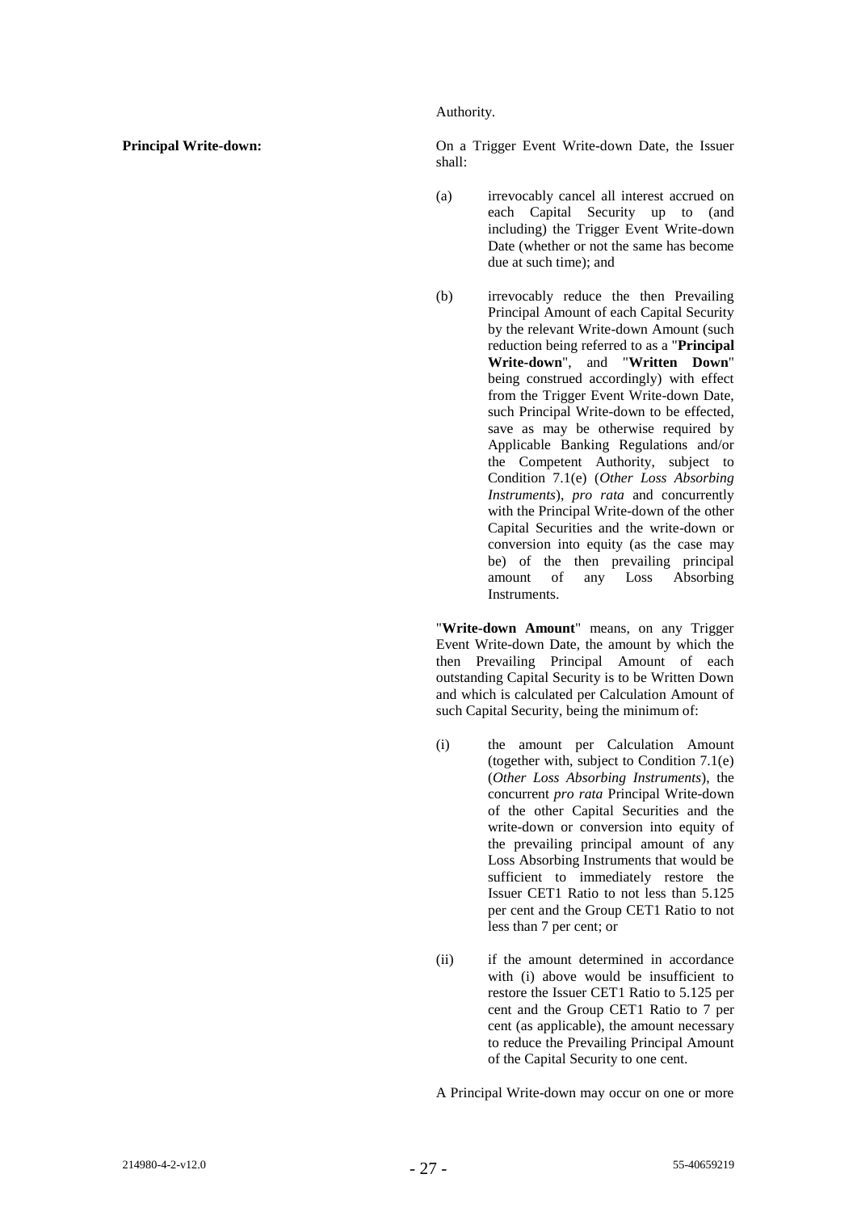Authority.

**Principal Write-down:** On a Trigger Event Write-down Date, the Issuer shall:

- (a) irrevocably cancel all interest accrued on each Capital Security up to (and including) the Trigger Event Write-down Date (whether or not the same has become due at such time); and
- (b) irrevocably reduce the then Prevailing Principal Amount of each Capital Security by the relevant Write-down Amount (such reduction being referred to as a "**Principal Write-down**", and "**Written Down**" being construed accordingly) with effect from the Trigger Event Write-down Date, such Principal Write-down to be effected, save as may be otherwise required by Applicable Banking Regulations and/or the Competent Authority, subject to Condition 7.1(e) (*Other Loss Absorbing Instruments*), *pro rata* and concurrently with the Principal Write-down of the other Capital Securities and the write-down or conversion into equity (as the case may be) of the then prevailing principal amount of any Loss Absorbing Instruments.

"**Write-down Amount**" means, on any Trigger Event Write-down Date, the amount by which the then Prevailing Principal Amount of each outstanding Capital Security is to be Written Down and which is calculated per Calculation Amount of such Capital Security, being the minimum of:

- (i) the amount per Calculation Amount (together with, subject to Condition 7.1(e) (*Other Loss Absorbing Instruments*), the concurrent *pro rata* Principal Write-down of the other Capital Securities and the write-down or conversion into equity of the prevailing principal amount of any Loss Absorbing Instruments that would be sufficient to immediately restore the Issuer CET1 Ratio to not less than 5.125 per cent and the Group CET1 Ratio to not less than 7 per cent; or
- (ii) if the amount determined in accordance with (i) above would be insufficient to restore the Issuer CET1 Ratio to 5.125 per cent and the Group CET1 Ratio to 7 per cent (as applicable), the amount necessary to reduce the Prevailing Principal Amount of the Capital Security to one cent.

A Principal Write-down may occur on one or more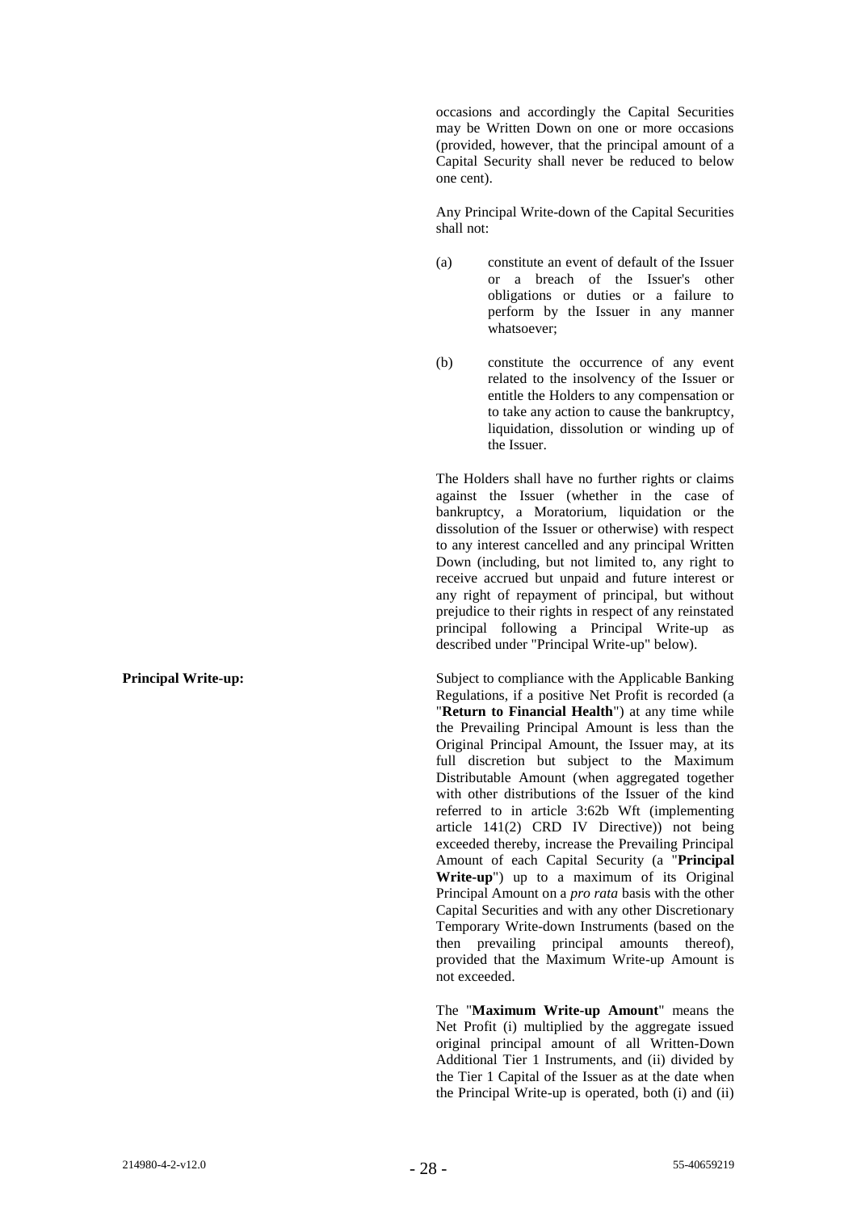occasions and accordingly the Capital Securities may be Written Down on one or more occasions (provided, however, that the principal amount of a Capital Security shall never be reduced to below one cent).

Any Principal Write-down of the Capital Securities shall not:

- (a) constitute an event of default of the Issuer or a breach of the Issuer's other obligations or duties or a failure to perform by the Issuer in any manner whatsoever;
- (b) constitute the occurrence of any event related to the insolvency of the Issuer or entitle the Holders to any compensation or to take any action to cause the bankruptcy, liquidation, dissolution or winding up of the Issuer.

The Holders shall have no further rights or claims against the Issuer (whether in the case of bankruptcy, a Moratorium, liquidation or the dissolution of the Issuer or otherwise) with respect to any interest cancelled and any principal Written Down (including, but not limited to, any right to receive accrued but unpaid and future interest or any right of repayment of principal, but without prejudice to their rights in respect of any reinstated principal following a Principal Write-up as described under "Principal Write-up" below).

**Principal Write-up:** Subject to compliance with the Applicable Banking Regulations, if a positive Net Profit is recorded (a "**Return to Financial Health**") at any time while the Prevailing Principal Amount is less than the Original Principal Amount, the Issuer may, at its full discretion but subject to the Maximum Distributable Amount (when aggregated together with other distributions of the Issuer of the kind referred to in article 3:62b Wft (implementing article 141(2) CRD IV Directive)) not being exceeded thereby, increase the Prevailing Principal Amount of each Capital Security (a "**Principal Write-up**") up to a maximum of its Original Principal Amount on a *pro rata* basis with the other Capital Securities and with any other Discretionary Temporary Write-down Instruments (based on the then prevailing principal amounts thereof), provided that the Maximum Write-up Amount is not exceeded.

> The "**Maximum Write-up Amount**" means the Net Profit (i) multiplied by the aggregate issued original principal amount of all Written-Down Additional Tier 1 Instruments, and (ii) divided by the Tier 1 Capital of the Issuer as at the date when the Principal Write-up is operated, both (i) and (ii)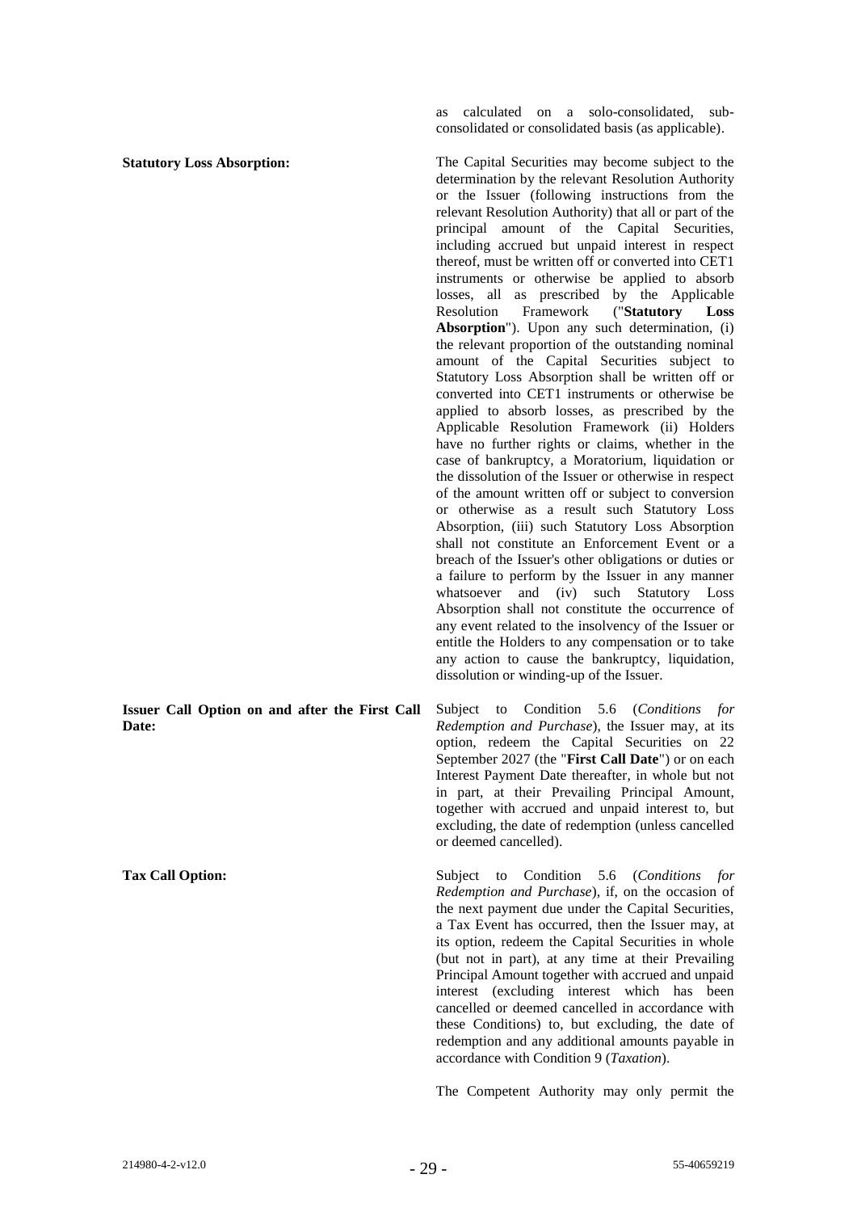**Issuer Call Option on and after the First Call Date:**

as calculated on a solo-consolidated, subconsolidated or consolidated basis (as applicable).

**Statutory Loss Absorption:** The Capital Securities may become subject to the determination by the relevant Resolution Authority or the Issuer (following instructions from the relevant Resolution Authority) that all or part of the principal amount of the Capital Securities, including accrued but unpaid interest in respect thereof, must be written off or converted into CET1 instruments or otherwise be applied to absorb losses, all as prescribed by the Applicable Resolution Framework ("**Statutory Loss**  Absorption<sup>"</sup>). Upon any such determination, (i) the relevant proportion of the outstanding nominal amount of the Capital Securities subject to Statutory Loss Absorption shall be written off or converted into CET1 instruments or otherwise be applied to absorb losses, as prescribed by the Applicable Resolution Framework (ii) Holders have no further rights or claims, whether in the case of bankruptcy, a Moratorium, liquidation or the dissolution of the Issuer or otherwise in respect of the amount written off or subject to conversion or otherwise as a result such Statutory Loss Absorption, (iii) such Statutory Loss Absorption shall not constitute an Enforcement Event or a breach of the Issuer's other obligations or duties or a failure to perform by the Issuer in any manner whatsoever and (iv) such Statutory Loss Absorption shall not constitute the occurrence of any event related to the insolvency of the Issuer or entitle the Holders to any compensation or to take any action to cause the bankruptcy, liquidation, dissolution or winding-up of the Issuer.

> Subject to Condition 5.6 (*Conditions for Redemption and Purchase*), the Issuer may, at its option, redeem the Capital Securities on 22 September 2027 (the "**First Call Date**") or on each Interest Payment Date thereafter, in whole but not in part, at their Prevailing Principal Amount, together with accrued and unpaid interest to, but excluding, the date of redemption (unless cancelled or deemed cancelled).

**Tax Call Option:** Subject to Condition [5.6](#page-49-0) (*Conditions for Redemption and Purchase*), if, on the occasion of the next payment due under the Capital Securities, a Tax Event has occurred, then the Issuer may, at its option, redeem the Capital Securities in whole (but not in part), at any time at their Prevailing Principal Amount together with accrued and unpaid interest (excluding interest which has been cancelled or deemed cancelled in accordance with these Conditions) to, but excluding, the date of redemption and any additional amounts payable in accordance with Condition [9](#page-57-0) (*Taxation*).

The Competent Authority may only permit the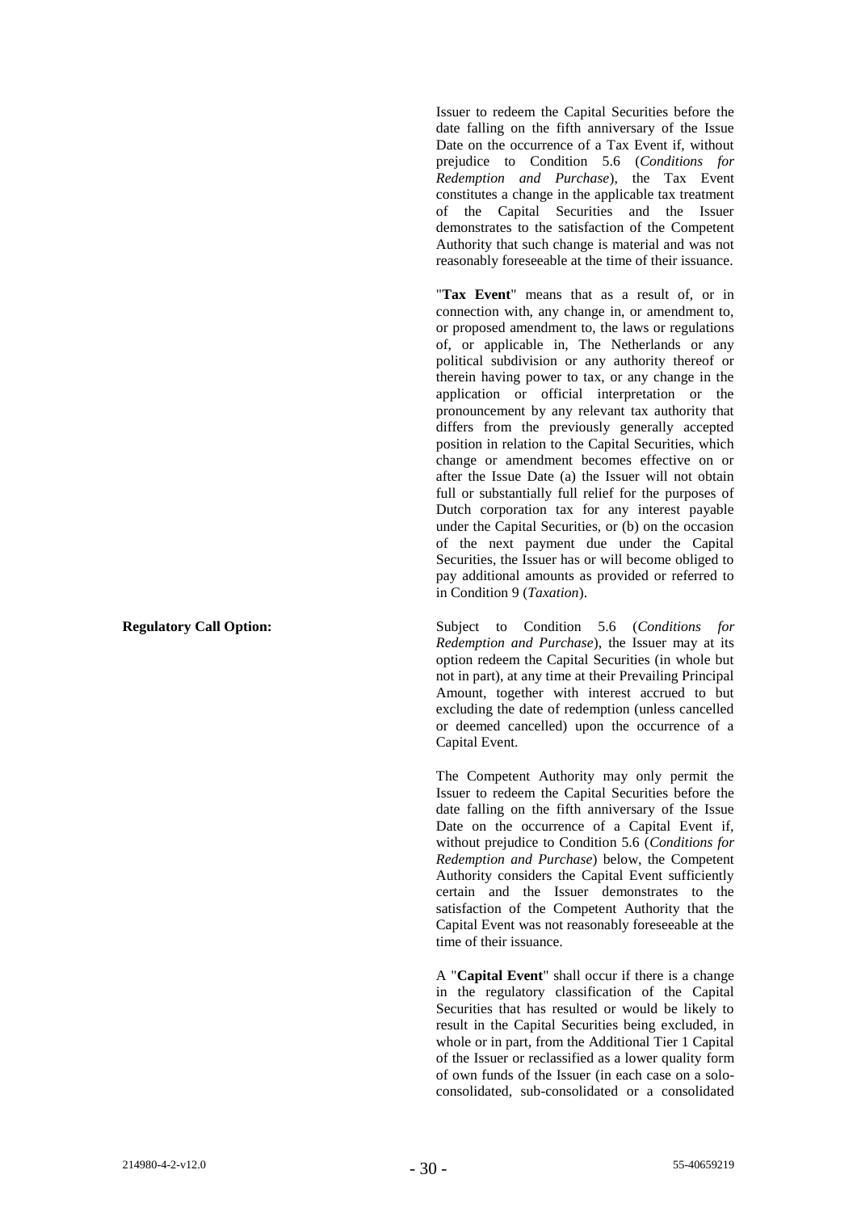Issuer to redeem the Capital Securities before the date falling on the fifth anniversary of the Issue Date on the occurrence of a Tax Event if, without prejudice to Condition [5.6](#page-49-0) (*Conditions for Redemption and Purchase*), the Tax Event constitutes a change in the applicable tax treatment of the Capital Securities and the Issuer demonstrates to the satisfaction of the Competent Authority that such change is material and was not reasonably foreseeable at the time of their issuance.

"**Tax Event**" means that as a result of, or in connection with, any change in, or amendment to, or proposed amendment to, the laws or regulations of, or applicable in, The Netherlands or any political subdivision or any authority thereof or therein having power to tax, or any change in the application or official interpretation or the pronouncement by any relevant tax authority that differs from the previously generally accepted position in relation to the Capital Securities, which change or amendment becomes effective on or after the Issue Date (a) the Issuer will not obtain full or substantially full relief for the purposes of Dutch corporation tax for any interest payable under the Capital Securities, or (b) on the occasion of the next payment due under the Capital Securities, the Issuer has or will become obliged to pay additional amounts as provided or referred to in Condition [9](#page-57-0) (*Taxation*).

**Regulatory Call Option:** Subject to Condition 5.6 (*Conditions for Redemption and Purchase*), the Issuer may at its option redeem the Capital Securities (in whole but not in part), at any time at their Prevailing Principal Amount, together with interest accrued to but excluding the date of redemption (unless cancelled or deemed cancelled) upon the occurrence of a Capital Event.

> The Competent Authority may only permit the Issuer to redeem the Capital Securities before the date falling on the fifth anniversary of the Issue Date on the occurrence of a Capital Event if, without prejudice to Condition 5.6 (*Conditions for Redemption and Purchase*) below, the Competent Authority considers the Capital Event sufficiently certain and the Issuer demonstrates to the satisfaction of the Competent Authority that the Capital Event was not reasonably foreseeable at the time of their issuance.

> A "**Capital Event**" shall occur if there is a change in the regulatory classification of the Capital Securities that has resulted or would be likely to result in the Capital Securities being excluded, in whole or in part, from the Additional Tier 1 Capital of the Issuer or reclassified as a lower quality form of own funds of the Issuer (in each case on a soloconsolidated, sub-consolidated or a consolidated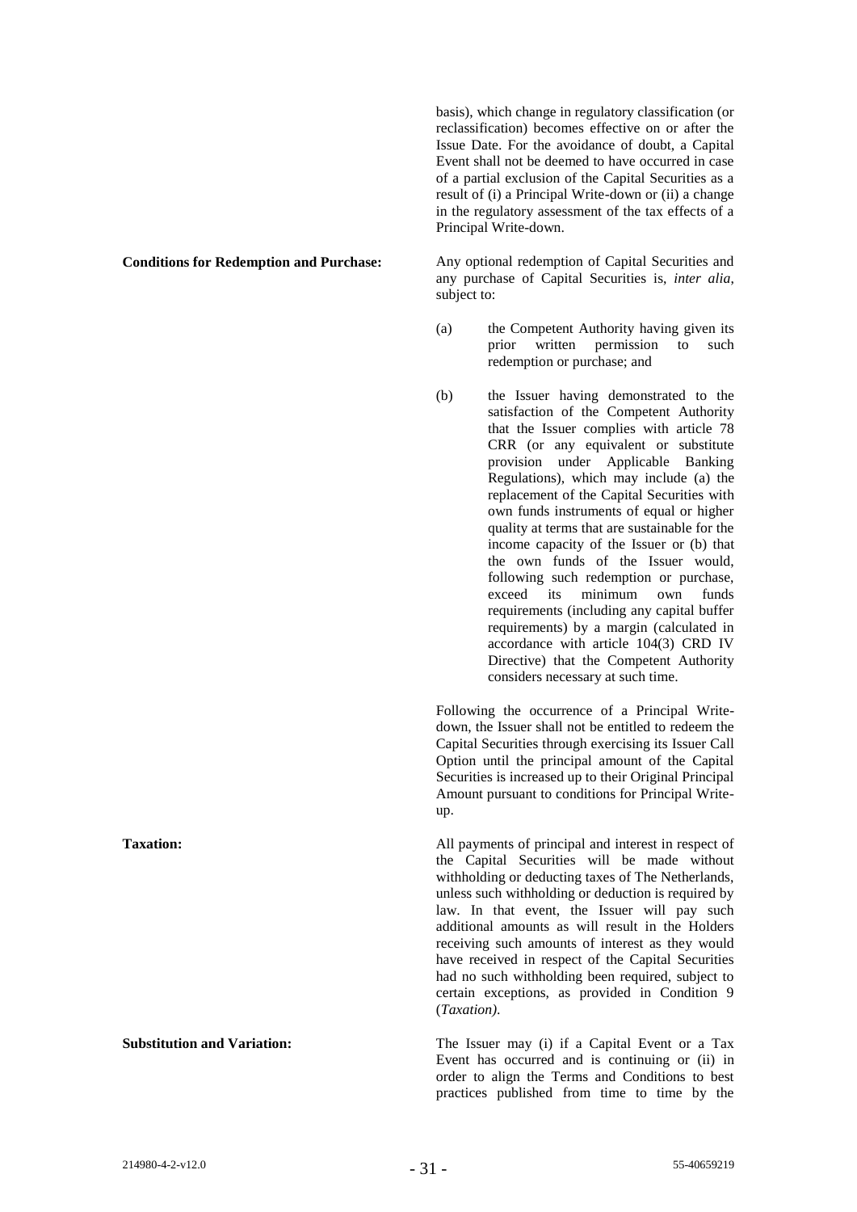basis), which change in regulatory classification (or reclassification) becomes effective on or after the Issue Date. For the avoidance of doubt, a Capital Event shall not be deemed to have occurred in case of a partial exclusion of the Capital Securities as a result of (i) a Principal Write-down or (ii) a change in the regulatory assessment of the tax effects of a Principal Write-down.

**Conditions for Redemption and Purchase:** Any optional redemption of Capital Securities and any purchase of Capital Securities is, *inter alia*, subject to:

- (a) the Competent Authority having given its prior written permission to such redemption or purchase; and
- (b) the Issuer having demonstrated to the satisfaction of the Competent Authority that the Issuer complies with article 78 CRR (or any equivalent or substitute provision under Applicable Banking Regulations), which may include (a) the replacement of the Capital Securities with own funds instruments of equal or higher quality at terms that are sustainable for the income capacity of the Issuer or (b) that the own funds of the Issuer would, following such redemption or purchase, exceed its minimum own funds requirements (including any capital buffer requirements) by a margin (calculated in accordance with article 104(3) CRD IV Directive) that the Competent Authority considers necessary at such time.

Following the occurrence of a Principal Writedown, the Issuer shall not be entitled to redeem the Capital Securities through exercising its Issuer Call Option until the principal amount of the Capital Securities is increased up to their Original Principal Amount pursuant to conditions for Principal Writeup.

**Taxation:** All payments of principal and interest in respect of the Capital Securities will be made without withholding or deducting taxes of The Netherlands, unless such withholding or deduction is required by law. In that event, the Issuer will pay such additional amounts as will result in the Holders receiving such amounts of interest as they would have received in respect of the Capital Securities had no such withholding been required, subject to certain exceptions, as provided in Condition 9 (*Taxation)*.

**Substitution and Variation:** The Issuer may (i) if a Capital Event or a Tax Event has occurred and is continuing or (ii) in order to align the Terms and Conditions to best practices published from time to time by the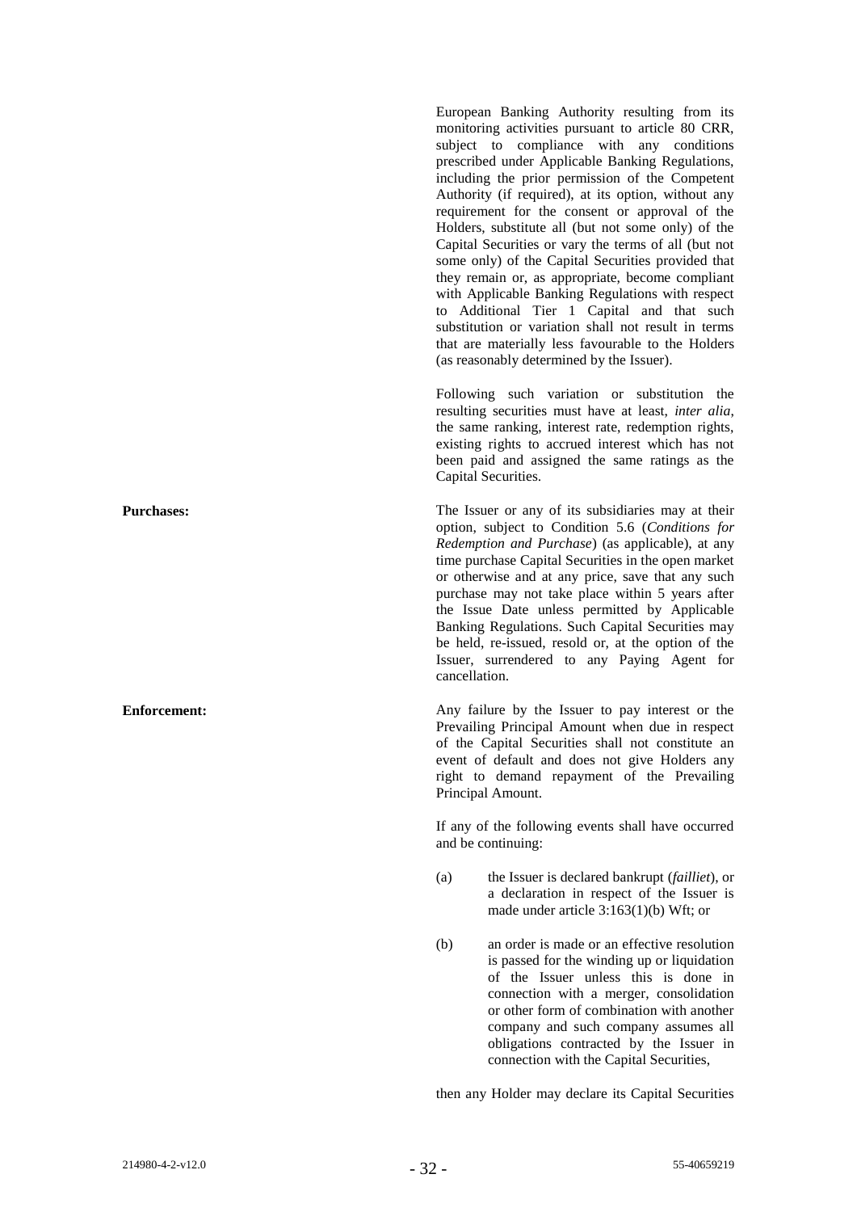European Banking Authority resulting from its monitoring activities pursuant to article 80 CRR, subject to compliance with any conditions prescribed under Applicable Banking Regulations, including the prior permission of the Competent Authority (if required), at its option, without any requirement for the consent or approval of the Holders, substitute all (but not some only) of the Capital Securities or vary the terms of all (but not some only) of the Capital Securities provided that they remain or, as appropriate, become compliant with Applicable Banking Regulations with respect to Additional Tier 1 Capital and that such substitution or variation shall not result in terms that are materially less favourable to the Holders (as reasonably determined by the Issuer).

Following such variation or substitution the resulting securities must have at least, *inter alia*, the same ranking, interest rate, redemption rights, existing rights to accrued interest which has not been paid and assigned the same ratings as the Capital Securities.

**Purchases:** The Issuer or any of its subsidiaries may at their option, subject to Condition 5.6 (*Conditions for Redemption and Purchase*) (as applicable), at any time purchase Capital Securities in the open market or otherwise and at any price, save that any such purchase may not take place within 5 years after the Issue Date unless permitted by Applicable Banking Regulations. Such Capital Securities may be held, re-issued, resold or, at the option of the Issuer, surrendered to any Paying Agent for cancellation.

**Enforcement:** Any failure by the Issuer to pay interest or the Prevailing Principal Amount when due in respect of the Capital Securities shall not constitute an event of default and does not give Holders any right to demand repayment of the Prevailing Principal Amount.

> If any of the following events shall have occurred and be continuing:

- (a) the Issuer is declared bankrupt (*failliet*), or a declaration in respect of the Issuer is made under article  $3:163(1)(b)$  Wft; or
- (b) an order is made or an effective resolution is passed for the winding up or liquidation of the Issuer unless this is done in connection with a merger, consolidation or other form of combination with another company and such company assumes all obligations contracted by the Issuer in connection with the Capital Securities,

then any Holder may declare its Capital Securities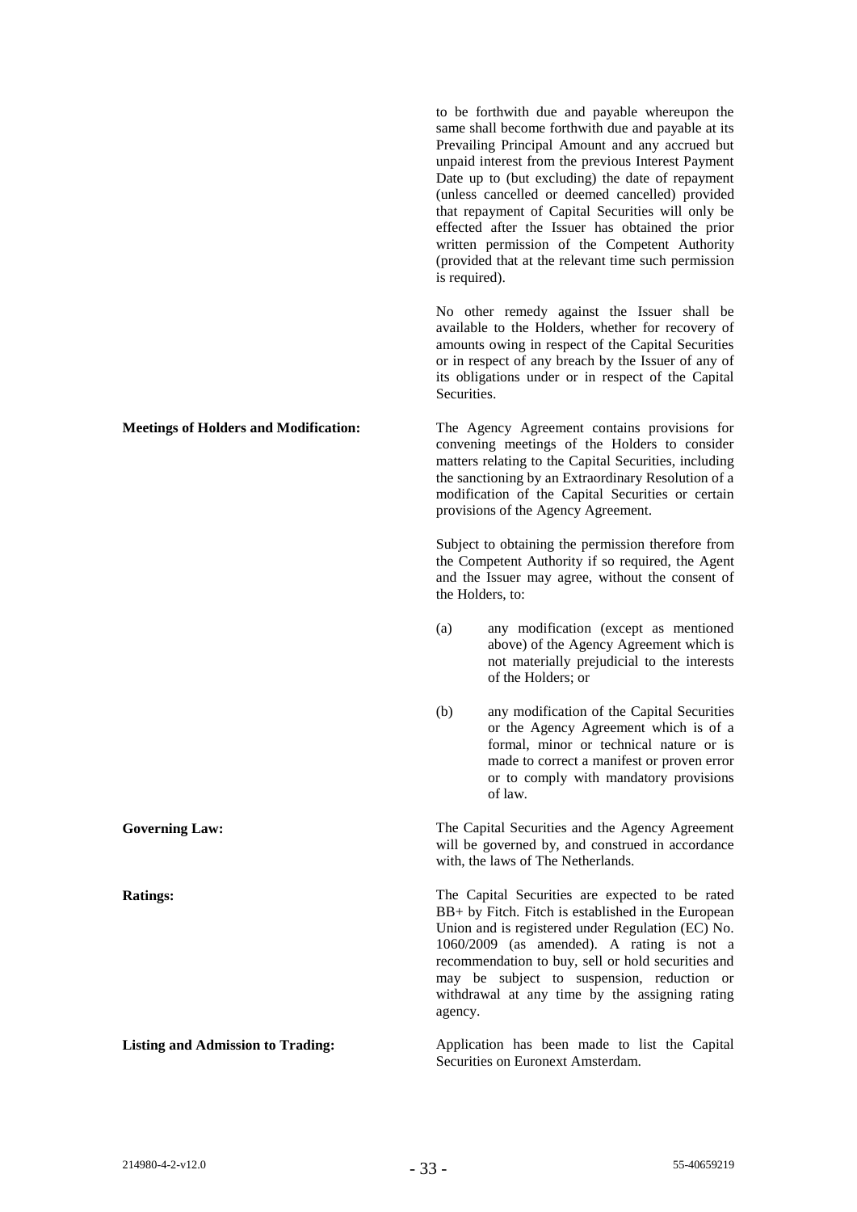|                                              | to be forthwith due and payable whereupon the<br>same shall become forthwith due and payable at its<br>Prevailing Principal Amount and any accrued but<br>unpaid interest from the previous Interest Payment<br>Date up to (but excluding) the date of repayment<br>(unless cancelled or deemed cancelled) provided<br>that repayment of Capital Securities will only be<br>effected after the Issuer has obtained the prior<br>written permission of the Competent Authority<br>(provided that at the relevant time such permission<br>is required). |
|----------------------------------------------|-------------------------------------------------------------------------------------------------------------------------------------------------------------------------------------------------------------------------------------------------------------------------------------------------------------------------------------------------------------------------------------------------------------------------------------------------------------------------------------------------------------------------------------------------------|
|                                              | No other remedy against the Issuer shall be<br>available to the Holders, whether for recovery of<br>amounts owing in respect of the Capital Securities<br>or in respect of any breach by the Issuer of any of<br>its obligations under or in respect of the Capital<br>Securities.                                                                                                                                                                                                                                                                    |
| <b>Meetings of Holders and Modification:</b> | The Agency Agreement contains provisions for<br>convening meetings of the Holders to consider<br>matters relating to the Capital Securities, including<br>the sanctioning by an Extraordinary Resolution of a<br>modification of the Capital Securities or certain<br>provisions of the Agency Agreement.                                                                                                                                                                                                                                             |
|                                              | Subject to obtaining the permission therefore from<br>the Competent Authority if so required, the Agent<br>and the Issuer may agree, without the consent of<br>the Holders, to:                                                                                                                                                                                                                                                                                                                                                                       |
|                                              | any modification (except as mentioned<br>(a)<br>above) of the Agency Agreement which is<br>not materially prejudicial to the interests<br>of the Holders; or                                                                                                                                                                                                                                                                                                                                                                                          |
|                                              | any modification of the Capital Securities<br>(b)<br>or the Agency Agreement which is of a<br>formal, minor or technical nature or is<br>made to correct a manifest or proven error<br>or to comply with mandatory provisions<br>of law.                                                                                                                                                                                                                                                                                                              |
| <b>Governing Law:</b>                        | The Capital Securities and the Agency Agreement<br>will be governed by, and construed in accordance<br>with, the laws of The Netherlands.                                                                                                                                                                                                                                                                                                                                                                                                             |
| <b>Ratings:</b>                              | The Capital Securities are expected to be rated<br>BB+ by Fitch. Fitch is established in the European<br>Union and is registered under Regulation (EC) No.<br>1060/2009 (as amended). A rating is not a<br>recommendation to buy, sell or hold securities and<br>may be subject to suspension, reduction or<br>withdrawal at any time by the assigning rating<br>agency.                                                                                                                                                                              |
| <b>Listing and Admission to Trading:</b>     | Application has been made to list the Capital<br>Securities on Euronext Amsterdam.                                                                                                                                                                                                                                                                                                                                                                                                                                                                    |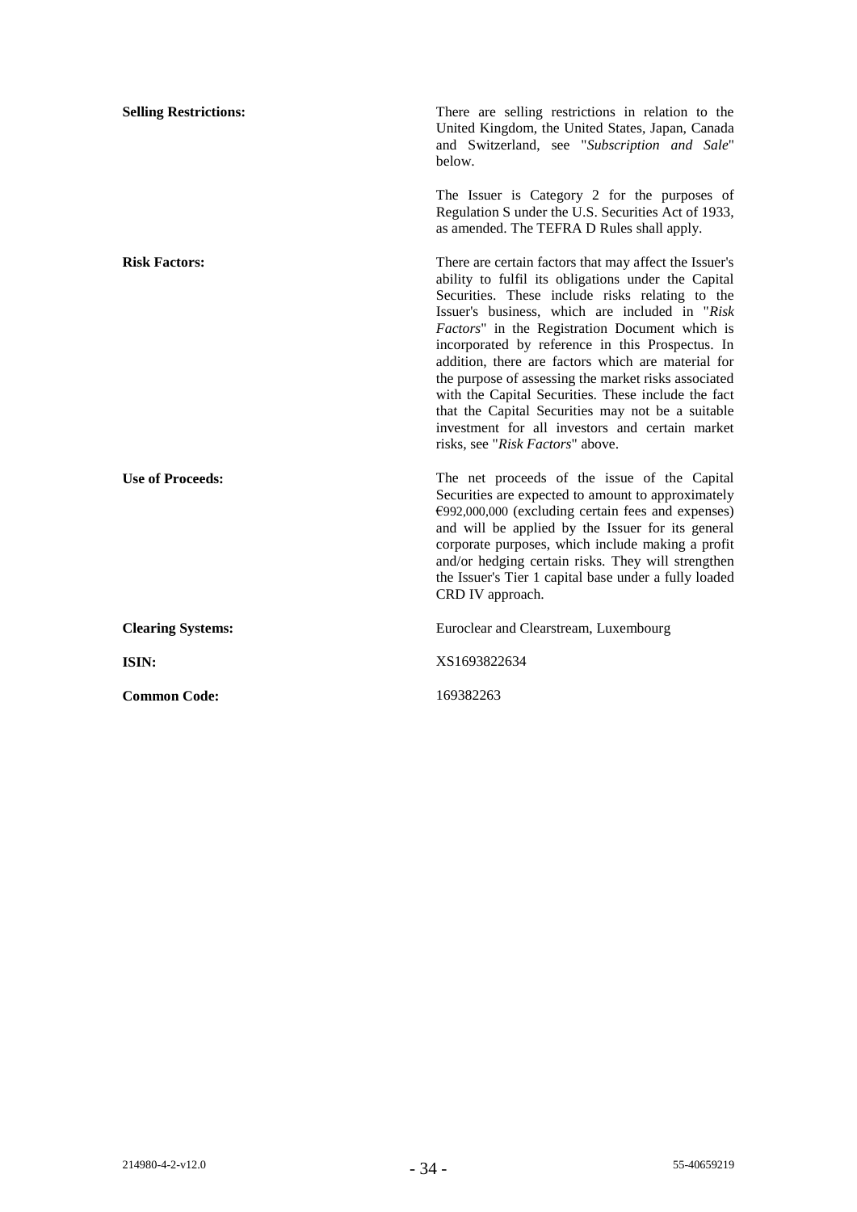| <b>Selling Restrictions:</b> | There are selling restrictions in relation to the<br>United Kingdom, the United States, Japan, Canada<br>and Switzerland, see "Subscription and Sale"<br>below.                                                                                                                                                                                                                                                                                                                                                                                                                                                                            |
|------------------------------|--------------------------------------------------------------------------------------------------------------------------------------------------------------------------------------------------------------------------------------------------------------------------------------------------------------------------------------------------------------------------------------------------------------------------------------------------------------------------------------------------------------------------------------------------------------------------------------------------------------------------------------------|
|                              | The Issuer is Category 2 for the purposes of<br>Regulation S under the U.S. Securities Act of 1933,<br>as amended. The TEFRA D Rules shall apply.                                                                                                                                                                                                                                                                                                                                                                                                                                                                                          |
| <b>Risk Factors:</b>         | There are certain factors that may affect the Issuer's<br>ability to fulfil its obligations under the Capital<br>Securities. These include risks relating to the<br>Issuer's business, which are included in "Risk"<br>Factors" in the Registration Document which is<br>incorporated by reference in this Prospectus. In<br>addition, there are factors which are material for<br>the purpose of assessing the market risks associated<br>with the Capital Securities. These include the fact<br>that the Capital Securities may not be a suitable<br>investment for all investors and certain market<br>risks, see "Risk Factors" above. |
| <b>Use of Proceeds:</b>      | The net proceeds of the issue of the Capital<br>Securities are expected to amount to approximately<br>$E992,000,000$ (excluding certain fees and expenses)<br>and will be applied by the Issuer for its general<br>corporate purposes, which include making a profit<br>and/or hedging certain risks. They will strengthen<br>the Issuer's Tier 1 capital base under a fully loaded<br>CRD IV approach.                                                                                                                                                                                                                                    |
| <b>Clearing Systems:</b>     | Euroclear and Clearstream, Luxembourg                                                                                                                                                                                                                                                                                                                                                                                                                                                                                                                                                                                                      |
| ISIN:                        | XS1693822634                                                                                                                                                                                                                                                                                                                                                                                                                                                                                                                                                                                                                               |
| <b>Common Code:</b>          | 169382263                                                                                                                                                                                                                                                                                                                                                                                                                                                                                                                                                                                                                                  |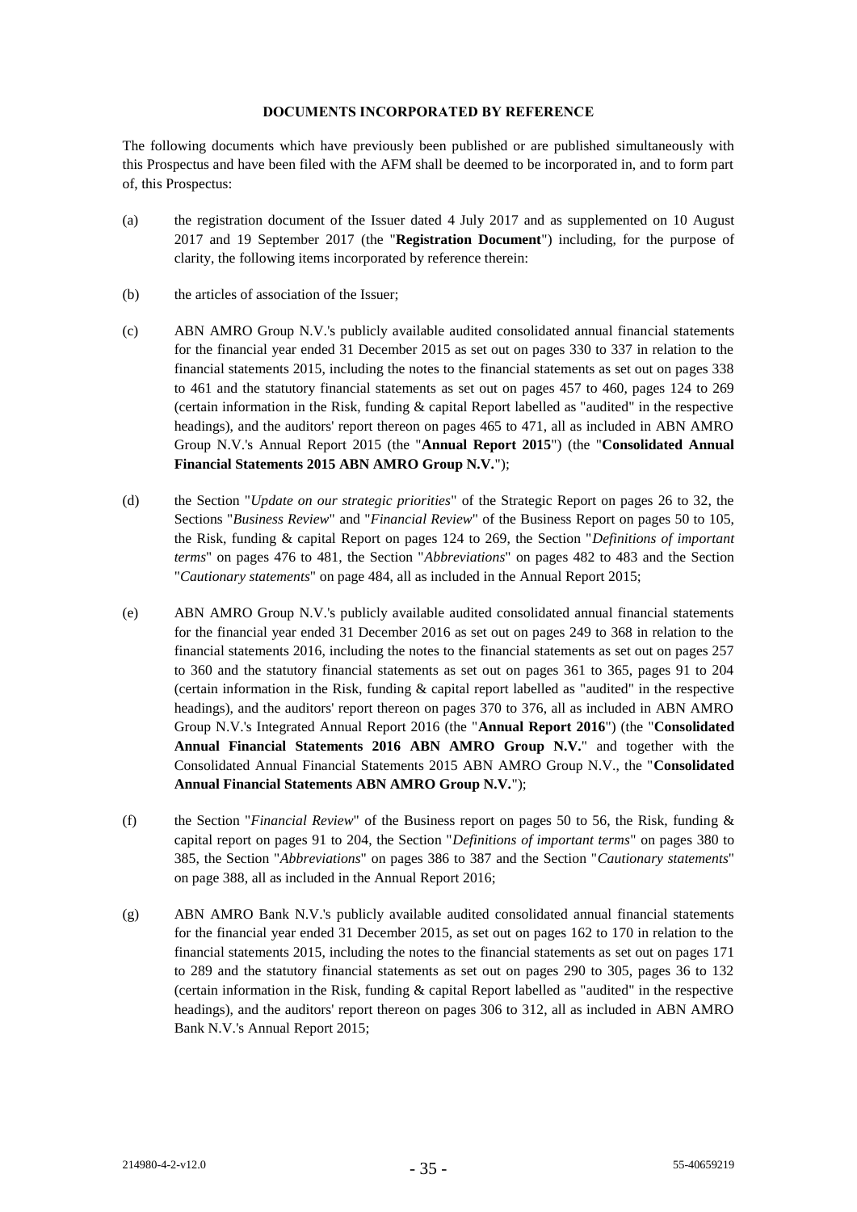#### **DOCUMENTS INCORPORATED BY REFERENCE**

The following documents which have previously been published or are published simultaneously with this Prospectus and have been filed with the AFM shall be deemed to be incorporated in, and to form part of, this Prospectus:

- (a) the registration document of the Issuer dated 4 July 2017 and as supplemented on 10 August 2017 and 19 September 2017 (the "**Registration Document**") including, for the purpose of clarity, the following items incorporated by reference therein:
- (b) the articles of association of the Issuer;
- (c) ABN AMRO Group N.V.'s publicly available audited consolidated annual financial statements for the financial year ended 31 December 2015 as set out on pages 330 to 337 in relation to the financial statements 2015, including the notes to the financial statements as set out on pages 338 to 461 and the statutory financial statements as set out on pages 457 to 460, pages 124 to 269 (certain information in the Risk, funding & capital Report labelled as "audited" in the respective headings), and the auditors' report thereon on pages 465 to 471, all as included in ABN AMRO Group N.V.'s Annual Report 2015 (the "**Annual Report 2015**") (the "**Consolidated Annual Financial Statements 2015 ABN AMRO Group N.V.**");
- (d) the Section "*Update on our strategic priorities*" of the Strategic Report on pages 26 to 32, the Sections "*Business Review*" and "*Financial Review*" of the Business Report on pages 50 to 105, the Risk, funding & capital Report on pages 124 to 269, the Section "*Definitions of important terms*" on pages 476 to 481, the Section "*Abbreviations*" on pages 482 to 483 and the Section "*Cautionary statements*" on page 484, all as included in the Annual Report 2015;
- (e) ABN AMRO Group N.V.'s publicly available audited consolidated annual financial statements for the financial year ended 31 December 2016 as set out on pages 249 to 368 in relation to the financial statements 2016, including the notes to the financial statements as set out on pages 257 to 360 and the statutory financial statements as set out on pages 361 to 365, pages 91 to 204 (certain information in the Risk, funding & capital report labelled as "audited" in the respective headings), and the auditors' report thereon on pages 370 to 376, all as included in ABN AMRO Group N.V.'s Integrated Annual Report 2016 (the "**Annual Report 2016**") (the "**Consolidated Annual Financial Statements 2016 ABN AMRO Group N.V.**" and together with the Consolidated Annual Financial Statements 2015 ABN AMRO Group N.V., the "**Consolidated Annual Financial Statements ABN AMRO Group N.V.**");
- (f) the Section "*Financial Review*" of the Business report on pages 50 to 56, the Risk, funding & capital report on pages 91 to 204, the Section "*Definitions of important terms*" on pages 380 to 385, the Section "*Abbreviations*" on pages 386 to 387 and the Section "*Cautionary statements*" on page 388, all as included in the Annual Report 2016;
- (g) ABN AMRO Bank N.V.'s publicly available audited consolidated annual financial statements for the financial year ended 31 December 2015, as set out on pages 162 to 170 in relation to the financial statements 2015, including the notes to the financial statements as set out on pages 171 to 289 and the statutory financial statements as set out on pages 290 to 305, pages 36 to 132 (certain information in the Risk, funding & capital Report labelled as "audited" in the respective headings), and the auditors' report thereon on pages 306 to 312, all as included in ABN AMRO Bank N.V.'s Annual Report 2015;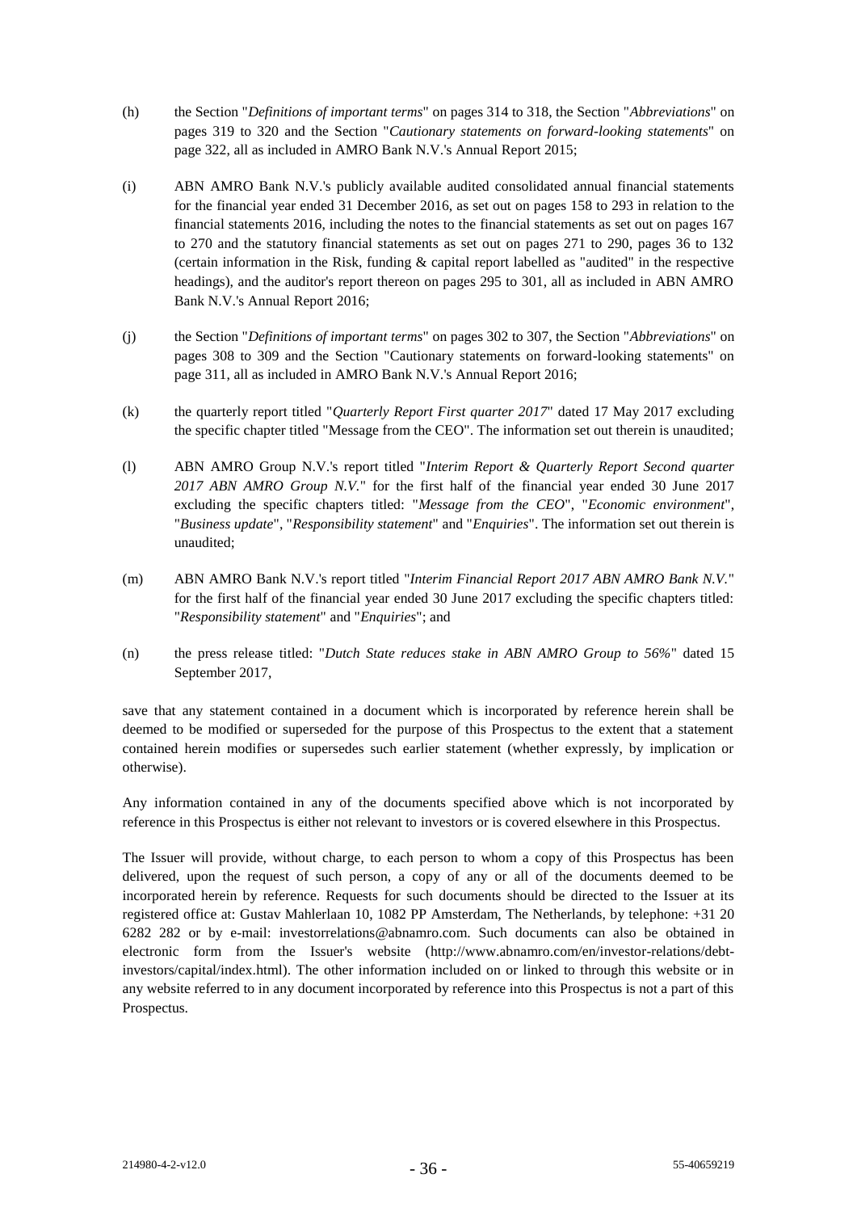- (h) the Section "*Definitions of important terms*" on pages 314 to 318, the Section "*Abbreviations*" on pages 319 to 320 and the Section "*Cautionary statements on forward-looking statements*" on page 322, all as included in AMRO Bank N.V.'s Annual Report 2015;
- (i) ABN AMRO Bank N.V.'s publicly available audited consolidated annual financial statements for the financial year ended 31 December 2016, as set out on pages 158 to 293 in relation to the financial statements 2016, including the notes to the financial statements as set out on pages 167 to 270 and the statutory financial statements as set out on pages 271 to 290, pages 36 to 132 (certain information in the Risk, funding & capital report labelled as "audited" in the respective headings), and the auditor's report thereon on pages 295 to 301, all as included in ABN AMRO Bank N.V.'s Annual Report 2016;
- (j) the Section "*Definitions of important terms*" on pages 302 to 307, the Section "*Abbreviations*" on pages 308 to 309 and the Section "Cautionary statements on forward-looking statements" on page 311, all as included in AMRO Bank N.V.'s Annual Report 2016;
- (k) the quarterly report titled "*Quarterly Report First quarter 2017*" dated 17 May 2017 excluding the specific chapter titled "Message from the CEO". The information set out therein is unaudited;
- (l) ABN AMRO Group N.V.'s report titled "*Interim Report & Quarterly Report Second quarter 2017 ABN AMRO Group N.V.*" for the first half of the financial year ended 30 June 2017 excluding the specific chapters titled: "*Message from the CEO*", "*Economic environment*", "*Business update*", "*Responsibility statement*" and "*Enquiries*". The information set out therein is unaudited;
- (m) ABN AMRO Bank N.V.'s report titled "*Interim Financial Report 2017 ABN AMRO Bank N.V.*" for the first half of the financial year ended 30 June 2017 excluding the specific chapters titled: "*Responsibility statement*" and "*Enquiries*"; and
- (n) the press release titled: "*Dutch State reduces stake in ABN AMRO Group to 56%*" dated 15 September 2017,

save that any statement contained in a document which is incorporated by reference herein shall be deemed to be modified or superseded for the purpose of this Prospectus to the extent that a statement contained herein modifies or supersedes such earlier statement (whether expressly, by implication or otherwise).

Any information contained in any of the documents specified above which is not incorporated by reference in this Prospectus is either not relevant to investors or is covered elsewhere in this Prospectus.

The Issuer will provide, without charge, to each person to whom a copy of this Prospectus has been delivered, upon the request of such person, a copy of any or all of the documents deemed to be incorporated herein by reference. Requests for such documents should be directed to the Issuer at its registered office at: Gustav Mahlerlaan 10, 1082 PP Amsterdam, The Netherlands, by telephone: +31 20 6282 282 or by e-mail: investorrelations@abnamro.com. Such documents can also be obtained in electronic form from the Issuer's website (http://www.abnamro.com/en/investor-relations/debtinvestors/capital/index.html). The other information included on or linked to through this website or in any website referred to in any document incorporated by reference into this Prospectus is not a part of this Prospectus.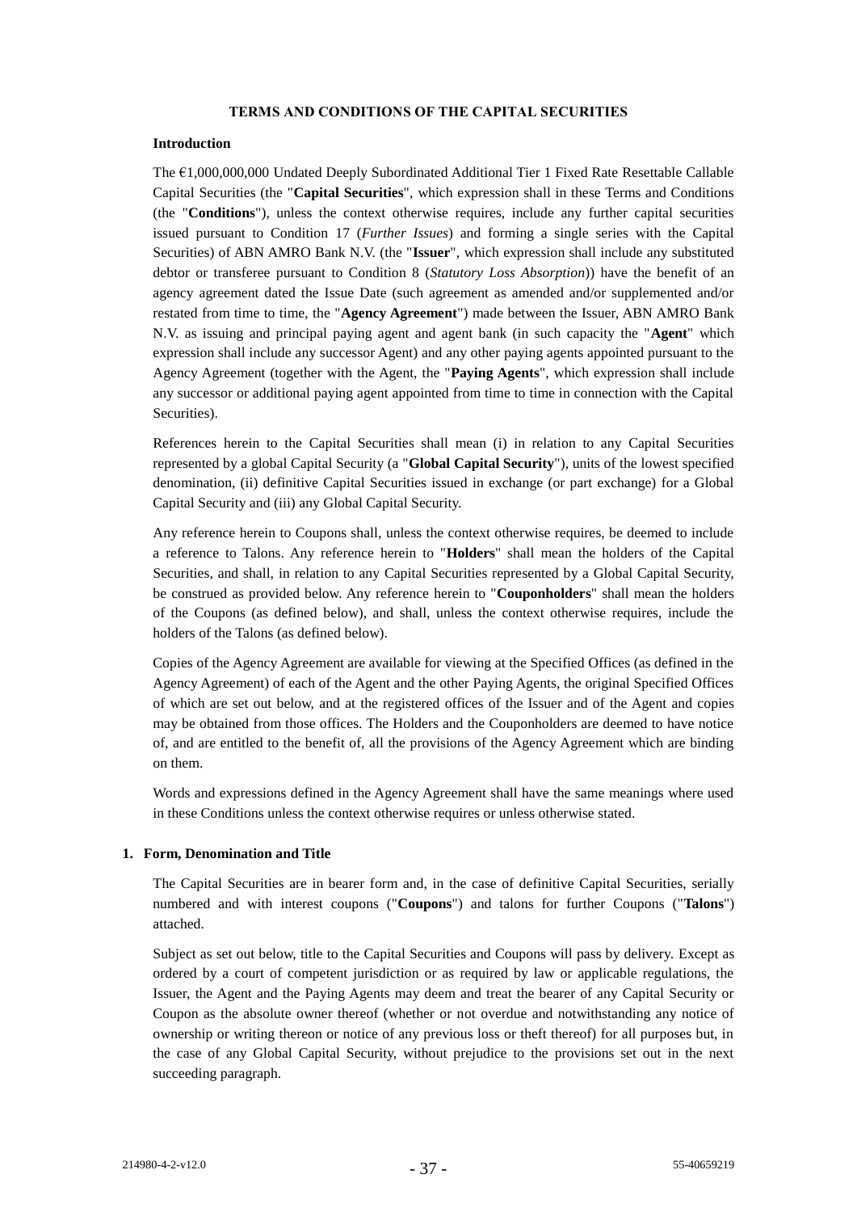#### **TERMS AND CONDITIONS OF THE CAPITAL SECURITIES**

#### **Introduction**

The €1,000,000,000 Undated Deeply Subordinated Additional Tier 1 Fixed Rate Resettable Callable Capital Securities (the "**Capital Securities**", which expression shall in these Terms and Conditions (the "**Conditions**"), unless the context otherwise requires, include any further capital securities issued pursuant to Condition [17](#page-61-0) (*Further Issues*) and forming a single series with the Capital Securities) of ABN AMRO Bank N.V. (the "**Issuer**", which expression shall include any substituted debtor or transferee pursuant to Condition 8 (*Statutory Loss Absorption*)) have the benefit of an agency agreement dated the Issue Date (such agreement as amended and/or supplemented and/or restated from time to time, the "**Agency Agreement**") made between the Issuer, ABN AMRO Bank N.V. as issuing and principal paying agent and agent bank (in such capacity the "**Agent**" which expression shall include any successor Agent) and any other paying agents appointed pursuant to the Agency Agreement (together with the Agent, the "**Paying Agents**", which expression shall include any successor or additional paying agent appointed from time to time in connection with the Capital Securities).

References herein to the Capital Securities shall mean (i) in relation to any Capital Securities represented by a global Capital Security (a "**Global Capital Security**"), units of the lowest specified denomination, (ii) definitive Capital Securities issued in exchange (or part exchange) for a Global Capital Security and (iii) any Global Capital Security.

Any reference herein to Coupons shall, unless the context otherwise requires, be deemed to include a reference to Talons. Any reference herein to "**Holders**" shall mean the holders of the Capital Securities, and shall, in relation to any Capital Securities represented by a Global Capital Security, be construed as provided below. Any reference herein to "**Couponholders**" shall mean the holders of the Coupons (as defined below), and shall, unless the context otherwise requires, include the holders of the Talons (as defined below).

Copies of the Agency Agreement are available for viewing at the Specified Offices (as defined in the Agency Agreement) of each of the Agent and the other Paying Agents, the original Specified Offices of which are set out below, and at the registered offices of the Issuer and of the Agent and copies may be obtained from those offices. The Holders and the Couponholders are deemed to have notice of, and are entitled to the benefit of, all the provisions of the Agency Agreement which are binding on them.

Words and expressions defined in the Agency Agreement shall have the same meanings where used in these Conditions unless the context otherwise requires or unless otherwise stated.

### <span id="page-41-0"></span>**1. Form, Denomination and Title**

The Capital Securities are in bearer form and, in the case of definitive Capital Securities, serially numbered and with interest coupons ("**Coupons**") and talons for further Coupons ("**Talons**") attached.

Subject as set out below, title to the Capital Securities and Coupons will pass by delivery. Except as ordered by a court of competent jurisdiction or as required by law or applicable regulations, the Issuer, the Agent and the Paying Agents may deem and treat the bearer of any Capital Security or Coupon as the absolute owner thereof (whether or not overdue and notwithstanding any notice of ownership or writing thereon or notice of any previous loss or theft thereof) for all purposes but, in the case of any Global Capital Security, without prejudice to the provisions set out in the next succeeding paragraph.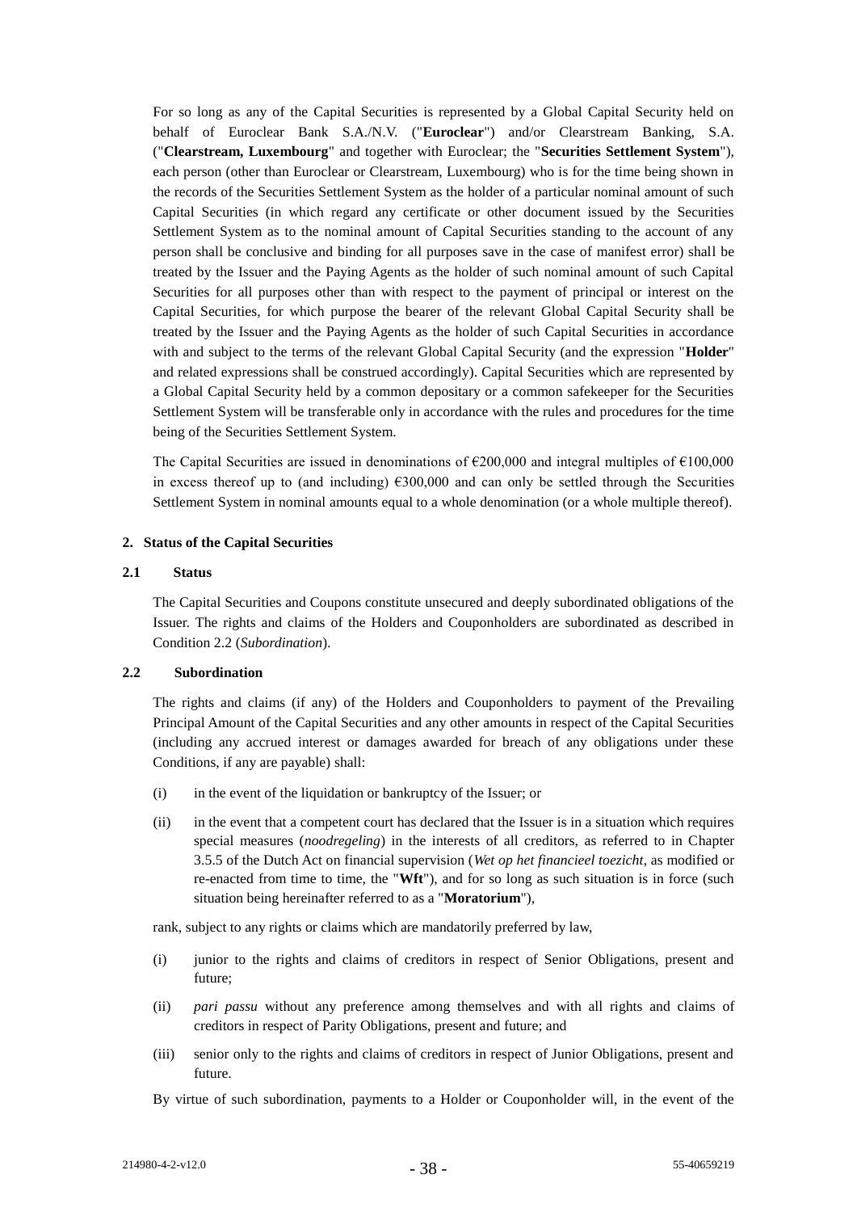For so long as any of the Capital Securities is represented by a Global Capital Security held on behalf of Euroclear Bank S.A./N.V. ("**Euroclear**") and/or Clearstream Banking, S.A. ("**Clearstream, Luxembourg**" and together with Euroclear; the "**Securities Settlement System**"), each person (other than Euroclear or Clearstream, Luxembourg) who is for the time being shown in the records of the Securities Settlement System as the holder of a particular nominal amount of such Capital Securities (in which regard any certificate or other document issued by the Securities Settlement System as to the nominal amount of Capital Securities standing to the account of any person shall be conclusive and binding for all purposes save in the case of manifest error) shall be treated by the Issuer and the Paying Agents as the holder of such nominal amount of such Capital Securities for all purposes other than with respect to the payment of principal or interest on the Capital Securities, for which purpose the bearer of the relevant Global Capital Security shall be treated by the Issuer and the Paying Agents as the holder of such Capital Securities in accordance with and subject to the terms of the relevant Global Capital Security (and the expression "**Holder**" and related expressions shall be construed accordingly). Capital Securities which are represented by a Global Capital Security held by a common depositary or a common safekeeper for the Securities Settlement System will be transferable only in accordance with the rules and procedures for the time being of the Securities Settlement System.

The Capital Securities are issued in denominations of  $\epsilon$ 200,000 and integral multiples of  $\epsilon$ 100,000 in excess thereof up to (and including)  $\epsilon$ 300,000 and can only be settled through the Securities Settlement System in nominal amounts equal to a whole denomination (or a whole multiple thereof).

### **2. Status of the Capital Securities**

#### **2.1 Status**

The Capital Securities and Coupons constitute unsecured and deeply subordinated obligations of the Issuer. The rights and claims of the Holders and Couponholders are subordinated as described in Condition [2.2](#page-42-0) (*Subordination*).

# <span id="page-42-0"></span>**2.2 Subordination**

The rights and claims (if any) of the Holders and Couponholders to payment of the Prevailing Principal Amount of the Capital Securities and any other amounts in respect of the Capital Securities (including any accrued interest or damages awarded for breach of any obligations under these Conditions, if any are payable) shall:

- (i) in the event of the liquidation or bankruptcy of the Issuer; or
- (ii) in the event that a competent court has declared that the Issuer is in a situation which requires special measures (*noodregeling*) in the interests of all creditors, as referred to in Chapter 3.5.5 of the Dutch Act on financial supervision (*Wet op het financieel toezicht*, as modified or re-enacted from time to time, the "**Wft**"), and for so long as such situation is in force (such situation being hereinafter referred to as a "**Moratorium**"),

rank, subject to any rights or claims which are mandatorily preferred by law,

- (i) junior to the rights and claims of creditors in respect of Senior Obligations, present and future;
- (ii) *pari passu* without any preference among themselves and with all rights and claims of creditors in respect of Parity Obligations, present and future; and
- (iii) senior only to the rights and claims of creditors in respect of Junior Obligations, present and future.

By virtue of such subordination, payments to a Holder or Couponholder will, in the event of the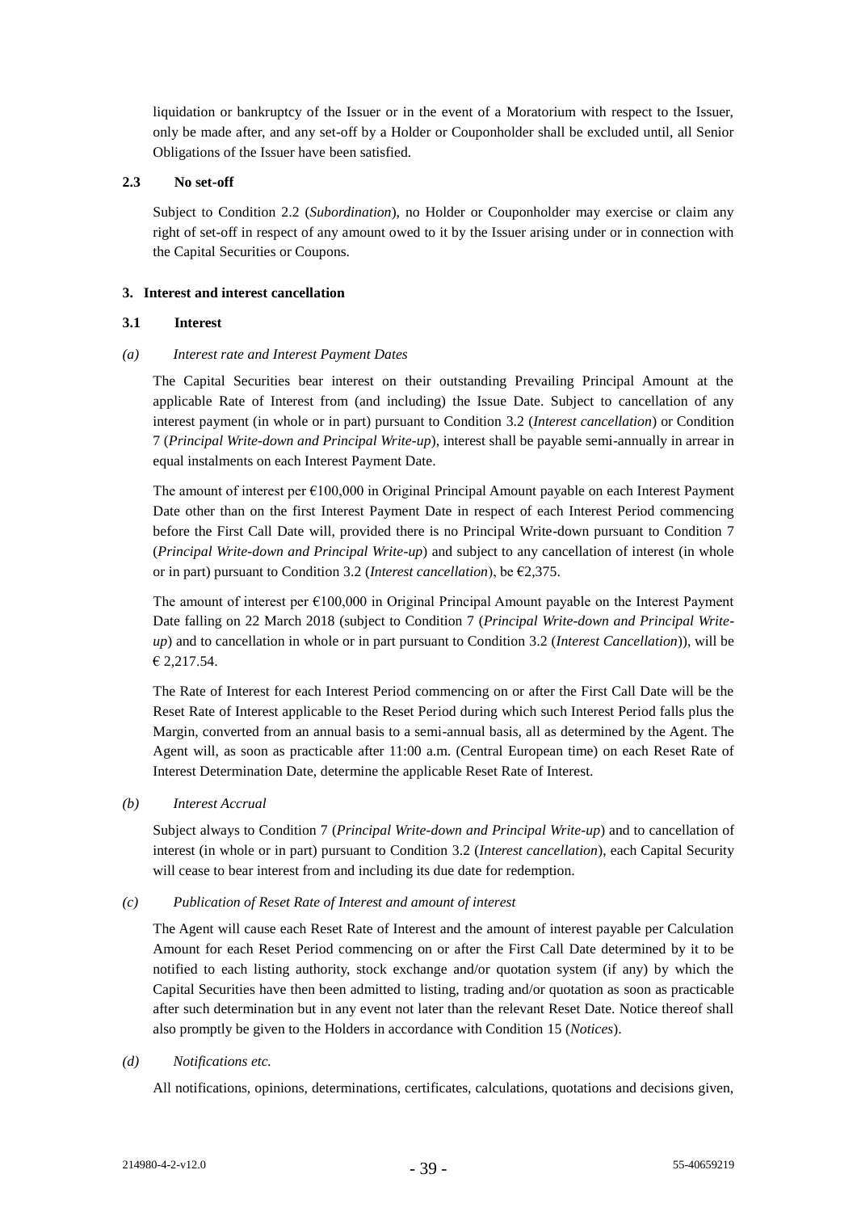liquidation or bankruptcy of the Issuer or in the event of a Moratorium with respect to the Issuer, only be made after, and any set-off by a Holder or Couponholder shall be excluded until, all Senior Obligations of the Issuer have been satisfied.

### **2.3 No set-off**

Subject to Condition [2.2](#page-42-0) (*Subordination*), no Holder or Couponholder may exercise or claim any right of set-off in respect of any amount owed to it by the Issuer arising under or in connection with the Capital Securities or Coupons.

### <span id="page-43-0"></span>**3. Interest and interest cancellation**

# **3.1 Interest**

# *(a) Interest rate and Interest Payment Dates*

The Capital Securities bear interest on their outstanding Prevailing Principal Amount at the applicable Rate of Interest from (and including) the Issue Date. Subject to cancellation of any interest payment (in whole or in part) pursuant to Condition [3.2](#page-44-0) (*Interest cancellation*) or Condition [7](#page-52-0) (*Principal Write-down and Principal Write-up*), interest shall be payable semi-annually in arrear in equal instalments on each Interest Payment Date.

The amount of interest per  $\epsilon$ 100,000 in Original Principal Amount payable on each Interest Payment Date other than on the first Interest Payment Date in respect of each Interest Period commencing before the First Call Date will, provided there is no Principal Write-down pursuant to Condition [7](#page-52-0) (*Principal Write-down and Principal Write-up*) and subject to any cancellation of interest (in whole or in part) pursuant to Condition [3.2](#page-44-0) (*Interest cancellation*), be €2,375.

The amount of interest per  $\epsilon$ 100,000 in Original Principal Amount payable on the Interest Payment Date falling on 22 March 2018 (subject to Condition [7](#page-52-0) (*Principal Write-down and Principal Writeup*) and to cancellation in whole or in part pursuant to Condition [3.2](#page-44-0) (*Interest Cancellation*)), will be € 2,217.54.

The Rate of Interest for each Interest Period commencing on or after the First Call Date will be the Reset Rate of Interest applicable to the Reset Period during which such Interest Period falls plus the Margin, converted from an annual basis to a semi-annual basis, all as determined by the Agent. The Agent will, as soon as practicable after 11:00 a.m. (Central European time) on each Reset Rate of Interest Determination Date, determine the applicable Reset Rate of Interest.

*(b) Interest Accrual*

Subject always to Condition [7](#page-52-0) (*Principal Write-down and Principal Write-up*) and to cancellation of interest (in whole or in part) pursuant to Condition [3.2](#page-44-0) (*Interest cancellation*), each Capital Security will cease to bear interest from and including its due date for redemption.

### *(c) Publication of Reset Rate of Interest and amount of interest*

The Agent will cause each Reset Rate of Interest and the amount of interest payable per Calculation Amount for each Reset Period commencing on or after the First Call Date determined by it to be notified to each listing authority, stock exchange and/or quotation system (if any) by which the Capital Securities have then been admitted to listing, trading and/or quotation as soon as practicable after such determination but in any event not later than the relevant Reset Date. Notice thereof shall also promptly be given to the Holders in accordance with Condition [15](#page-59-0) (*Notices*).

### *(d) Notifications etc.*

All notifications, opinions, determinations, certificates, calculations, quotations and decisions given,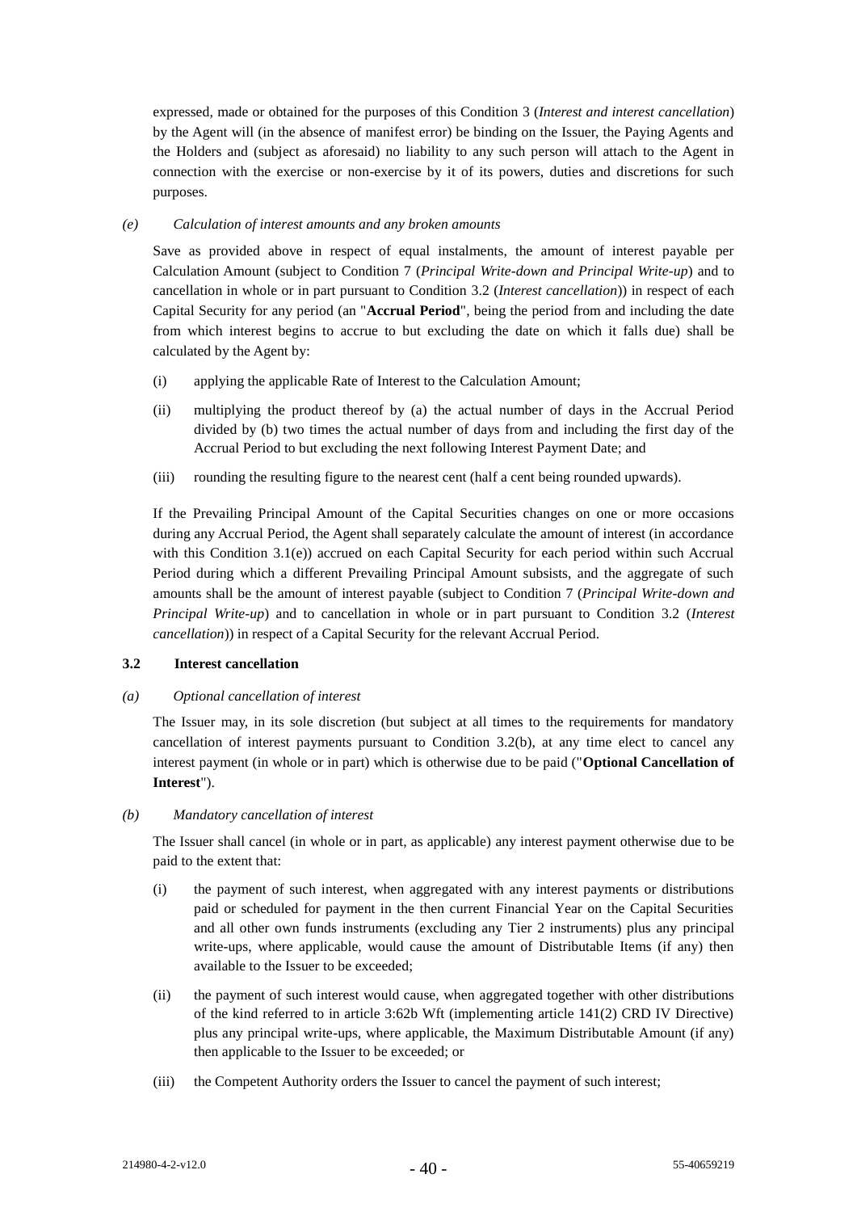expressed, made or obtained for the purposes of this Condition [3](#page-43-0) (*Interest and interest cancellation*) by the Agent will (in the absence of manifest error) be binding on the Issuer, the Paying Agents and the Holders and (subject as aforesaid) no liability to any such person will attach to the Agent in connection with the exercise or non-exercise by it of its powers, duties and discretions for such purposes.

### <span id="page-44-1"></span>*(e) Calculation of interest amounts and any broken amounts*

Save as provided above in respect of equal instalments, the amount of interest payable per Calculation Amount (subject to Condition [7](#page-52-0) (*Principal Write-down and Principal Write-up*) and to cancellation in whole or in part pursuant to Condition [3.2](#page-44-0) (*Interest cancellation*)) in respect of each Capital Security for any period (an "**Accrual Period**", being the period from and including the date from which interest begins to accrue to but excluding the date on which it falls due) shall be calculated by the Agent by:

- (i) applying the applicable Rate of Interest to the Calculation Amount;
- (ii) multiplying the product thereof by (a) the actual number of days in the Accrual Period divided by (b) two times the actual number of days from and including the first day of the Accrual Period to but excluding the next following Interest Payment Date; and
- (iii) rounding the resulting figure to the nearest cent (half a cent being rounded upwards).

If the Prevailing Principal Amount of the Capital Securities changes on one or more occasions during any Accrual Period, the Agent shall separately calculate the amount of interest (in accordance with this Condition [3.1\(e\)\)](#page-44-1) accrued on each Capital Security for each period within such Accrual Period during which a different Prevailing Principal Amount subsists, and the aggregate of such amounts shall be the amount of interest payable (subject to Condition [7](#page-52-0) (*Principal Write-down and Principal Write-up*) and to cancellation in whole or in part pursuant to Condition [3.2](#page-44-0) (*Interest cancellation*)) in respect of a Capital Security for the relevant Accrual Period.

### <span id="page-44-0"></span>**3.2 Interest cancellation**

### <span id="page-44-2"></span>*(a) Optional cancellation of interest*

The Issuer may, in its sole discretion (but subject at all times to the requirements for mandatory cancellation of interest payments pursuant to Condition [3.2\(](#page-44-0)b), at any time elect to cancel any interest payment (in whole or in part) which is otherwise due to be paid ("**Optional Cancellation of Interest**").

### <span id="page-44-3"></span>*(b) Mandatory cancellation of interest*

The Issuer shall cancel (in whole or in part, as applicable) any interest payment otherwise due to be paid to the extent that:

- (i) the payment of such interest, when aggregated with any interest payments or distributions paid or scheduled for payment in the then current Financial Year on the Capital Securities and all other own funds instruments (excluding any Tier 2 instruments) plus any principal write-ups, where applicable, would cause the amount of Distributable Items (if any) then available to the Issuer to be exceeded;
- (ii) the payment of such interest would cause, when aggregated together with other distributions of the kind referred to in article 3:62b Wft (implementing article 141(2) CRD IV Directive) plus any principal write-ups, where applicable, the Maximum Distributable Amount (if any) then applicable to the Issuer to be exceeded; or
- (iii) the Competent Authority orders the Issuer to cancel the payment of such interest;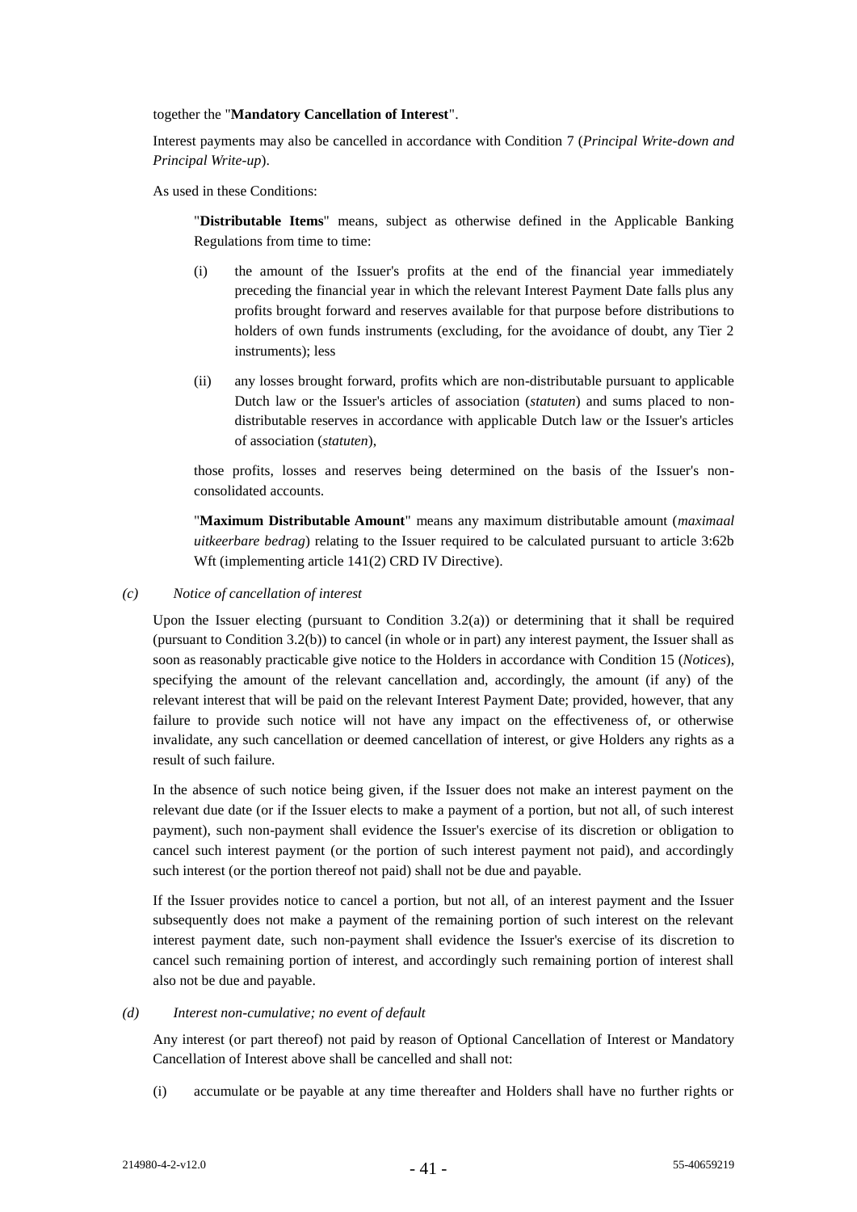together the "**Mandatory Cancellation of Interest**".

Interest payments may also be cancelled in accordance with Condition [7](#page-52-0) (*Principal Write-down and Principal Write-up*).

As used in these Conditions:

"**Distributable Items**" means, subject as otherwise defined in the Applicable Banking Regulations from time to time:

- (i) the amount of the Issuer's profits at the end of the financial year immediately preceding the financial year in which the relevant Interest Payment Date falls plus any profits brought forward and reserves available for that purpose before distributions to holders of own funds instruments (excluding, for the avoidance of doubt, any Tier 2 instruments); less
- (ii) any losses brought forward, profits which are non-distributable pursuant to applicable Dutch law or the Issuer's articles of association (*statuten*) and sums placed to nondistributable reserves in accordance with applicable Dutch law or the Issuer's articles of association (*statuten*),

those profits, losses and reserves being determined on the basis of the Issuer's nonconsolidated accounts.

"**Maximum Distributable Amount**" means any maximum distributable amount (*maximaal uitkeerbare bedrag*) relating to the Issuer required to be calculated pursuant to article 3:62b Wft (implementing article 141(2) CRD IV Directive).

*(c) Notice of cancellation of interest*

Upon the Issuer electing (pursuant to Condition [3.2\(a\)\)](#page-44-2) or determining that it shall be required (pursuant to Condition [3.2\(b\)\)](#page-44-3) to cancel (in whole or in part) any interest payment, the Issuer shall as soon as reasonably practicable give notice to the Holders in accordance with Conditio[n 15](#page-59-0) (*Notices*), specifying the amount of the relevant cancellation and, accordingly, the amount (if any) of the relevant interest that will be paid on the relevant Interest Payment Date; provided, however, that any failure to provide such notice will not have any impact on the effectiveness of, or otherwise invalidate, any such cancellation or deemed cancellation of interest, or give Holders any rights as a result of such failure.

In the absence of such notice being given, if the Issuer does not make an interest payment on the relevant due date (or if the Issuer elects to make a payment of a portion, but not all, of such interest payment), such non-payment shall evidence the Issuer's exercise of its discretion or obligation to cancel such interest payment (or the portion of such interest payment not paid), and accordingly such interest (or the portion thereof not paid) shall not be due and payable.

If the Issuer provides notice to cancel a portion, but not all, of an interest payment and the Issuer subsequently does not make a payment of the remaining portion of such interest on the relevant interest payment date, such non-payment shall evidence the Issuer's exercise of its discretion to cancel such remaining portion of interest, and accordingly such remaining portion of interest shall also not be due and payable.

#### *(d) Interest non-cumulative; no event of default*

Any interest (or part thereof) not paid by reason of Optional Cancellation of Interest or Mandatory Cancellation of Interest above shall be cancelled and shall not:

(i) accumulate or be payable at any time thereafter and Holders shall have no further rights or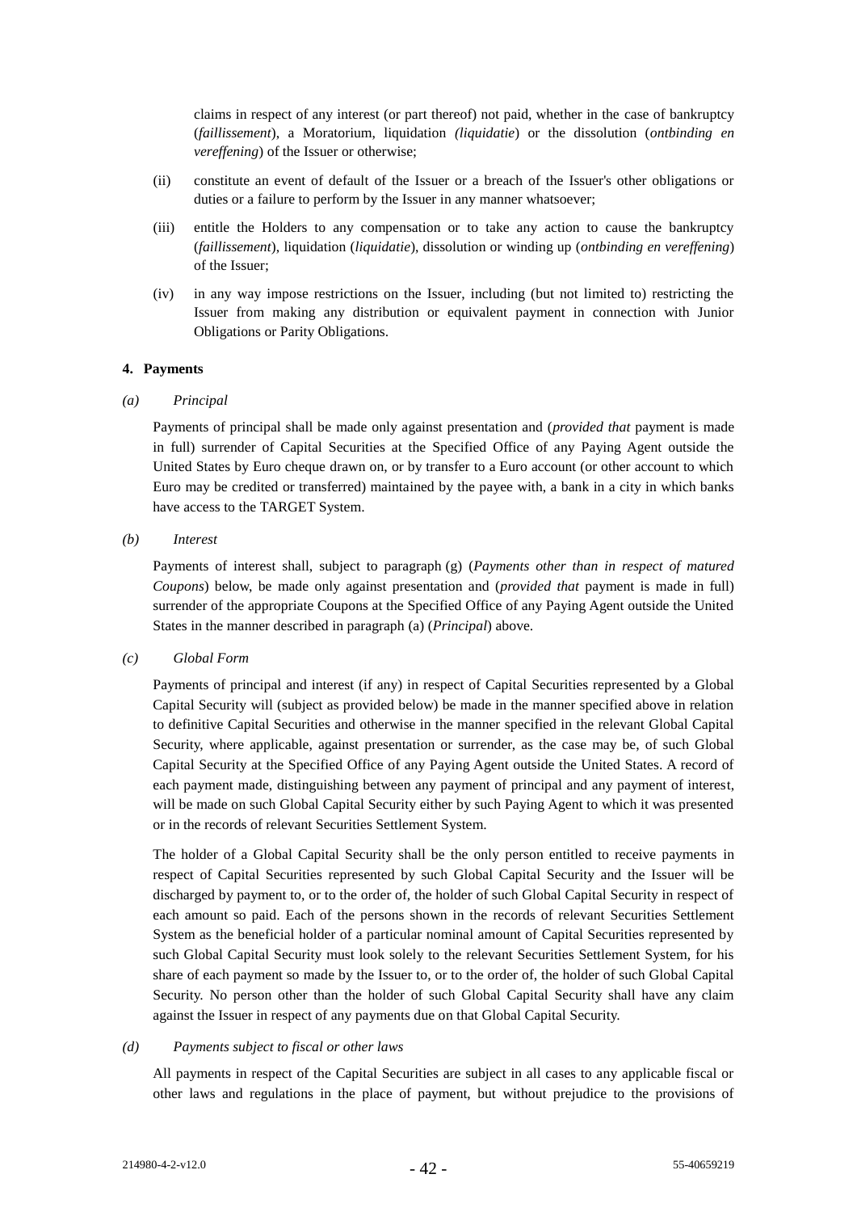claims in respect of any interest (or part thereof) not paid, whether in the case of bankruptcy (*faillissement*), a Moratorium, liquidation *(liquidatie*) or the dissolution (*ontbinding en vereffening*) of the Issuer or otherwise;

- (ii) constitute an event of default of the Issuer or a breach of the Issuer's other obligations or duties or a failure to perform by the Issuer in any manner whatsoever;
- (iii) entitle the Holders to any compensation or to take any action to cause the bankruptcy (*faillissement*), liquidation (*liquidatie*), dissolution or winding up (*ontbinding en vereffening*) of the Issuer;
- (iv) in any way impose restrictions on the Issuer, including (but not limited to) restricting the Issuer from making any distribution or equivalent payment in connection with Junior Obligations or Parity Obligations.

#### **4. Payments**

#### <span id="page-46-0"></span>*(a) Principal*

Payments of principal shall be made only against presentation and (*provided that* payment is made in full) surrender of Capital Securities at the Specified Office of any Paying Agent outside the United States by Euro cheque drawn on, or by transfer to a Euro account (or other account to which Euro may be credited or transferred) maintained by the payee with, a bank in a city in which banks have access to the TARGET System.

*(b) Interest*

Payments of interest shall, subject to paragraph [\(g\)](#page-47-0) (*Payments other than in respect of matured Coupons*) below, be made only against presentation and (*provided that* payment is made in full) surrender of the appropriate Coupons at the Specified Office of any Paying Agent outside the United States in the manner described in paragrap[h \(a\)](#page-46-0) (*Principal*) above.

### *(c) Global Form*

Payments of principal and interest (if any) in respect of Capital Securities represented by a Global Capital Security will (subject as provided below) be made in the manner specified above in relation to definitive Capital Securities and otherwise in the manner specified in the relevant Global Capital Security, where applicable, against presentation or surrender, as the case may be, of such Global Capital Security at the Specified Office of any Paying Agent outside the United States. A record of each payment made, distinguishing between any payment of principal and any payment of interest, will be made on such Global Capital Security either by such Paying Agent to which it was presented or in the records of relevant Securities Settlement System.

The holder of a Global Capital Security shall be the only person entitled to receive payments in respect of Capital Securities represented by such Global Capital Security and the Issuer will be discharged by payment to, or to the order of, the holder of such Global Capital Security in respect of each amount so paid. Each of the persons shown in the records of relevant Securities Settlement System as the beneficial holder of a particular nominal amount of Capital Securities represented by such Global Capital Security must look solely to the relevant Securities Settlement System, for his share of each payment so made by the Issuer to, or to the order of, the holder of such Global Capital Security. No person other than the holder of such Global Capital Security shall have any claim against the Issuer in respect of any payments due on that Global Capital Security.

#### *(d) Payments subject to fiscal or other laws*

All payments in respect of the Capital Securities are subject in all cases to any applicable fiscal or other laws and regulations in the place of payment, but without prejudice to the provisions of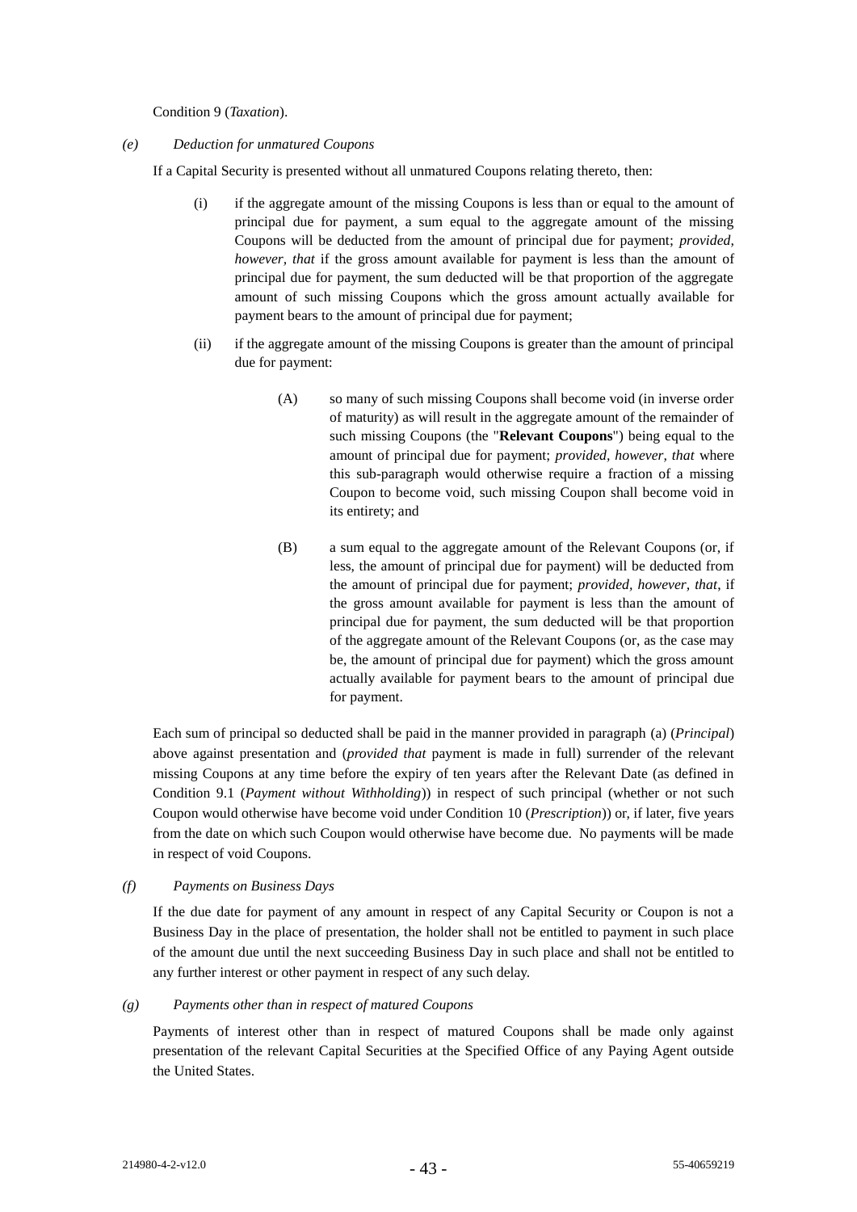Condition [9](#page-57-0) (*Taxation*).

#### *(e) Deduction for unmatured Coupons*

If a Capital Security is presented without all unmatured Coupons relating thereto, then:

- (i) if the aggregate amount of the missing Coupons is less than or equal to the amount of principal due for payment, a sum equal to the aggregate amount of the missing Coupons will be deducted from the amount of principal due for payment; *provided, however, that* if the gross amount available for payment is less than the amount of principal due for payment, the sum deducted will be that proportion of the aggregate amount of such missing Coupons which the gross amount actually available for payment bears to the amount of principal due for payment;
- (ii) if the aggregate amount of the missing Coupons is greater than the amount of principal due for payment:
	- (A) so many of such missing Coupons shall become void (in inverse order of maturity) as will result in the aggregate amount of the remainder of such missing Coupons (the "**Relevant Coupons**") being equal to the amount of principal due for payment; *provided, however, that* where this sub-paragraph would otherwise require a fraction of a missing Coupon to become void, such missing Coupon shall become void in its entirety; and
	- (B) a sum equal to the aggregate amount of the Relevant Coupons (or, if less, the amount of principal due for payment) will be deducted from the amount of principal due for payment; *provided, however, that*, if the gross amount available for payment is less than the amount of principal due for payment, the sum deducted will be that proportion of the aggregate amount of the Relevant Coupons (or, as the case may be, the amount of principal due for payment) which the gross amount actually available for payment bears to the amount of principal due for payment.

Each sum of principal so deducted shall be paid in the manner provided in paragraph [\(a\)](#page-46-0) (*Principal*) above against presentation and (*provided that* payment is made in full) surrender of the relevant missing Coupons at any time before the expiry of ten years after the Relevant Date (as defined in Condition [9.1](#page-57-1) (*Payment without Withholding*)) in respect of such principal (whether or not such Coupon would otherwise have become void under Condition [10](#page-58-0) (*Prescription*)) or, if later, five years from the date on which such Coupon would otherwise have become due. No payments will be made in respect of void Coupons.

### *(f) Payments on Business Days*

If the due date for payment of any amount in respect of any Capital Security or Coupon is not a Business Day in the place of presentation, the holder shall not be entitled to payment in such place of the amount due until the next succeeding Business Day in such place and shall not be entitled to any further interest or other payment in respect of any such delay.

### <span id="page-47-0"></span>*(g) Payments other than in respect of matured Coupons*

Payments of interest other than in respect of matured Coupons shall be made only against presentation of the relevant Capital Securities at the Specified Office of any Paying Agent outside the United States.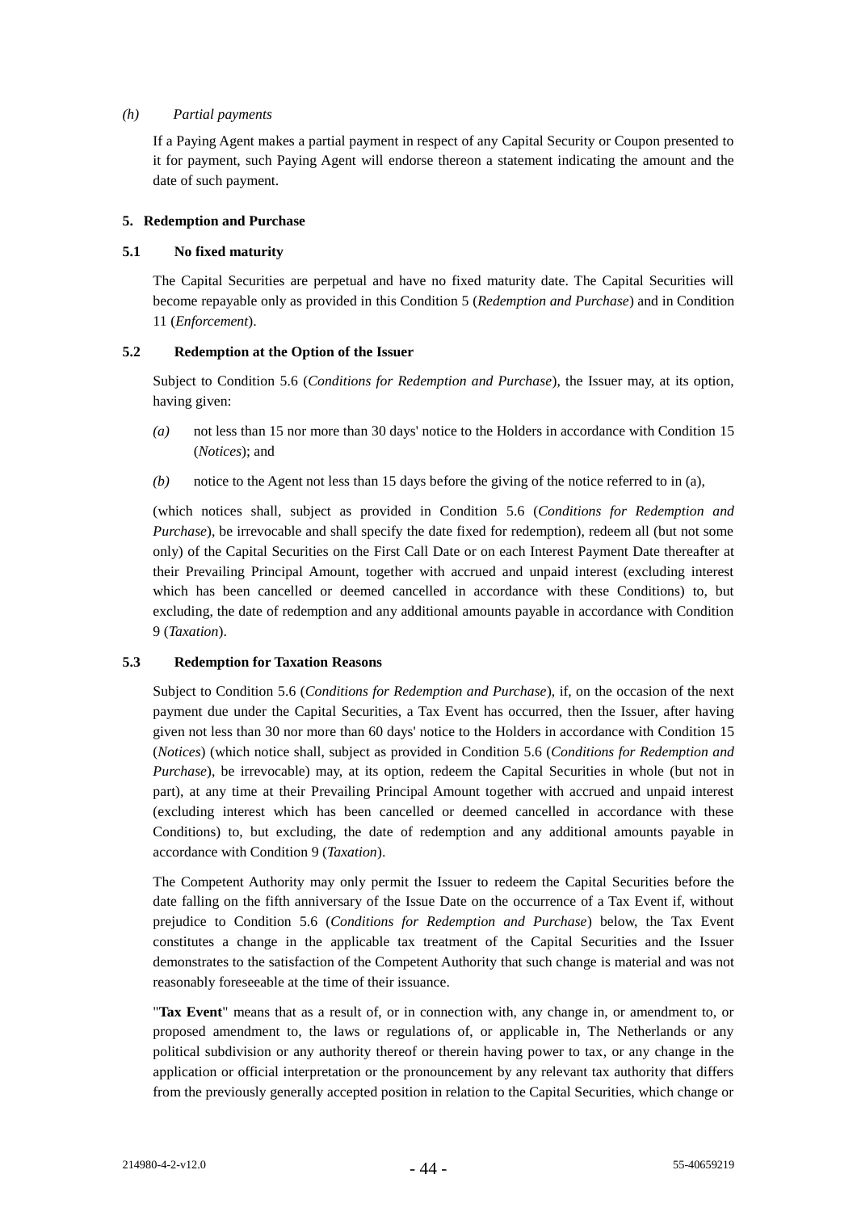### *(h) Partial payments*

If a Paying Agent makes a partial payment in respect of any Capital Security or Coupon presented to it for payment, such Paying Agent will endorse thereon a statement indicating the amount and the date of such payment.

# <span id="page-48-0"></span>**5. Redemption and Purchase**

# **5.1 No fixed maturity**

The Capital Securities are perpetual and have no fixed maturity date. The Capital Securities will become repayable only as provided in this Conditio[n 5](#page-48-0) (*Redemption and Purchase*) and in Condition [11](#page-58-1) (*Enforcement*).

# <span id="page-48-1"></span>**5.2 Redemption at the Option of the Issuer**

Subject to Condition [5.6](#page-49-0) (*Conditions for Redemption and Purchase*), the Issuer may, at its option, having given:

- *(a)* not less than 15 nor more than 30 days' notice to the Holders in accordance with Condition [15](#page-59-0) (*Notices*); and
- *(b)* notice to the Agent not less than 15 days before the giving of the notice referred to in (a),

(which notices shall, subject as provided in Condition [5.6](#page-49-0) (*Conditions for Redemption and Purchase*), be irrevocable and shall specify the date fixed for redemption), redeem all (but not some only) of the Capital Securities on the First Call Date or on each Interest Payment Date thereafter at their Prevailing Principal Amount, together with accrued and unpaid interest (excluding interest which has been cancelled or deemed cancelled in accordance with these Conditions) to, but excluding, the date of redemption and any additional amounts payable in accordance with Condition [9](#page-57-0) (*Taxation*).

# <span id="page-48-2"></span>**5.3 Redemption for Taxation Reasons**

Subject to Condition [5.6](#page-49-0) (*Conditions for Redemption and Purchase*), if, on the occasion of the next payment due under the Capital Securities, a Tax Event has occurred, then the Issuer, after having given not less than 30 nor more than 60 days' notice to the Holders in accordance with Condition [15](#page-59-0) (*Notices*) (which notice shall, subject as provided in Condition [5.6](#page-49-0) (*Conditions for Redemption and Purchase*), be irrevocable) may, at its option, redeem the Capital Securities in whole (but not in part), at any time at their Prevailing Principal Amount together with accrued and unpaid interest (excluding interest which has been cancelled or deemed cancelled in accordance with these Conditions) to, but excluding, the date of redemption and any additional amounts payable in accordance with Condition [9](#page-57-0) (*Taxation*).

The Competent Authority may only permit the Issuer to redeem the Capital Securities before the date falling on the fifth anniversary of the Issue Date on the occurrence of a Tax Event if, without prejudice to Condition [5.6](#page-49-0) (*Conditions for Redemption and Purchase*) below, the Tax Event constitutes a change in the applicable tax treatment of the Capital Securities and the Issuer demonstrates to the satisfaction of the Competent Authority that such change is material and was not reasonably foreseeable at the time of their issuance.

"**Tax Event**" means that as a result of, or in connection with, any change in, or amendment to, or proposed amendment to, the laws or regulations of, or applicable in, The Netherlands or any political subdivision or any authority thereof or therein having power to tax, or any change in the application or official interpretation or the pronouncement by any relevant tax authority that differs from the previously generally accepted position in relation to the Capital Securities, which change or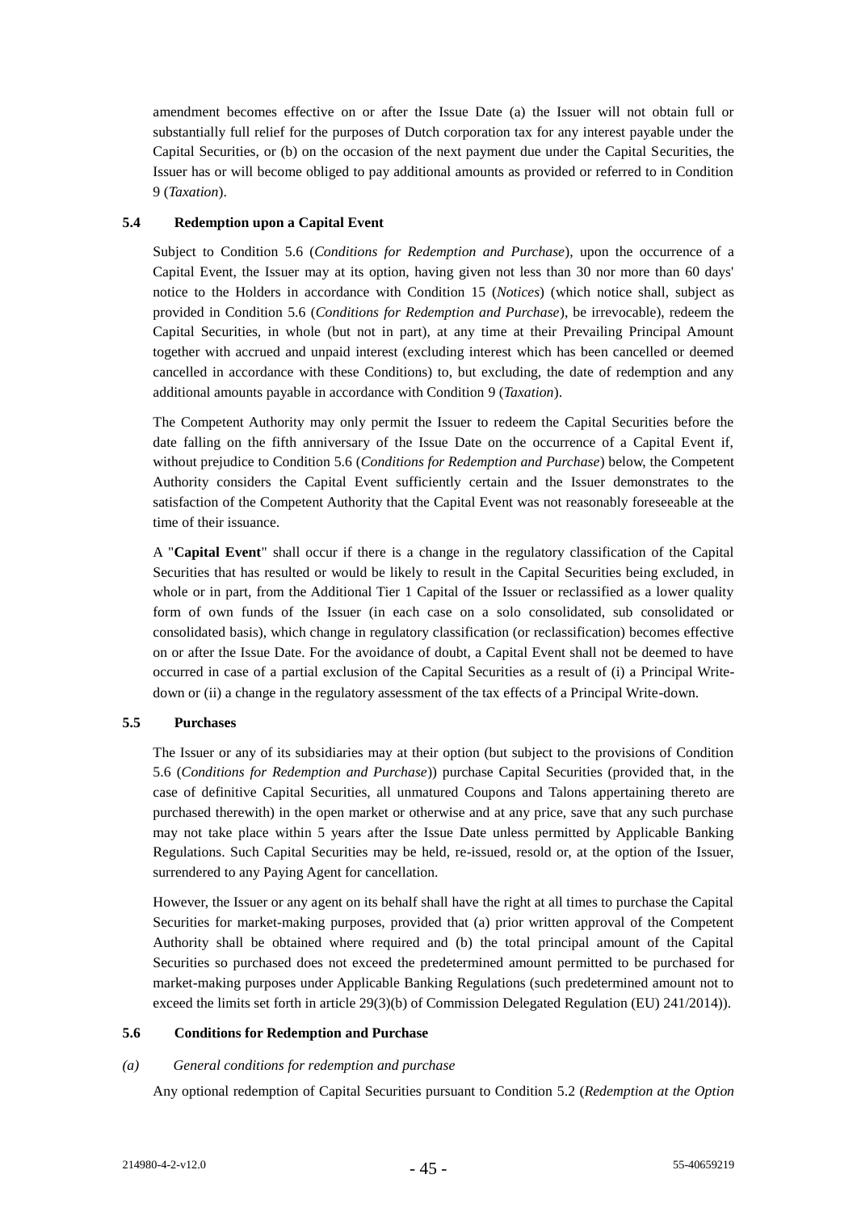amendment becomes effective on or after the Issue Date (a) the Issuer will not obtain full or substantially full relief for the purposes of Dutch corporation tax for any interest payable under the Capital Securities, or (b) on the occasion of the next payment due under the Capital Securities, the Issuer has or will become obliged to pay additional amounts as provided or referred to in Condition [9](#page-57-0) (*Taxation*).

# <span id="page-49-1"></span>**5.4 Redemption upon a Capital Event**

Subject to Condition [5.6](#page-49-0) (*Conditions for Redemption and Purchase*), upon the occurrence of a Capital Event, the Issuer may at its option, having given not less than 30 nor more than 60 days' notice to the Holders in accordance with Condition [15](#page-59-0) (*Notices*) (which notice shall, subject as provided in Condition [5.6](#page-49-0) (*Conditions for Redemption and Purchase*), be irrevocable), redeem the Capital Securities, in whole (but not in part), at any time at their Prevailing Principal Amount together with accrued and unpaid interest (excluding interest which has been cancelled or deemed cancelled in accordance with these Conditions) to, but excluding, the date of redemption and any additional amounts payable in accordance with Condition [9](#page-57-0) (*Taxation*).

The Competent Authority may only permit the Issuer to redeem the Capital Securities before the date falling on the fifth anniversary of the Issue Date on the occurrence of a Capital Event if, without prejudice to Condition [5.6](#page-49-0) (*Conditions for Redemption and Purchase*) below, the Competent Authority considers the Capital Event sufficiently certain and the Issuer demonstrates to the satisfaction of the Competent Authority that the Capital Event was not reasonably foreseeable at the time of their issuance.

A "**Capital Event**" shall occur if there is a change in the regulatory classification of the Capital Securities that has resulted or would be likely to result in the Capital Securities being excluded, in whole or in part, from the Additional Tier 1 Capital of the Issuer or reclassified as a lower quality form of own funds of the Issuer (in each case on a solo consolidated, sub consolidated or consolidated basis), which change in regulatory classification (or reclassification) becomes effective on or after the Issue Date. For the avoidance of doubt, a Capital Event shall not be deemed to have occurred in case of a partial exclusion of the Capital Securities as a result of (i) a Principal Writedown or (ii) a change in the regulatory assessment of the tax effects of a Principal Write-down.

# <span id="page-49-2"></span>**5.5 Purchases**

The Issuer or any of its subsidiaries may at their option (but subject to the provisions of Condition [5.6](#page-49-0) (*Conditions for Redemption and Purchase*)) purchase Capital Securities (provided that, in the case of definitive Capital Securities, all unmatured Coupons and Talons appertaining thereto are purchased therewith) in the open market or otherwise and at any price, save that any such purchase may not take place within 5 years after the Issue Date unless permitted by Applicable Banking Regulations. Such Capital Securities may be held, re-issued, resold or, at the option of the Issuer, surrendered to any Paying Agent for cancellation.

However, the Issuer or any agent on its behalf shall have the right at all times to purchase the Capital Securities for market-making purposes, provided that (a) prior written approval of the Competent Authority shall be obtained where required and (b) the total principal amount of the Capital Securities so purchased does not exceed the predetermined amount permitted to be purchased for market-making purposes under Applicable Banking Regulations (such predetermined amount not to exceed the limits set forth in article 29(3)(b) of Commission Delegated Regulation (EU) 241/2014)).

### <span id="page-49-0"></span>**5.6 Conditions for Redemption and Purchase**

### *(a) General conditions for redemption and purchase*

Any optional redemption of Capital Securities pursuant to Condition [5.2](#page-48-1) (*Redemption at the Option*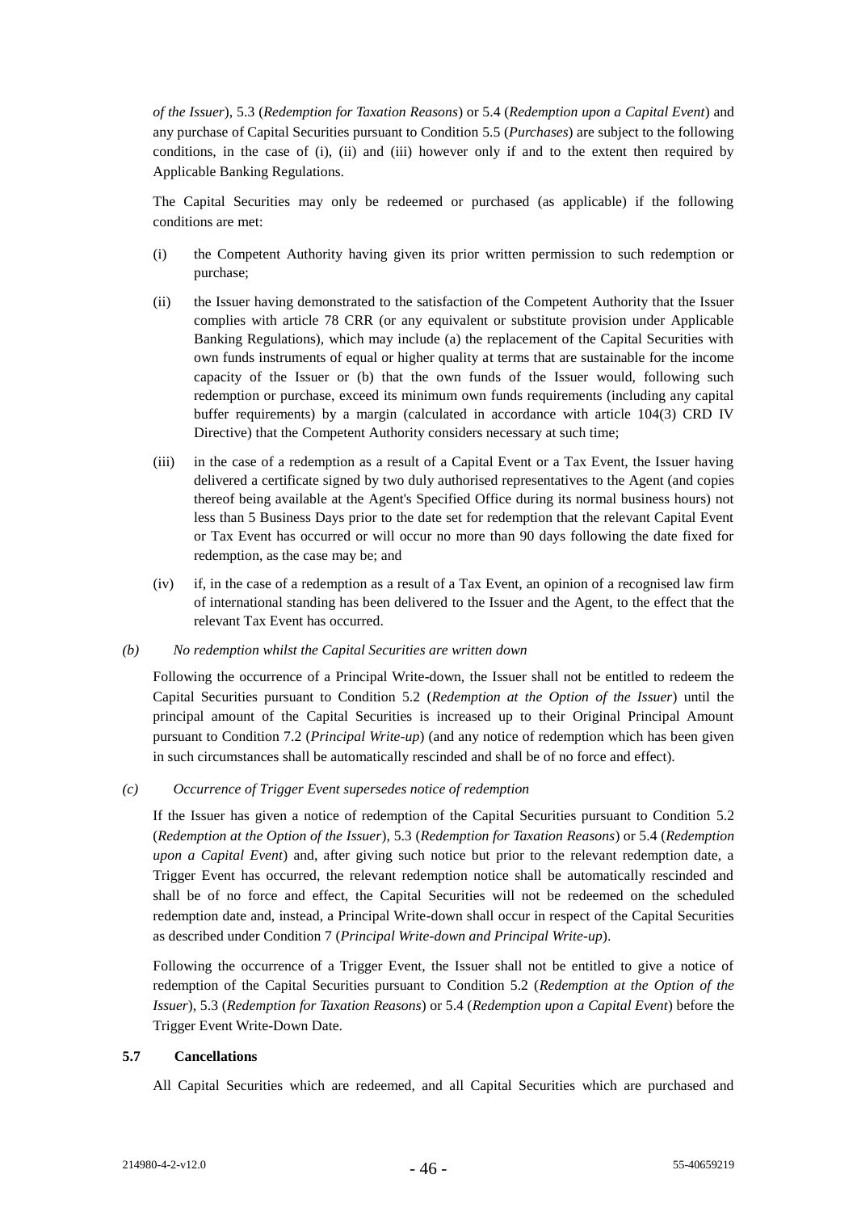*of the Issuer*), [5.3](#page-48-2) (*Redemption for Taxation Reasons*) or [5.4](#page-49-1) (*Redemption upon a Capital Event*) and any purchase of Capital Securities pursuant to Condition [5.5](#page-49-2) (*Purchases*) are subject to the following conditions, in the case of (i), (ii) and (iii) however only if and to the extent then required by Applicable Banking Regulations.

The Capital Securities may only be redeemed or purchased (as applicable) if the following conditions are met:

- (i) the Competent Authority having given its prior written permission to such redemption or purchase;
- (ii) the Issuer having demonstrated to the satisfaction of the Competent Authority that the Issuer complies with article 78 CRR (or any equivalent or substitute provision under Applicable Banking Regulations), which may include (a) the replacement of the Capital Securities with own funds instruments of equal or higher quality at terms that are sustainable for the income capacity of the Issuer or (b) that the own funds of the Issuer would, following such redemption or purchase, exceed its minimum own funds requirements (including any capital buffer requirements) by a margin (calculated in accordance with article 104(3) CRD IV Directive) that the Competent Authority considers necessary at such time;
- (iii) in the case of a redemption as a result of a Capital Event or a Tax Event, the Issuer having delivered a certificate signed by two duly authorised representatives to the Agent (and copies thereof being available at the Agent's Specified Office during its normal business hours) not less than 5 Business Days prior to the date set for redemption that the relevant Capital Event or Tax Event has occurred or will occur no more than 90 days following the date fixed for redemption, as the case may be; and
- (iv) if, in the case of a redemption as a result of a Tax Event, an opinion of a recognised law firm of international standing has been delivered to the Issuer and the Agent, to the effect that the relevant Tax Event has occurred.
- *(b) No redemption whilst the Capital Securities are written down*

Following the occurrence of a Principal Write-down, the Issuer shall not be entitled to redeem the Capital Securities pursuant to Condition [5.2](#page-48-1) (*Redemption at the Option of the Issuer*) until the principal amount of the Capital Securities is increased up to their Original Principal Amount pursuant to Condition [7.2](#page-54-0) (*Principal Write-up*) (and any notice of redemption which has been given in such circumstances shall be automatically rescinded and shall be of no force and effect).

*(c) Occurrence of Trigger Event supersedes notice of redemption*

If the Issuer has given a notice of redemption of the Capital Securities pursuant to Condition [5.2](#page-48-1) (*Redemption at the Option of the Issuer*)[, 5.3](#page-48-2) (*Redemption for Taxation Reasons*) or [5.4](#page-49-1) (*Redemption upon a Capital Event*) and, after giving such notice but prior to the relevant redemption date, a Trigger Event has occurred, the relevant redemption notice shall be automatically rescinded and shall be of no force and effect, the Capital Securities will not be redeemed on the scheduled redemption date and, instead, a Principal Write-down shall occur in respect of the Capital Securities as described under Conditio[n 7](#page-52-0) (*Principal Write-down and Principal Write-up*).

Following the occurrence of a Trigger Event, the Issuer shall not be entitled to give a notice of redemption of the Capital Securities pursuant to Condition 5.2 (*Redemption at the Option of the Issuer*), 5.3 (*Redemption for Taxation Reasons*) or 5.4 (*Redemption upon a Capital Event*) before the Trigger Event Write-Down Date.

### **5.7 Cancellations**

All Capital Securities which are redeemed, and all Capital Securities which are purchased and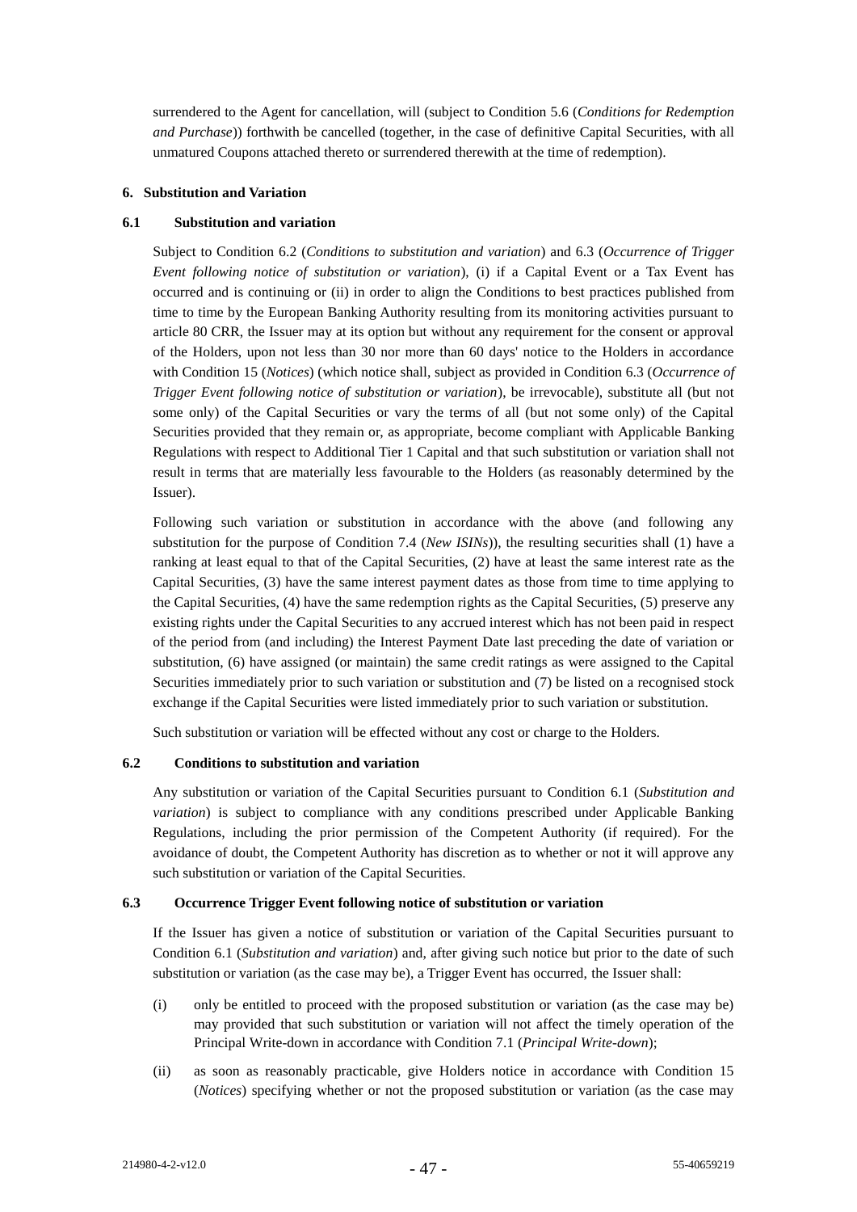surrendered to the Agent for cancellation, will (subject to Condition [5.6](#page-49-0) (*Conditions for Redemption and Purchase*)) forthwith be cancelled (together, in the case of definitive Capital Securities, with all unmatured Coupons attached thereto or surrendered therewith at the time of redemption).

### **6. Substitution and Variation**

### <span id="page-51-2"></span>**6.1 Substitution and variation**

Subject to Condition [6.2](#page-51-0) (*Conditions to substitution and variation*) and [6.3](#page-51-1) (*Occurrence of Trigger Event following notice of substitution or variation*), (i) if a Capital Event or a Tax Event has occurred and is continuing or (ii) in order to align the Conditions to best practices published from time to time by the European Banking Authority resulting from its monitoring activities pursuant to article 80 CRR, the Issuer may at its option but without any requirement for the consent or approval of the Holders, upon not less than 30 nor more than 60 days' notice to the Holders in accordance with Condition [15](#page-59-0) (*Notices*) (which notice shall, subject as provided in Conditio[n 6.3](#page-51-1) (*Occurrence of Trigger Event following notice of substitution or variation*), be irrevocable), substitute all (but not some only) of the Capital Securities or vary the terms of all (but not some only) of the Capital Securities provided that they remain or, as appropriate, become compliant with Applicable Banking Regulations with respect to Additional Tier 1 Capital and that such substitution or variation shall not result in terms that are materially less favourable to the Holders (as reasonably determined by the Issuer).

Following such variation or substitution in accordance with the above (and following any substitution for the purpose of Condition [7.4](#page-56-0) (*New ISINs*)), the resulting securities shall (1) have a ranking at least equal to that of the Capital Securities, (2) have at least the same interest rate as the Capital Securities, (3) have the same interest payment dates as those from time to time applying to the Capital Securities, (4) have the same redemption rights as the Capital Securities, (5) preserve any existing rights under the Capital Securities to any accrued interest which has not been paid in respect of the period from (and including) the Interest Payment Date last preceding the date of variation or substitution, (6) have assigned (or maintain) the same credit ratings as were assigned to the Capital Securities immediately prior to such variation or substitution and (7) be listed on a recognised stock exchange if the Capital Securities were listed immediately prior to such variation or substitution.

Such substitution or variation will be effected without any cost or charge to the Holders.

# <span id="page-51-0"></span>**6.2 Conditions to substitution and variation**

Any substitution or variation of the Capital Securities pursuant to Condition [6.1](#page-51-2) (*Substitution and variation*) is subject to compliance with any conditions prescribed under Applicable Banking Regulations, including the prior permission of the Competent Authority (if required). For the avoidance of doubt, the Competent Authority has discretion as to whether or not it will approve any such substitution or variation of the Capital Securities.

# <span id="page-51-1"></span>**6.3 Occurrence Trigger Event following notice of substitution or variation**

If the Issuer has given a notice of substitution or variation of the Capital Securities pursuant to Condition [6.1](#page-51-2) (*Substitution and variation*) and, after giving such notice but prior to the date of such substitution or variation (as the case may be), a Trigger Event has occurred, the Issuer shall:

- (i) only be entitled to proceed with the proposed substitution or variation (as the case may be) may provided that such substitution or variation will not affect the timely operation of the Principal Write-down in accordance with Condition 7.1 (*Principal Write-down*);
- (ii) as soon as reasonably practicable, give Holders notice in accordance with Condition 15 (*Notices*) specifying whether or not the proposed substitution or variation (as the case may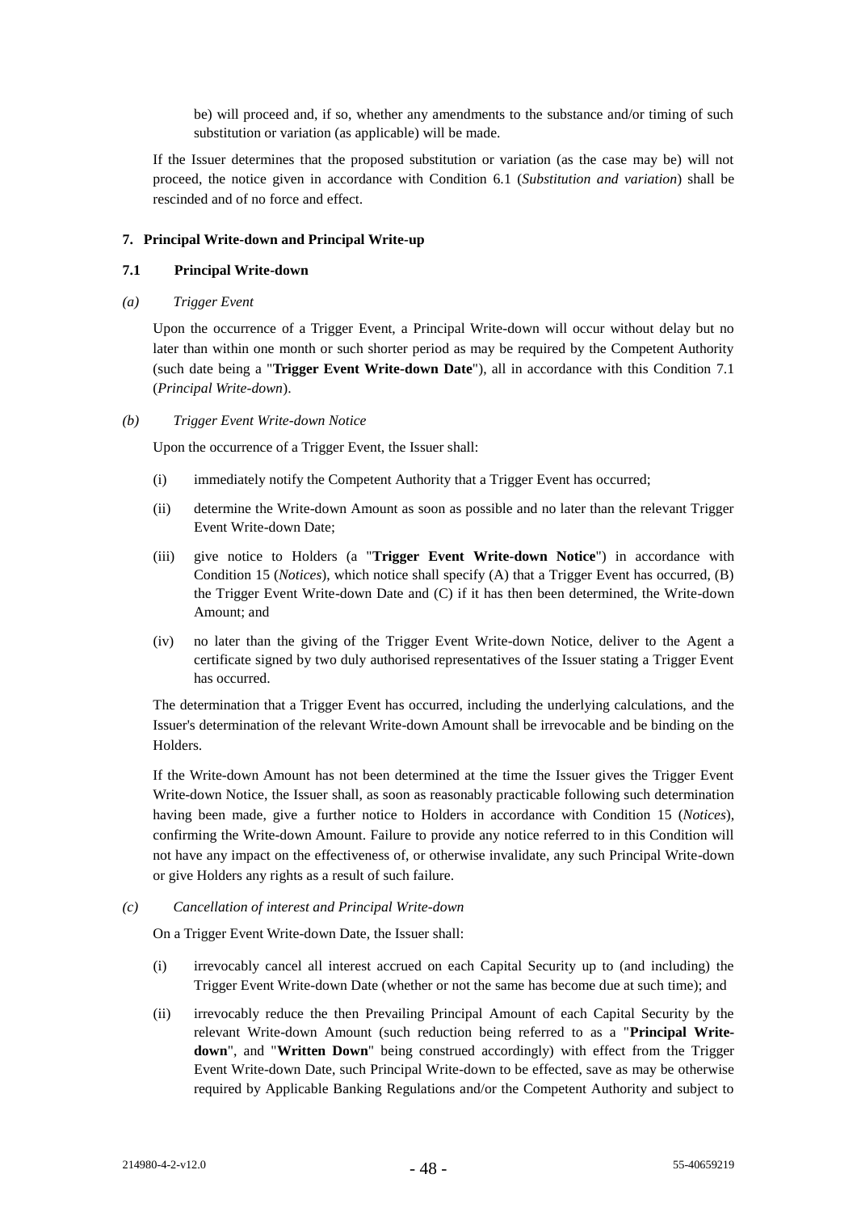be) will proceed and, if so, whether any amendments to the substance and/or timing of such substitution or variation (as applicable) will be made.

If the Issuer determines that the proposed substitution or variation (as the case may be) will not proceed, the notice given in accordance with Condition [6.1](#page-51-2) (*Substitution and variation*) shall be rescinded and of no force and effect.

#### <span id="page-52-0"></span>**7. Principal Write-down and Principal Write-up**

#### <span id="page-52-1"></span>**7.1 Principal Write-down**

<span id="page-52-3"></span>*(a) Trigger Event*

Upon the occurrence of a Trigger Event, a Principal Write-down will occur without delay but no later than within one month or such shorter period as may be required by the Competent Authority (such date being a "**Trigger Event Write-down Date**"), all in accordance with this Condition [7.1](#page-52-1) (*Principal Write-down*).

<span id="page-52-4"></span>*(b) Trigger Event Write-down Notice*

Upon the occurrence of a Trigger Event, the Issuer shall:

- (i) immediately notify the Competent Authority that a Trigger Event has occurred;
- (ii) determine the Write-down Amount as soon as possible and no later than the relevant Trigger Event Write-down Date;
- (iii) give notice to Holders (a "**Trigger Event Write-down Notice**") in accordance with Condition [15](#page-59-0) (*Notices*), which notice shall specify (A) that a Trigger Event has occurred, (B) the Trigger Event Write-down Date and (C) if it has then been determined, the Write-down Amount; and
- (iv) no later than the giving of the Trigger Event Write-down Notice, deliver to the Agent a certificate signed by two duly authorised representatives of the Issuer stating a Trigger Event has occurred.

The determination that a Trigger Event has occurred, including the underlying calculations, and the Issuer's determination of the relevant Write-down Amount shall be irrevocable and be binding on the **Holders** 

If the Write-down Amount has not been determined at the time the Issuer gives the Trigger Event Write-down Notice, the Issuer shall, as soon as reasonably practicable following such determination having been made, give a further notice to Holders in accordance with Condition [15](#page-59-0) (*Notices*), confirming the Write-down Amount. Failure to provide any notice referred to in this Condition will not have any impact on the effectiveness of, or otherwise invalidate, any such Principal Write-down or give Holders any rights as a result of such failure.

*(c) Cancellation of interest and Principal Write-down*

On a Trigger Event Write-down Date, the Issuer shall:

- (i) irrevocably cancel all interest accrued on each Capital Security up to (and including) the Trigger Event Write-down Date (whether or not the same has become due at such time); and
- <span id="page-52-2"></span>(ii) irrevocably reduce the then Prevailing Principal Amount of each Capital Security by the relevant Write-down Amount (such reduction being referred to as a "**Principal Writedown**", and "**Written Down**" being construed accordingly) with effect from the Trigger Event Write-down Date, such Principal Write-down to be effected, save as may be otherwise required by Applicable Banking Regulations and/or the Competent Authority and subject to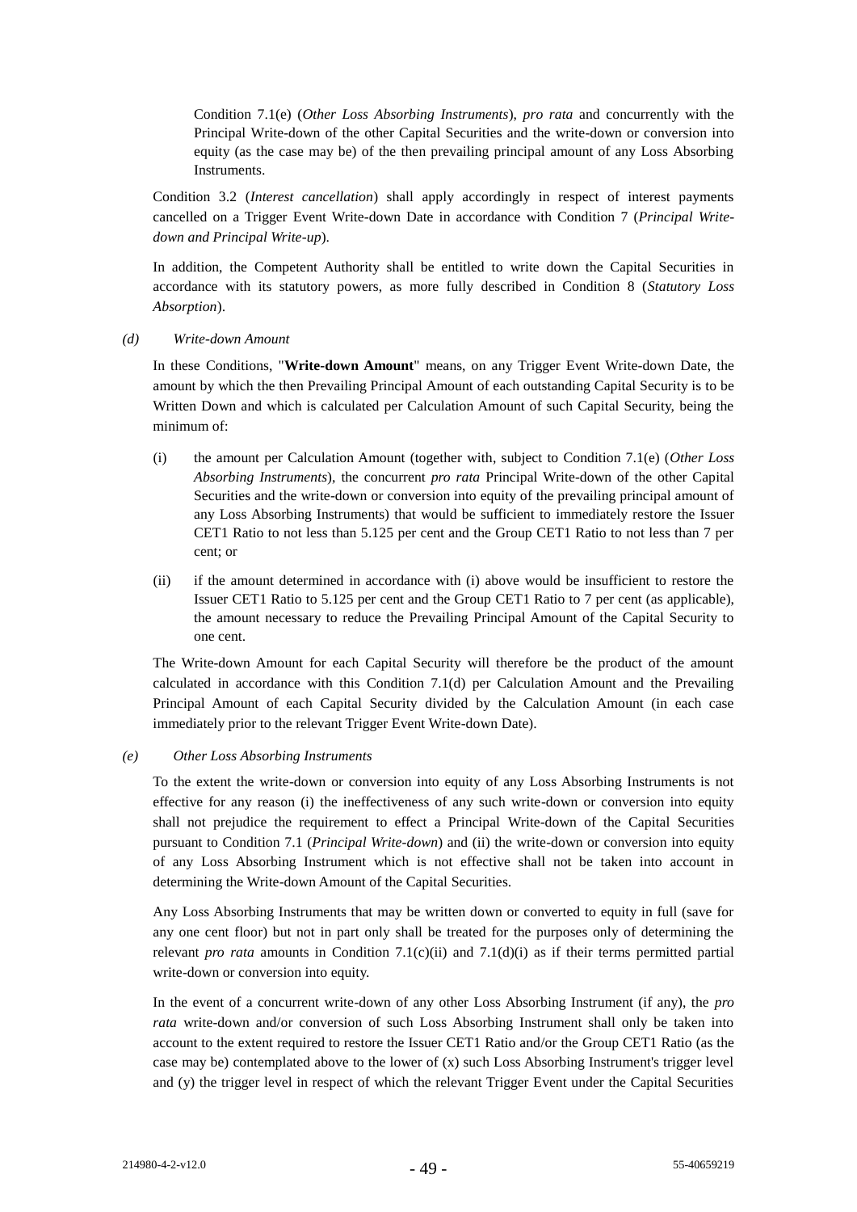Condition 7.1(e) (*Other Loss Absorbing Instruments*), *pro rata* and concurrently with the Principal Write-down of the other Capital Securities and the write-down or conversion into equity (as the case may be) of the then prevailing principal amount of any Loss Absorbing Instruments.

Condition [3.2](#page-44-0) (*Interest cancellation*) shall apply accordingly in respect of interest payments cancelled on a Trigger Event Write-down Date in accordance with Condition [7](#page-52-0) (*Principal Writedown and Principal Write-up*).

In addition, the Competent Authority shall be entitled to write down the Capital Securities in accordance with its statutory powers, as more fully described in Condition 8 (*Statutory Loss Absorption*).

<span id="page-53-1"></span>*(d) Write-down Amount*

In these Conditions, "**Write-down Amount**" means, on any Trigger Event Write-down Date, the amount by which the then Prevailing Principal Amount of each outstanding Capital Security is to be Written Down and which is calculated per Calculation Amount of such Capital Security, being the minimum of:

- <span id="page-53-0"></span>(i) the amount per Calculation Amount (together with, subject to Condition 7.1(e) (*Other Loss Absorbing Instruments*), the concurrent *pro rata* Principal Write-down of the other Capital Securities and the write-down or conversion into equity of the prevailing principal amount of any Loss Absorbing Instruments) that would be sufficient to immediately restore the Issuer CET1 Ratio to not less than 5.125 per cent and the Group CET1 Ratio to not less than 7 per cent; or
- (ii) if the amount determined in accordance with (i) above would be insufficient to restore the Issuer CET1 Ratio to 5.125 per cent and the Group CET1 Ratio to 7 per cent (as applicable), the amount necessary to reduce the Prevailing Principal Amount of the Capital Security to one cent.

The Write-down Amount for each Capital Security will therefore be the product of the amount calculated in accordance with this Condition 7.1(d) per Calculation Amount and the Prevailing Principal Amount of each Capital Security divided by the Calculation Amount (in each case immediately prior to the relevant Trigger Event Write-down Date).

### *(e) Other Loss Absorbing Instruments*

To the extent the write-down or conversion into equity of any Loss Absorbing Instruments is not effective for any reason (i) the ineffectiveness of any such write-down or conversion into equity shall not prejudice the requirement to effect a Principal Write-down of the Capital Securities pursuant to Condition [7.1](#page-52-1) (*Principal Write-down*) and (ii) the write-down or conversion into equity of any Loss Absorbing Instrument which is not effective shall not be taken into account in determining the Write-down Amount of the Capital Securities.

Any Loss Absorbing Instruments that may be written down or converted to equity in full (save for any one cent floor) but not in part only shall be treated for the purposes only of determining the relevant *pro rata* amounts in Condition 7.[1\(c\)\(ii\)](#page-52-2) and 7.[1\(d\)\(i\)](#page-53-0) as if their terms permitted partial write-down or conversion into equity.

In the event of a concurrent write-down of any other Loss Absorbing Instrument (if any), the *pro rata* write-down and/or conversion of such Loss Absorbing Instrument shall only be taken into account to the extent required to restore the Issuer CET1 Ratio and/or the Group CET1 Ratio (as the case may be) contemplated above to the lower of  $(x)$  such Loss Absorbing Instrument's trigger level and (y) the trigger level in respect of which the relevant Trigger Event under the Capital Securities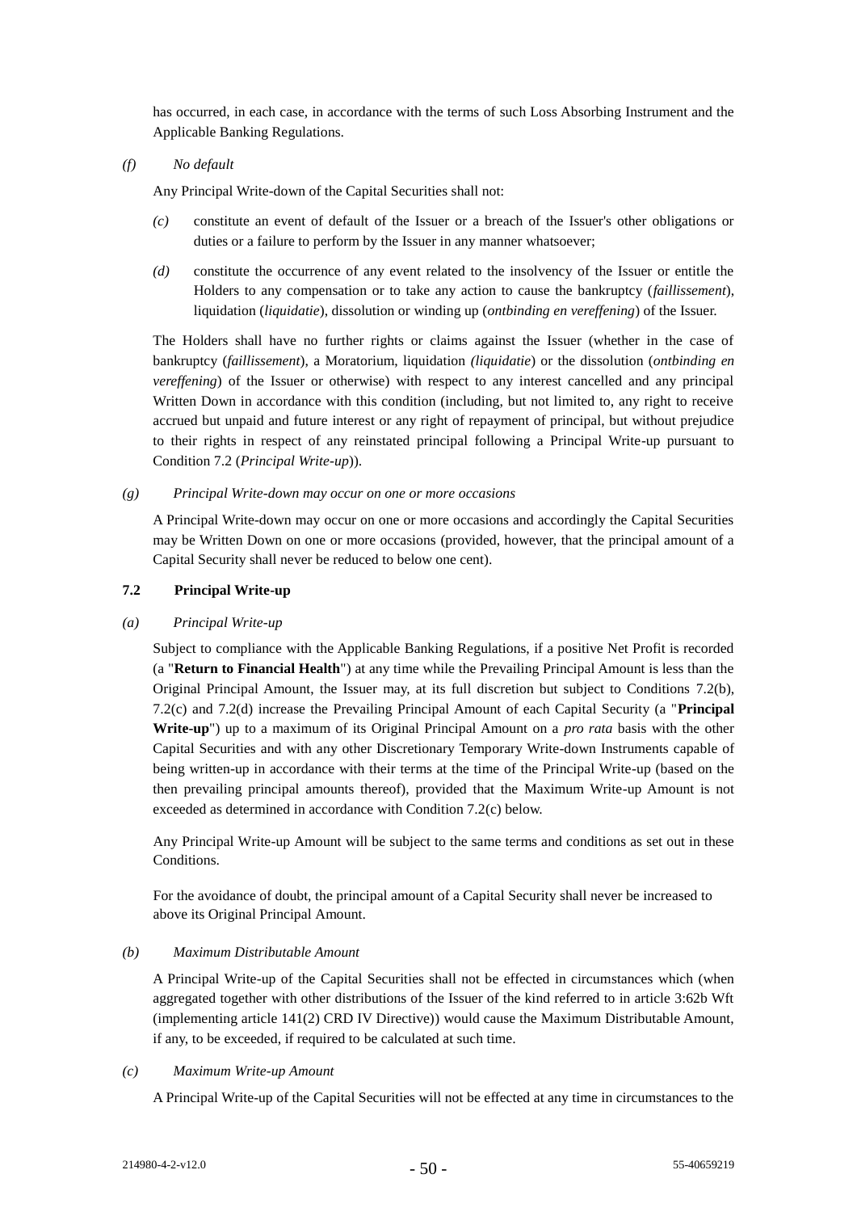has occurred, in each case, in accordance with the terms of such Loss Absorbing Instrument and the Applicable Banking Regulations.

*(f) No default*

Any Principal Write-down of the Capital Securities shall not:

- *(c)* constitute an event of default of the Issuer or a breach of the Issuer's other obligations or duties or a failure to perform by the Issuer in any manner whatsoever;
- *(d)* constitute the occurrence of any event related to the insolvency of the Issuer or entitle the Holders to any compensation or to take any action to cause the bankruptcy (*faillissement*), liquidation (*liquidatie*), dissolution or winding up (*ontbinding en vereffening*) of the Issuer.

The Holders shall have no further rights or claims against the Issuer (whether in the case of bankruptcy (*faillissement*), a Moratorium, liquidation *(liquidatie*) or the dissolution (*ontbinding en vereffening*) of the Issuer or otherwise) with respect to any interest cancelled and any principal Written Down in accordance with this condition (including, but not limited to, any right to receive accrued but unpaid and future interest or any right of repayment of principal, but without prejudice to their rights in respect of any reinstated principal following a Principal Write-up pursuant to Condition [7.2](#page-54-0) (*Principal Write-up*)).

#### *(g) Principal Write-down may occur on one or more occasions*

A Principal Write-down may occur on one or more occasions and accordingly the Capital Securities may be Written Down on one or more occasions (provided, however, that the principal amount of a Capital Security shall never be reduced to below one cent).

#### <span id="page-54-0"></span>**7.2 Principal Write-up**

#### <span id="page-54-3"></span>*(a) Principal Write-up*

Subject to compliance with the Applicable Banking Regulations, if a positive Net Profit is recorded (a "**Return to Financial Health**") at any time while the Prevailing Principal Amount is less than the Original Principal Amount, the Issuer may, at its full discretion but subject to Conditions [7.2\(b\),](#page-54-1) [7.2\(c\)](#page-54-2) and [7.2\(d\)](#page-55-0) increase the Prevailing Principal Amount of each Capital Security (a "**Principal Write-up**") up to a maximum of its Original Principal Amount on a *pro rata* basis with the other Capital Securities and with any other Discretionary Temporary Write-down Instruments capable of being written-up in accordance with their terms at the time of the Principal Write-up (based on the then prevailing principal amounts thereof), provided that the Maximum Write-up Amount is not exceeded as determined in accordance with Condition 7.[2\(c\)](#page-54-2) below.

Any Principal Write-up Amount will be subject to the same terms and conditions as set out in these Conditions.

For the avoidance of doubt, the principal amount of a Capital Security shall never be increased to above its Original Principal Amount.

#### <span id="page-54-1"></span>*(b) Maximum Distributable Amount*

A Principal Write-up of the Capital Securities shall not be effected in circumstances which (when aggregated together with other distributions of the Issuer of the kind referred to in article 3:62b Wft (implementing article 141(2) CRD IV Directive)) would cause the Maximum Distributable Amount, if any, to be exceeded, if required to be calculated at such time.

#### <span id="page-54-2"></span>*(c) Maximum Write-up Amount*

A Principal Write-up of the Capital Securities will not be effected at any time in circumstances to the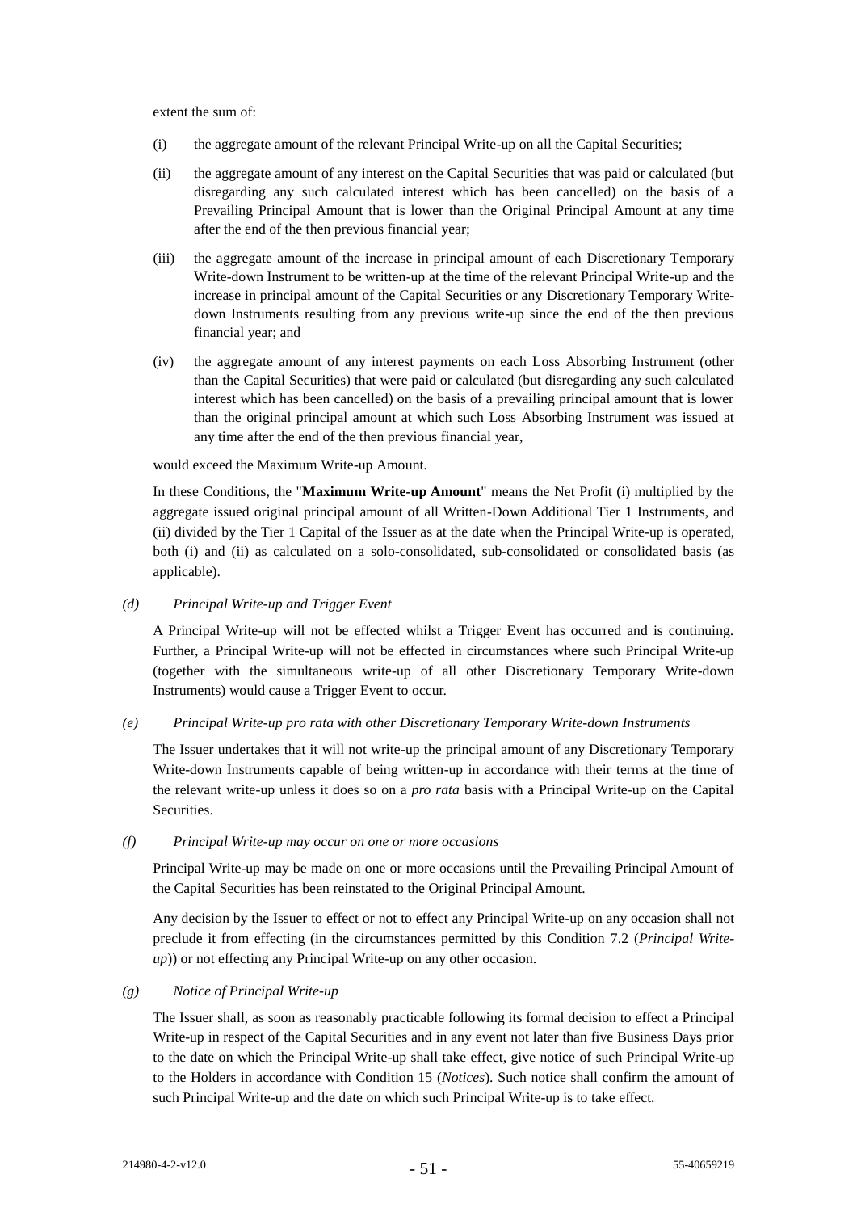extent the sum of:

- (i) the aggregate amount of the relevant Principal Write-up on all the Capital Securities;
- (ii) the aggregate amount of any interest on the Capital Securities that was paid or calculated (but disregarding any such calculated interest which has been cancelled) on the basis of a Prevailing Principal Amount that is lower than the Original Principal Amount at any time after the end of the then previous financial year;
- (iii) the aggregate amount of the increase in principal amount of each Discretionary Temporary Write-down Instrument to be written-up at the time of the relevant Principal Write-up and the increase in principal amount of the Capital Securities or any Discretionary Temporary Writedown Instruments resulting from any previous write-up since the end of the then previous financial year; and
- (iv) the aggregate amount of any interest payments on each Loss Absorbing Instrument (other than the Capital Securities) that were paid or calculated (but disregarding any such calculated interest which has been cancelled) on the basis of a prevailing principal amount that is lower than the original principal amount at which such Loss Absorbing Instrument was issued at any time after the end of the then previous financial year,

would exceed the Maximum Write-up Amount.

In these Conditions, the "**Maximum Write-up Amount**" means the Net Profit (i) multiplied by the aggregate issued original principal amount of all Written-Down Additional Tier 1 Instruments, and (ii) divided by the Tier 1 Capital of the Issuer as at the date when the Principal Write-up is operated, both (i) and (ii) as calculated on a solo-consolidated, sub-consolidated or consolidated basis (as applicable).

### <span id="page-55-0"></span>*(d) Principal Write-up and Trigger Event*

A Principal Write-up will not be effected whilst a Trigger Event has occurred and is continuing. Further, a Principal Write-up will not be effected in circumstances where such Principal Write-up (together with the simultaneous write-up of all other Discretionary Temporary Write-down Instruments) would cause a Trigger Event to occur.

### *(e) Principal Write-up pro rata with other Discretionary Temporary Write-down Instruments*

The Issuer undertakes that it will not write-up the principal amount of any Discretionary Temporary Write-down Instruments capable of being written-up in accordance with their terms at the time of the relevant write-up unless it does so on a *pro rata* basis with a Principal Write-up on the Capital Securities.

### *(f) Principal Write-up may occur on one or more occasions*

Principal Write-up may be made on one or more occasions until the Prevailing Principal Amount of the Capital Securities has been reinstated to the Original Principal Amount.

Any decision by the Issuer to effect or not to effect any Principal Write-up on any occasion shall not preclude it from effecting (in the circumstances permitted by this Condition [7.2](#page-54-0) (*Principal Writeup*)) or not effecting any Principal Write-up on any other occasion.

### *(g) Notice of Principal Write-up*

The Issuer shall, as soon as reasonably practicable following its formal decision to effect a Principal Write-up in respect of the Capital Securities and in any event not later than five Business Days prior to the date on which the Principal Write-up shall take effect, give notice of such Principal Write-up to the Holders in accordance with Condition [15](#page-59-0) (*Notices*). Such notice shall confirm the amount of such Principal Write-up and the date on which such Principal Write-up is to take effect.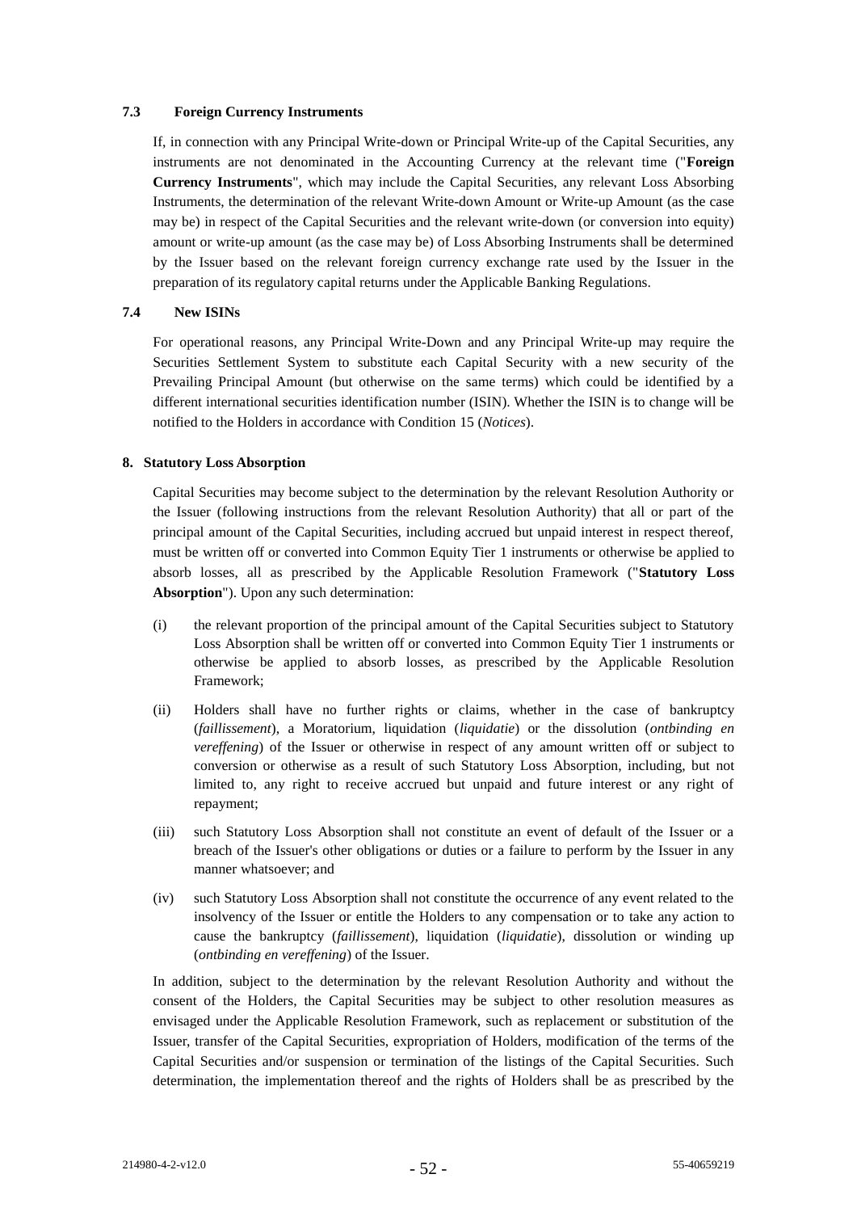### **7.3 Foreign Currency Instruments**

If, in connection with any Principal Write-down or Principal Write-up of the Capital Securities, any instruments are not denominated in the Accounting Currency at the relevant time ("**Foreign Currency Instruments**", which may include the Capital Securities, any relevant Loss Absorbing Instruments, the determination of the relevant Write-down Amount or Write-up Amount (as the case may be) in respect of the Capital Securities and the relevant write-down (or conversion into equity) amount or write-up amount (as the case may be) of Loss Absorbing Instruments shall be determined by the Issuer based on the relevant foreign currency exchange rate used by the Issuer in the preparation of its regulatory capital returns under the Applicable Banking Regulations.

### <span id="page-56-0"></span>**7.4 New ISINs**

For operational reasons, any Principal Write-Down and any Principal Write-up may require the Securities Settlement System to substitute each Capital Security with a new security of the Prevailing Principal Amount (but otherwise on the same terms) which could be identified by a different international securities identification number (ISIN). Whether the ISIN is to change will be notified to the Holders in accordance with Condition [15](#page-59-0) (*Notices*).

### <span id="page-56-1"></span>**8. Statutory Loss Absorption**

Capital Securities may become subject to the determination by the relevant Resolution Authority or the Issuer (following instructions from the relevant Resolution Authority) that all or part of the principal amount of the Capital Securities, including accrued but unpaid interest in respect thereof, must be written off or converted into Common Equity Tier 1 instruments or otherwise be applied to absorb losses, all as prescribed by the Applicable Resolution Framework ("**Statutory Loss Absorption**"). Upon any such determination:

- (i) the relevant proportion of the principal amount of the Capital Securities subject to Statutory Loss Absorption shall be written off or converted into Common Equity Tier 1 instruments or otherwise be applied to absorb losses, as prescribed by the Applicable Resolution Framework;
- (ii) Holders shall have no further rights or claims, whether in the case of bankruptcy (*faillissement*), a Moratorium, liquidation (*liquidatie*) or the dissolution (*ontbinding en vereffening*) of the Issuer or otherwise in respect of any amount written off or subject to conversion or otherwise as a result of such Statutory Loss Absorption, including, but not limited to, any right to receive accrued but unpaid and future interest or any right of repayment;
- (iii) such Statutory Loss Absorption shall not constitute an event of default of the Issuer or a breach of the Issuer's other obligations or duties or a failure to perform by the Issuer in any manner whatsoever; and
- (iv) such Statutory Loss Absorption shall not constitute the occurrence of any event related to the insolvency of the Issuer or entitle the Holders to any compensation or to take any action to cause the bankruptcy (*faillissement*), liquidation (*liquidatie*), dissolution or winding up (*ontbinding en vereffening*) of the Issuer.

In addition, subject to the determination by the relevant Resolution Authority and without the consent of the Holders, the Capital Securities may be subject to other resolution measures as envisaged under the Applicable Resolution Framework, such as replacement or substitution of the Issuer, transfer of the Capital Securities, expropriation of Holders, modification of the terms of the Capital Securities and/or suspension or termination of the listings of the Capital Securities. Such determination, the implementation thereof and the rights of Holders shall be as prescribed by the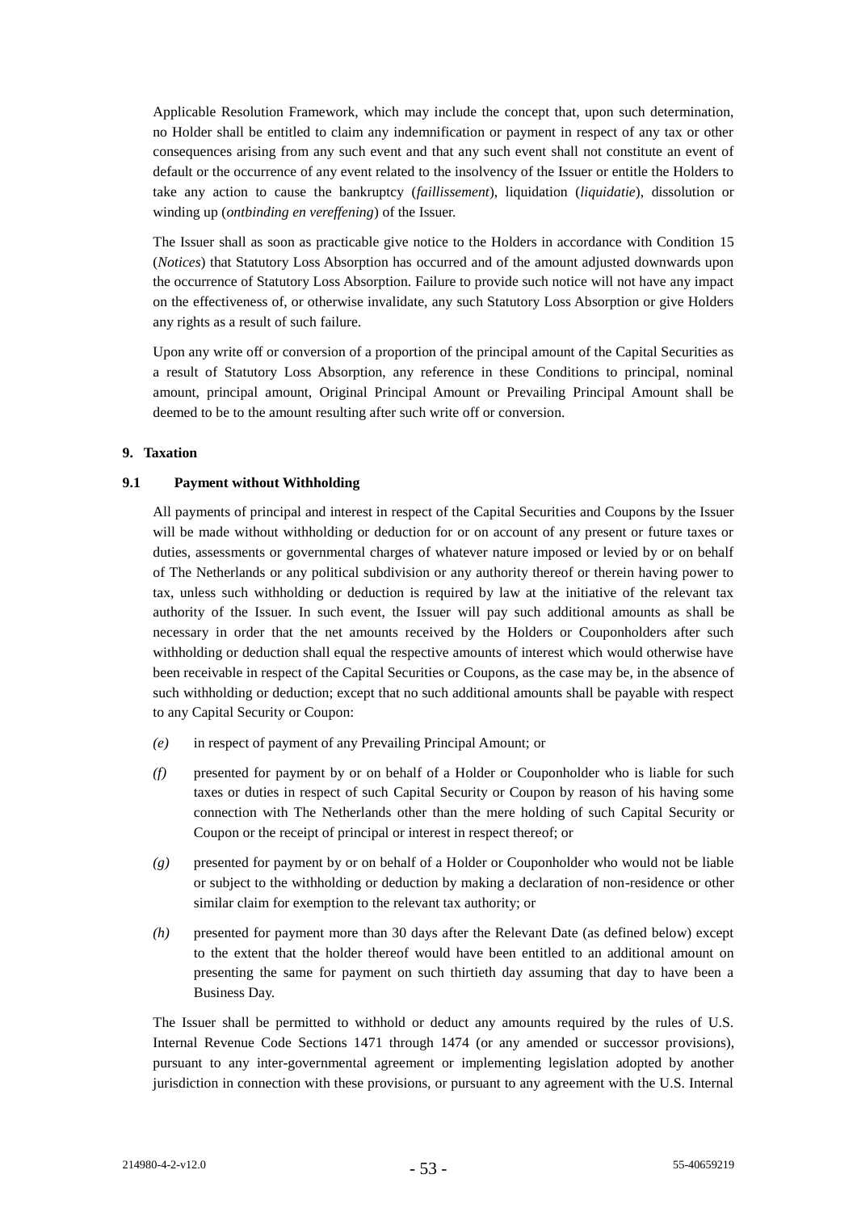Applicable Resolution Framework, which may include the concept that, upon such determination, no Holder shall be entitled to claim any indemnification or payment in respect of any tax or other consequences arising from any such event and that any such event shall not constitute an event of default or the occurrence of any event related to the insolvency of the Issuer or entitle the Holders to take any action to cause the bankruptcy (*faillissement*), liquidation (*liquidatie*), dissolution or winding up (*ontbinding en vereffening*) of the Issuer.

The Issuer shall as soon as practicable give notice to the Holders in accordance with Condition [15](#page-59-0) (*Notices*) that Statutory Loss Absorption has occurred and of the amount adjusted downwards upon the occurrence of Statutory Loss Absorption. Failure to provide such notice will not have any impact on the effectiveness of, or otherwise invalidate, any such Statutory Loss Absorption or give Holders any rights as a result of such failure.

Upon any write off or conversion of a proportion of the principal amount of the Capital Securities as a result of Statutory Loss Absorption, any reference in these Conditions to principal, nominal amount, principal amount, Original Principal Amount or Prevailing Principal Amount shall be deemed to be to the amount resulting after such write off or conversion.

### <span id="page-57-0"></span>**9. Taxation**

# <span id="page-57-1"></span>**9.1 Payment without Withholding**

All payments of principal and interest in respect of the Capital Securities and Coupons by the Issuer will be made without withholding or deduction for or on account of any present or future taxes or duties, assessments or governmental charges of whatever nature imposed or levied by or on behalf of The Netherlands or any political subdivision or any authority thereof or therein having power to tax, unless such withholding or deduction is required by law at the initiative of the relevant tax authority of the Issuer. In such event, the Issuer will pay such additional amounts as shall be necessary in order that the net amounts received by the Holders or Couponholders after such withholding or deduction shall equal the respective amounts of interest which would otherwise have been receivable in respect of the Capital Securities or Coupons, as the case may be, in the absence of such withholding or deduction; except that no such additional amounts shall be payable with respect to any Capital Security or Coupon:

- *(e)* in respect of payment of any Prevailing Principal Amount; or
- *(f)* presented for payment by or on behalf of a Holder or Couponholder who is liable for such taxes or duties in respect of such Capital Security or Coupon by reason of his having some connection with The Netherlands other than the mere holding of such Capital Security or Coupon or the receipt of principal or interest in respect thereof; or
- *(g)* presented for payment by or on behalf of a Holder or Couponholder who would not be liable or subject to the withholding or deduction by making a declaration of non-residence or other similar claim for exemption to the relevant tax authority; or
- *(h)* presented for payment more than 30 days after the Relevant Date (as defined below) except to the extent that the holder thereof would have been entitled to an additional amount on presenting the same for payment on such thirtieth day assuming that day to have been a Business Day.

The Issuer shall be permitted to withhold or deduct any amounts required by the rules of U.S. Internal Revenue Code Sections 1471 through 1474 (or any amended or successor provisions), pursuant to any inter-governmental agreement or implementing legislation adopted by another jurisdiction in connection with these provisions, or pursuant to any agreement with the U.S. Internal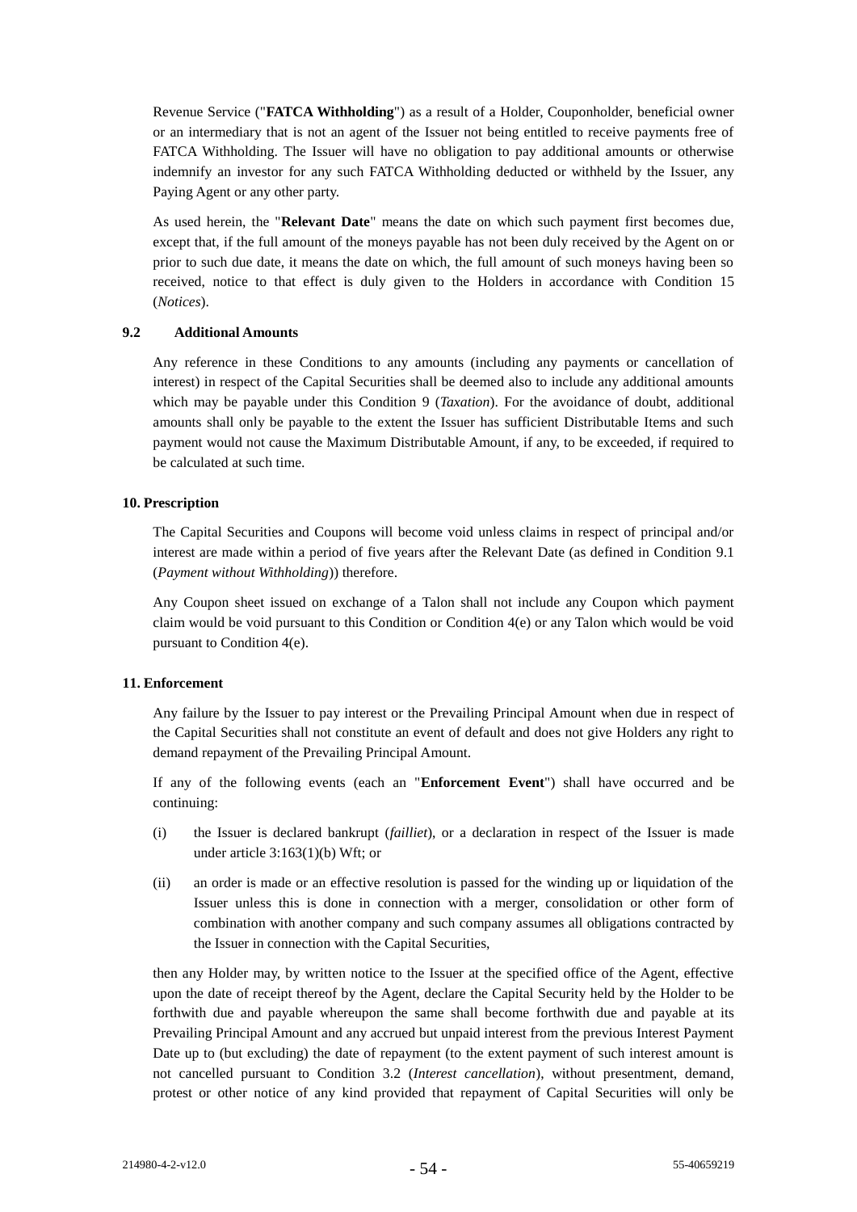Revenue Service ("**FATCA Withholding**") as a result of a Holder, Couponholder, beneficial owner or an intermediary that is not an agent of the Issuer not being entitled to receive payments free of FATCA Withholding. The Issuer will have no obligation to pay additional amounts or otherwise indemnify an investor for any such FATCA Withholding deducted or withheld by the Issuer, any Paying Agent or any other party.

As used herein, the "**Relevant Date**" means the date on which such payment first becomes due, except that, if the full amount of the moneys payable has not been duly received by the Agent on or prior to such due date, it means the date on which, the full amount of such moneys having been so received, notice to that effect is duly given to the Holders in accordance with Condition [15](#page-59-0) (*Notices*).

### **9.2 Additional Amounts**

Any reference in these Conditions to any amounts (including any payments or cancellation of interest) in respect of the Capital Securities shall be deemed also to include any additional amounts which may be payable under this Condition [9](#page-57-0) (*Taxation*). For the avoidance of doubt, additional amounts shall only be payable to the extent the Issuer has sufficient Distributable Items and such payment would not cause the Maximum Distributable Amount, if any, to be exceeded, if required to be calculated at such time.

# <span id="page-58-0"></span>**10. Prescription**

The Capital Securities and Coupons will become void unless claims in respect of principal and/or interest are made within a period of five years after the Relevant Date (as defined in Condition [9.1](#page-57-1) (*Payment without Withholding*)) therefore.

Any Coupon sheet issued on exchange of a Talon shall not include any Coupon which payment claim would be void pursuant to this Condition or Condition  $4(e)$  or any Talon which would be void pursuant to Condition 4(e).

### <span id="page-58-1"></span>**11. Enforcement**

Any failure by the Issuer to pay interest or the Prevailing Principal Amount when due in respect of the Capital Securities shall not constitute an event of default and does not give Holders any right to demand repayment of the Prevailing Principal Amount.

If any of the following events (each an "**Enforcement Event**") shall have occurred and be continuing:

- (i) the Issuer is declared bankrupt (*failliet*), or a declaration in respect of the Issuer is made under article 3:163(1)(b) Wft; or
- (ii) an order is made or an effective resolution is passed for the winding up or liquidation of the Issuer unless this is done in connection with a merger, consolidation or other form of combination with another company and such company assumes all obligations contracted by the Issuer in connection with the Capital Securities,

then any Holder may, by written notice to the Issuer at the specified office of the Agent, effective upon the date of receipt thereof by the Agent, declare the Capital Security held by the Holder to be forthwith due and payable whereupon the same shall become forthwith due and payable at its Prevailing Principal Amount and any accrued but unpaid interest from the previous Interest Payment Date up to (but excluding) the date of repayment (to the extent payment of such interest amount is not cancelled pursuant to Condition [3.2](#page-44-0) (*Interest cancellation*), without presentment, demand, protest or other notice of any kind provided that repayment of Capital Securities will only be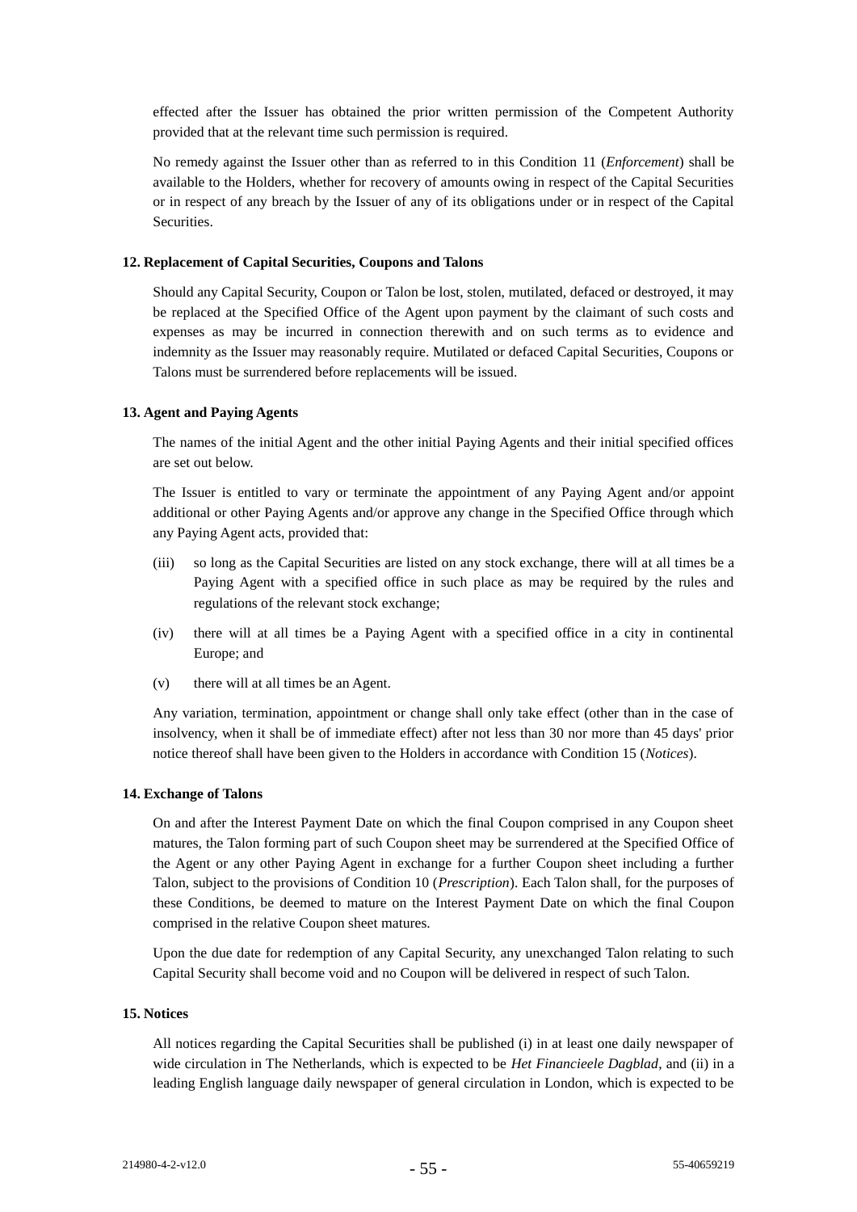effected after the Issuer has obtained the prior written permission of the Competent Authority provided that at the relevant time such permission is required.

No remedy against the Issuer other than as referred to in this Condition [11](#page-58-1) (*Enforcement*) shall be available to the Holders, whether for recovery of amounts owing in respect of the Capital Securities or in respect of any breach by the Issuer of any of its obligations under or in respect of the Capital Securities.

### **12. Replacement of Capital Securities, Coupons and Talons**

Should any Capital Security, Coupon or Talon be lost, stolen, mutilated, defaced or destroyed, it may be replaced at the Specified Office of the Agent upon payment by the claimant of such costs and expenses as may be incurred in connection therewith and on such terms as to evidence and indemnity as the Issuer may reasonably require. Mutilated or defaced Capital Securities, Coupons or Talons must be surrendered before replacements will be issued.

# **13. Agent and Paying Agents**

The names of the initial Agent and the other initial Paying Agents and their initial specified offices are set out below.

The Issuer is entitled to vary or terminate the appointment of any Paying Agent and/or appoint additional or other Paying Agents and/or approve any change in the Specified Office through which any Paying Agent acts, provided that:

- (iii) so long as the Capital Securities are listed on any stock exchange, there will at all times be a Paying Agent with a specified office in such place as may be required by the rules and regulations of the relevant stock exchange;
- (iv) there will at all times be a Paying Agent with a specified office in a city in continental Europe; and
- (v) there will at all times be an Agent.

Any variation, termination, appointment or change shall only take effect (other than in the case of insolvency, when it shall be of immediate effect) after not less than 30 nor more than 45 days' prior notice thereof shall have been given to the Holders in accordance with Condition 15 (*Notices*).

### **14. Exchange of Talons**

On and after the Interest Payment Date on which the final Coupon comprised in any Coupon sheet matures, the Talon forming part of such Coupon sheet may be surrendered at the Specified Office of the Agent or any other Paying Agent in exchange for a further Coupon sheet including a further Talon, subject to the provisions of Condition 10 (*Prescription*). Each Talon shall, for the purposes of these Conditions, be deemed to mature on the Interest Payment Date on which the final Coupon comprised in the relative Coupon sheet matures.

Upon the due date for redemption of any Capital Security, any unexchanged Talon relating to such Capital Security shall become void and no Coupon will be delivered in respect of such Talon.

### <span id="page-59-0"></span>**15. Notices**

All notices regarding the Capital Securities shall be published (i) in at least one daily newspaper of wide circulation in The Netherlands, which is expected to be *Het Financieele Dagblad*, and (ii) in a leading English language daily newspaper of general circulation in London, which is expected to be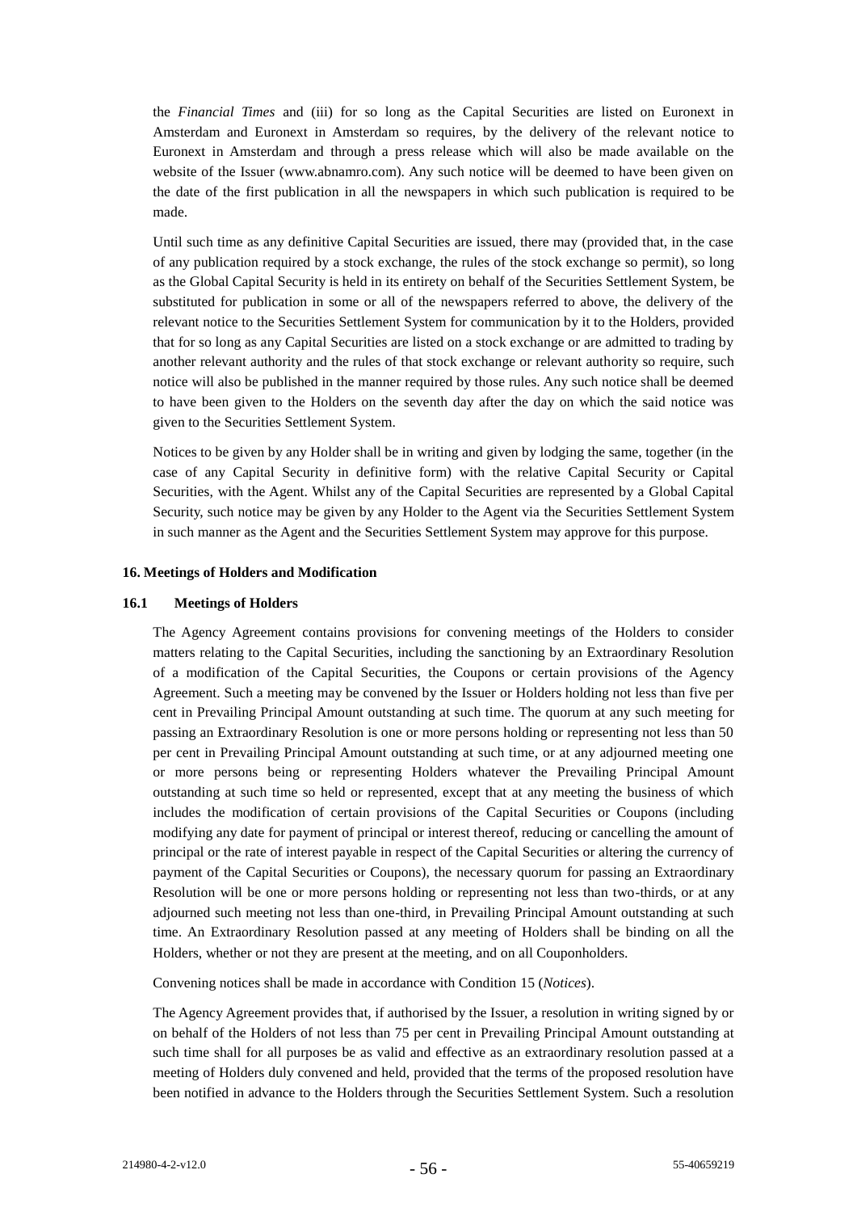the *Financial Times* and (iii) for so long as the Capital Securities are listed on Euronext in Amsterdam and Euronext in Amsterdam so requires, by the delivery of the relevant notice to Euronext in Amsterdam and through a press release which will also be made available on the website of the Issuer (www.abnamro.com). Any such notice will be deemed to have been given on the date of the first publication in all the newspapers in which such publication is required to be made.

Until such time as any definitive Capital Securities are issued, there may (provided that, in the case of any publication required by a stock exchange, the rules of the stock exchange so permit), so long as the Global Capital Security is held in its entirety on behalf of the Securities Settlement System, be substituted for publication in some or all of the newspapers referred to above, the delivery of the relevant notice to the Securities Settlement System for communication by it to the Holders, provided that for so long as any Capital Securities are listed on a stock exchange or are admitted to trading by another relevant authority and the rules of that stock exchange or relevant authority so require, such notice will also be published in the manner required by those rules. Any such notice shall be deemed to have been given to the Holders on the seventh day after the day on which the said notice was given to the Securities Settlement System.

Notices to be given by any Holder shall be in writing and given by lodging the same, together (in the case of any Capital Security in definitive form) with the relative Capital Security or Capital Securities, with the Agent. Whilst any of the Capital Securities are represented by a Global Capital Security, such notice may be given by any Holder to the Agent via the Securities Settlement System in such manner as the Agent and the Securities Settlement System may approve for this purpose.

### **16. Meetings of Holders and Modification**

#### **16.1 Meetings of Holders**

The Agency Agreement contains provisions for convening meetings of the Holders to consider matters relating to the Capital Securities, including the sanctioning by an Extraordinary Resolution of a modification of the Capital Securities, the Coupons or certain provisions of the Agency Agreement. Such a meeting may be convened by the Issuer or Holders holding not less than five per cent in Prevailing Principal Amount outstanding at such time. The quorum at any such meeting for passing an Extraordinary Resolution is one or more persons holding or representing not less than 50 per cent in Prevailing Principal Amount outstanding at such time, or at any adjourned meeting one or more persons being or representing Holders whatever the Prevailing Principal Amount outstanding at such time so held or represented, except that at any meeting the business of which includes the modification of certain provisions of the Capital Securities or Coupons (including modifying any date for payment of principal or interest thereof, reducing or cancelling the amount of principal or the rate of interest payable in respect of the Capital Securities or altering the currency of payment of the Capital Securities or Coupons), the necessary quorum for passing an Extraordinary Resolution will be one or more persons holding or representing not less than two-thirds, or at any adjourned such meeting not less than one-third, in Prevailing Principal Amount outstanding at such time. An Extraordinary Resolution passed at any meeting of Holders shall be binding on all the Holders, whether or not they are present at the meeting, and on all Couponholders.

Convening notices shall be made in accordance with Condition [15](#page-59-0) (*Notices*).

The Agency Agreement provides that, if authorised by the Issuer, a resolution in writing signed by or on behalf of the Holders of not less than 75 per cent in Prevailing Principal Amount outstanding at such time shall for all purposes be as valid and effective as an extraordinary resolution passed at a meeting of Holders duly convened and held, provided that the terms of the proposed resolution have been notified in advance to the Holders through the Securities Settlement System. Such a resolution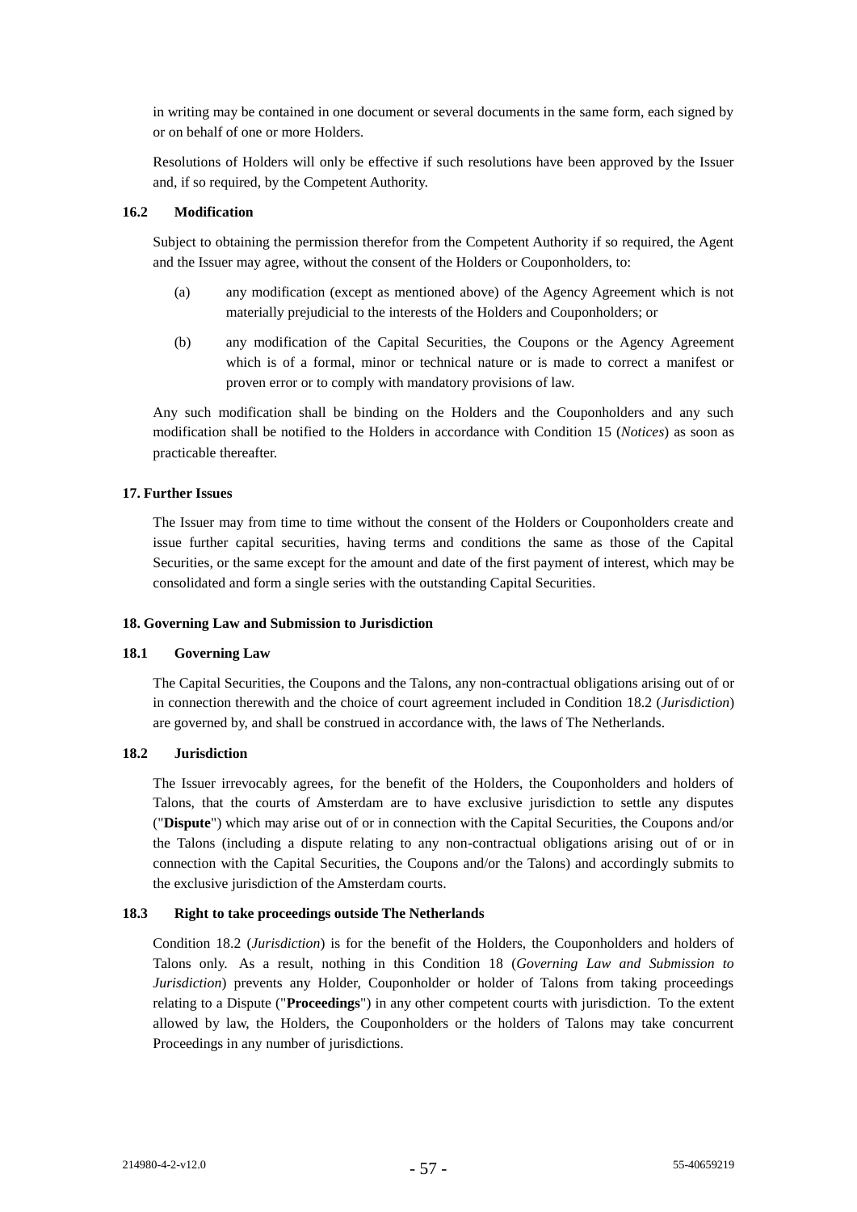in writing may be contained in one document or several documents in the same form, each signed by or on behalf of one or more Holders.

Resolutions of Holders will only be effective if such resolutions have been approved by the Issuer and, if so required, by the Competent Authority.

### **16.2 Modification**

Subject to obtaining the permission therefor from the Competent Authority if so required, the Agent and the Issuer may agree, without the consent of the Holders or Couponholders, to:

- (a) any modification (except as mentioned above) of the Agency Agreement which is not materially prejudicial to the interests of the Holders and Couponholders; or
- (b) any modification of the Capital Securities, the Coupons or the Agency Agreement which is of a formal, minor or technical nature or is made to correct a manifest or proven error or to comply with mandatory provisions of law.

Any such modification shall be binding on the Holders and the Couponholders and any such modification shall be notified to the Holders in accordance with Condition [15](#page-59-0) (*Notices*) as soon as practicable thereafter.

### <span id="page-61-0"></span>**17. Further Issues**

The Issuer may from time to time without the consent of the Holders or Couponholders create and issue further capital securities, having terms and conditions the same as those of the Capital Securities, or the same except for the amount and date of the first payment of interest, which may be consolidated and form a single series with the outstanding Capital Securities.

### <span id="page-61-2"></span>**18. Governing Law and Submission to Jurisdiction**

### **18.1 Governing Law**

The Capital Securities, the Coupons and the Talons, any non-contractual obligations arising out of or in connection therewith and the choice of court agreement included in Condition [18.2](#page-61-1) (*Jurisdiction*) are governed by, and shall be construed in accordance with, the laws of The Netherlands.

### <span id="page-61-1"></span>**18.2 Jurisdiction**

The Issuer irrevocably agrees, for the benefit of the Holders, the Couponholders and holders of Talons, that the courts of Amsterdam are to have exclusive jurisdiction to settle any disputes ("**Dispute**") which may arise out of or in connection with the Capital Securities, the Coupons and/or the Talons (including a dispute relating to any non-contractual obligations arising out of or in connection with the Capital Securities, the Coupons and/or the Talons) and accordingly submits to the exclusive jurisdiction of the Amsterdam courts.

### **18.3 Right to take proceedings outside The Netherlands**

Condition [18.2](#page-61-1) (*Jurisdiction*) is for the benefit of the Holders, the Couponholders and holders of Talons only. As a result, nothing in this Condition [18](#page-61-2) (*Governing Law and Submission to Jurisdiction*) prevents any Holder, Couponholder or holder of Talons from taking proceedings relating to a Dispute ("**Proceedings**") in any other competent courts with jurisdiction. To the extent allowed by law, the Holders, the Couponholders or the holders of Talons may take concurrent Proceedings in any number of jurisdictions.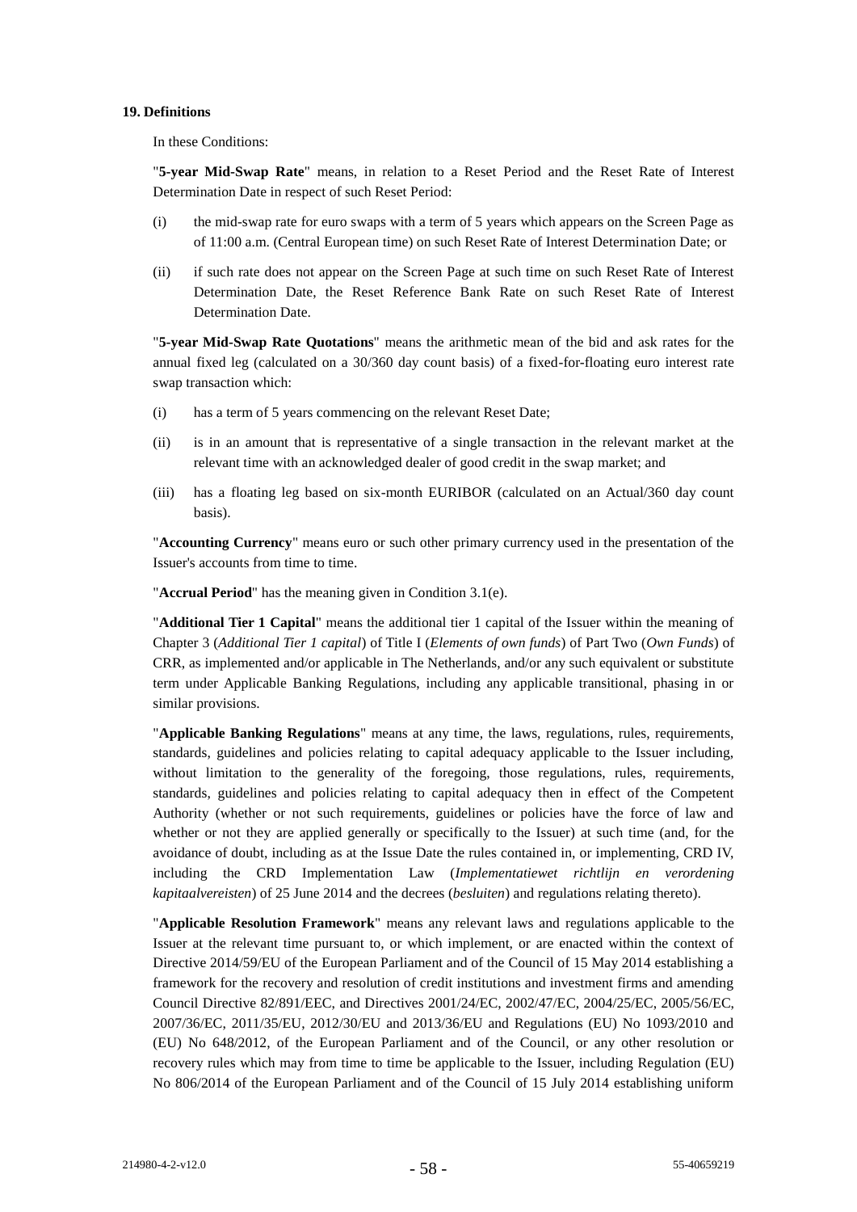#### **19. Definitions**

In these Conditions:

"**5-year Mid-Swap Rate**" means, in relation to a Reset Period and the Reset Rate of Interest Determination Date in respect of such Reset Period:

- (i) the mid-swap rate for euro swaps with a term of 5 years which appears on the Screen Page as of 11:00 a.m. (Central European time) on such Reset Rate of Interest Determination Date; or
- (ii) if such rate does not appear on the Screen Page at such time on such Reset Rate of Interest Determination Date, the Reset Reference Bank Rate on such Reset Rate of Interest Determination Date.

"**5-year Mid-Swap Rate Quotations**" means the arithmetic mean of the bid and ask rates for the annual fixed leg (calculated on a 30/360 day count basis) of a fixed-for-floating euro interest rate swap transaction which:

- (i) has a term of 5 years commencing on the relevant Reset Date;
- (ii) is in an amount that is representative of a single transaction in the relevant market at the relevant time with an acknowledged dealer of good credit in the swap market; and
- (iii) has a floating leg based on six-month EURIBOR (calculated on an Actual/360 day count basis).

"**Accounting Currency**" means euro or such other primary currency used in the presentation of the Issuer's accounts from time to time.

"**Accrual Period**" has the meaning given in Condition [3.1\(e\).](#page-44-1)

"**Additional Tier 1 Capital**" means the additional tier 1 capital of the Issuer within the meaning of Chapter 3 (*Additional Tier 1 capital*) of Title I (*Elements of own funds*) of Part Two (*Own Funds*) of CRR, as implemented and/or applicable in The Netherlands, and/or any such equivalent or substitute term under Applicable Banking Regulations, including any applicable transitional, phasing in or similar provisions.

"**Applicable Banking Regulations**" means at any time, the laws, regulations, rules, requirements, standards, guidelines and policies relating to capital adequacy applicable to the Issuer including, without limitation to the generality of the foregoing, those regulations, rules, requirements, standards, guidelines and policies relating to capital adequacy then in effect of the Competent Authority (whether or not such requirements, guidelines or policies have the force of law and whether or not they are applied generally or specifically to the Issuer) at such time (and, for the avoidance of doubt, including as at the Issue Date the rules contained in, or implementing, CRD IV, including the CRD Implementation Law (*Implementatiewet richtlijn en verordening kapitaalvereisten*) of 25 June 2014 and the decrees (*besluiten*) and regulations relating thereto).

"**Applicable Resolution Framework**" means any relevant laws and regulations applicable to the Issuer at the relevant time pursuant to, or which implement, or are enacted within the context of Directive 2014/59/EU of the European Parliament and of the Council of 15 May 2014 establishing a framework for the recovery and resolution of credit institutions and investment firms and amending Council Directive 82/891/EEC, and Directives 2001/24/EC, 2002/47/EC, 2004/25/EC, 2005/56/EC, 2007/36/EC, 2011/35/EU, 2012/30/EU and 2013/36/EU and Regulations (EU) No 1093/2010 and (EU) No 648/2012, of the European Parliament and of the Council, or any other resolution or recovery rules which may from time to time be applicable to the Issuer, including Regulation (EU) No 806/2014 of the European Parliament and of the Council of 15 July 2014 establishing uniform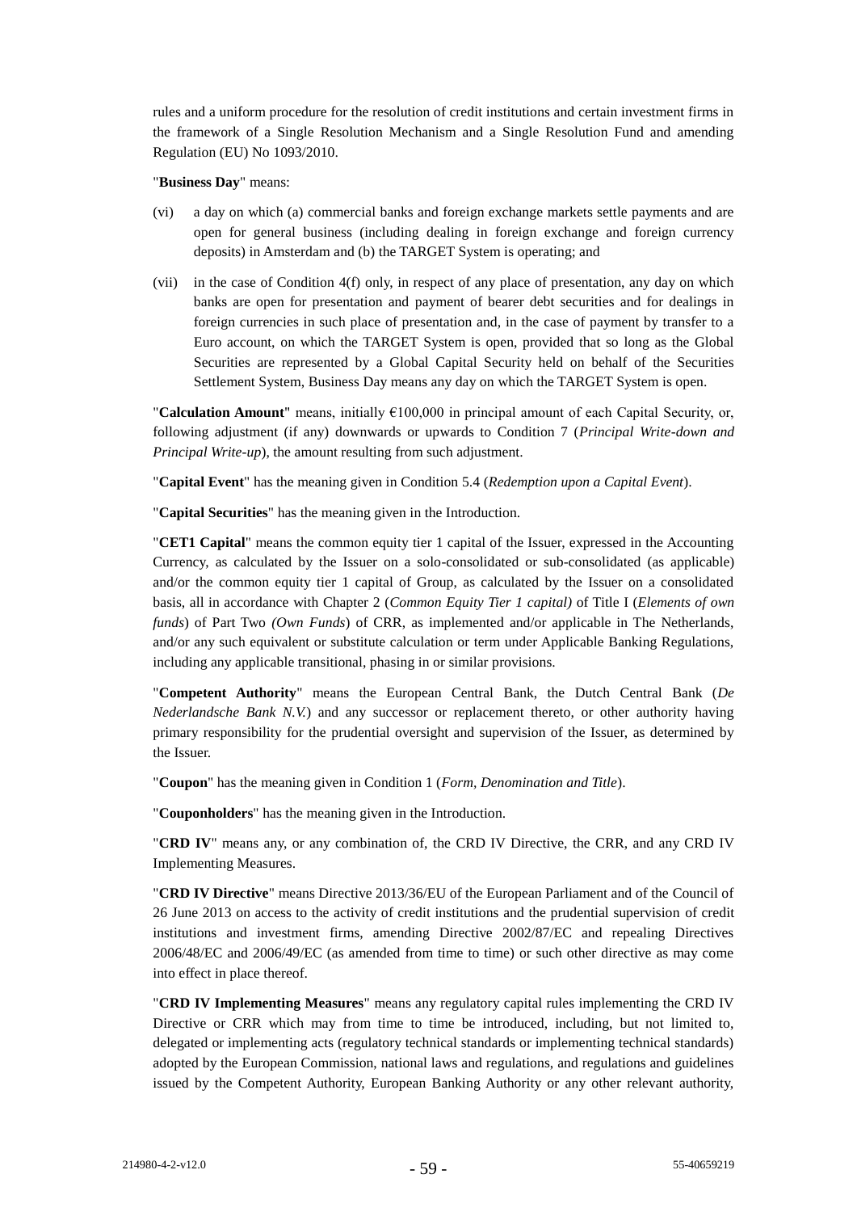rules and a uniform procedure for the resolution of credit institutions and certain investment firms in the framework of a Single Resolution Mechanism and a Single Resolution Fund and amending Regulation (EU) No 1093/2010.

"**Business Day**" means:

- (vi) a day on which (a) commercial banks and foreign exchange markets settle payments and are open for general business (including dealing in foreign exchange and foreign currency deposits) in Amsterdam and (b) the TARGET System is operating; and
- (vii) in the case of Condition 4(f) only, in respect of any place of presentation, any day on which banks are open for presentation and payment of bearer debt securities and for dealings in foreign currencies in such place of presentation and, in the case of payment by transfer to a Euro account, on which the TARGET System is open, provided that so long as the Global Securities are represented by a Global Capital Security held on behalf of the Securities Settlement System, Business Day means any day on which the TARGET System is open.

"**Calculation Amount**" means, initially  $\epsilon$ 100,000 in principal amount of each Capital Security, or, following adjustment (if any) downwards or upwards to Condition 7 (*Principal Write-down and Principal Write-up*), the amount resulting from such adjustment.

"**Capital Event**" has the meaning given in Condition [5.4](#page-49-1) (*Redemption upon a Capital Event*).

"**Capital Securities**" has the meaning given in the Introduction.

"**CET1 Capital**" means the common equity tier 1 capital of the Issuer, expressed in the Accounting Currency, as calculated by the Issuer on a solo-consolidated or sub-consolidated (as applicable) and/or the common equity tier 1 capital of Group, as calculated by the Issuer on a consolidated basis, all in accordance with Chapter 2 (*Common Equity Tier 1 capital)* of Title I (*Elements of own funds*) of Part Two *(Own Funds*) of CRR, as implemented and/or applicable in The Netherlands, and/or any such equivalent or substitute calculation or term under Applicable Banking Regulations, including any applicable transitional, phasing in or similar provisions.

"**Competent Authority**" means the European Central Bank, the Dutch Central Bank (*De Nederlandsche Bank N.V.*) and any successor or replacement thereto, or other authority having primary responsibility for the prudential oversight and supervision of the Issuer, as determined by the Issuer.

"**Coupon**" has the meaning given in Condition 1 (*Form, Denomination and Title*).

"**Couponholders**" has the meaning given in the Introduction.

"**CRD IV**" means any, or any combination of, the CRD IV Directive, the CRR, and any CRD IV Implementing Measures.

"**CRD IV Directive**" means Directive 2013/36/EU of the European Parliament and of the Council of 26 June 2013 on access to the activity of credit institutions and the prudential supervision of credit institutions and investment firms, amending Directive 2002/87/EC and repealing Directives 2006/48/EC and 2006/49/EC (as amended from time to time) or such other directive as may come into effect in place thereof.

"**CRD IV Implementing Measures**" means any regulatory capital rules implementing the CRD IV Directive or CRR which may from time to time be introduced, including, but not limited to, delegated or implementing acts (regulatory technical standards or implementing technical standards) adopted by the European Commission, national laws and regulations, and regulations and guidelines issued by the Competent Authority, European Banking Authority or any other relevant authority,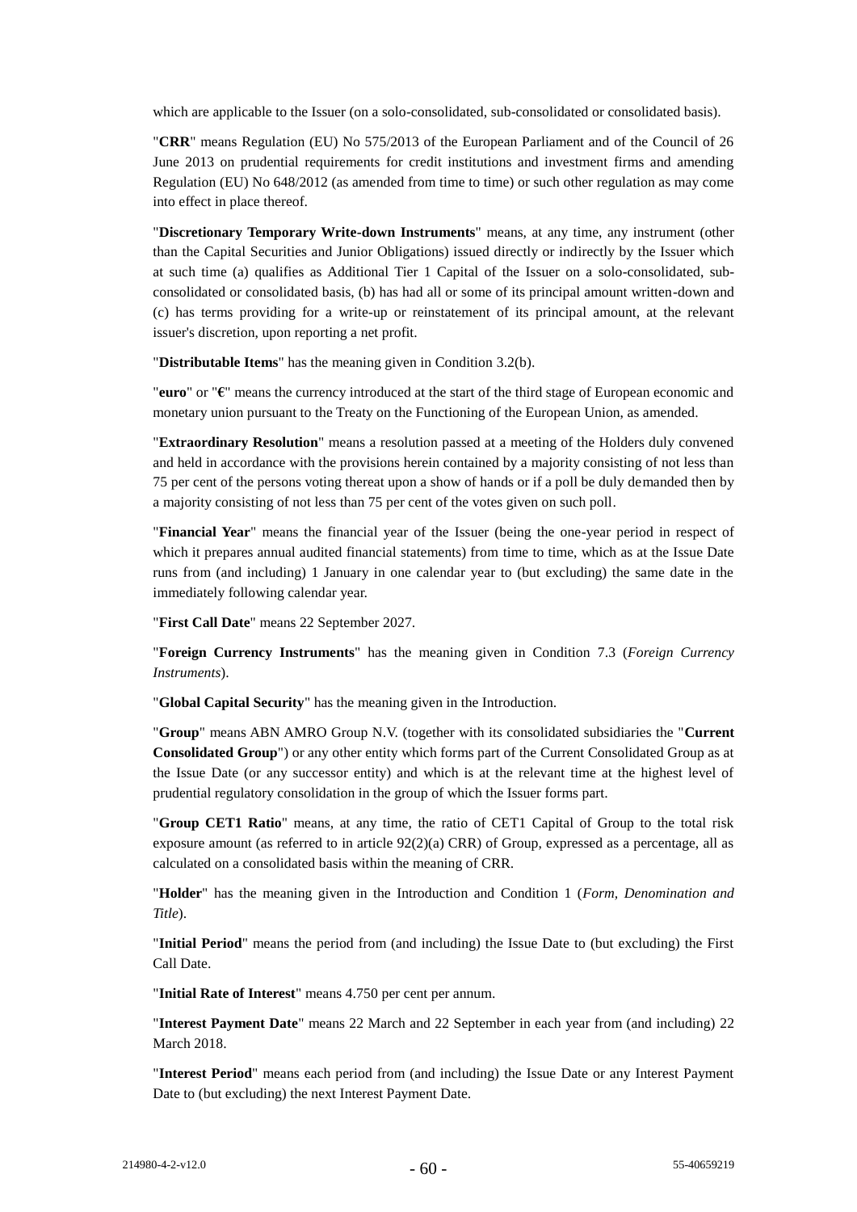which are applicable to the Issuer (on a solo-consolidated, sub-consolidated or consolidated basis).

"**CRR**" means Regulation (EU) No 575/2013 of the European Parliament and of the Council of 26 June 2013 on prudential requirements for credit institutions and investment firms and amending Regulation (EU) No 648/2012 (as amended from time to time) or such other regulation as may come into effect in place thereof.

"**Discretionary Temporary Write-down Instruments**" means, at any time, any instrument (other than the Capital Securities and Junior Obligations) issued directly or indirectly by the Issuer which at such time (a) qualifies as Additional Tier 1 Capital of the Issuer on a solo-consolidated, subconsolidated or consolidated basis, (b) has had all or some of its principal amount written-down and (c) has terms providing for a write-up or reinstatement of its principal amount, at the relevant issuer's discretion, upon reporting a net profit.

"**Distributable Items**" has the meaning given in Condition [3.2\(b\).](#page-44-3)

"**euro**" or "**€**" means the currency introduced at the start of the third stage of European economic and monetary union pursuant to the Treaty on the Functioning of the European Union, as amended.

"**Extraordinary Resolution**" means a resolution passed at a meeting of the Holders duly convened and held in accordance with the provisions herein contained by a majority consisting of not less than 75 per cent of the persons voting thereat upon a show of hands or if a poll be duly demanded then by a majority consisting of not less than 75 per cent of the votes given on such poll.

"**Financial Year**" means the financial year of the Issuer (being the one-year period in respect of which it prepares annual audited financial statements) from time to time, which as at the Issue Date runs from (and including) 1 January in one calendar year to (but excluding) the same date in the immediately following calendar year.

"**First Call Date**" means 22 September 2027.

"**Foreign Currency Instruments**" has the meaning given in Condition 7.3 (*Foreign Currency Instruments*).

"**Global Capital Security**" has the meaning given in the Introduction.

"**Group**" means ABN AMRO Group N.V. (together with its consolidated subsidiaries the "**Current Consolidated Group**") or any other entity which forms part of the Current Consolidated Group as at the Issue Date (or any successor entity) and which is at the relevant time at the highest level of prudential regulatory consolidation in the group of which the Issuer forms part.

"**Group CET1 Ratio**" means, at any time, the ratio of CET1 Capital of Group to the total risk exposure amount (as referred to in article  $92(2)(a)$  CRR) of Group, expressed as a percentage, all as calculated on a consolidated basis within the meaning of CRR.

"**Holder**" has the meaning given in the Introduction and Condition 1 (*Form, Denomination and Title*).

"**Initial Period**" means the period from (and including) the Issue Date to (but excluding) the First Call Date.

"**Initial Rate of Interest**" means 4.750 per cent per annum.

"**Interest Payment Date**" means 22 March and 22 September in each year from (and including) 22 March 2018.

"**Interest Period**" means each period from (and including) the Issue Date or any Interest Payment Date to (but excluding) the next Interest Payment Date.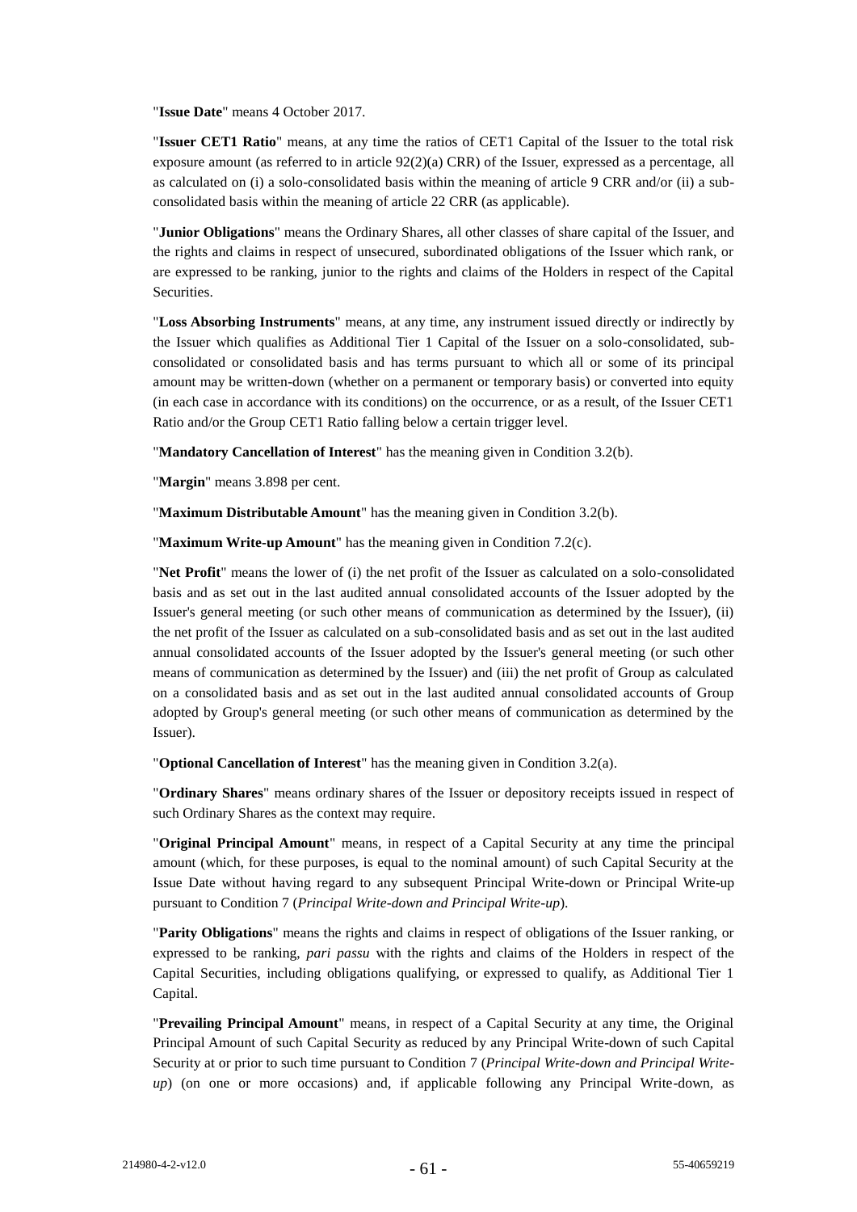"**Issue Date**" means 4 October 2017.

"**Issuer CET1 Ratio**" means, at any time the ratios of CET1 Capital of the Issuer to the total risk exposure amount (as referred to in article  $92(2)(a)$  CRR) of the Issuer, expressed as a percentage, all as calculated on (i) a solo-consolidated basis within the meaning of article 9 CRR and/or (ii) a subconsolidated basis within the meaning of article 22 CRR (as applicable).

"**Junior Obligations**" means the Ordinary Shares, all other classes of share capital of the Issuer, and the rights and claims in respect of unsecured, subordinated obligations of the Issuer which rank, or are expressed to be ranking, junior to the rights and claims of the Holders in respect of the Capital Securities.

"**Loss Absorbing Instruments**" means, at any time, any instrument issued directly or indirectly by the Issuer which qualifies as Additional Tier 1 Capital of the Issuer on a solo-consolidated, subconsolidated or consolidated basis and has terms pursuant to which all or some of its principal amount may be written-down (whether on a permanent or temporary basis) or converted into equity (in each case in accordance with its conditions) on the occurrence, or as a result, of the Issuer CET1 Ratio and/or the Group CET1 Ratio falling below a certain trigger level.

"**Mandatory Cancellation of Interest**" has the meaning given in Condition [3.2\(b\).](#page-44-3)

"**Margin**" means 3.898 per cent.

"**Maximum Distributable Amount**" has the meaning given in Condition [3.2\(b\).](#page-44-3)

"**Maximum Write-up Amount**" has the meaning given in Condition [7.2\(c\).](#page-54-2)

"**Net Profit**" means the lower of (i) the net profit of the Issuer as calculated on a solo-consolidated basis and as set out in the last audited annual consolidated accounts of the Issuer adopted by the Issuer's general meeting (or such other means of communication as determined by the Issuer), (ii) the net profit of the Issuer as calculated on a sub-consolidated basis and as set out in the last audited annual consolidated accounts of the Issuer adopted by the Issuer's general meeting (or such other means of communication as determined by the Issuer) and (iii) the net profit of Group as calculated on a consolidated basis and as set out in the last audited annual consolidated accounts of Group adopted by Group's general meeting (or such other means of communication as determined by the Issuer).

"**Optional Cancellation of Interest**" has the meaning given in Conditio[n 3.2\(a\).](#page-44-2)

"**Ordinary Shares**" means ordinary shares of the Issuer or depository receipts issued in respect of such Ordinary Shares as the context may require.

"**Original Principal Amount**" means, in respect of a Capital Security at any time the principal amount (which, for these purposes, is equal to the nominal amount) of such Capital Security at the Issue Date without having regard to any subsequent Principal Write-down or Principal Write-up pursuant to Condition [7](#page-52-0) (*Principal Write-down and Principal Write-up*).

"**Parity Obligations**" means the rights and claims in respect of obligations of the Issuer ranking, or expressed to be ranking, *pari passu* with the rights and claims of the Holders in respect of the Capital Securities, including obligations qualifying, or expressed to qualify, as Additional Tier 1 Capital.

"**Prevailing Principal Amount**" means, in respect of a Capital Security at any time, the Original Principal Amount of such Capital Security as reduced by any Principal Write-down of such Capital Security at or prior to such time pursuant to Condition [7](#page-52-0) (*Principal Write-down and Principal Writeup*) (on one or more occasions) and, if applicable following any Principal Write-down, as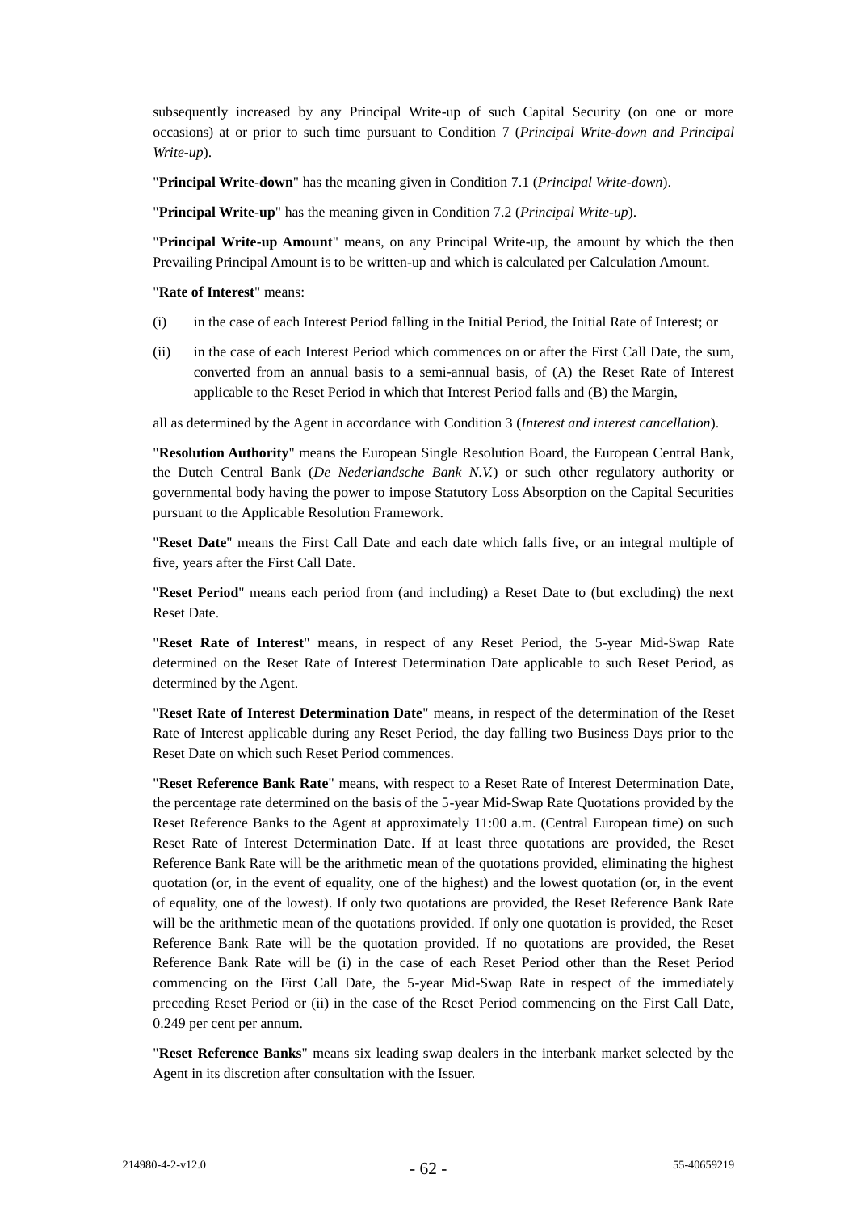subsequently increased by any Principal Write-up of such Capital Security (on one or more occasions) at or prior to such time pursuant to Condition [7](#page-52-0) (*Principal Write-down and Principal Write-up*).

"**Principal Write-down**" has the meaning given in Condition [7.1](#page-52-1) (*Principal Write-down*).

"**Principal Write-up**" has the meaning given in Condition [7.2](#page-54-0) (*Principal Write-up*).

"**Principal Write-up Amount**" means, on any Principal Write-up, the amount by which the then Prevailing Principal Amount is to be written-up and which is calculated per Calculation Amount.

#### "**Rate of Interest**" means:

- (i) in the case of each Interest Period falling in the Initial Period, the Initial Rate of Interest; or
- (ii) in the case of each Interest Period which commences on or after the First Call Date, the sum, converted from an annual basis to a semi-annual basis, of (A) the Reset Rate of Interest applicable to the Reset Period in which that Interest Period falls and (B) the Margin,

all as determined by the Agent in accordance with Condition [3](#page-43-0) (*Interest and interest cancellation*).

"**Resolution Authority**" means the European Single Resolution Board, the European Central Bank, the Dutch Central Bank (*De Nederlandsche Bank N.V.*) or such other regulatory authority or governmental body having the power to impose Statutory Loss Absorption on the Capital Securities pursuant to the Applicable Resolution Framework.

"**Reset Date**" means the First Call Date and each date which falls five, or an integral multiple of five, years after the First Call Date.

"**Reset Period**" means each period from (and including) a Reset Date to (but excluding) the next Reset Date.

"**Reset Rate of Interest**" means, in respect of any Reset Period, the 5-year Mid-Swap Rate determined on the Reset Rate of Interest Determination Date applicable to such Reset Period, as determined by the Agent.

"**Reset Rate of Interest Determination Date**" means, in respect of the determination of the Reset Rate of Interest applicable during any Reset Period, the day falling two Business Days prior to the Reset Date on which such Reset Period commences.

"**Reset Reference Bank Rate**" means, with respect to a Reset Rate of Interest Determination Date, the percentage rate determined on the basis of the 5-year Mid-Swap Rate Quotations provided by the Reset Reference Banks to the Agent at approximately 11:00 a.m. (Central European time) on such Reset Rate of Interest Determination Date. If at least three quotations are provided, the Reset Reference Bank Rate will be the arithmetic mean of the quotations provided, eliminating the highest quotation (or, in the event of equality, one of the highest) and the lowest quotation (or, in the event of equality, one of the lowest). If only two quotations are provided, the Reset Reference Bank Rate will be the arithmetic mean of the quotations provided. If only one quotation is provided, the Reset Reference Bank Rate will be the quotation provided. If no quotations are provided, the Reset Reference Bank Rate will be (i) in the case of each Reset Period other than the Reset Period commencing on the First Call Date, the 5-year Mid-Swap Rate in respect of the immediately preceding Reset Period or (ii) in the case of the Reset Period commencing on the First Call Date, 0.249 per cent per annum.

"**Reset Reference Banks**" means six leading swap dealers in the interbank market selected by the Agent in its discretion after consultation with the Issuer.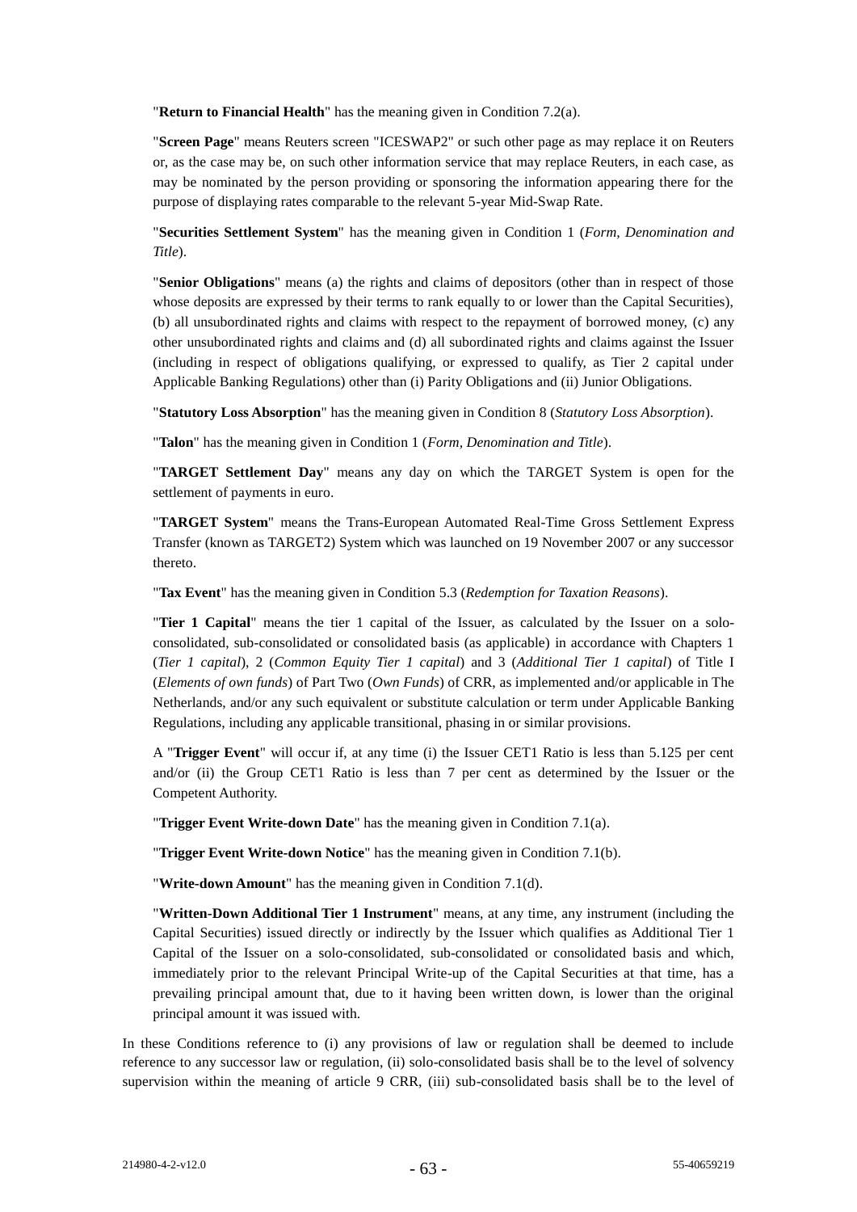"**Return to Financial Health**" has the meaning given in Condition [7.2\(a\).](#page-54-3)

"**Screen Page**" means Reuters screen "ICESWAP2" or such other page as may replace it on Reuters or, as the case may be, on such other information service that may replace Reuters, in each case, as may be nominated by the person providing or sponsoring the information appearing there for the purpose of displaying rates comparable to the relevant 5-year Mid-Swap Rate.

"**Securities Settlement System**" has the meaning given in Condition [1](#page-41-0) (*Form, Denomination and Title*).

"**Senior Obligations**" means (a) the rights and claims of depositors (other than in respect of those whose deposits are expressed by their terms to rank equally to or lower than the Capital Securities), (b) all unsubordinated rights and claims with respect to the repayment of borrowed money, (c) any other unsubordinated rights and claims and (d) all subordinated rights and claims against the Issuer (including in respect of obligations qualifying, or expressed to qualify, as Tier 2 capital under Applicable Banking Regulations) other than (i) Parity Obligations and (ii) Junior Obligations.

"**Statutory Loss Absorption**" has the meaning given in Conditio[n 8](#page-56-1) (*Statutory Loss Absorption*).

"**Talon**" has the meaning given in Condition 1 (*Form, Denomination and Title*).

"**TARGET Settlement Day**" means any day on which the TARGET System is open for the settlement of payments in euro.

"**TARGET System**" means the Trans-European Automated Real-Time Gross Settlement Express Transfer (known as TARGET2) System which was launched on 19 November 2007 or any successor thereto.

"**Tax Event**" has the meaning given in Condition [5.3](#page-48-2) (*Redemption for Taxation Reasons*).

"**Tier 1 Capital**" means the tier 1 capital of the Issuer, as calculated by the Issuer on a soloconsolidated, sub-consolidated or consolidated basis (as applicable) in accordance with Chapters 1 (*Tier 1 capital*), 2 (*Common Equity Tier 1 capital*) and 3 (*Additional Tier 1 capital*) of Title I (*Elements of own funds*) of Part Two (*Own Funds*) of CRR, as implemented and/or applicable in The Netherlands, and/or any such equivalent or substitute calculation or term under Applicable Banking Regulations, including any applicable transitional, phasing in or similar provisions.

A "**Trigger Event**" will occur if, at any time (i) the Issuer CET1 Ratio is less than 5.125 per cent and/or (ii) the Group CET1 Ratio is less than 7 per cent as determined by the Issuer or the Competent Authority.

"**Trigger Event Write-down Date**" has the meaning given in Conditio[n 7.1\(a\).](#page-52-3)

"**Trigger Event Write-down Notice**" has the meaning given in Condition [7.1\(b\).](#page-52-4)

"**Write-down Amount**" has the meaning given in Condition [7.1\(d\).](#page-53-1)

"**Written-Down Additional Tier 1 Instrument**" means, at any time, any instrument (including the Capital Securities) issued directly or indirectly by the Issuer which qualifies as Additional Tier 1 Capital of the Issuer on a solo-consolidated, sub-consolidated or consolidated basis and which, immediately prior to the relevant Principal Write-up of the Capital Securities at that time, has a prevailing principal amount that, due to it having been written down, is lower than the original principal amount it was issued with.

In these Conditions reference to (i) any provisions of law or regulation shall be deemed to include reference to any successor law or regulation, (ii) solo-consolidated basis shall be to the level of solvency supervision within the meaning of article 9 CRR, (iii) sub-consolidated basis shall be to the level of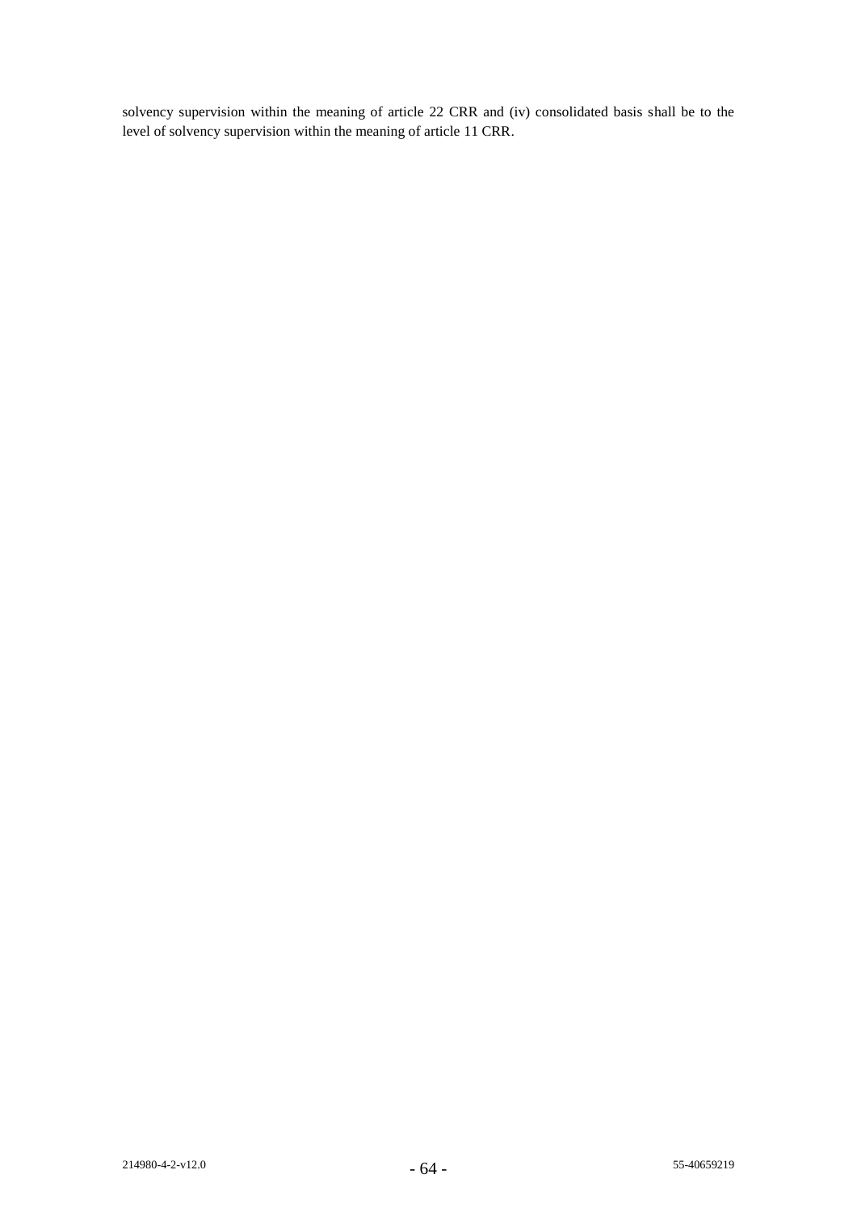solvency supervision within the meaning of article 22 CRR and (iv) consolidated basis shall be to the level of solvency supervision within the meaning of article 11 CRR.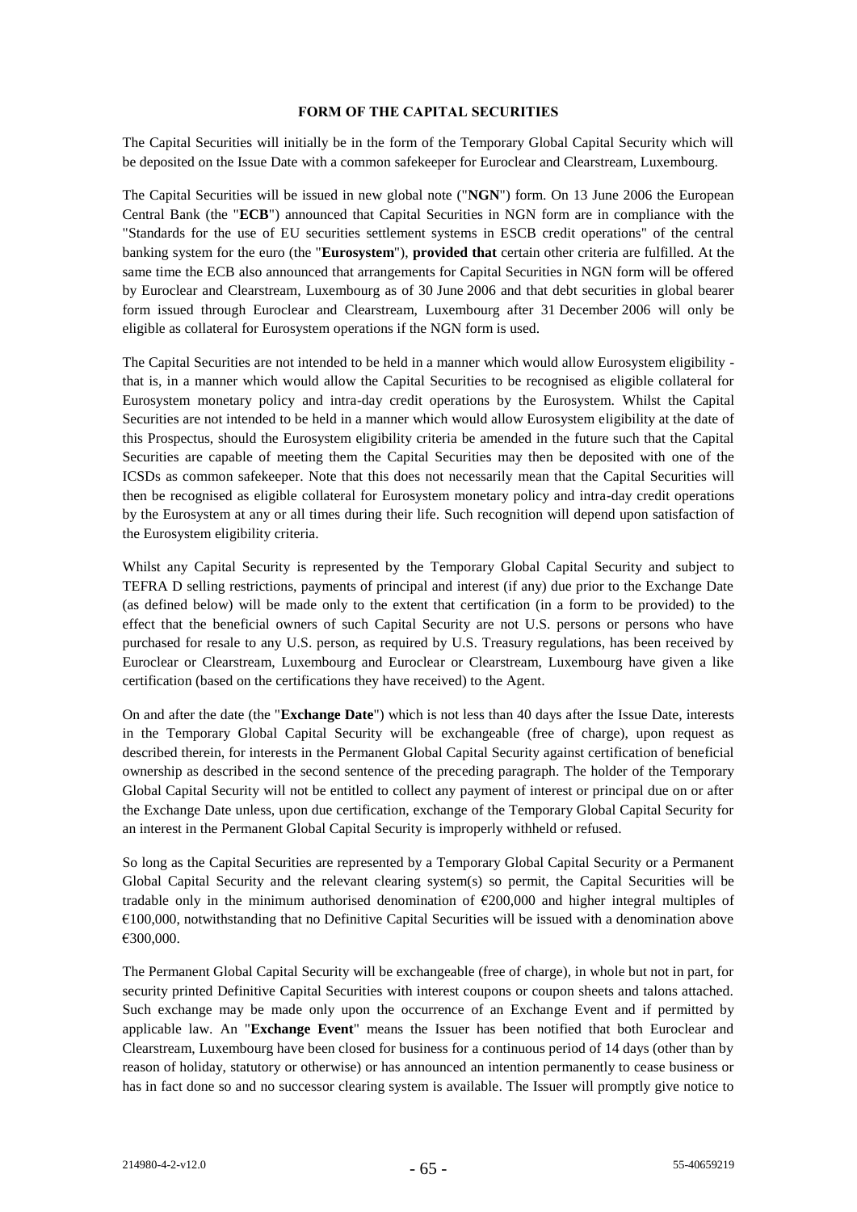#### **FORM OF THE CAPITAL SECURITIES**

The Capital Securities will initially be in the form of the Temporary Global Capital Security which will be deposited on the Issue Date with a common safekeeper for Euroclear and Clearstream, Luxembourg.

The Capital Securities will be issued in new global note ("**NGN**") form. On 13 June 2006 the European Central Bank (the "**ECB**") announced that Capital Securities in NGN form are in compliance with the "Standards for the use of EU securities settlement systems in ESCB credit operations" of the central banking system for the euro (the "**Eurosystem**"), **provided that** certain other criteria are fulfilled. At the same time the ECB also announced that arrangements for Capital Securities in NGN form will be offered by Euroclear and Clearstream, Luxembourg as of 30 June 2006 and that debt securities in global bearer form issued through Euroclear and Clearstream, Luxembourg after 31 December 2006 will only be eligible as collateral for Eurosystem operations if the NGN form is used.

The Capital Securities are not intended to be held in a manner which would allow Eurosystem eligibility that is, in a manner which would allow the Capital Securities to be recognised as eligible collateral for Eurosystem monetary policy and intra-day credit operations by the Eurosystem. Whilst the Capital Securities are not intended to be held in a manner which would allow Eurosystem eligibility at the date of this Prospectus, should the Eurosystem eligibility criteria be amended in the future such that the Capital Securities are capable of meeting them the Capital Securities may then be deposited with one of the ICSDs as common safekeeper. Note that this does not necessarily mean that the Capital Securities will then be recognised as eligible collateral for Eurosystem monetary policy and intra-day credit operations by the Eurosystem at any or all times during their life. Such recognition will depend upon satisfaction of the Eurosystem eligibility criteria.

Whilst any Capital Security is represented by the Temporary Global Capital Security and subject to TEFRA D selling restrictions, payments of principal and interest (if any) due prior to the Exchange Date (as defined below) will be made only to the extent that certification (in a form to be provided) to the effect that the beneficial owners of such Capital Security are not U.S. persons or persons who have purchased for resale to any U.S. person, as required by U.S. Treasury regulations, has been received by Euroclear or Clearstream, Luxembourg and Euroclear or Clearstream, Luxembourg have given a like certification (based on the certifications they have received) to the Agent.

On and after the date (the "**Exchange Date**") which is not less than 40 days after the Issue Date, interests in the Temporary Global Capital Security will be exchangeable (free of charge), upon request as described therein, for interests in the Permanent Global Capital Security against certification of beneficial ownership as described in the second sentence of the preceding paragraph. The holder of the Temporary Global Capital Security will not be entitled to collect any payment of interest or principal due on or after the Exchange Date unless, upon due certification, exchange of the Temporary Global Capital Security for an interest in the Permanent Global Capital Security is improperly withheld or refused.

So long as the Capital Securities are represented by a Temporary Global Capital Security or a Permanent Global Capital Security and the relevant clearing system(s) so permit, the Capital Securities will be tradable only in the minimum authorised denomination of  $\epsilon$ 200,000 and higher integral multiples of  $€100,000$ , notwithstanding that no Definitive Capital Securities will be issued with a denomination above €300,000.

The Permanent Global Capital Security will be exchangeable (free of charge), in whole but not in part, for security printed Definitive Capital Securities with interest coupons or coupon sheets and talons attached. Such exchange may be made only upon the occurrence of an Exchange Event and if permitted by applicable law. An "**Exchange Event**" means the Issuer has been notified that both Euroclear and Clearstream, Luxembourg have been closed for business for a continuous period of 14 days (other than by reason of holiday, statutory or otherwise) or has announced an intention permanently to cease business or has in fact done so and no successor clearing system is available. The Issuer will promptly give notice to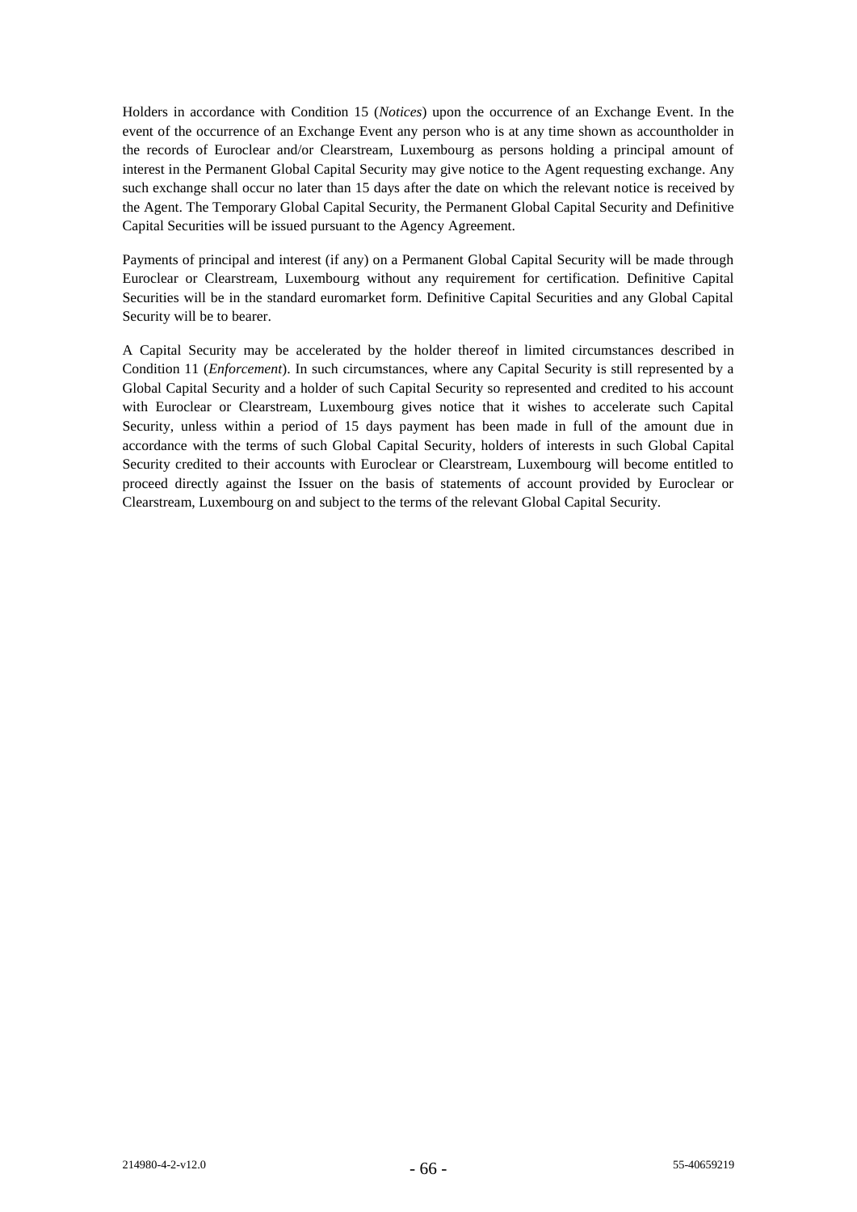Holders in accordance with Condition 15 (*Notices*) upon the occurrence of an Exchange Event. In the event of the occurrence of an Exchange Event any person who is at any time shown as accountholder in the records of Euroclear and/or Clearstream, Luxembourg as persons holding a principal amount of interest in the Permanent Global Capital Security may give notice to the Agent requesting exchange. Any such exchange shall occur no later than 15 days after the date on which the relevant notice is received by the Agent. The Temporary Global Capital Security, the Permanent Global Capital Security and Definitive Capital Securities will be issued pursuant to the Agency Agreement.

Payments of principal and interest (if any) on a Permanent Global Capital Security will be made through Euroclear or Clearstream, Luxembourg without any requirement for certification. Definitive Capital Securities will be in the standard euromarket form. Definitive Capital Securities and any Global Capital Security will be to bearer.

A Capital Security may be accelerated by the holder thereof in limited circumstances described in Condition 11 (*Enforcement*). In such circumstances, where any Capital Security is still represented by a Global Capital Security and a holder of such Capital Security so represented and credited to his account with Euroclear or Clearstream, Luxembourg gives notice that it wishes to accelerate such Capital Security, unless within a period of 15 days payment has been made in full of the amount due in accordance with the terms of such Global Capital Security, holders of interests in such Global Capital Security credited to their accounts with Euroclear or Clearstream, Luxembourg will become entitled to proceed directly against the Issuer on the basis of statements of account provided by Euroclear or Clearstream, Luxembourg on and subject to the terms of the relevant Global Capital Security.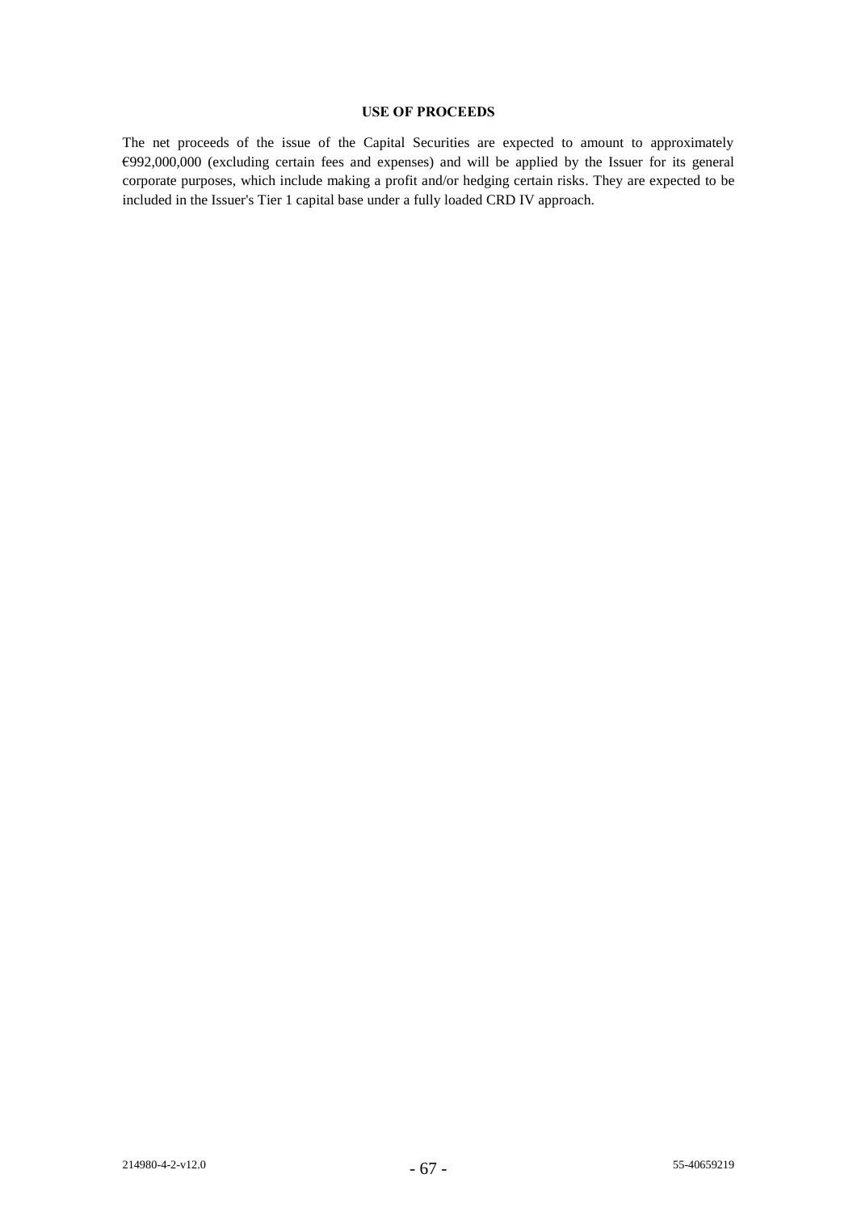# **USE OF PROCEEDS**

The net proceeds of the issue of the Capital Securities are expected to amount to approximately €992,000,000 (excluding certain fees and expenses) and will be applied by the Issuer for its general corporate purposes, which include making a profit and/or hedging certain risks. They are expected to be included in the Issuer's Tier 1 capital base under a fully loaded CRD IV approach.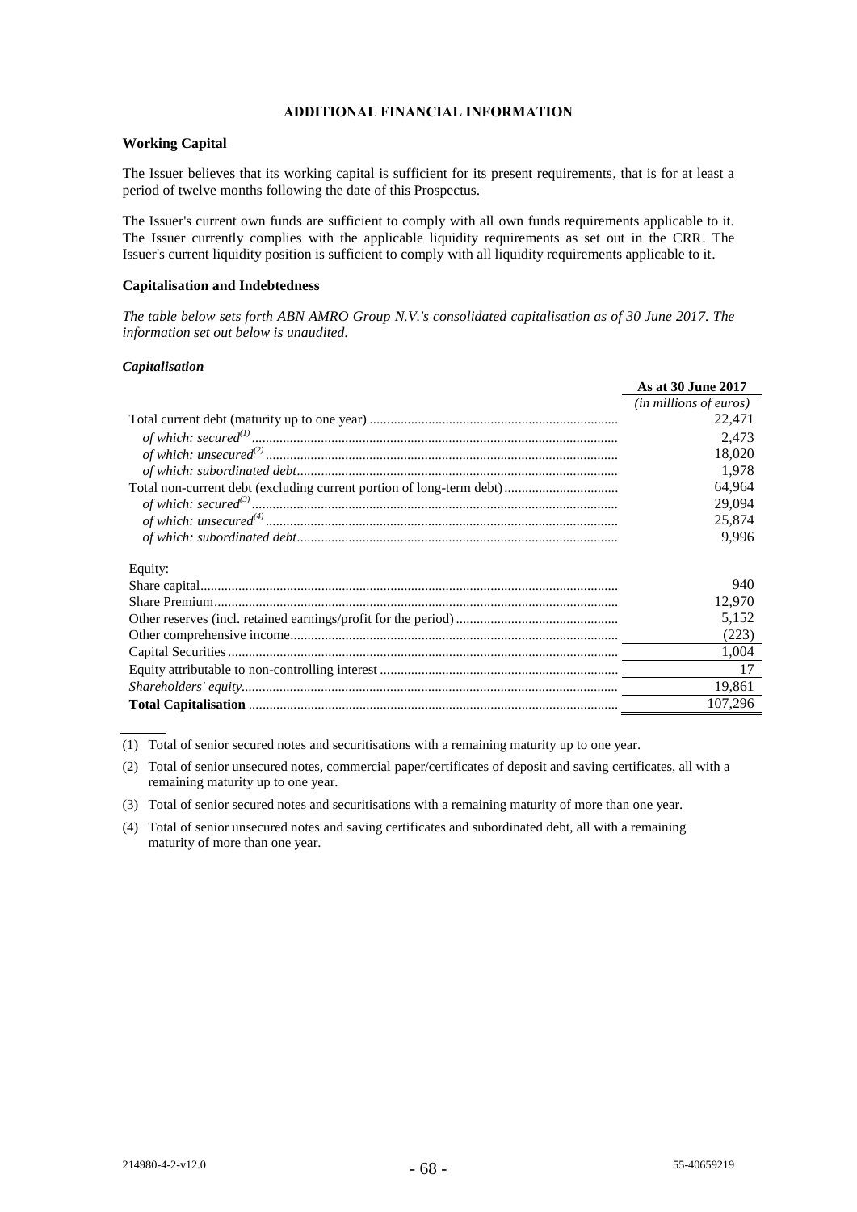## **ADDITIONAL FINANCIAL INFORMATION**

## **Working Capital**

The Issuer believes that its working capital is sufficient for its present requirements, that is for at least a period of twelve months following the date of this Prospectus.

The Issuer's current own funds are sufficient to comply with all own funds requirements applicable to it. The Issuer currently complies with the applicable liquidity requirements as set out in the CRR. The Issuer's current liquidity position is sufficient to comply with all liquidity requirements applicable to it.

### **Capitalisation and Indebtedness**

*The table below sets forth ABN AMRO Group N.V.'s consolidated capitalisation as of 30 June 2017. The information set out below is unaudited*.

### *Capitalisation*

|         | As at 30 June 2017     |
|---------|------------------------|
|         | (in millions of euros) |
|         | 22,471                 |
|         | 2,473                  |
|         | 18,020                 |
|         | 1,978                  |
|         | 64,964                 |
|         | 29,094                 |
|         | 25,874                 |
|         | 9.996                  |
| Equity: |                        |
|         | 940                    |
|         | 12,970                 |
|         | 5.152                  |
|         | (223)                  |
|         | 1,004                  |
|         | 17                     |
|         | 19.861                 |
|         | 107,296                |
|         |                        |

(1) Total of senior secured notes and securitisations with a remaining maturity up to one year.

- (2) Total of senior unsecured notes, commercial paper/certificates of deposit and saving certificates, all with a remaining maturity up to one year.
- (3) Total of senior secured notes and securitisations with a remaining maturity of more than one year.
- (4) Total of senior unsecured notes and saving certificates and subordinated debt, all with a remaining maturity of more than one year.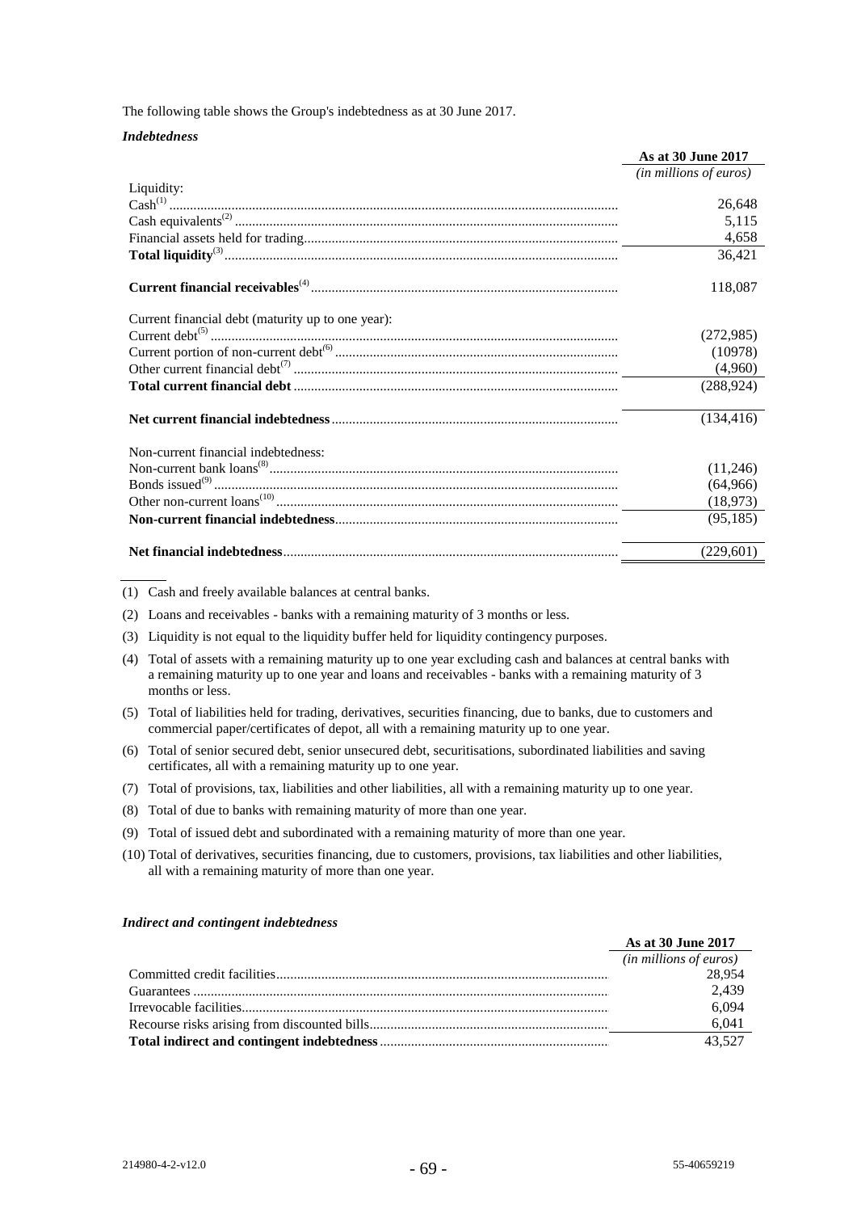The following table shows the Group's indebtedness as at 30 June 2017.

#### *Indebtedness*

|                                                   | As at 30 June 2017     |
|---------------------------------------------------|------------------------|
|                                                   | (in millions of euros) |
| Liquidity:                                        |                        |
|                                                   | 26,648                 |
|                                                   | 5,115                  |
|                                                   | 4,658                  |
|                                                   | 36,421                 |
|                                                   | 118,087                |
| Current financial debt (maturity up to one year): |                        |
|                                                   | (272,985)              |
|                                                   | (10978)                |
|                                                   | (4,960)                |
|                                                   | (288, 924)             |
|                                                   | (134, 416)             |
| Non-current financial indebtedness:               |                        |
|                                                   | (11,246)               |
|                                                   | (64,966)               |
|                                                   | (18, 973)              |
|                                                   | (95, 185)              |
|                                                   | (229,601)              |

(1) Cash and freely available balances at central banks.

(2) Loans and receivables - banks with a remaining maturity of 3 months or less.

- (3) Liquidity is not equal to the liquidity buffer held for liquidity contingency purposes.
- (4) Total of assets with a remaining maturity up to one year excluding cash and balances at central banks with a remaining maturity up to one year and loans and receivables - banks with a remaining maturity of 3 months or less.
- (5) Total of liabilities held for trading, derivatives, securities financing, due to banks, due to customers and commercial paper/certificates of depot, all with a remaining maturity up to one year.
- (6) Total of senior secured debt, senior unsecured debt, securitisations, subordinated liabilities and saving certificates, all with a remaining maturity up to one year.
- (7) Total of provisions, tax, liabilities and other liabilities, all with a remaining maturity up to one year.
- (8) Total of due to banks with remaining maturity of more than one year.
- (9) Total of issued debt and subordinated with a remaining maturity of more than one year.
- (10) Total of derivatives, securities financing, due to customers, provisions, tax liabilities and other liabilities, all with a remaining maturity of more than one year.

#### *Indirect and contingent indebtedness*

| As at 30 June 2017              |
|---------------------------------|
| ( <i>in millions of euros</i> ) |
| 28,954                          |
| 2.439                           |
| 6,094                           |
| 6,041                           |
| 43.527                          |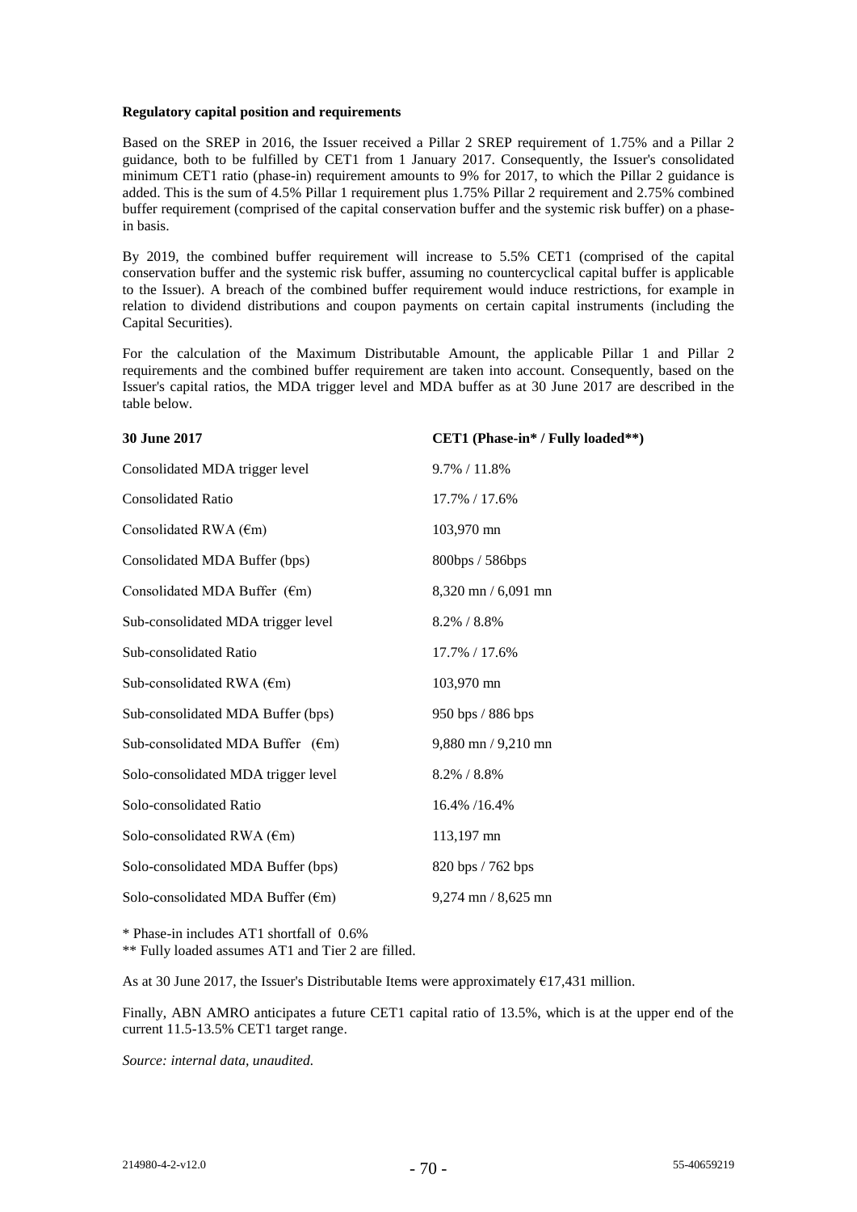### **Regulatory capital position and requirements**

Based on the SREP in 2016, the Issuer received a Pillar 2 SREP requirement of 1.75% and a Pillar 2 guidance, both to be fulfilled by CET1 from 1 January 2017. Consequently, the Issuer's consolidated minimum CET1 ratio (phase-in) requirement amounts to 9% for 2017, to which the Pillar 2 guidance is added. This is the sum of 4.5% Pillar 1 requirement plus 1.75% Pillar 2 requirement and 2.75% combined buffer requirement (comprised of the capital conservation buffer and the systemic risk buffer) on a phasein basis.

By 2019, the combined buffer requirement will increase to 5.5% CET1 (comprised of the capital conservation buffer and the systemic risk buffer, assuming no countercyclical capital buffer is applicable to the Issuer). A breach of the combined buffer requirement would induce restrictions, for example in relation to dividend distributions and coupon payments on certain capital instruments (including the Capital Securities).

For the calculation of the Maximum Distributable Amount, the applicable Pillar 1 and Pillar 2 requirements and the combined buffer requirement are taken into account. Consequently, based on the Issuer's capital ratios, the MDA trigger level and MDA buffer as at 30 June 2017 are described in the table below.

| 30 June 2017                                | CET1 (Phase-in* / Fully loaded**) |
|---------------------------------------------|-----------------------------------|
| Consolidated MDA trigger level              | $9.7\%$ / 11.8%                   |
| <b>Consolidated Ratio</b>                   | 17.7% / 17.6%                     |
| Consolidated RWA $(\epsilon m)$             | 103,970 mn                        |
| Consolidated MDA Buffer (bps)               | 800bps / 586bps                   |
| Consolidated MDA Buffer $(\epsilon m)$      | 8,320 mn / 6,091 mn               |
| Sub-consolidated MDA trigger level          | 8.2% / 8.8%                       |
| Sub-consolidated Ratio                      | 17.7% / 17.6%                     |
| Sub-consolidated RWA $(\epsilon m)$         | 103,970 mn                        |
| Sub-consolidated MDA Buffer (bps)           | 950 bps / 886 bps                 |
| Sub-consolidated MDA Buffer $(\epsilon m)$  | $9,880$ mn $/ 9,210$ mn           |
| Solo-consolidated MDA trigger level         | 8.2% / 8.8%                       |
| Solo-consolidated Ratio                     | 16.4% /16.4%                      |
| Solo-consolidated RWA $(\epsilon m)$        | 113,197 mn                        |
| Solo-consolidated MDA Buffer (bps)          | 820 bps / 762 bps                 |
| Solo-consolidated MDA Buffer $(\epsilon m)$ | $9,274$ mn $/ 8,625$ mn           |

\* Phase-in includes AT1 shortfall of 0.6%

\*\* Fully loaded assumes AT1 and Tier 2 are filled.

As at 30 June 2017, the Issuer's Distributable Items were approximately  $E17,431$  million.

Finally, ABN AMRO anticipates a future CET1 capital ratio of 13.5%, which is at the upper end of the current 11.5-13.5% CET1 target range.

*Source: internal data, unaudited.*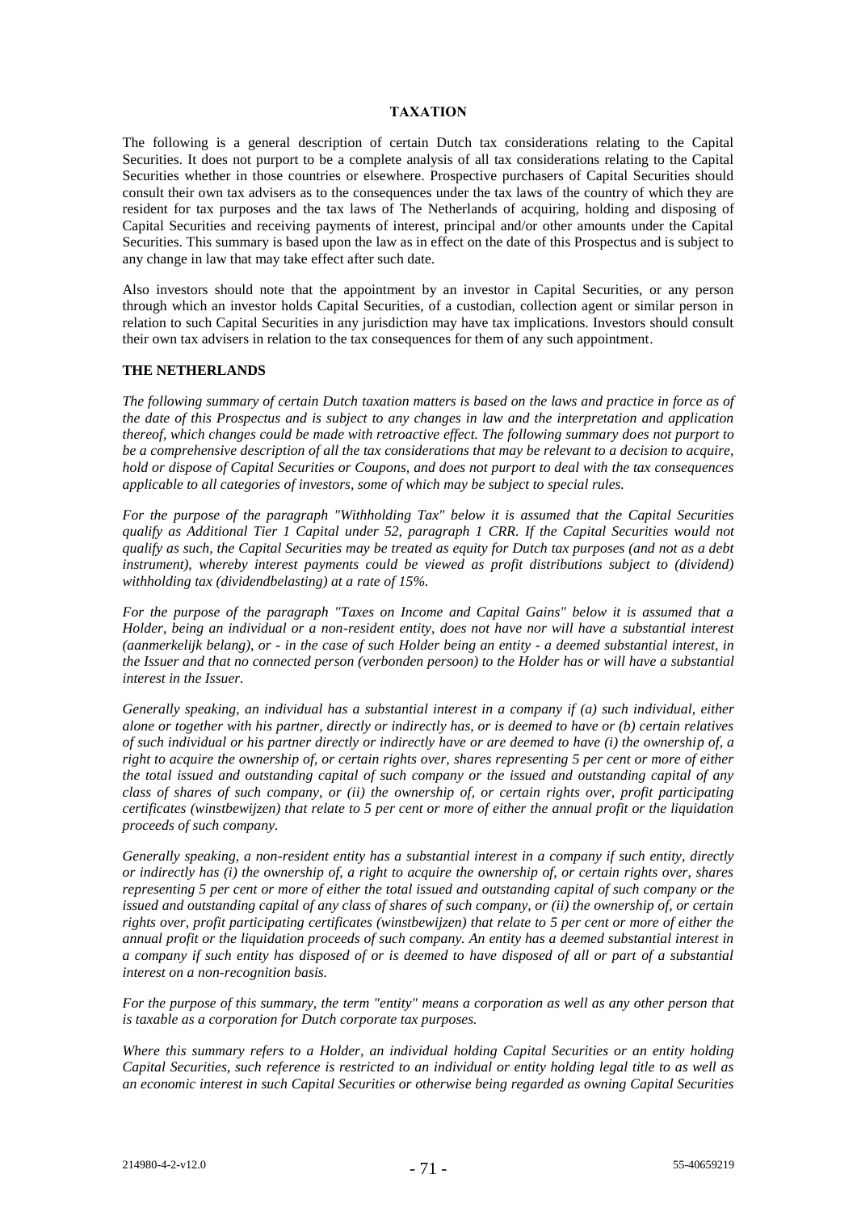## **TAXATION**

The following is a general description of certain Dutch tax considerations relating to the Capital Securities. It does not purport to be a complete analysis of all tax considerations relating to the Capital Securities whether in those countries or elsewhere. Prospective purchasers of Capital Securities should consult their own tax advisers as to the consequences under the tax laws of the country of which they are resident for tax purposes and the tax laws of The Netherlands of acquiring, holding and disposing of Capital Securities and receiving payments of interest, principal and/or other amounts under the Capital Securities. This summary is based upon the law as in effect on the date of this Prospectus and is subject to any change in law that may take effect after such date.

Also investors should note that the appointment by an investor in Capital Securities, or any person through which an investor holds Capital Securities, of a custodian, collection agent or similar person in relation to such Capital Securities in any jurisdiction may have tax implications. Investors should consult their own tax advisers in relation to the tax consequences for them of any such appointment.

### **THE NETHERLANDS**

*The following summary of certain Dutch taxation matters is based on the laws and practice in force as of the date of this Prospectus and is subject to any changes in law and the interpretation and application thereof, which changes could be made with retroactive effect. The following summary does not purport to be a comprehensive description of all the tax considerations that may be relevant to a decision to acquire, hold or dispose of Capital Securities or Coupons, and does not purport to deal with the tax consequences applicable to all categories of investors, some of which may be subject to special rules.*

*For the purpose of the paragraph "Withholding Tax" below it is assumed that the Capital Securities qualify as Additional Tier 1 Capital under 52, paragraph 1 CRR. If the Capital Securities would not qualify as such, the Capital Securities may be treated as equity for Dutch tax purposes (and not as a debt*  instrument), whereby interest payments could be viewed as profit distributions subject to (dividend) *withholding tax (dividendbelasting) at a rate of 15%.* 

*For the purpose of the paragraph "Taxes on Income and Capital Gains" below it is assumed that a Holder, being an individual or a non-resident entity, does not have nor will have a substantial interest (aanmerkelijk belang), or - in the case of such Holder being an entity - a deemed substantial interest, in the Issuer and that no connected person (verbonden persoon) to the Holder has or will have a substantial interest in the Issuer.* 

*Generally speaking, an individual has a substantial interest in a company if (a) such individual, either alone or together with his partner, directly or indirectly has, or is deemed to have or (b) certain relatives of such individual or his partner directly or indirectly have or are deemed to have (i) the ownership of, a right to acquire the ownership of, or certain rights over, shares representing 5 per cent or more of either the total issued and outstanding capital of such company or the issued and outstanding capital of any class of shares of such company, or (ii) the ownership of, or certain rights over, profit participating certificates (winstbewijzen) that relate to 5 per cent or more of either the annual profit or the liquidation proceeds of such company.*

*Generally speaking, a non-resident entity has a substantial interest in a company if such entity, directly or indirectly has (i) the ownership of, a right to acquire the ownership of, or certain rights over, shares representing 5 per cent or more of either the total issued and outstanding capital of such company or the issued and outstanding capital of any class of shares of such company, or (ii) the ownership of, or certain rights over, profit participating certificates (winstbewijzen) that relate to 5 per cent or more of either the annual profit or the liquidation proceeds of such company. An entity has a deemed substantial interest in a company if such entity has disposed of or is deemed to have disposed of all or part of a substantial interest on a non-recognition basis.*

*For the purpose of this summary, the term "entity" means a corporation as well as any other person that is taxable as a corporation for Dutch corporate tax purposes.*

*Where this summary refers to a Holder, an individual holding Capital Securities or an entity holding Capital Securities, such reference is restricted to an individual or entity holding legal title to as well as an economic interest in such Capital Securities or otherwise being regarded as owning Capital Securities*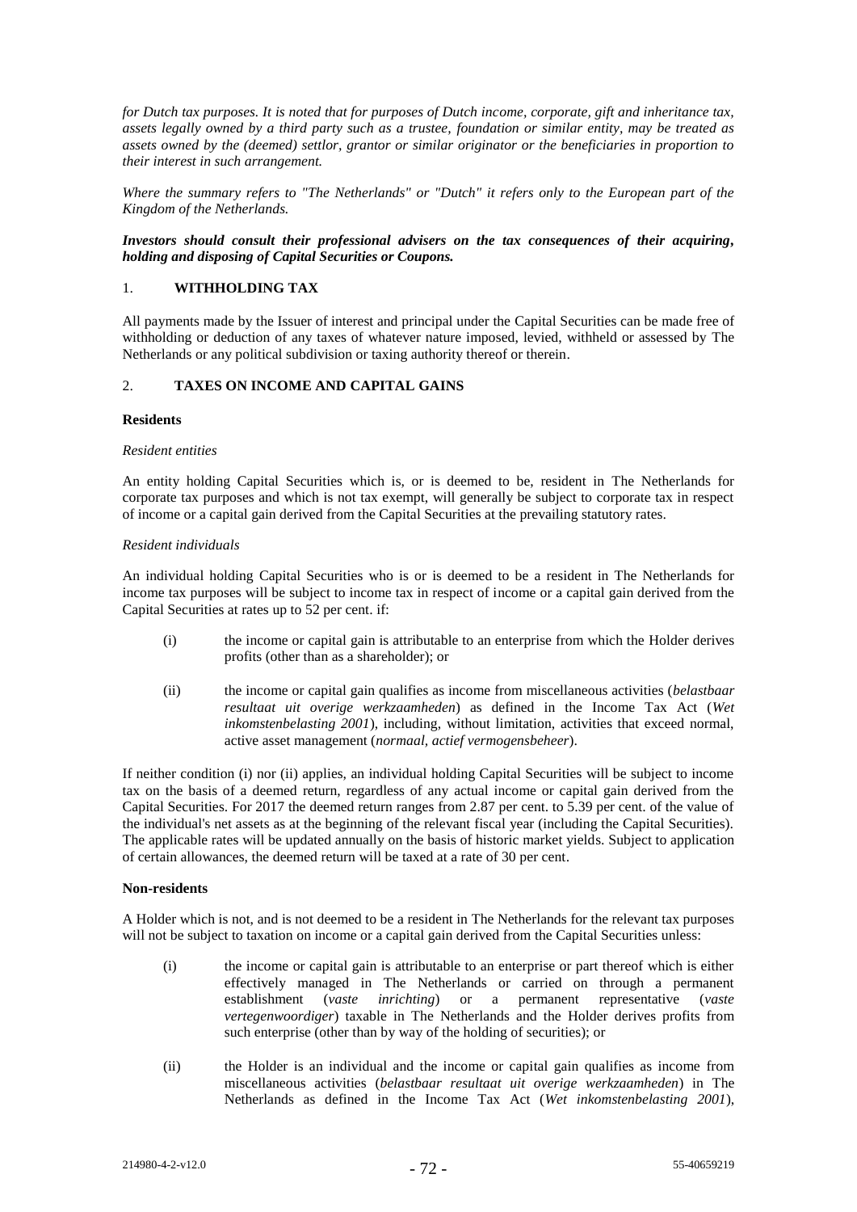*for Dutch tax purposes. It is noted that for purposes of Dutch income, corporate, gift and inheritance tax, assets legally owned by a third party such as a trustee, foundation or similar entity, may be treated as assets owned by the (deemed) settlor, grantor or similar originator or the beneficiaries in proportion to their interest in such arrangement.*

*Where the summary refers to "The Netherlands" or "Dutch" it refers only to the European part of the Kingdom of the Netherlands.*

## *Investors should consult their professional advisers on the tax consequences of their acquiring, holding and disposing of Capital Securities or Coupons.*

## 1. **WITHHOLDING TAX**

All payments made by the Issuer of interest and principal under the Capital Securities can be made free of withholding or deduction of any taxes of whatever nature imposed, levied, withheld or assessed by The Netherlands or any political subdivision or taxing authority thereof or therein.

# 2. **TAXES ON INCOME AND CAPITAL GAINS**

## **Residents**

### *Resident entities*

An entity holding Capital Securities which is, or is deemed to be, resident in The Netherlands for corporate tax purposes and which is not tax exempt, will generally be subject to corporate tax in respect of income or a capital gain derived from the Capital Securities at the prevailing statutory rates.

### *Resident individuals*

An individual holding Capital Securities who is or is deemed to be a resident in The Netherlands for income tax purposes will be subject to income tax in respect of income or a capital gain derived from the Capital Securities at rates up to 52 per cent. if:

- (i) the income or capital gain is attributable to an enterprise from which the Holder derives profits (other than as a shareholder); or
- (ii) the income or capital gain qualifies as income from miscellaneous activities (*belastbaar resultaat uit overige werkzaamheden*) as defined in the Income Tax Act (*Wet inkomstenbelasting 2001*), including, without limitation, activities that exceed normal, active asset management (*normaal, actief vermogensbeheer*).

If neither condition (i) nor (ii) applies, an individual holding Capital Securities will be subject to income tax on the basis of a deemed return, regardless of any actual income or capital gain derived from the Capital Securities. For 2017 the deemed return ranges from 2.87 per cent. to 5.39 per cent. of the value of the individual's net assets as at the beginning of the relevant fiscal year (including the Capital Securities). The applicable rates will be updated annually on the basis of historic market yields. Subject to application of certain allowances, the deemed return will be taxed at a rate of 30 per cent.

#### **Non-residents**

A Holder which is not, and is not deemed to be a resident in The Netherlands for the relevant tax purposes will not be subject to taxation on income or a capital gain derived from the Capital Securities unless:

- (i) the income or capital gain is attributable to an enterprise or part thereof which is either effectively managed in The Netherlands or carried on through a permanent establishment (*vaste inrichting*) or a permanent representative (*vaste vertegenwoordiger*) taxable in The Netherlands and the Holder derives profits from such enterprise (other than by way of the holding of securities); or
- (ii) the Holder is an individual and the income or capital gain qualifies as income from miscellaneous activities (*belastbaar resultaat uit overige werkzaamheden*) in The Netherlands as defined in the Income Tax Act (*Wet inkomstenbelasting 2001*),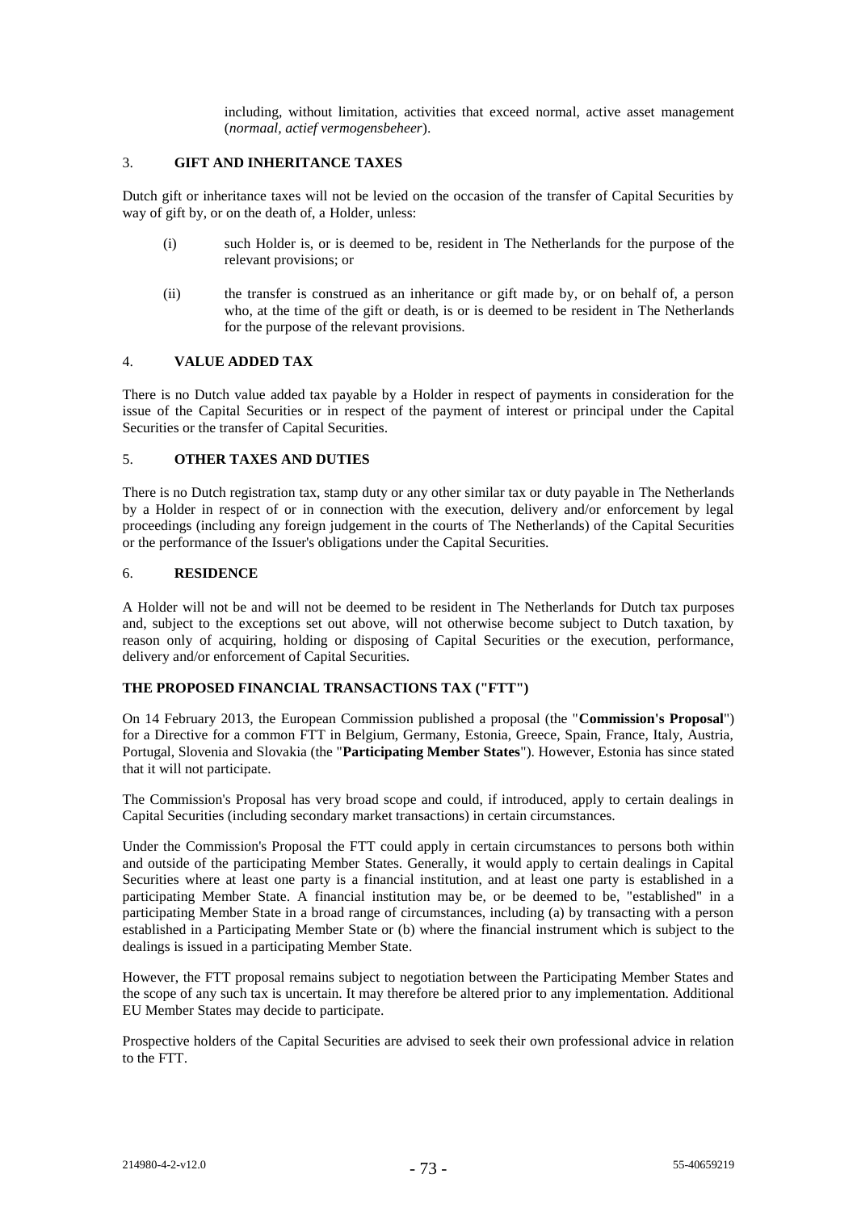including, without limitation, activities that exceed normal, active asset management (*normaal, actief vermogensbeheer*).

## 3. **GIFT AND INHERITANCE TAXES**

Dutch gift or inheritance taxes will not be levied on the occasion of the transfer of Capital Securities by way of gift by, or on the death of, a Holder, unless:

- (i) such Holder is, or is deemed to be, resident in The Netherlands for the purpose of the relevant provisions; or
- (ii) the transfer is construed as an inheritance or gift made by, or on behalf of, a person who, at the time of the gift or death, is or is deemed to be resident in The Netherlands for the purpose of the relevant provisions.

# 4. **VALUE ADDED TAX**

There is no Dutch value added tax payable by a Holder in respect of payments in consideration for the issue of the Capital Securities or in respect of the payment of interest or principal under the Capital Securities or the transfer of Capital Securities.

## 5. **OTHER TAXES AND DUTIES**

There is no Dutch registration tax, stamp duty or any other similar tax or duty payable in The Netherlands by a Holder in respect of or in connection with the execution, delivery and/or enforcement by legal proceedings (including any foreign judgement in the courts of The Netherlands) of the Capital Securities or the performance of the Issuer's obligations under the Capital Securities.

### 6. **RESIDENCE**

A Holder will not be and will not be deemed to be resident in The Netherlands for Dutch tax purposes and, subject to the exceptions set out above, will not otherwise become subject to Dutch taxation, by reason only of acquiring, holding or disposing of Capital Securities or the execution, performance, delivery and/or enforcement of Capital Securities.

# **THE PROPOSED FINANCIAL TRANSACTIONS TAX ("FTT")**

On 14 February 2013, the European Commission published a proposal (the "**Commission's Proposal**") for a Directive for a common FTT in Belgium, Germany, Estonia, Greece, Spain, France, Italy, Austria, Portugal, Slovenia and Slovakia (the "**Participating Member States**"). However, Estonia has since stated that it will not participate.

The Commission's Proposal has very broad scope and could, if introduced, apply to certain dealings in Capital Securities (including secondary market transactions) in certain circumstances.

Under the Commission's Proposal the FTT could apply in certain circumstances to persons both within and outside of the participating Member States. Generally, it would apply to certain dealings in Capital Securities where at least one party is a financial institution, and at least one party is established in a participating Member State. A financial institution may be, or be deemed to be, "established" in a participating Member State in a broad range of circumstances, including (a) by transacting with a person established in a Participating Member State or (b) where the financial instrument which is subject to the dealings is issued in a participating Member State.

However, the FTT proposal remains subject to negotiation between the Participating Member States and the scope of any such tax is uncertain. It may therefore be altered prior to any implementation. Additional EU Member States may decide to participate.

Prospective holders of the Capital Securities are advised to seek their own professional advice in relation to the FTT.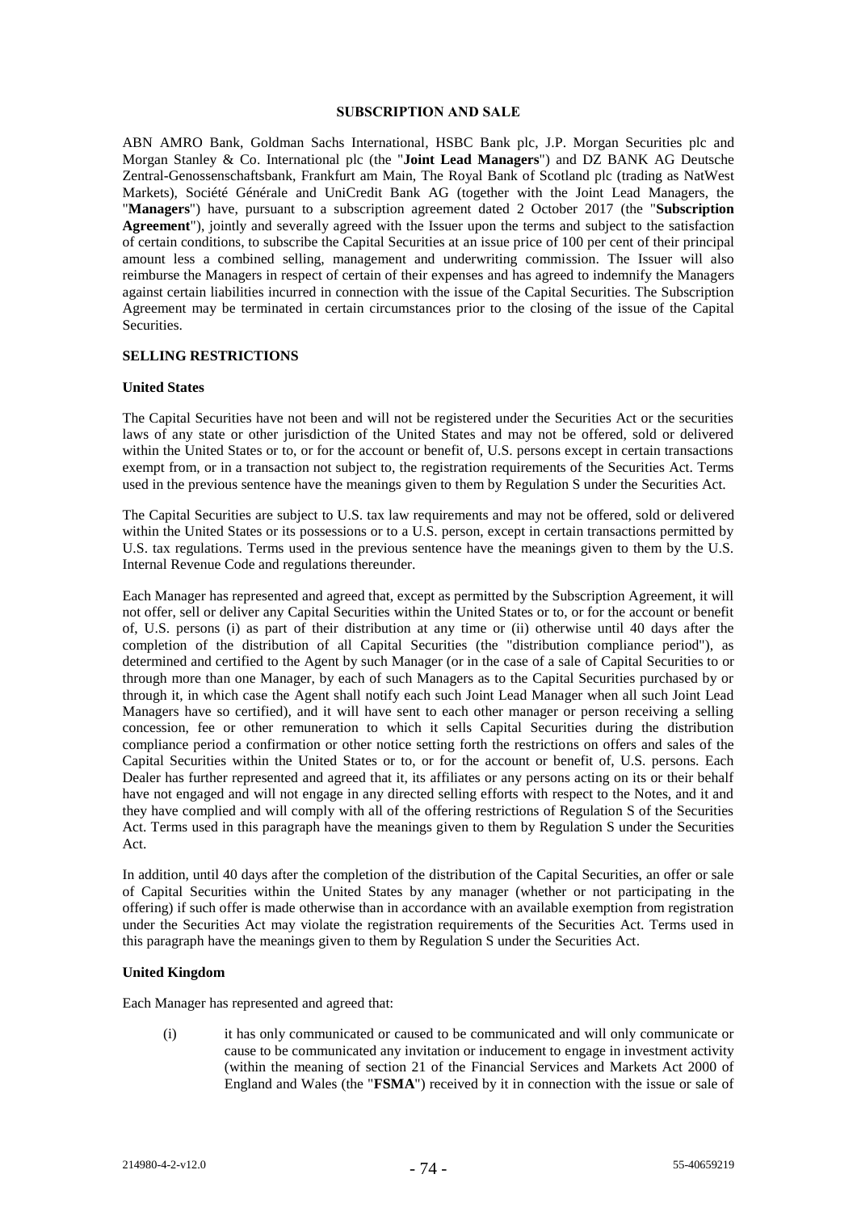#### **SUBSCRIPTION AND SALE**

ABN AMRO Bank, Goldman Sachs International, HSBC Bank plc, J.P. Morgan Securities plc and Morgan Stanley & Co. International plc (the "**Joint Lead Managers**") and DZ BANK AG Deutsche Zentral-Genossenschaftsbank, Frankfurt am Main, The Royal Bank of Scotland plc (trading as NatWest Markets), Société Générale and UniCredit Bank AG (together with the Joint Lead Managers, the "**Managers**") have, pursuant to a subscription agreement dated 2 October 2017 (the "**Subscription Agreement**"), jointly and severally agreed with the Issuer upon the terms and subject to the satisfaction of certain conditions, to subscribe the Capital Securities at an issue price of 100 per cent of their principal amount less a combined selling, management and underwriting commission. The Issuer will also reimburse the Managers in respect of certain of their expenses and has agreed to indemnify the Managers against certain liabilities incurred in connection with the issue of the Capital Securities. The Subscription Agreement may be terminated in certain circumstances prior to the closing of the issue of the Capital Securities.

## **SELLING RESTRICTIONS**

#### **United States**

The Capital Securities have not been and will not be registered under the Securities Act or the securities laws of any state or other jurisdiction of the United States and may not be offered, sold or delivered within the United States or to, or for the account or benefit of, U.S. persons except in certain transactions exempt from, or in a transaction not subject to, the registration requirements of the Securities Act. Terms used in the previous sentence have the meanings given to them by Regulation S under the Securities Act.

The Capital Securities are subject to U.S. tax law requirements and may not be offered, sold or delivered within the United States or its possessions or to a U.S. person, except in certain transactions permitted by U.S. tax regulations. Terms used in the previous sentence have the meanings given to them by the U.S. Internal Revenue Code and regulations thereunder.

Each Manager has represented and agreed that, except as permitted by the Subscription Agreement, it will not offer, sell or deliver any Capital Securities within the United States or to, or for the account or benefit of, U.S. persons (i) as part of their distribution at any time or (ii) otherwise until 40 days after the completion of the distribution of all Capital Securities (the "distribution compliance period"), as determined and certified to the Agent by such Manager (or in the case of a sale of Capital Securities to or through more than one Manager, by each of such Managers as to the Capital Securities purchased by or through it, in which case the Agent shall notify each such Joint Lead Manager when all such Joint Lead Managers have so certified), and it will have sent to each other manager or person receiving a selling concession, fee or other remuneration to which it sells Capital Securities during the distribution compliance period a confirmation or other notice setting forth the restrictions on offers and sales of the Capital Securities within the United States or to, or for the account or benefit of, U.S. persons. Each Dealer has further represented and agreed that it, its affiliates or any persons acting on its or their behalf have not engaged and will not engage in any directed selling efforts with respect to the Notes, and it and they have complied and will comply with all of the offering restrictions of Regulation S of the Securities Act. Terms used in this paragraph have the meanings given to them by Regulation S under the Securities Act.

In addition, until 40 days after the completion of the distribution of the Capital Securities, an offer or sale of Capital Securities within the United States by any manager (whether or not participating in the offering) if such offer is made otherwise than in accordance with an available exemption from registration under the Securities Act may violate the registration requirements of the Securities Act. Terms used in this paragraph have the meanings given to them by Regulation S under the Securities Act.

## **United Kingdom**

Each Manager has represented and agreed that:

(i) it has only communicated or caused to be communicated and will only communicate or cause to be communicated any invitation or inducement to engage in investment activity (within the meaning of section 21 of the Financial Services and Markets Act 2000 of England and Wales (the "**FSMA**") received by it in connection with the issue or sale of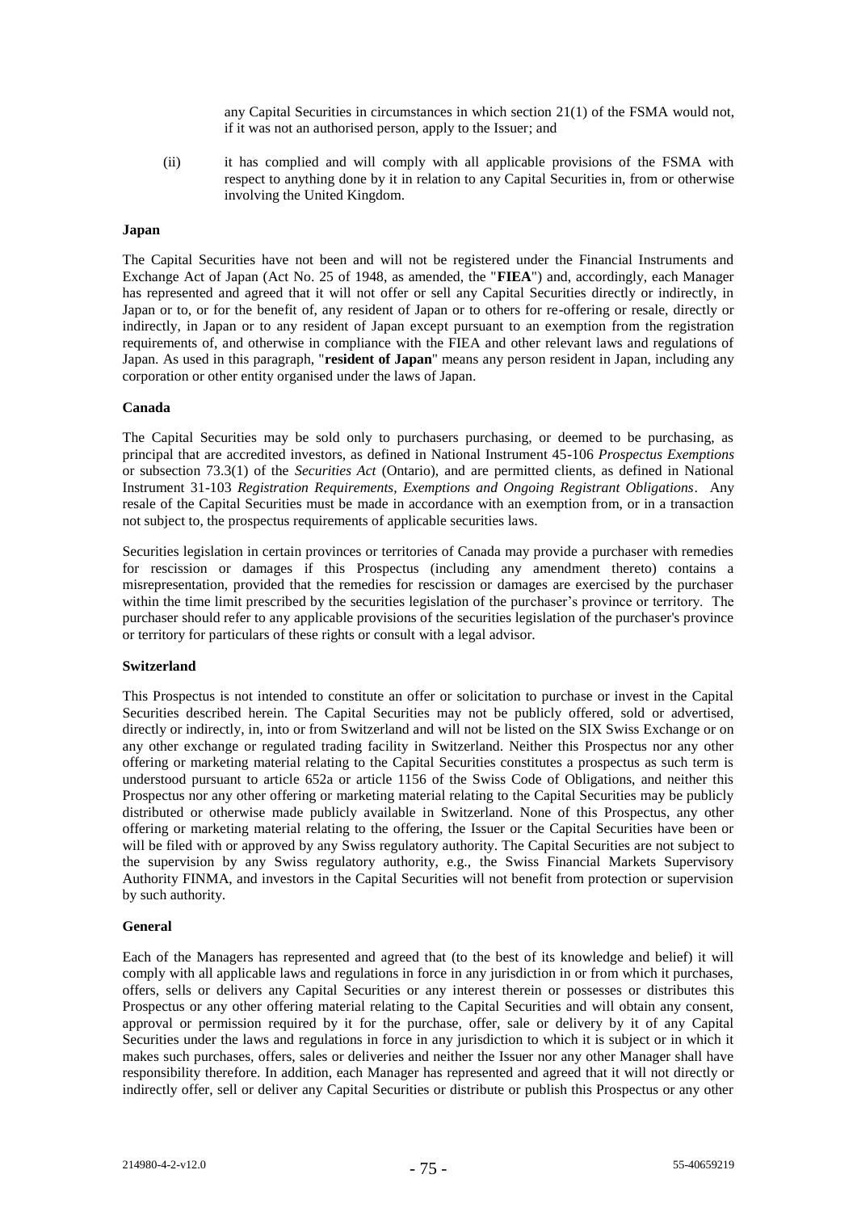any Capital Securities in circumstances in which section 21(1) of the FSMA would not, if it was not an authorised person, apply to the Issuer; and

(ii) it has complied and will comply with all applicable provisions of the FSMA with respect to anything done by it in relation to any Capital Securities in, from or otherwise involving the United Kingdom.

#### **Japan**

The Capital Securities have not been and will not be registered under the Financial Instruments and Exchange Act of Japan (Act No. 25 of 1948, as amended, the "**FIEA**") and, accordingly, each Manager has represented and agreed that it will not offer or sell any Capital Securities directly or indirectly, in Japan or to, or for the benefit of, any resident of Japan or to others for re-offering or resale, directly or indirectly, in Japan or to any resident of Japan except pursuant to an exemption from the registration requirements of, and otherwise in compliance with the FIEA and other relevant laws and regulations of Japan. As used in this paragraph, "**resident of Japan**" means any person resident in Japan, including any corporation or other entity organised under the laws of Japan.

### **Canada**

The Capital Securities may be sold only to purchasers purchasing, or deemed to be purchasing, as principal that are accredited investors, as defined in National Instrument 45-106 *Prospectus Exemptions* or subsection 73.3(1) of the *Securities Act* (Ontario), and are permitted clients, as defined in National Instrument 31-103 *Registration Requirements, Exemptions and Ongoing Registrant Obligations*. Any resale of the Capital Securities must be made in accordance with an exemption from, or in a transaction not subject to, the prospectus requirements of applicable securities laws.

Securities legislation in certain provinces or territories of Canada may provide a purchaser with remedies for rescission or damages if this Prospectus (including any amendment thereto) contains a misrepresentation, provided that the remedies for rescission or damages are exercised by the purchaser within the time limit prescribed by the securities legislation of the purchaser's province or territory. The purchaser should refer to any applicable provisions of the securities legislation of the purchaser's province or territory for particulars of these rights or consult with a legal advisor.

## **Switzerland**

This Prospectus is not intended to constitute an offer or solicitation to purchase or invest in the Capital Securities described herein. The Capital Securities may not be publicly offered, sold or advertised, directly or indirectly, in, into or from Switzerland and will not be listed on the SIX Swiss Exchange or on any other exchange or regulated trading facility in Switzerland. Neither this Prospectus nor any other offering or marketing material relating to the Capital Securities constitutes a prospectus as such term is understood pursuant to article 652a or article 1156 of the Swiss Code of Obligations, and neither this Prospectus nor any other offering or marketing material relating to the Capital Securities may be publicly distributed or otherwise made publicly available in Switzerland. None of this Prospectus, any other offering or marketing material relating to the offering, the Issuer or the Capital Securities have been or will be filed with or approved by any Swiss regulatory authority. The Capital Securities are not subject to the supervision by any Swiss regulatory authority, e.g., the Swiss Financial Markets Supervisory Authority FINMA, and investors in the Capital Securities will not benefit from protection or supervision by such authority.

## **General**

Each of the Managers has represented and agreed that (to the best of its knowledge and belief) it will comply with all applicable laws and regulations in force in any jurisdiction in or from which it purchases, offers, sells or delivers any Capital Securities or any interest therein or possesses or distributes this Prospectus or any other offering material relating to the Capital Securities and will obtain any consent, approval or permission required by it for the purchase, offer, sale or delivery by it of any Capital Securities under the laws and regulations in force in any jurisdiction to which it is subject or in which it makes such purchases, offers, sales or deliveries and neither the Issuer nor any other Manager shall have responsibility therefore. In addition, each Manager has represented and agreed that it will not directly or indirectly offer, sell or deliver any Capital Securities or distribute or publish this Prospectus or any other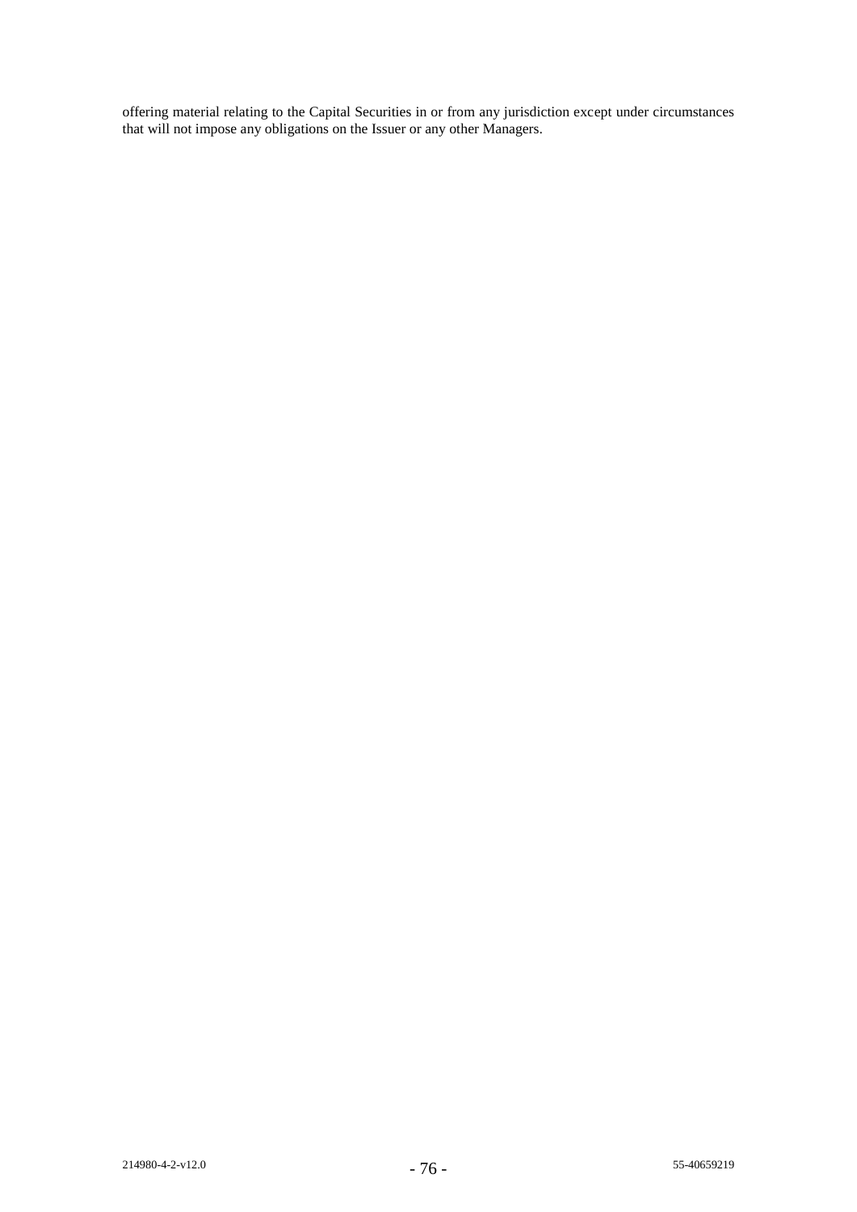offering material relating to the Capital Securities in or from any jurisdiction except under circumstances that will not impose any obligations on the Issuer or any other Managers.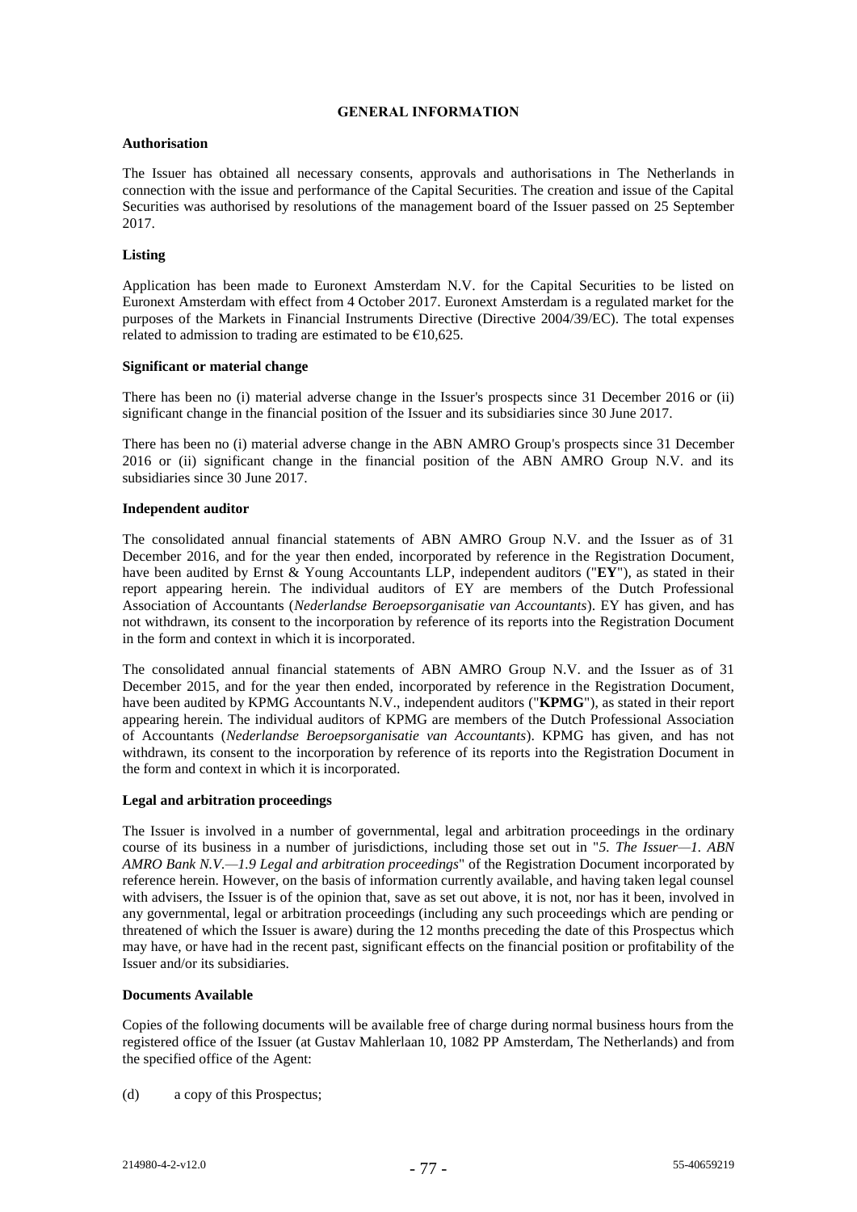## **GENERAL INFORMATION**

## **Authorisation**

The Issuer has obtained all necessary consents, approvals and authorisations in The Netherlands in connection with the issue and performance of the Capital Securities. The creation and issue of the Capital Securities was authorised by resolutions of the management board of the Issuer passed on 25 September 2017.

## **Listing**

Application has been made to Euronext Amsterdam N.V. for the Capital Securities to be listed on Euronext Amsterdam with effect from 4 October 2017. Euronext Amsterdam is a regulated market for the purposes of the Markets in Financial Instruments Directive (Directive 2004/39/EC). The total expenses related to admission to trading are estimated to be  $\epsilon$ 10,625.

### **Significant or material change**

There has been no (i) material adverse change in the Issuer's prospects since 31 December 2016 or (ii) significant change in the financial position of the Issuer and its subsidiaries since 30 June 2017.

There has been no (i) material adverse change in the ABN AMRO Group's prospects since 31 December 2016 or (ii) significant change in the financial position of the ABN AMRO Group N.V. and its subsidiaries since 30 June 2017.

### **Independent auditor**

The consolidated annual financial statements of ABN AMRO Group N.V. and the Issuer as of 31 December 2016, and for the year then ended, incorporated by reference in the Registration Document, have been audited by Ernst & Young Accountants LLP, independent auditors ("**EY**"), as stated in their report appearing herein. The individual auditors of EY are members of the Dutch Professional Association of Accountants (*Nederlandse Beroepsorganisatie van Accountants*). EY has given, and has not withdrawn, its consent to the incorporation by reference of its reports into the Registration Document in the form and context in which it is incorporated.

The consolidated annual financial statements of ABN AMRO Group N.V. and the Issuer as of 31 December 2015, and for the year then ended, incorporated by reference in the Registration Document, have been audited by KPMG Accountants N.V., independent auditors ("**KPMG**"), as stated in their report appearing herein. The individual auditors of KPMG are members of the Dutch Professional Association of Accountants (*Nederlandse Beroepsorganisatie van Accountants*). KPMG has given, and has not withdrawn, its consent to the incorporation by reference of its reports into the Registration Document in the form and context in which it is incorporated.

## **Legal and arbitration proceedings**

The Issuer is involved in a number of governmental, legal and arbitration proceedings in the ordinary course of its business in a number of jurisdictions, including those set out in "*5. The Issuer—1. ABN AMRO Bank N.V.—1.9 Legal and arbitration proceedings*" of the Registration Document incorporated by reference herein. However, on the basis of information currently available, and having taken legal counsel with advisers, the Issuer is of the opinion that, save as set out above, it is not, nor has it been, involved in any governmental, legal or arbitration proceedings (including any such proceedings which are pending or threatened of which the Issuer is aware) during the 12 months preceding the date of this Prospectus which may have, or have had in the recent past, significant effects on the financial position or profitability of the Issuer and/or its subsidiaries.

#### **Documents Available**

Copies of the following documents will be available free of charge during normal business hours from the registered office of the Issuer (at Gustav Mahlerlaan 10, 1082 PP Amsterdam, The Netherlands) and from the specified office of the Agent:

(d) a copy of this Prospectus;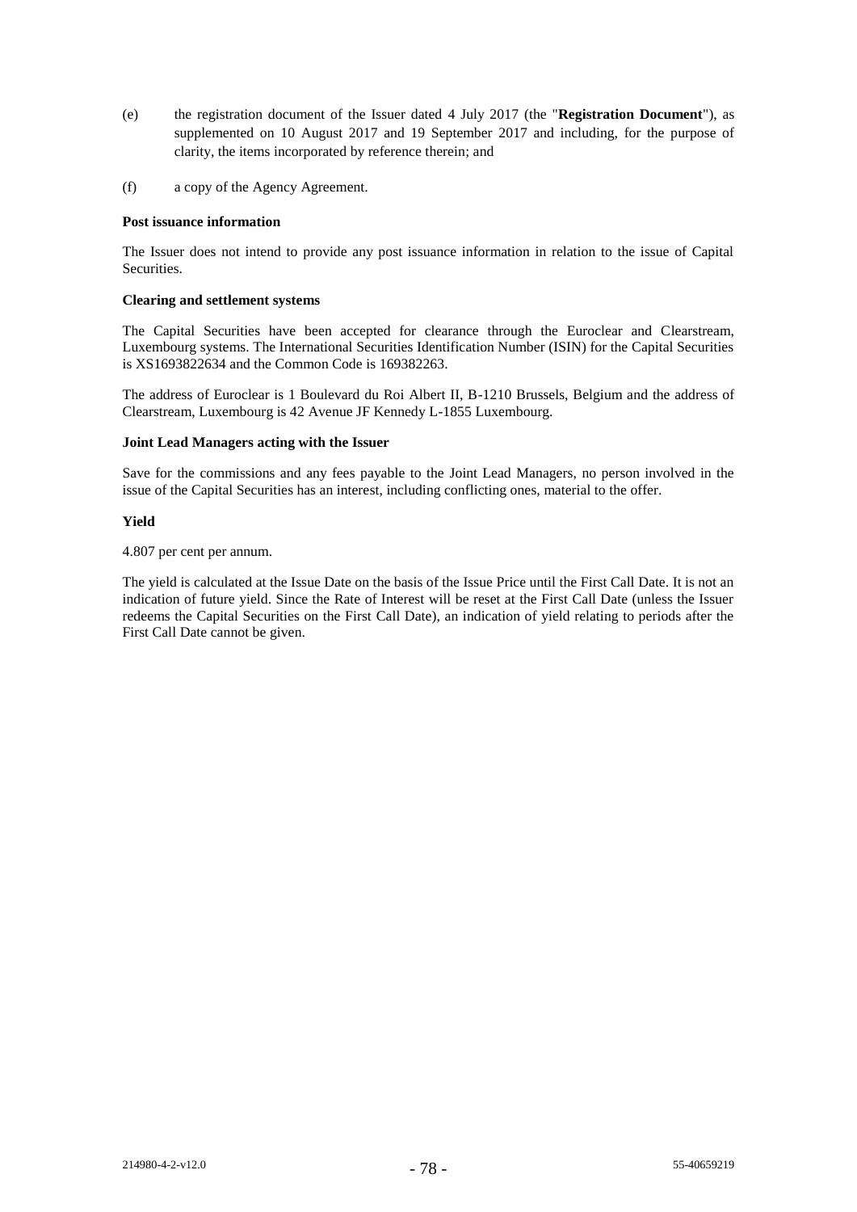- (e) the registration document of the Issuer dated 4 July 2017 (the "**Registration Document**"), as supplemented on 10 August 2017 and 19 September 2017 and including, for the purpose of clarity, the items incorporated by reference therein; and
- (f) a copy of the Agency Agreement.

#### **Post issuance information**

The Issuer does not intend to provide any post issuance information in relation to the issue of Capital Securities.

## **Clearing and settlement systems**

The Capital Securities have been accepted for clearance through the Euroclear and Clearstream, Luxembourg systems. The International Securities Identification Number (ISIN) for the Capital Securities is XS1693822634 and the Common Code is 169382263.

The address of Euroclear is 1 Boulevard du Roi Albert II, B-1210 Brussels, Belgium and the address of Clearstream, Luxembourg is 42 Avenue JF Kennedy L-1855 Luxembourg.

#### **Joint Lead Managers acting with the Issuer**

Save for the commissions and any fees payable to the Joint Lead Managers, no person involved in the issue of the Capital Securities has an interest, including conflicting ones, material to the offer.

### **Yield**

4.807 per cent per annum.

The yield is calculated at the Issue Date on the basis of the Issue Price until the First Call Date. It is not an indication of future yield. Since the Rate of Interest will be reset at the First Call Date (unless the Issuer redeems the Capital Securities on the First Call Date), an indication of yield relating to periods after the First Call Date cannot be given.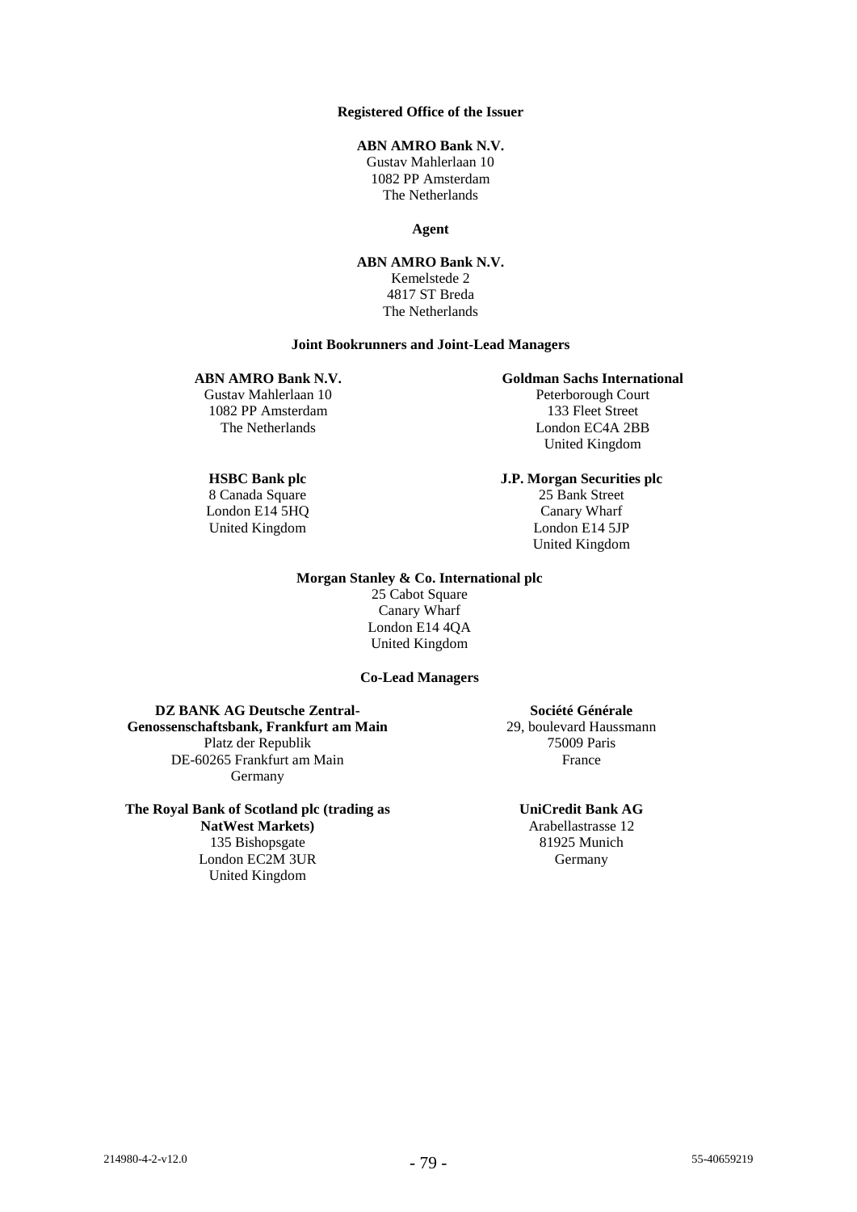## **Registered Office of the Issuer**

# **ABN AMRO Bank N.V.**

Gustav Mahlerlaan 10 1082 PP Amsterdam The Netherlands

**Agent**

**ABN AMRO Bank N.V.** Kemelstede 2 4817 ST Breda The Netherlands

### **Joint Bookrunners and Joint-Lead Managers**

# **ABN AMRO Bank N.V.**

Gustav Mahlerlaan 10 1082 PP Amsterdam The Netherlands

### **HSBC Bank plc**

8 Canada Square London E14 5HQ United Kingdom

## **Goldman Sachs International**

Peterborough Court 133 Fleet Street London EC4A 2BB United Kingdom

**J.P. Morgan Securities plc** 25 Bank Street Canary Wharf London E14 5JP

United Kingdom

#### **Morgan Stanley & Co. International plc**

25 Cabot Square Canary Wharf London E14 4QA United Kingdom

#### **Co-Lead Managers**

**DZ BANK AG Deutsche Zentral-Genossenschaftsbank, Frankfurt am Main** Platz der Republik DE-60265 Frankfurt am Main Germany

**The Royal Bank of Scotland plc (trading as NatWest Markets)** 135 Bishopsgate London EC2M 3UR United Kingdom

**Société Générale** 29, boulevard Haussmann 75009 Paris France

**UniCredit Bank AG**

Arabellastrasse 12 81925 Munich Germany